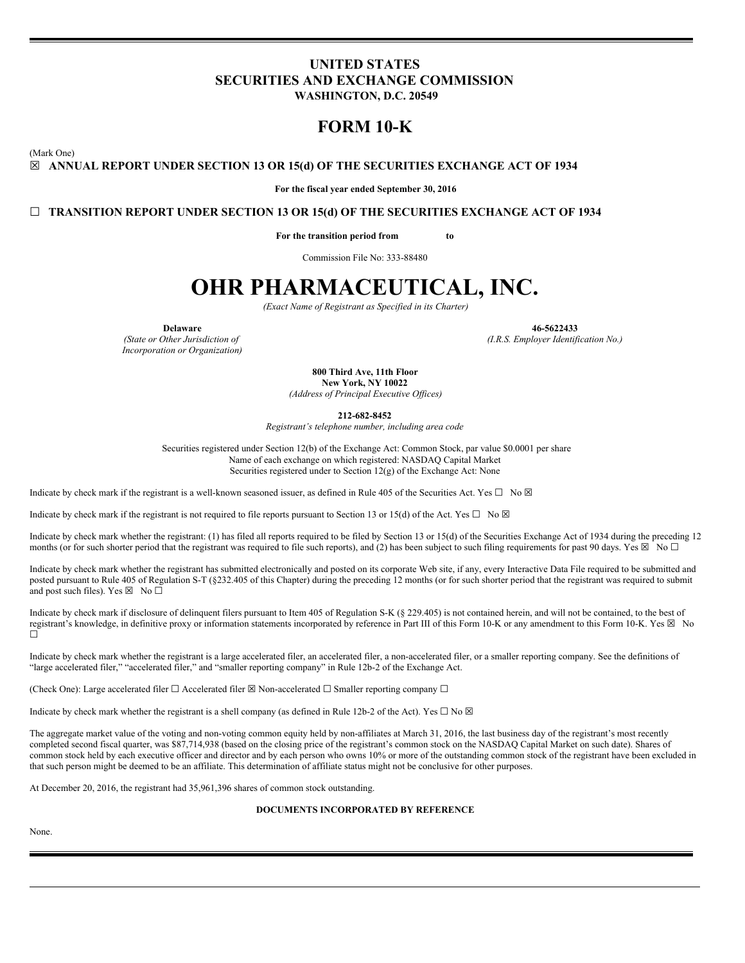# **UNITED STATES SECURITIES AND EXCHANGE COMMISSION WASHINGTON, D.C. 20549**

# **FORM 10-K**

(Mark One)

**☒ ANNUAL REPORT UNDER SECTION 13 OR 15(d) OF THE SECURITIES EXCHANGE ACT OF 1934**

**For the fiscal year ended September 30, 2016**

**☐ TRANSITION REPORT UNDER SECTION 13 OR 15(d) OF THE SECURITIES EXCHANGE ACT OF 1934**

**For the transition period from to**

Commission File No: 333-88480

# **OHR PHARMACEUTICAL, INC.**

*(Exact Name of Registrant as Specified in its Charter)*

*(State or Other Jurisdiction of Incorporation or Organization)*

**Delaware 46-5622433** *(I.R.S. Employer Identification No.)*

**800 Third Ave, 11th Floor**

**New York, NY 10022** *(Address of Principal Executive Of ices)*

**212-682-8452**

*Registrant's telephone number, including area code*

Securities registered under Section 12(b) of the Exchange Act: Common Stock, par value \$0.0001 per share Name of each exchange on which registered: NASDAQ Capital Market Securities registered under to Section 12(g) of the Exchange Act: None

Indicate by check mark if the registrant is a well-known seasoned issuer, as defined in Rule 405 of the Securities Act. Yes  $\Box$  No  $\boxtimes$ 

Indicate by check mark if the registrant is not required to file reports pursuant to Section 13 or 15(d) of the Act. Yes  $\Box$  No  $\boxtimes$ 

Indicate by check mark whether the registrant: (1) has filed all reports required to be filed by Section 13 or 15(d) of the Securities Exchange Act of 1934 during the preceding 12 months (or for such shorter period that the registrant was required to file such reports), and (2) has been subject to such filing requirements for past 90 days. Yes  $\boxtimes \text{ No } \square$ 

Indicate by check mark whether the registrant has submitted electronically and posted on its corporate Web site, if any, every Interactive Data File required to be submitted and posted pursuant to Rule 405 of Regulation S-T (§232.405 of this Chapter) during the preceding 12 months (or for such shorter period that the registrant was required to submit and post such files). Yes  $\boxtimes$  No  $\square$ 

Indicate by check mark if disclosure of delinquent filers pursuant to Item 405 of Regulation S-K (§ 229.405) is not contained herein, and will not be contained, to the best of registrant's knowledge, in definitive proxy or information statements incorporated by reference in Part III of this Form 10-K or any amendment to this Form 10-K. Yes ⊠ No ☐

Indicate by check mark whether the registrant is a large accelerated filer, an accelerated filer, a non-accelerated filer, or a smaller reporting company. See the definitions of "large accelerated filer," "accelerated filer," and "smaller reporting company" in Rule 12b-2 of the Exchange Act.

(Check One): Large accelerated filer □ Accelerated filer ⊠ Non-accelerated □ Smaller reporting company □

Indicate by check mark whether the registrant is a shell company (as defined in Rule 12b-2 of the Act). Yes  $\Box$  No  $\boxtimes$ 

The aggregate market value of the voting and non-voting common equity held by non-affiliates at March 31, 2016, the last business day of the registrant's most recently completed second fiscal quarter, was \$87,714,938 (based on the closing price of the registrant's common stock on the NASDAQ Capital Market on such date). Shares of common stock held by each executive officer and director and by each person who owns 10% or more of the outstanding common stock of the registrant have been excluded in that such person might be deemed to be an affiliate. This determination of affiliate status might not be conclusive for other purposes.

At December 20, 2016, the registrant had 35,961,396 shares of common stock outstanding.

### **DOCUMENTS INCORPORATED BY REFERENCE**

None.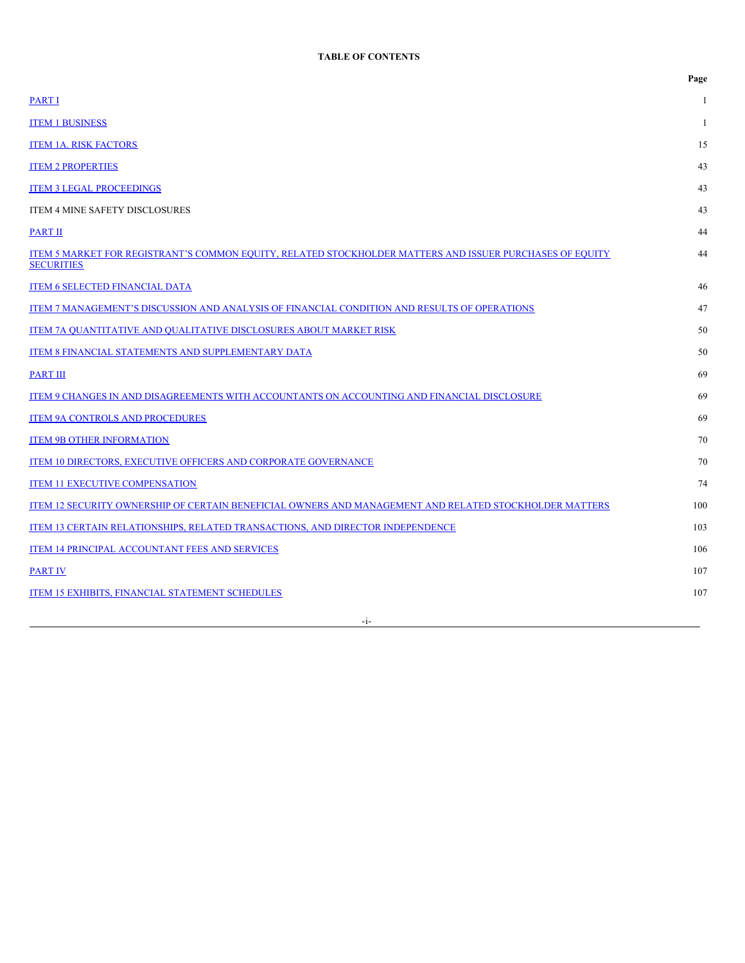|                                                                                                                               | Page |
|-------------------------------------------------------------------------------------------------------------------------------|------|
| <b>PARTI</b>                                                                                                                  | -1   |
| <b>ITEM 1 BUSINESS</b>                                                                                                        | 1    |
| <b>ITEM 1A. RISK FACTORS</b>                                                                                                  | 15   |
| <b>ITEM 2 PROPERTIES</b>                                                                                                      | 43   |
| <b>ITEM 3 LEGAL PROCEEDINGS</b>                                                                                               | 43   |
| <b>ITEM 4 MINE SAFETY DISCLOSURES</b>                                                                                         | 43   |
| <b>PART II</b>                                                                                                                | 44   |
| ITEM 5 MARKET FOR REGISTRANT'S COMMON EQUITY, RELATED STOCKHOLDER MATTERS AND ISSUER PURCHASES OF EQUITY<br><b>SECURITIES</b> | 44   |
| <b>ITEM 6 SELECTED FINANCIAL DATA</b>                                                                                         | 46   |
| ITEM 7 MANAGEMENT'S DISCUSSION AND ANALYSIS OF FINANCIAL CONDITION AND RESULTS OF OPERATIONS                                  | 47   |
| <b>ITEM 7A QUANTITATIVE AND QUALITATIVE DISCLOSURES ABOUT MARKET RISK</b>                                                     | 50   |
| <b>ITEM 8 FINANCIAL STATEMENTS AND SUPPLEMENTARY DATA</b>                                                                     | 50   |
| <b>PART III</b>                                                                                                               | 69   |
| ITEM 9 CHANGES IN AND DISAGREEMENTS WITH ACCOUNTANTS ON ACCOUNTING AND FINANCIAL DISCLOSURE                                   | 69   |
| <b>ITEM 9A CONTROLS AND PROCEDURES</b>                                                                                        | 69   |
| <b>ITEM 9B OTHER INFORMATION</b>                                                                                              | 70   |
| <b>ITEM 10 DIRECTORS, EXECUTIVE OFFICERS AND CORPORATE GOVERNANCE</b>                                                         | 70   |
| <b>ITEM 11 EXECUTIVE COMPENSATION</b>                                                                                         | 74   |
| ITEM 12 SECURITY OWNERSHIP OF CERTAIN BENEFICIAL OWNERS AND MANAGEMENT AND RELATED STOCKHOLDER MATTERS                        | 100  |
| ITEM 13 CERTAIN RELATIONSHIPS, RELATED TRANSACTIONS, AND DIRECTOR INDEPENDENCE                                                | 103  |
| <b>ITEM 14 PRINCIPAL ACCOUNTANT FEES AND SERVICES</b>                                                                         | 106  |
| <b>PART IV</b>                                                                                                                | 107  |
| <b>ITEM 15 EXHIBITS, FINANCIAL STATEMENT SCHEDULES</b>                                                                        | 107  |
|                                                                                                                               |      |

# -i-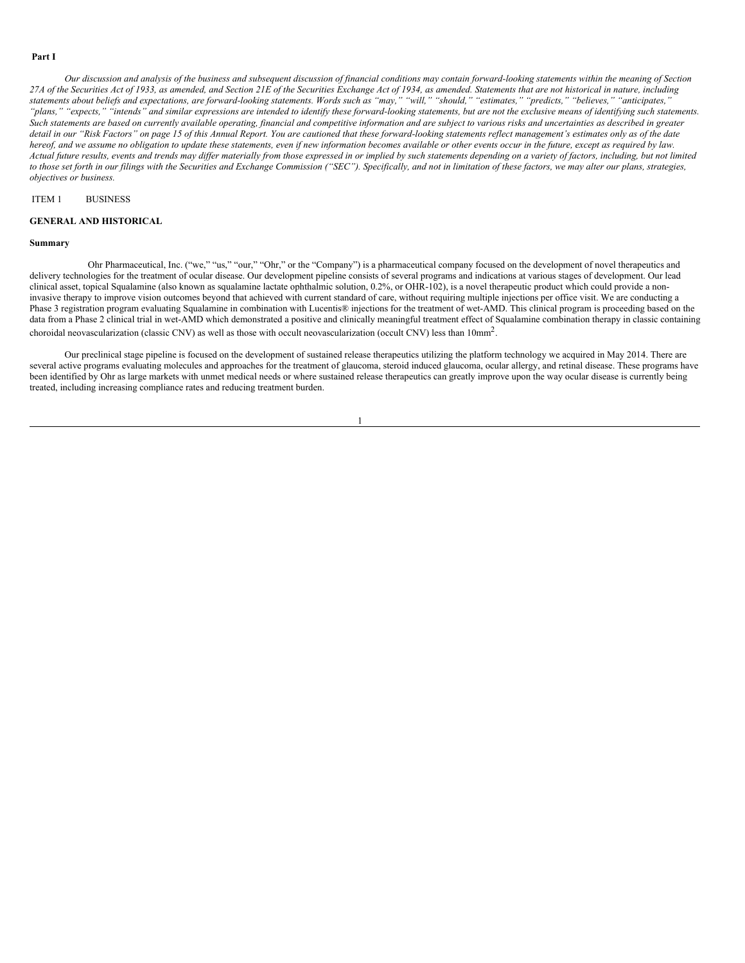#### <span id="page-2-0"></span>**Part I**

Our discussion and analysis of the business and subsequent discussion of financial conditions may contain forward-looking statements within the meaning of Section 27A of the Securities Act of 1933, as amended, and Section 21E of the Securities Exchange Act of 1934, as amended. Statements that are not historical in nature, including statements about beliefs and expectations, are forward-looking statements. Words such as "may," "will," "should," "estimates," "predicts," "believes," "anticipates," "plans," "expects," "intends" and similar expressions are intended to identify these forward-looking statements, but are not the exclusive means of identifying such statements. Such statements are based on currently available operating, financial and competitive information and are subject to various risks and uncertainties as described in greater detail in our "Risk Factors" on page 15 of this Annual Report. You are cautioned that these forward-looking statements reflect management's estimates only as of the date hereof, and we assume no obligation to update these statements, even if new information becomes available or other events occur in the future, except as required by law. Actual future results, events and trends may differ materially from those expressed in or implied by such statements depending on a variety of factors, including, but not limited to those set forth in our filings with the Securities and Exchange Commission ("SEC"). Specifically, and not in limitation of these factors, we may alter our plans, strategies, *objectives or business.*

#### <span id="page-2-1"></span>ITEM 1 BUSINESS

#### **GENERAL AND HISTORICAL**

#### **Summary**

Ohr Pharmaceutical, Inc. ("we," "us," "our," "Ohr," or the "Company") is a pharmaceutical company focused on the development of novel therapeutics and delivery technologies for the treatment of ocular disease. Our development pipeline consists of several programs and indications at various stages of development. Our lead clinical asset, topical Squalamine (also known as squalamine lactate ophthalmic solution, 0.2%, or OHR-102), is a novel therapeutic product which could provide a noninvasive therapy to improve vision outcomes beyond that achieved with current standard of care, without requiring multiple injections per office visit. We are conducting a Phase 3 registration program evaluating Squalamine in combination with Lucentis® injections for the treatment of wet-AMD. This clinical program is proceeding based on the data from a Phase 2 clinical trial in wet-AMD which demonstrated a positive and clinically meaningful treatment effect of Squalamine combination therapy in classic containing choroidal neovascularization (classic CNV) as well as those with occult neovascularization (occult CNV) less than  $10mm^2$ .

Our preclinical stage pipeline is focused on the development of sustained release therapeutics utilizing the platform technology we acquired in May 2014. There are several active programs evaluating molecules and approaches for the treatment of glaucoma, steroid induced glaucoma, ocular allergy, and retinal disease. These programs have been identified by Ohr as large markets with unmet medical needs or where sustained release therapeutics can greatly improve upon the way ocular disease is currently being treated, including increasing compliance rates and reducing treatment burden.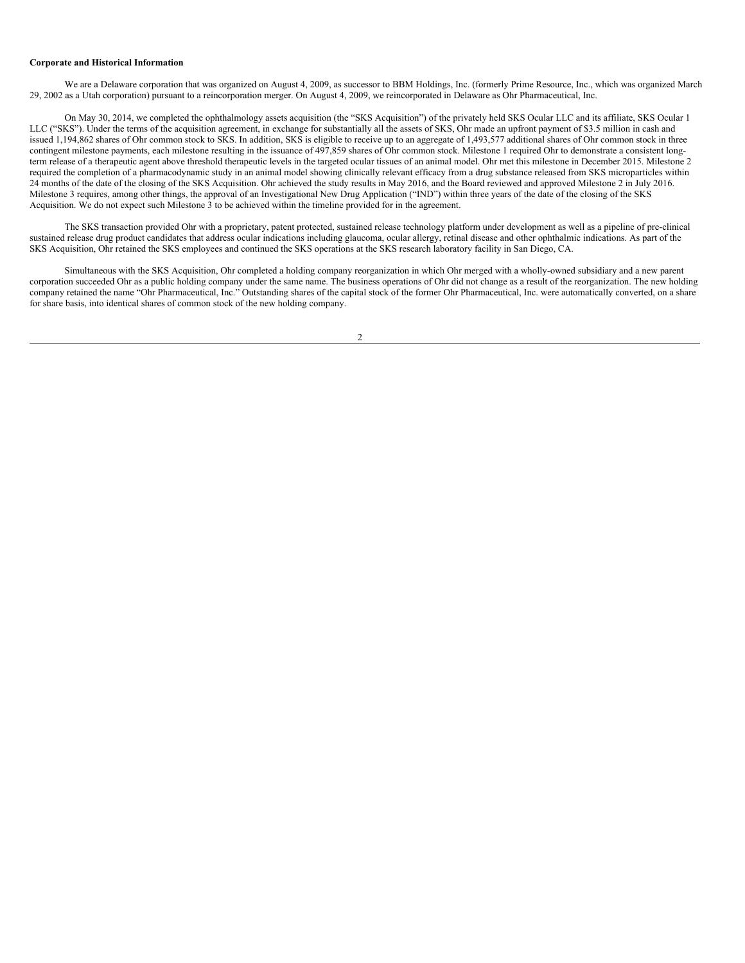#### **Corporate and Historical Information**

We are a Delaware corporation that was organized on August 4, 2009, as successor to BBM Holdings, Inc. (formerly Prime Resource, Inc., which was organized March 29, 2002 as a Utah corporation) pursuant to a reincorporation merger. On August 4, 2009, we reincorporated in Delaware as Ohr Pharmaceutical, Inc.

On May 30, 2014, we completed the ophthalmology assets acquisition (the "SKS Acquisition") of the privately held SKS Ocular LLC and its affiliate, SKS Ocular 1 LLC ("SKS"). Under the terms of the acquisition agreement, in exchange for substantially all the assets of SKS, Ohr made an upfront payment of \$3.5 million in cash and issued 1,194,862 shares of Ohr common stock to SKS. In addition, SKS is eligible to receive up to an aggregate of 1,493,577 additional shares of Ohr common stock in three contingent milestone payments, each milestone resulting in the issuance of 497,859 shares of Ohr common stock. Milestone 1 required Ohr to demonstrate a consistent longterm release of a therapeutic agent above threshold therapeutic levels in the targeted ocular tissues of an animal model. Ohr met this milestone in December 2015. Milestone 2 required the completion of a pharmacodynamic study in an animal model showing clinically relevant efficacy from a drug substance released from SKS microparticles within 24 months of the date of the closing of the SKS Acquisition. Ohr achieved the study results in May 2016, and the Board reviewed and approved Milestone 2 in July 2016. Milestone 3 requires, among other things, the approval of an Investigational New Drug Application ("IND") within three years of the date of the closing of the SKS Acquisition. We do not expect such Milestone 3 to be achieved within the timeline provided for in the agreement.

The SKS transaction provided Ohr with a proprietary, patent protected, sustained release technology platform under development as well as a pipeline of pre-clinical sustained release drug product candidates that address ocular indications including glaucoma, ocular allergy, retinal disease and other ophthalmic indications. As part of the SKS Acquisition, Ohr retained the SKS employees and continued the SKS operations at the SKS research laboratory facility in San Diego, CA.

Simultaneous with the SKS Acquisition, Ohr completed a holding company reorganization in which Ohr merged with a wholly-owned subsidiary and a new parent corporation succeeded Ohr as a public holding company under the same name. The business operations of Ohr did not change as a result of the reorganization. The new holding company retained the name "Ohr Pharmaceutical, Inc." Outstanding shares of the capital stock of the former Ohr Pharmaceutical, Inc. were automatically converted, on a share for share basis, into identical shares of common stock of the new holding company.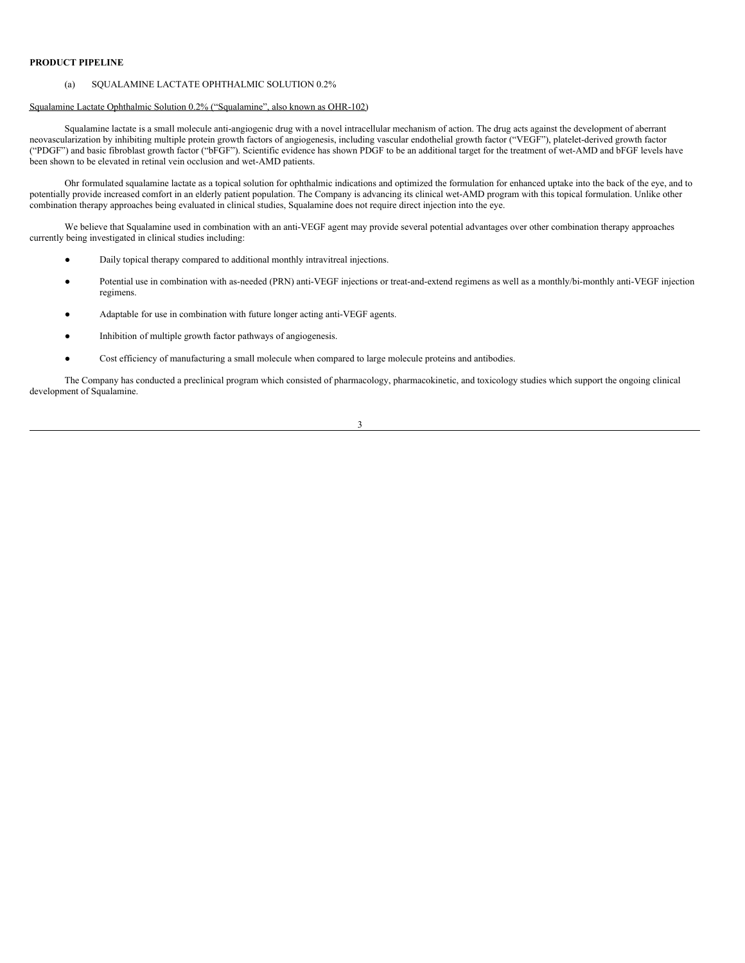#### **PRODUCT PIPELINE**

#### (a) SQUALAMINE LACTATE OPHTHALMIC SOLUTION 0.2%

#### Squalamine Lactate Ophthalmic Solution 0.2% ("Squalamine", also known as OHR-102)

Squalamine lactate is a small molecule anti-angiogenic drug with a novel intracellular mechanism of action. The drug acts against the development of aberrant neovascularization by inhibiting multiple protein growth factors of angiogenesis, including vascular endothelial growth factor ("VEGF"), platelet-derived growth factor ("PDGF") and basic fibroblast growth factor ("bFGF"). Scientific evidence has shown PDGF to be an additional target for the treatment of wet-AMD and bFGF levels have been shown to be elevated in retinal vein occlusion and wet-AMD patients.

Ohr formulated squalamine lactate as a topical solution for ophthalmic indications and optimized the formulation for enhanced uptake into the back of the eye, and to potentially provide increased comfort in an elderly patient population. The Company is advancing its clinical wet-AMD program with this topical formulation. Unlike other combination therapy approaches being evaluated in clinical studies, Squalamine does not require direct injection into the eye.

We believe that Squalamine used in combination with an anti-VEGF agent may provide several potential advantages over other combination therapy approaches currently being investigated in clinical studies including:

- Daily topical therapy compared to additional monthly intravitreal injections.
- Potential use in combination with as-needed (PRN) anti-VEGF injections or treat-and-extend regimens as well as a monthly/bi-monthly anti-VEGF injection regimens.
- Adaptable for use in combination with future longer acting anti-VEGF agents.
- Inhibition of multiple growth factor pathways of angiogenesis.
- Cost efficiency of manufacturing a small molecule when compared to large molecule proteins and antibodies.

The Company has conducted a preclinical program which consisted of pharmacology, pharmacokinetic, and toxicology studies which support the ongoing clinical development of Squalamine.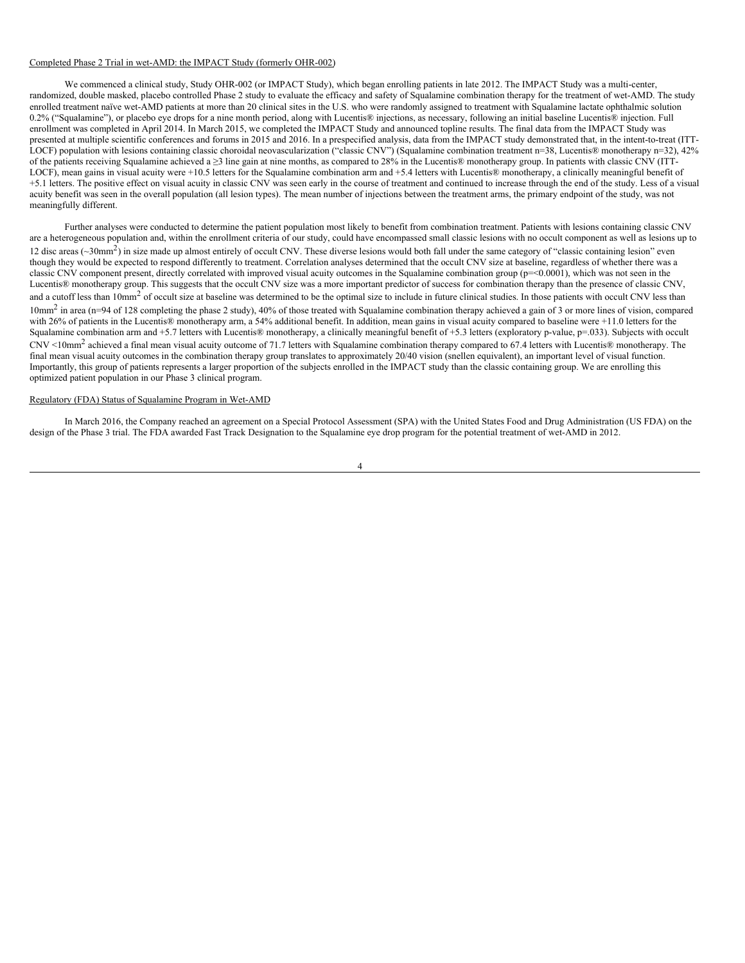#### Completed Phase 2 Trial in wet-AMD: the IMPACT Study (formerly OHR-002)

We commenced a clinical study, Study OHR-002 (or IMPACT Study), which began enrolling patients in late 2012. The IMPACT Study was a multi-center, randomized, double masked, placebo controlled Phase 2 study to evaluate the efficacy and safety of Squalamine combination therapy for the treatment of wet-AMD. The study enrolled treatment naïve wet-AMD patients at more than 20 clinical sites in the U.S. who were randomly assigned to treatment with Squalamine lactate ophthalmic solution 0.2% ("Squalamine"), or placebo eye drops for a nine month period, along with Lucentis® injections, as necessary, following an initial baseline Lucentis® injection. Full enrollment was completed in April 2014. In March 2015, we completed the IMPACT Study and announced topline results. The final data from the IMPACT Study was presented at multiple scientific conferences and forums in 2015 and 2016. In a prespecified analysis, data from the IMPACT study demonstrated that, in the intent-to-treat (ITT-LOCF) population with lesions containing classic choroidal neovascularization ("classic CNV") (Squalamine combination treatment n=38, Lucentis® monotherapy n=32), 42% of the patients receiving Squalamine achieved a  $\geq 3$  line gain at nine months, as compared to 28% in the Lucentis® monotherapy group. In patients with classic CNV (ITT-LOCF), mean gains in visual acuity were +10.5 letters for the Squalamine combination arm and +5.4 letters with Lucentis® monotherapy, a clinically meaningful benefit of +5.1 letters. The positive effect on visual acuity in classic CNV was seen early in the course of treatment and continued to increase through the end of the study. Less of a visual acuity benefit was seen in the overall population (all lesion types). The mean number of injections between the treatment arms, the primary endpoint of the study, was not meaningfully different.

Further analyses were conducted to determine the patient population most likely to benefit from combination treatment. Patients with lesions containing classic CNV are a heterogeneous population and, within the enrollment criteria of our study, could have encompassed small classic lesions with no occult component as well as lesions up to 12 disc areas  $(\sim 30$ mm<sup>2</sup>) in size made up almost entirely of occult CNV. These diverse lesions would both fall under the same category of "classic containing lesion" even though they would be expected to respond differently to treatment. Correlation analyses determined that the occult CNV size at baseline, regardless of whether there was a classic CNV component present, directly correlated with improved visual acuity outcomes in the Squalamine combination group (p=<0.0001), which was not seen in the Lucentis® monotherapy group. This suggests that the occult CNV size was a more important predictor of success for combination therapy than the presence of classic CNV, and a cutoff less than 10mm<sup>2</sup> of occult size at baseline was determined to be the optimal size to include in future clinical studies. In those patients with occult CNV less than 10mm<sup>2</sup> in area (n=94 of 128 completing the phase 2 study), 40% of those treated with Squalamine combination therapy achieved a gain of 3 or more lines of vision, compared with 26% of patients in the Lucentis® monotherapy arm, a 54% additional benefit. In addition, mean gains in visual acuity compared to baseline were +11.0 letters for the Squalamine combination arm and +5.7 letters with Lucentis® monotherapy, a clinically meaningful benefit of +5.3 letters (exploratory p-value, p=.033). Subjects with occult CNV <10mm<sup>2</sup> achieved a final mean visual acuity outcome of 71.7 letters with Squalamine combination therapy compared to 67.4 letters with Lucentis® monotherapy. The final mean visual acuity outcomes in the combination therapy group translates to approximately 20/40 vision (snellen equivalent), an important level of visual function. Importantly, this group of patients represents a larger proportion of the subjects enrolled in the IMPACT study than the classic containing group. We are enrolling this optimized patient population in our Phase 3 clinical program.

#### Regulatory (FDA) Status of Squalamine Program in Wet-AMD

In March 2016, the Company reached an agreement on a Special Protocol Assessment (SPA) with the United States Food and Drug Administration (US FDA) on the design of the Phase 3 trial. The FDA awarded Fast Track Designation to the Squalamine eye drop program for the potential treatment of wet-AMD in 2012.

 $\overline{A}$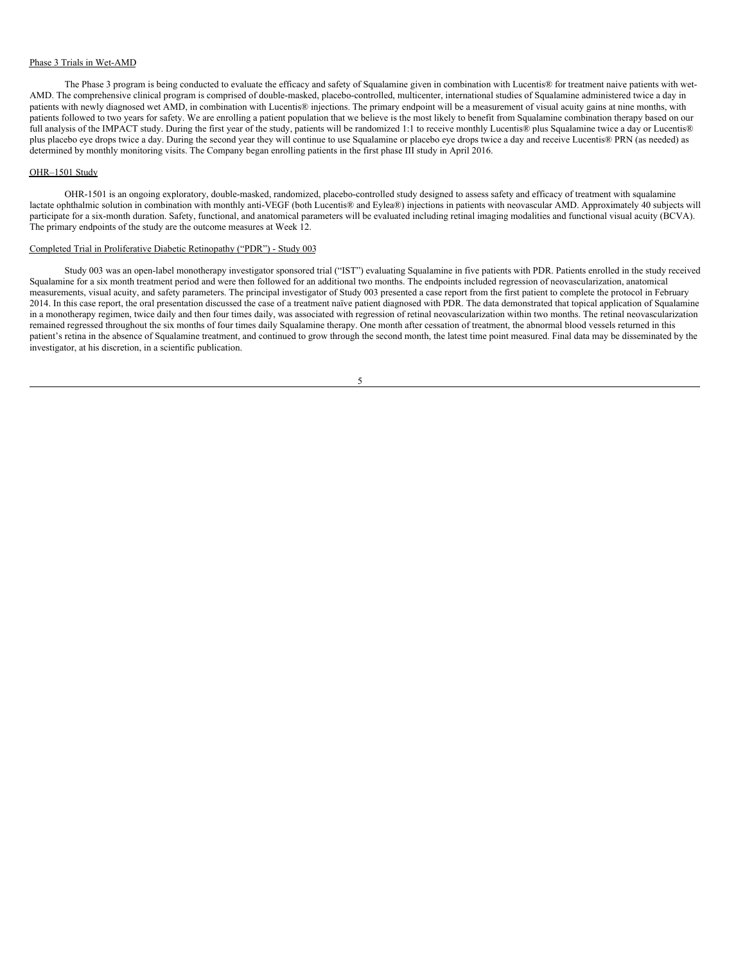#### Phase 3 Trials in Wet-AMD

The Phase 3 program is being conducted to evaluate the efficacy and safety of Squalamine given in combination with Lucentis® for treatment naive patients with wet-AMD. The comprehensive clinical program is comprised of double-masked, placebo-controlled, multicenter, international studies of Squalamine administered twice a day in patients with newly diagnosed wet AMD, in combination with Lucentis® injections. The primary endpoint will be a measurement of visual acuity gains at nine months, with patients followed to two years for safety. We are enrolling a patient population that we believe is the most likely to benefit from Squalamine combination therapy based on our full analysis of the IMPACT study. During the first year of the study, patients will be randomized 1:1 to receive monthly Lucentis® plus Squalamine twice a day or Lucentis® plus placebo eye drops twice a day. During the second year they will continue to use Squalamine or placebo eye drops twice a day and receive Lucentis® PRN (as needed) as determined by monthly monitoring visits. The Company began enrolling patients in the first phase III study in April 2016.

#### OHR–1501 Study

OHR-1501 is an ongoing exploratory, double-masked, randomized, placebo-controlled study designed to assess safety and efficacy of treatment with squalamine lactate ophthalmic solution in combination with monthly anti-VEGF (both Lucentis® and Eylea®) injections in patients with neovascular AMD. Approximately 40 subjects will participate for a six-month duration. Safety, functional, and anatomical parameters will be evaluated including retinal imaging modalities and functional visual acuity (BCVA). The primary endpoints of the study are the outcome measures at Week 12.

## Completed Trial in Proliferative Diabetic Retinopathy ("PDR") - Study 003

Study 003 was an open-label monotherapy investigator sponsored trial ("IST") evaluating Squalamine in five patients with PDR. Patients enrolled in the study received Squalamine for a six month treatment period and were then followed for an additional two months. The endpoints included regression of neovascularization, anatomical measurements, visual acuity, and safety parameters. The principal investigator of Study 003 presented a case report from the first patient to complete the protocol in February 2014. In this case report, the oral presentation discussed the case of a treatment naïve patient diagnosed with PDR. The data demonstrated that topical application of Squalamine in a monotherapy regimen, twice daily and then four times daily, was associated with regression of retinal neovascularization within two months. The retinal neovascularization remained regressed throughout the six months of four times daily Squalamine therapy. One month after cessation of treatment, the abnormal blood vessels returned in this patient's retina in the absence of Squalamine treatment, and continued to grow through the second month, the latest time point measured. Final data may be disseminated by the investigator, at his discretion, in a scientific publication.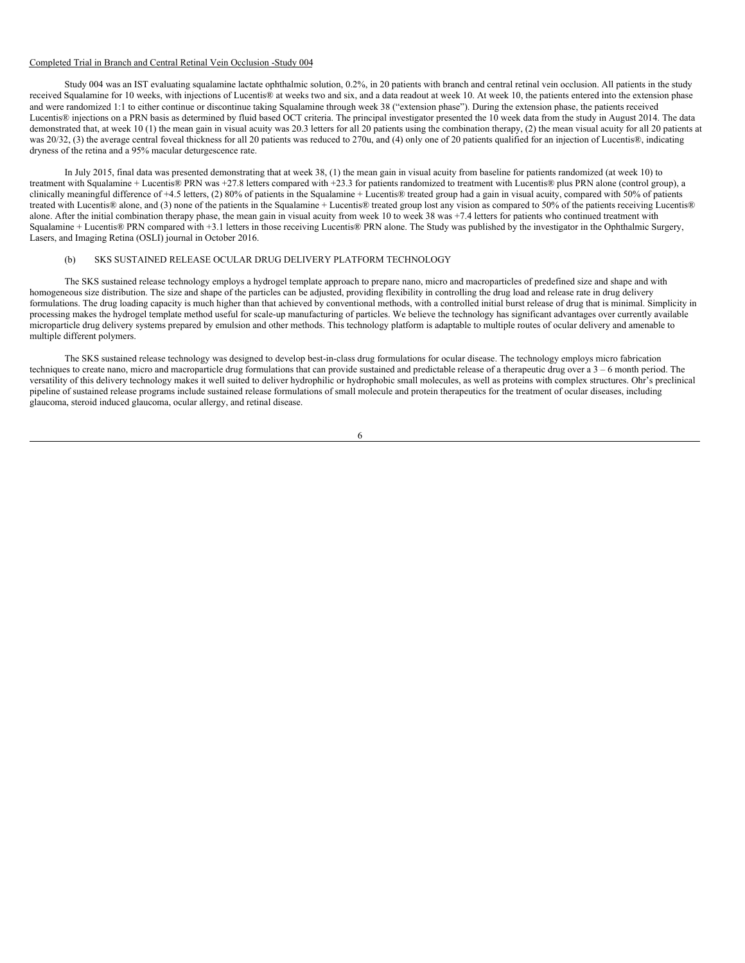#### Completed Trial in Branch and Central Retinal Vein Occlusion -Study 004

Study 004 was an IST evaluating squalamine lactate ophthalmic solution, 0.2%, in 20 patients with branch and central retinal vein occlusion. All patients in the study received Squalamine for 10 weeks, with injections of Lucentis® at weeks two and six, and a data readout at week 10. At week 10, the patients entered into the extension phase and were randomized 1:1 to either continue or discontinue taking Squalamine through week 38 ("extension phase"). During the extension phase, the patients received Lucentis® injections on a PRN basis as determined by fluid based OCT criteria. The principal investigator presented the  $10$  week data from the study in August 2014. The data demonstrated that, at week 10 (1) the mean gain in visual acuity was 20.3 letters for all 20 patients using the combination therapy, (2) the mean visual acuity for all 20 patients at was 20/32, (3) the average central foveal thickness for all 20 patients was reduced to 270u, and (4) only one of 20 patients qualified for an injection of Lucentis®, indicating dryness of the retina and a 95% macular deturgescence rate.

In July 2015, final data was presented demonstrating that at week 38, (1) the mean gain in visual acuity from baseline for patients randomized (at week 10) to treatment with Squalamine + Lucentis® PRN was +27.8 letters compared with +23.3 for patients randomized to treatment with Lucentis® plus PRN alone (control group), a clinically meaningful difference of +4.5 letters, (2) 80% of patients in the Squalamine + Lucentis® treated group had a gain in visual acuity, compared with 50% of patients treated with Lucentis® alone, and (3) none of the patients in the Squalamine + Lucentis® treated group lost any vision as compared to 50% of the patients receiving Lucentis® alone. After the initial combination therapy phase, the mean gain in visual acuity from week 10 to week 38 was +7.4 letters for patients who continued treatment with Squalamine + Lucentis® PRN compared with +3.1 letters in those receiving Lucentis® PRN alone. The Study was published by the investigator in the Ophthalmic Surgery, Lasers, and Imaging Retina (OSLI) journal in October 2016.

#### (b) SKS SUSTAINED RELEASE OCULAR DRUG DELIVERY PLATFORM TECHNOLOGY

The SKS sustained release technology employs a hydrogel template approach to prepare nano, micro and macroparticles of predefined size and shape and with homogeneous size distribution. The size and shape of the particles can be adjusted, providing flexibility in controlling the drug load and release rate in drug delivery formulations. The drug loading capacity is much higher than that achieved by conventional methods, with a controlled initial burst release of drug that is minimal. Simplicity in processing makes the hydrogel template method useful for scale-up manufacturing of particles. We believe the technology has significant advantages over currently available microparticle drug delivery systems prepared by emulsion and other methods. This technology platform is adaptable to multiple routes of ocular delivery and amenable to multiple different polymers.

The SKS sustained release technology was designed to develop best-in-class drug formulations for ocular disease. The technology employs micro fabrication techniques to create nano, micro and macroparticle drug formulations that can provide sustained and predictable release of a therapeutic drug over a 3 – 6 month period. The versatility of this delivery technology makes it well suited to deliver hydrophilic or hydrophobic small molecules, as well as proteins with complex structures. Ohr's preclinical pipeline of sustained release programs include sustained release formulations of small molecule and protein therapeutics for the treatment of ocular diseases, including glaucoma, steroid induced glaucoma, ocular allergy, and retinal disease.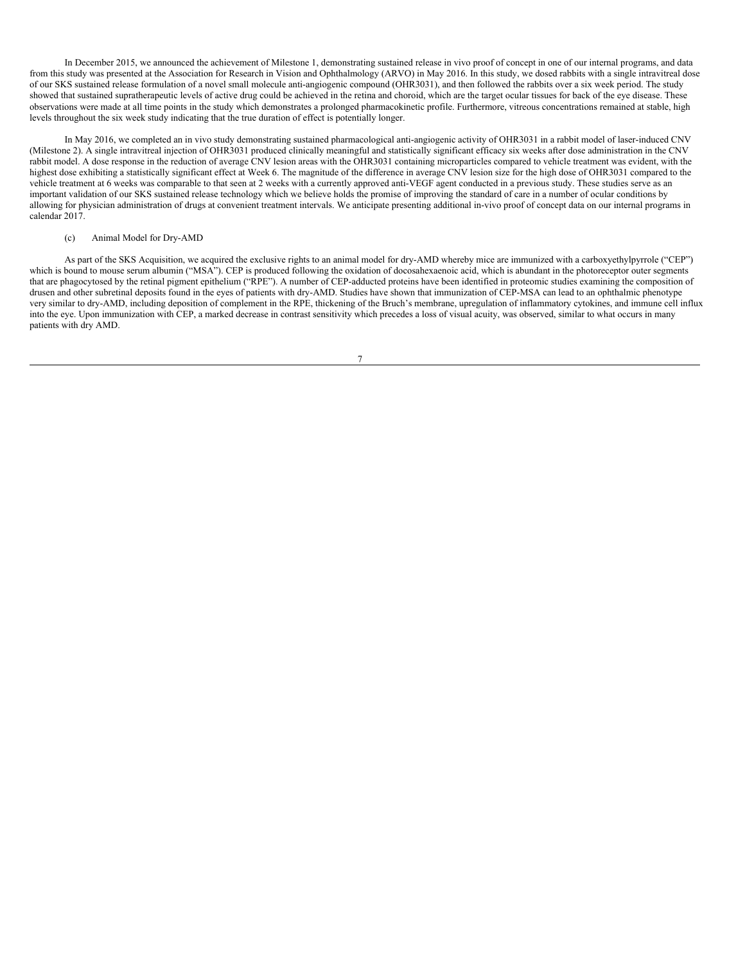In December 2015, we announced the achievement of Milestone 1, demonstrating sustained release in vivo proof of concept in one of our internal programs, and data from this study was presented at the Association for Research in Vision and Ophthalmology (ARVO) in May 2016. In this study, we dosed rabbits with a single intravitreal dose of our SKS sustained release formulation of a novel small molecule anti-angiogenic compound (OHR3031), and then followed the rabbits over a six week period. The study showed that sustained supratherapeutic levels of active drug could be achieved in the retina and choroid, which are the target ocular tissues for back of the eye disease. These observations were made at all time points in the study which demonstrates a prolonged pharmacokinetic profile. Furthermore, vitreous concentrations remained at stable, high levels throughout the six week study indicating that the true duration of effect is potentially longer.

In May 2016, we completed an in vivo study demonstrating sustained pharmacological anti-angiogenic activity of OHR3031 in a rabbit model of laser-induced CNV (Milestone 2). A single intravitreal injection of OHR3031 produced clinically meaningful and statistically significant efficacy six weeks after dose administration in the CNV rabbit model. A dose response in the reduction of average CNV lesion areas with the OHR3031 containing microparticles compared to vehicle treatment was evident, with the highest dose exhibiting a statistically significant effect at Week 6. The magnitude of the difference in average CNV lesion size for the high dose of OHR3031 compared to the vehicle treatment at 6 weeks was comparable to that seen at 2 weeks with a currently approved anti-VEGF agent conducted in a previous study. These studies serve as an important validation of our SKS sustained release technology which we believe holds the promise of improving the standard of care in a number of ocular conditions by allowing for physician administration of drugs at convenient treatment intervals. We anticipate presenting additional in-vivo proof of concept data on our internal programs in calendar 2017.

#### (c) Animal Model for Dry-AMD

As part of the SKS Acquisition, we acquired the exclusive rights to an animal model for dry-AMD whereby mice are immunized with a carboxyethylpyrrole ("CEP") which is bound to mouse serum albumin ("MSA"). CEP is produced following the oxidation of docosahexaenoic acid, which is abundant in the photoreceptor outer segments that are phagocytosed by the retinal pigment epithelium ("RPE"). A number of CEP-adducted proteins have been identified in proteomic studies examining the composition of drusen and other subretinal deposits found in the eyes of patients with dry-AMD. Studies have shown that immunization of CEP-MSA can lead to an ophthalmic phenotype very similar to dry-AMD, including deposition of complement in the RPE, thickening of the Bruch's membrane, upregulation of inflammatory cytokines, and immune cell influx into the eye. Upon immunization with CEP, a marked decrease in contrast sensitivity which precedes a loss of visual acuity, was observed, similar to what occurs in many patients with dry AMD.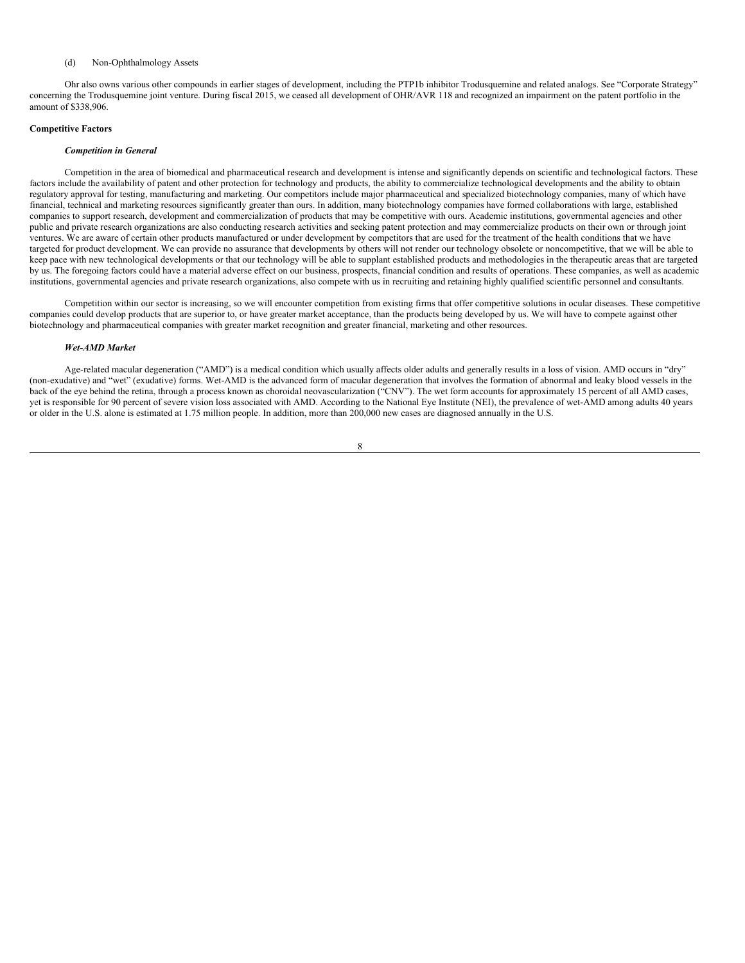#### (d) Non-Ophthalmology Assets

Ohr also owns various other compounds in earlier stages of development, including the PTP1b inhibitor Trodusquemine and related analogs. See "Corporate Strategy" concerning the Trodusquemine joint venture. During fiscal 2015, we ceased all development of OHR/AVR 118 and recognized an impairment on the patent portfolio in the amount of \$338,906.

#### **Competitive Factors**

#### *Competition in General*

Competition in the area of biomedical and pharmaceutical research and development is intense and significantly depends on scientific and technological factors. These factors include the availability of patent and other protection for technology and products, the ability to commercialize technological developments and the ability to obtain regulatory approval for testing, manufacturing and marketing. Our competitors include major pharmaceutical and specialized biotechnology companies, many of which have financial, technical and marketing resources significantly greater than ours. In addition, many biotechnology companies have formed collaborations with large, established companies to support research, development and commercialization of products that may be competitive with ours. Academic institutions, governmental agencies and other public and private research organizations are also conducting research activities and seeking patent protection and may commercialize products on their own or through joint ventures. We are aware of certain other products manufactured or under development by competitors that are used for the treatment of the health conditions that we have targeted for product development. We can provide no assurance that developments by others will not render our technology obsolete or noncompetitive, that we will be able to keep pace with new technological developments or that our technology will be able to supplant established products and methodologies in the therapeutic areas that are targeted by us. The foregoing factors could have a material adverse effect on our business, prospects, financial condition and results of operations. These companies, as well as academic institutions, governmental agencies and private research organizations, also compete with us in recruiting and retaining highly qualified scientific personnel and consultants.

Competition within our sector is increasing, so we will encounter competition from existing firms that offer competitive solutions in ocular diseases. These competitive companies could develop products that are superior to, or have greater market acceptance, than the products being developed by us. We will have to compete against other biotechnology and pharmaceutical companies with greater market recognition and greater financial, marketing and other resources.

#### *Wet-AMD Market*

Age-related macular degeneration ("AMD") is a medical condition which usually affects older adults and generally results in a loss of vision. AMD occurs in "dry" (non-exudative) and "wet" (exudative) forms. Wet-AMD is the advanced form of macular degeneration that involves the formation of abnormal and leaky blood vessels in the back of the eye behind the retina, through a process known as choroidal neovascularization ("CNV"). The wet form accounts for approximately 15 percent of all AMD cases, yet is responsible for 90 percent of severe vision loss associated with AMD. According to the National Eye Institute (NEI), the prevalence of wet-AMD among adults 40 years or older in the U.S. alone is estimated at 1.75 million people. In addition, more than 200,000 new cases are diagnosed annually in the U.S.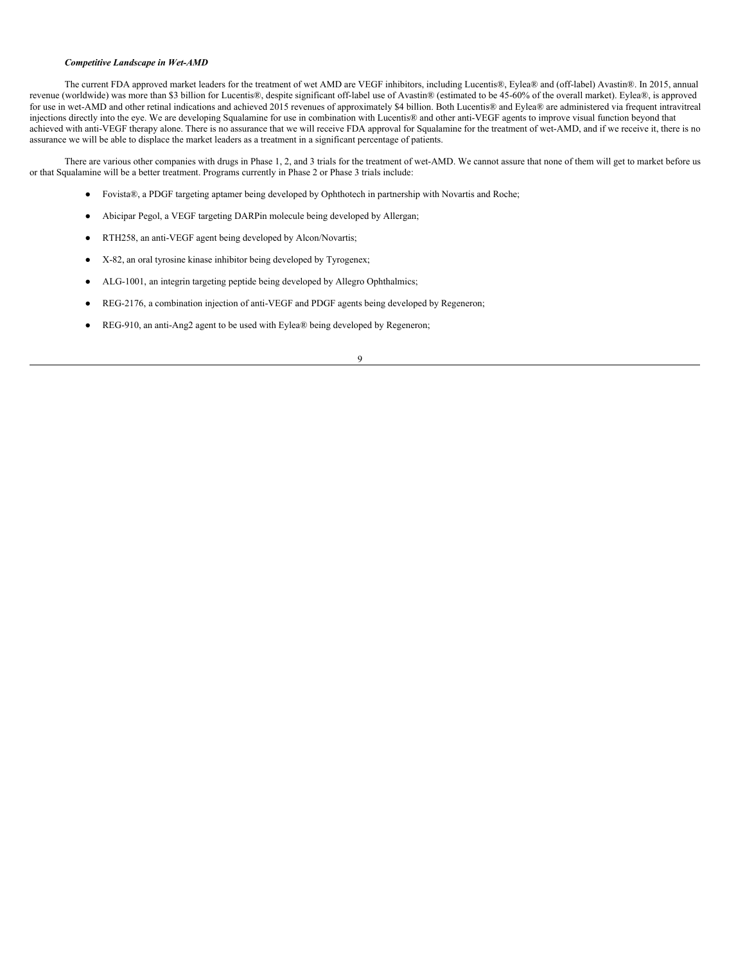#### *Competitive Landscape in Wet-AMD*

The current FDA approved market leaders for the treatment of wet AMD are VEGF inhibitors, including Lucentis®, Eylea® and (off-label) Avastin®. In 2015, annual revenue (worldwide) was more than \$3 billion for Lucentis®, despite significant off-label use of Avastin® (estimated to be 45-60% of the overall market). Eylea®, is approved for use in wet-AMD and other retinal indications and achieved 2015 revenues of approximately \$4 billion. Both Lucentis® and Eylea® are administered via frequent intravitreal injections directly into the eye. We are developing Squalamine for use in combination with Lucentis® and other anti-VEGF agents to improve visual function beyond that achieved with anti-VEGF therapy alone. There is no assurance that we will receive FDA approval for Squalamine for the treatment of wet-AMD, and if we receive it, there is no assurance we will be able to displace the market leaders as a treatment in a significant percentage of patients.

There are various other companies with drugs in Phase 1, 2, and 3 trials for the treatment of wet-AMD. We cannot assure that none of them will get to market before us or that Squalamine will be a better treatment. Programs currently in Phase 2 or Phase 3 trials include:

- Fovista®, a PDGF targeting aptamer being developed by Ophthotech in partnership with Novartis and Roche;
- Abicipar Pegol, a VEGF targeting DARPin molecule being developed by Allergan;
- RTH258, an anti-VEGF agent being developed by Alcon/Novartis;
- X-82, an oral tyrosine kinase inhibitor being developed by Tyrogenex;
- ALG-1001, an integrin targeting peptide being developed by Allegro Ophthalmics;
- REG-2176, a combination injection of anti-VEGF and PDGF agents being developed by Regeneron;
- REG-910, an anti-Ang2 agent to be used with Eylea® being developed by Regeneron;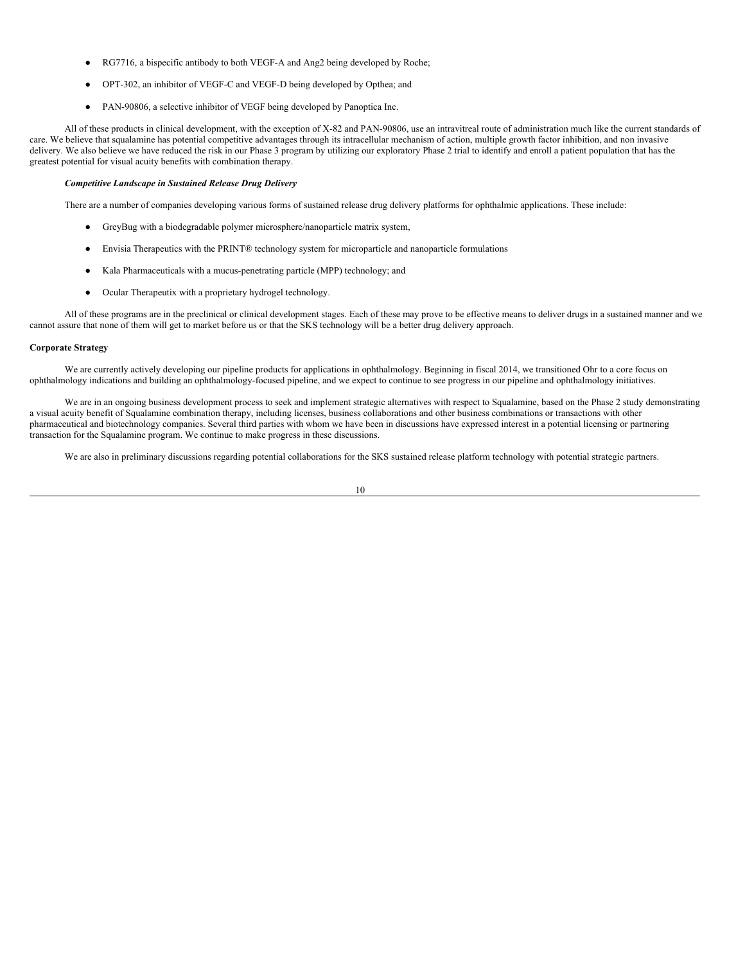- RG7716, a bispecific antibody to both VEGF-A and Ang2 being developed by Roche;
- OPT-302, an inhibitor of VEGF-C and VEGF-D being developed by Opthea; and
- PAN-90806, a selective inhibitor of VEGF being developed by Panoptica Inc.

All of these products in clinical development, with the exception of X-82 and PAN-90806, use an intravitreal route of administration much like the current standards of care. We believe that squalamine has potential competitive advantages through its intracellular mechanism of action, multiple growth factor inhibition, and non invasive delivery. We also believe we have reduced the risk in our Phase 3 program by utilizing our exploratory Phase 2 trial to identify and enroll a patient population that has the greatest potential for visual acuity benefits with combination therapy.

#### *Competitive Landscape in Sustained Release Drug Delivery*

There are a number of companies developing various forms of sustained release drug delivery platforms for ophthalmic applications. These include:

- GreyBug with a biodegradable polymer microsphere/nanoparticle matrix system,
- Envisia Therapeutics with the PRINT® technology system for microparticle and nanoparticle formulations
- Kala Pharmaceuticals with a mucus-penetrating particle (MPP) technology; and
- Ocular Therapeutix with a proprietary hydrogel technology.

All of these programs are in the preclinical or clinical development stages. Each of these may prove to be effective means to deliver drugs in a sustained manner and we cannot assure that none of them will get to market before us or that the SKS technology will be a better drug delivery approach.

#### **Corporate Strategy**

We are currently actively developing our pipeline products for applications in ophthalmology. Beginning in fiscal 2014, we transitioned Ohr to a core focus on ophthalmology indications and building an ophthalmology-focused pipeline, and we expect to continue to see progress in our pipeline and ophthalmology initiatives.

We are in an ongoing business development process to seek and implement strategic alternatives with respect to Squalamine, based on the Phase 2 study demonstrating a visual acuity benefit of Squalamine combination therapy, including licenses, business collaborations and other business combinations or transactions with other pharmaceutical and biotechnology companies. Several third parties with whom we have been in discussions have expressed interest in a potential licensing or partnering transaction for the Squalamine program. We continue to make progress in these discussions.

We are also in preliminary discussions regarding potential collaborations for the SKS sustained release platform technology with potential strategic partners.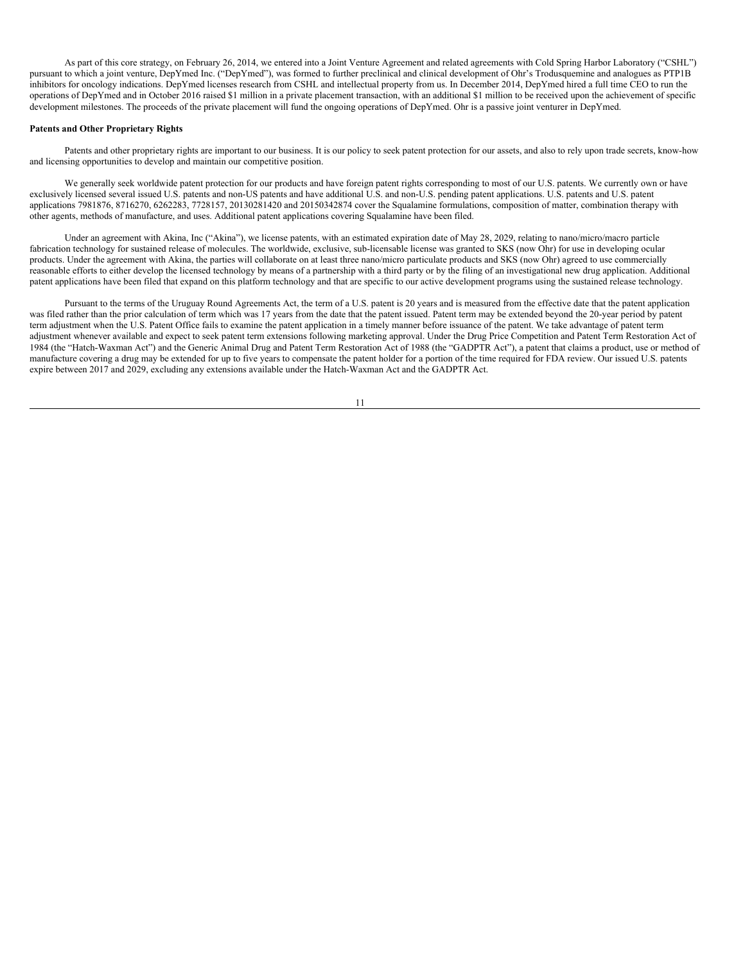As part of this core strategy, on February 26, 2014, we entered into a Joint Venture Agreement and related agreements with Cold Spring Harbor Laboratory ("CSHL") pursuant to which a joint venture, DepYmed Inc. ("DepYmed"), was formed to further preclinical and clinical development of Ohr's Trodusquemine and analogues as PTP1B inhibitors for oncology indications. DepYmed licenses research from CSHL and intellectual property from us. In December 2014, DepYmed hired a full time CEO to run the operations of DepYmed and in October 2016 raised \$1 million in a private placement transaction, with an additional \$1 million to be received upon the achievement of specific development milestones. The proceeds of the private placement will fund the ongoing operations of DepYmed. Ohr is a passive joint venturer in DepYmed.

#### **Patents and Other Proprietary Rights**

Patents and other proprietary rights are important to our business. It is our policy to seek patent protection for our assets, and also to rely upon trade secrets, know-how and licensing opportunities to develop and maintain our competitive position.

We generally seek worldwide patent protection for our products and have foreign patent rights corresponding to most of our U.S. patents. We currently own or have exclusively licensed several issued U.S. patents and non-US patents and have additional U.S. and non-U.S. pending patent applications. U.S. patents and U.S. patent applications 7981876, 8716270, 6262283, 7728157, 20130281420 and 20150342874 cover the Squalamine formulations, composition of matter, combination therapy with other agents, methods of manufacture, and uses. Additional patent applications covering Squalamine have been filed.

Under an agreement with Akina, Inc ("Akina"), we license patents, with an estimated expiration date of May 28, 2029, relating to nano/micro/macro particle fabrication technology for sustained release of molecules. The worldwide, exclusive, sub-licensable license was granted to SKS (now Ohr) for use in developing ocular products. Under the agreement with Akina, the parties will collaborate on at least three nano/micro particulate products and SKS (now Ohr) agreed to use commercially reasonable efforts to either develop the licensed technology by means of a partnership with a third party or by the filing of an investigational new drug application. Additional patent applications have been filed that expand on this platform technology and that are specific to our active development programs using the sustained release technology.

Pursuant to the terms of the Uruguay Round Agreements Act, the term of a U.S. patent is 20 years and is measured from the effective date that the patent application was filed rather than the prior calculation of term which was 17 years from the date that the patent issued. Patent term may be extended beyond the 20-year period by patent term adjustment when the U.S. Patent Office fails to examine the patent application in a timely manner before issuance of the patent. We take advantage of patent term adjustment whenever available and expect to seek patent term extensions following marketing approval. Under the Drug Price Competition and Patent Term Restoration Act of 1984 (the "Hatch-Waxman Act") and the Generic Animal Drug and Patent Term Restoration Act of 1988 (the "GADPTR Act"), a patent that claims a product, use or method of manufacture covering a drug may be extended for up to five years to compensate the patent holder for a portion of the time required for FDA review. Our issued U.S. patents expire between 2017 and 2029, excluding any extensions available under the Hatch-Waxman Act and the GADPTR Act.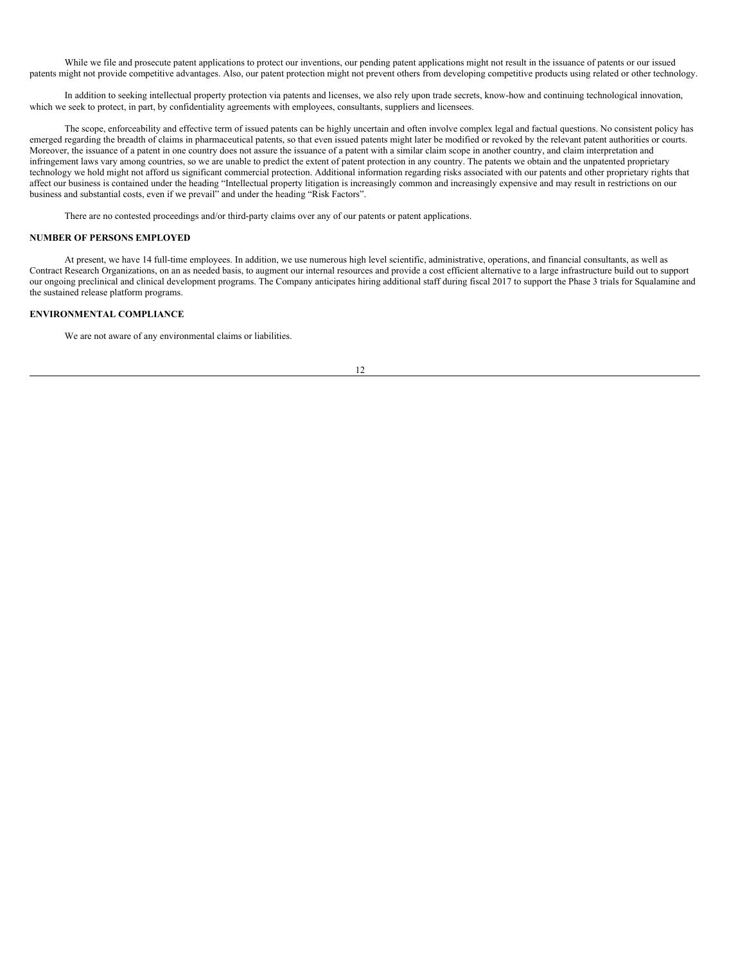While we file and prosecute patent applications to protect our inventions, our pending patent applications might not result in the issuance of patents or our issued patents might not provide competitive advantages. Also, our patent protection might not prevent others from developing competitive products using related or other technology.

In addition to seeking intellectual property protection via patents and licenses, we also rely upon trade secrets, know-how and continuing technological innovation, which we seek to protect, in part, by confidentiality agreements with employees, consultants, suppliers and licensees.

The scope, enforceability and effective term of issued patents can be highly uncertain and often involve complex legal and factual questions. No consistent policy has emerged regarding the breadth of claims in pharmaceutical patents, so that even issued patents might later be modified or revoked by the relevant patent authorities or courts. Moreover, the issuance of a patent in one country does not assure the issuance of a patent with a similar claim scope in another country, and claim interpretation and infringement laws vary among countries, so we are unable to predict the extent of patent protection in any country. The patents we obtain and the unpatented proprietary technology we hold might not afford us significant commercial protection. Additional information regarding risks associated with our patents and other proprietary rights that affect our business is contained under the heading "Intellectual property litigation is increasingly common and increasingly expensive and may result in restrictions on our business and substantial costs, even if we prevail" and under the heading "Risk Factors".

There are no contested proceedings and/or third-party claims over any of our patents or patent applications.

#### **NUMBER OF PERSONS EMPLOYED**

At present, we have 14 full-time employees. In addition, we use numerous high level scientific, administrative, operations, and financial consultants, as well as Contract Research Organizations, on an as needed basis, to augment our internal resources and provide a cost efficient alternative to a large infrastructure build out to support our ongoing preclinical and clinical development programs. The Company anticipates hiring additional staff during fiscal 2017 to support the Phase 3 trials for Squalamine and the sustained release platform programs.

#### **ENVIRONMENTAL COMPLIANCE**

We are not aware of any environmental claims or liabilities.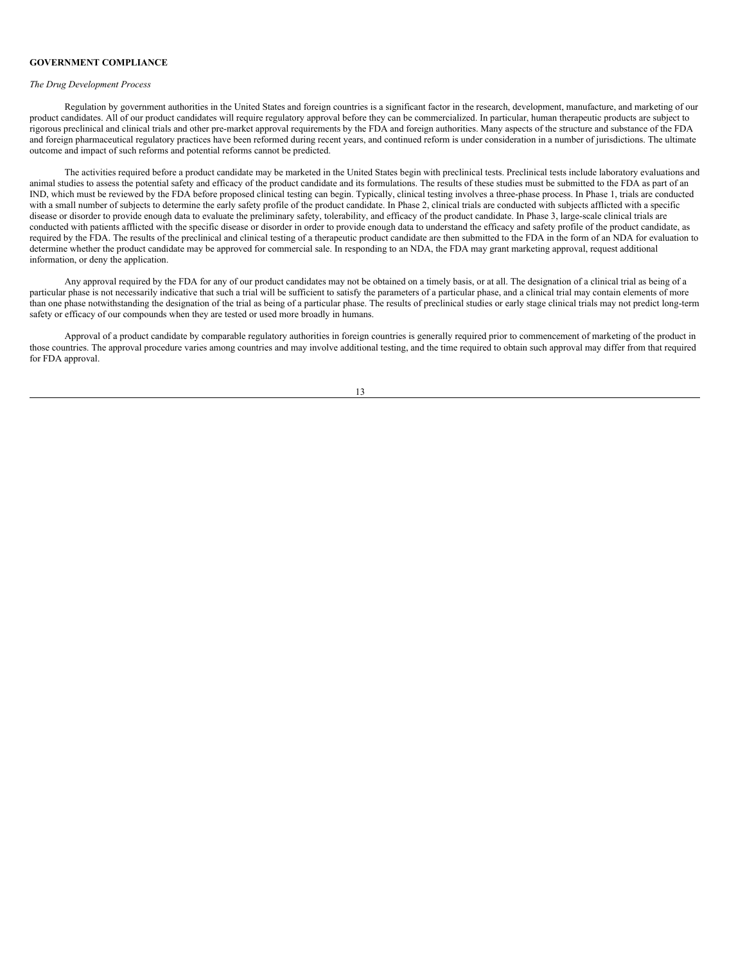#### **GOVERNMENT COMPLIANCE**

#### *The Drug Development Process*

Regulation by government authorities in the United States and foreign countries is a significant factor in the research, development, manufacture, and marketing of our product candidates. All of our product candidates will require regulatory approval before they can be commercialized. In particular, human therapeutic products are subject to rigorous preclinical and clinical trials and other pre-market approval requirements by the FDA and foreign authorities. Many aspects of the structure and substance of the FDA and foreign pharmaceutical regulatory practices have been reformed during recent years, and continued reform is under consideration in a number of jurisdictions. The ultimate outcome and impact of such reforms and potential reforms cannot be predicted.

The activities required before a product candidate may be marketed in the United States begin with preclinical tests. Preclinical tests include laboratory evaluations and animal studies to assess the potential safety and efficacy of the product candidate and its formulations. The results of these studies must be submitted to the FDA as part of an IND, which must be reviewed by the FDA before proposed clinical testing can begin. Typically, clinical testing involves a three-phase process. In Phase 1, trials are conducted with a small number of subjects to determine the early safety profile of the product candidate. In Phase 2, clinical trials are conducted with subjects afflicted with a specific disease or disorder to provide enough data to evaluate the preliminary safety, tolerability, and efficacy of the product candidate. In Phase 3, large-scale clinical trials are conducted with patients afflicted with the specific disease or disorder in order to provide enough data to understand the efficacy and safety profile of the product candidate, as required by the FDA. The results of the preclinical and clinical testing of a therapeutic product candidate are then submitted to the FDA in the form of an NDA for evaluation to determine whether the product candidate may be approved for commercial sale. In responding to an NDA, the FDA may grant marketing approval, request additional information, or deny the application.

Any approval required by the FDA for any of our product candidates may not be obtained on a timely basis, or at all. The designation of a clinical trial as being of a particular phase is not necessarily indicative that such a trial will be sufficient to satisfy the parameters of a particular phase, and a clinical trial may contain elements of more than one phase notwithstanding the designation of the trial as being of a particular phase. The results of preclinical studies or early stage clinical trials may not predict long-term safety or efficacy of our compounds when they are tested or used more broadly in humans.

Approval of a product candidate by comparable regulatory authorities in foreign countries is generally required prior to commencement of marketing of the product in those countries. The approval procedure varies among countries and may involve additional testing, and the time required to obtain such approval may differ from that required for FDA approval.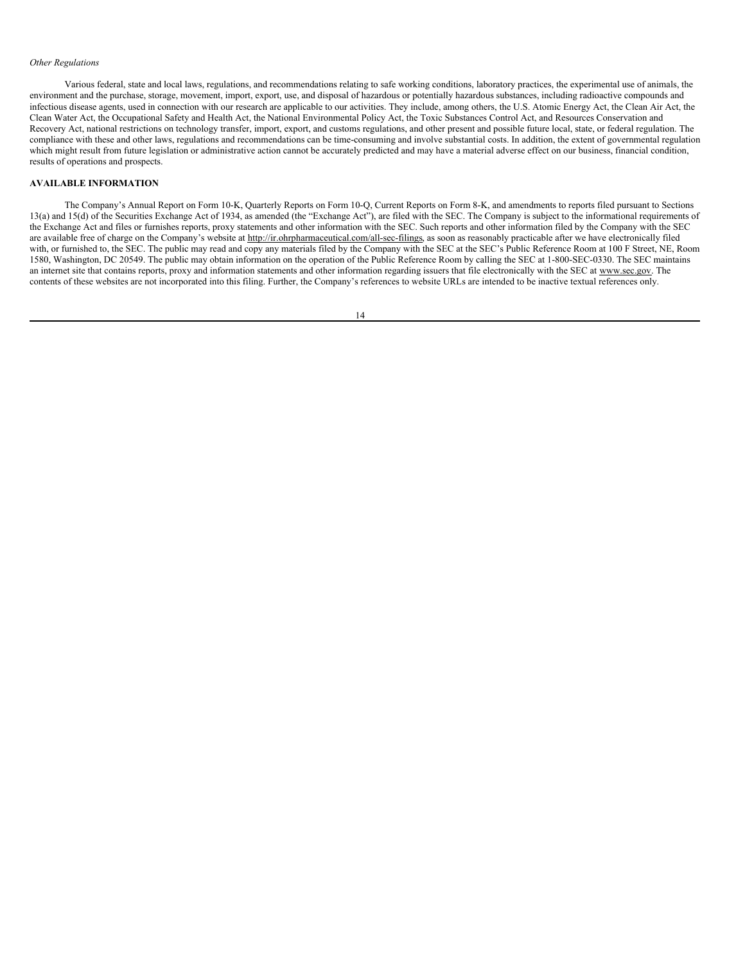#### *Other Regulations*

Various federal, state and local laws, regulations, and recommendations relating to safe working conditions, laboratory practices, the experimental use of animals, the environment and the purchase, storage, movement, import, export, use, and disposal of hazardous or potentially hazardous substances, including radioactive compounds and infectious disease agents, used in connection with our research are applicable to our activities. They include, among others, the U.S. Atomic Energy Act, the Clean Air Act, the Clean Water Act, the Occupational Safety and Health Act, the National Environmental Policy Act, the Toxic Substances Control Act, and Resources Conservation and Recovery Act, national restrictions on technology transfer, import, export, and customs regulations, and other present and possible future local, state, or federal regulation. The compliance with these and other laws, regulations and recommendations can be time-consuming and involve substantial costs. In addition, the extent of governmental regulation which might result from future legislation or administrative action cannot be accurately predicted and may have a material adverse effect on our business, financial condition, results of operations and prospects.

#### **AVAILABLE INFORMATION**

The Company's Annual Report on Form 10-K, Quarterly Reports on Form 10-Q, Current Reports on Form 8-K, and amendments to reports filed pursuant to Sections 13(a) and 15(d) of the Securities Exchange Act of 1934, as amended (the "Exchange Act"), are filed with the SEC. The Company is subject to the informational requirements of the Exchange Act and files or furnishes reports, proxy statements and other information with the SEC. Such reports and other information filed by the Company with the SEC are available free of charge on the Company's website at http://ir.ohrpharmaceutical.com/all-sec-filings, as soon as reasonably practicable after we have electronically filed with, or furnished to, the SEC. The public may read and copy any materials filed by the Company with the SEC at the SEC's Public Reference Room at 100 F Street, NE, Room 1580, Washington, DC 20549. The public may obtain information on the operation of the Public Reference Room by calling the SEC at 1-800-SEC-0330. The SEC maintains an internet site that contains reports, proxy and information statements and other information regarding issuers that file electronically with the SEC at www.sec.gov. The contents of these websites are not incorporated into this filing. Further, the Company's references to website URLs are intended to be inactive textual references only.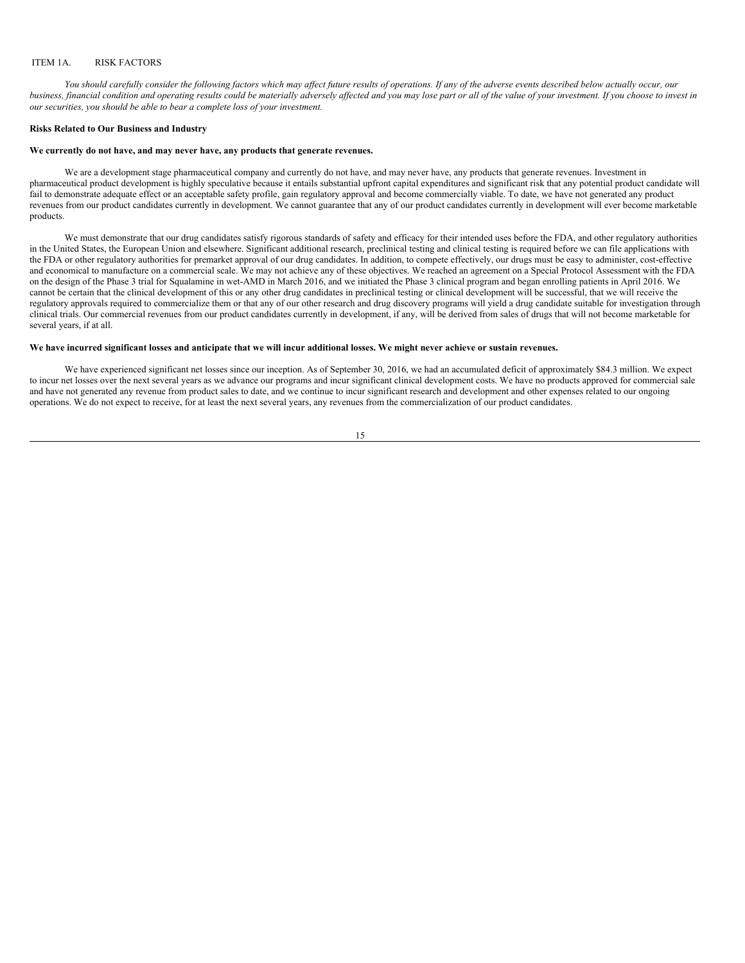#### <span id="page-16-0"></span>ITEM 1A. RISK FACTORS

You should carefully consider the following factors which may affect future results of operations. If any of the adverse events described below actually occur, our business, financial condition and operating results could be materially adversely affected and you may lose part or all of the value of your investment. If you choose to invest in *our securities, you should be able to bear a complete loss of your investment.*

#### **Risks Related to Our Business and Industry**

#### **We currently do not have, and may never have, any products that generate revenues.**

We are a development stage pharmaceutical company and currently do not have, and may never have, any products that generate revenues. Investment in pharmaceutical product development is highly speculative because it entails substantial upfront capital expenditures and significant risk that any potential product candidate will fail to demonstrate adequate effect or an acceptable safety profile, gain regulatory approval and become commercially viable. To date, we have not generated any product revenues from our product candidates currently in development. We cannot guarantee that any of our product candidates currently in development will ever become marketable products.

We must demonstrate that our drug candidates satisfy rigorous standards of safety and efficacy for their intended uses before the FDA, and other regulatory authorities in the United States, the European Union and elsewhere. Significant additional research, preclinical testing and clinical testing is required before we can file applications with the FDA or other regulatory authorities for premarket approval of our drug candidates. In addition, to compete effectively, our drugs must be easy to administer, cost-effective and economical to manufacture on a commercial scale. We may not achieve any of these objectives. We reached an agreement on a Special Protocol Assessment with the FDA on the design of the Phase 3 trial for Squalamine in wet-AMD in March 2016, and we initiated the Phase 3 clinical program and began enrolling patients in April 2016. We cannot be certain that the clinical development of this or any other drug candidates in preclinical testing or clinical development will be successful, that we will receive the regulatory approvals required to commercialize them or that any of our other research and drug discovery programs will yield a drug candidate suitable for investigation through clinical trials. Our commercial revenues from our product candidates currently in development, if any, will be derived from sales of drugs that will not become marketable for several years, if at all.

#### We have incurred significant losses and anticipate that we will incur additional losses. We might never achieve or sustain revenues.

We have experienced significant net losses since our inception. As of September 30, 2016, we had an accumulated deficit of approximately \$84.3 million. We expect to incur net losses over the next several years as we advance our programs and incur significant clinical development costs. We have no products approved for commercial sale and have not generated any revenue from product sales to date, and we continue to incur significant research and development and other expenses related to our ongoing operations. We do not expect to receive, for at least the next several years, any revenues from the commercialization of our product candidates.

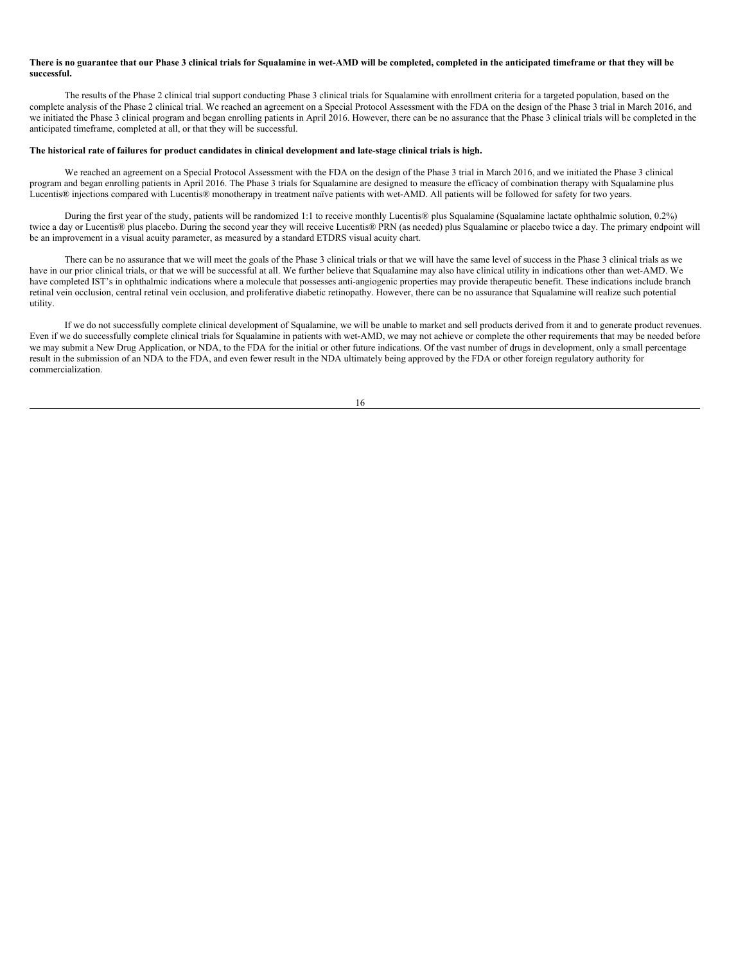#### There is no guarantee that our Phase 3 clinical trials for Squalamine in wet-AMD will be completed, completed in the anticipated timeframe or that they will be **successful.**

The results of the Phase 2 clinical trial support conducting Phase 3 clinical trials for Squalamine with enrollment criteria for a targeted population, based on the complete analysis of the Phase 2 clinical trial. We reached an agreement on a Special Protocol Assessment with the FDA on the design of the Phase 3 trial in March 2016, and we initiated the Phase 3 clinical program and began enrolling patients in April 2016. However, there can be no assurance that the Phase 3 clinical trials will be completed in the anticipated timeframe, completed at all, or that they will be successful.

#### The historical rate of failures for product candidates in clinical development and late-stage clinical trials is high.

We reached an agreement on a Special Protocol Assessment with the FDA on the design of the Phase 3 trial in March 2016, and we initiated the Phase 3 clinical program and began enrolling patients in April 2016. The Phase 3 trials for Squalamine are designed to measure the efficacy of combination therapy with Squalamine plus Lucentis® injections compared with Lucentis® monotherapy in treatment naïve patients with wet-AMD. All patients will be followed for safety for two years.

During the first year of the study, patients will be randomized 1:1 to receive monthly Lucentis® plus Squalamine (Squalamine lactate ophthalmic solution, 0.2%) twice a day or Lucentis® plus placebo. During the second year they will receive Lucentis® PRN (as needed) plus Squalamine or placebo twice a day. The primary endpoint will be an improvement in a visual acuity parameter, as measured by a standard ETDRS visual acuity chart.

There can be no assurance that we will meet the goals of the Phase 3 clinical trials or that we will have the same level of success in the Phase 3 clinical trials as we have in our prior clinical trials, or that we will be successful at all. We further believe that Squalamine may also have clinical utility in indications other than wet-AMD. We have completed IST's in ophthalmic indications where a molecule that possesses anti-angiogenic properties may provide therapeutic benefit. These indications include branch retinal vein occlusion, central retinal vein occlusion, and proliferative diabetic retinopathy. However, there can be no assurance that Squalamine will realize such potential utility.

If we do not successfully complete clinical development of Squalamine, we will be unable to market and sell products derived from it and to generate product revenues. Even if we do successfully complete clinical trials for Squalamine in patients with wet-AMD, we may not achieve or complete the other requirements that may be needed before we may submit a New Drug Application, or NDA, to the FDA for the initial or other future indications. Of the vast number of drugs in development, only a small percentage result in the submission of an NDA to the FDA, and even fewer result in the NDA ultimately being approved by the FDA or other foreign regulatory authority for commercialization.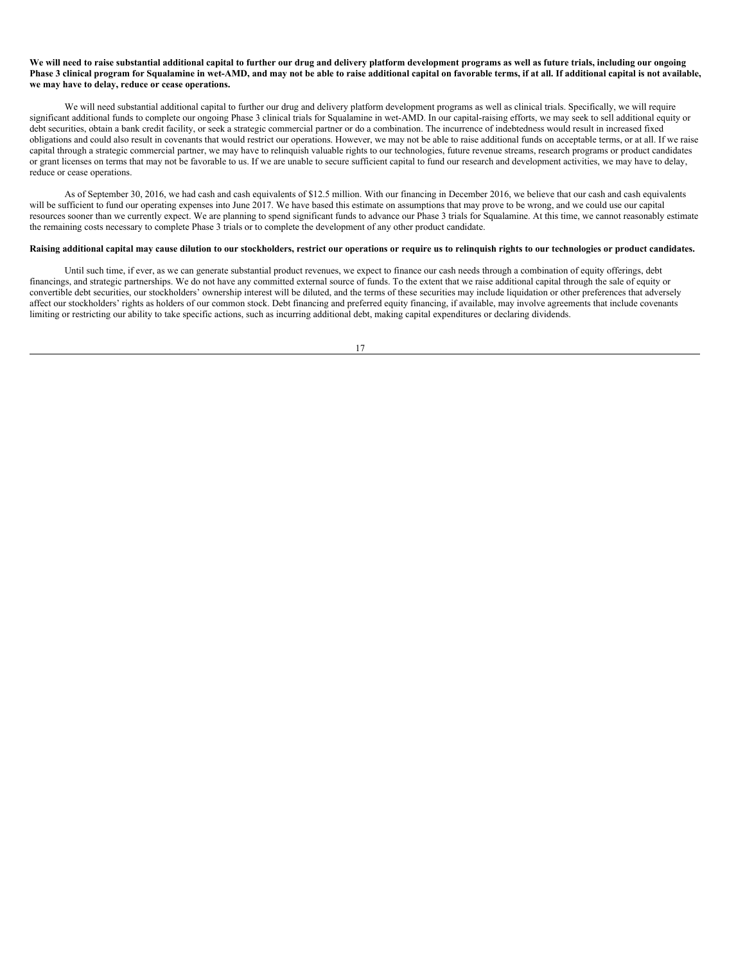#### We will need to raise substantial additional capital to further our drug and delivery platform development programs as well as future trials, including our ongoing Phase 3 clinical program for Squalamine in wet-AMD, and may not be able to raise additional capital on favorable terms, if at all. If additional capital is not available, **we may have to delay, reduce or cease operations.**

We will need substantial additional capital to further our drug and delivery platform development programs as well as clinical trials. Specifically, we will require significant additional funds to complete our ongoing Phase 3 clinical trials for Squalamine in wet-AMD. In our capital-raising efforts, we may seek to sell additional equity or debt securities, obtain a bank credit facility, or seek a strategic commercial partner or do a combination. The incurrence of indebtedness would result in increased fixed obligations and could also result in covenants that would restrict our operations. However, we may not be able to raise additional funds on acceptable terms, or at all. If we raise capital through a strategic commercial partner, we may have to relinquish valuable rights to our technologies, future revenue streams, research programs or product candidates or grant licenses on terms that may not be favorable to us. If we are unable to secure sufficient capital to fund our research and development activities, we may have to delay, reduce or cease operations.

As of September 30, 2016, we had cash and cash equivalents of \$12.5 million. With our financing in December 2016, we believe that our cash and cash equivalents will be sufficient to fund our operating expenses into June 2017. We have based this estimate on assumptions that may prove to be wrong, and we could use our capital resources sooner than we currently expect. We are planning to spend significant funds to advance our Phase 3 trials for Squalamine. At this time, we cannot reasonably estimate the remaining costs necessary to complete Phase 3 trials or to complete the development of any other product candidate.

#### Raising additional capital may cause dilution to our stockholders, restrict our operations or require us to relinquish rights to our technologies or product candidates.

Until such time, if ever, as we can generate substantial product revenues, we expect to finance our cash needs through a combination of equity offerings, debt financings, and strategic partnerships. We do not have any committed external source of funds. To the extent that we raise additional capital through the sale of equity or convertible debt securities, our stockholders' ownership interest will be diluted, and the terms of these securities may include liquidation or other preferences that adversely affect our stockholders' rights as holders of our common stock. Debt financing and preferred equity financing, if available, may involve agreements that include covenants limiting or restricting our ability to take specific actions, such as incurring additional debt, making capital expenditures or declaring dividends.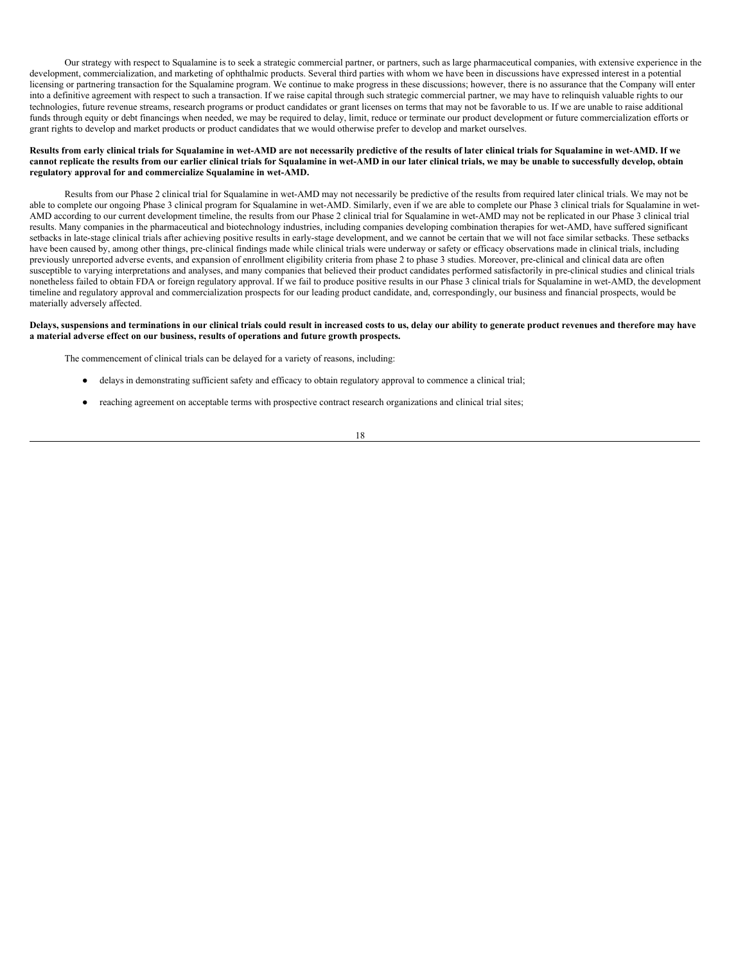Our strategy with respect to Squalamine is to seek a strategic commercial partner, or partners, such as large pharmaceutical companies, with extensive experience in the development, commercialization, and marketing of ophthalmic products. Several third parties with whom we have been in discussions have expressed interest in a potential licensing or partnering transaction for the Squalamine program. We continue to make progress in these discussions; however, there is no assurance that the Company will enter into a definitive agreement with respect to such a transaction. If we raise capital through such strategic commercial partner, we may have to relinquish valuable rights to our technologies, future revenue streams, research programs or product candidates or grant licenses on terms that may not be favorable to us. If we are unable to raise additional funds through equity or debt financings when needed, we may be required to delay, limit, reduce or terminate our product development or future commercialization efforts or grant rights to develop and market products or product candidates that we would otherwise prefer to develop and market ourselves.

#### Results from early clinical trials for Squalamine in wet-AMD are not necessarily predictive of the results of later clinical trials for Squalamine in wet-AMD. If we cannot replicate the results from our earlier clinical trials for Squalamine in wet-AMD in our later clinical trials, we may be unable to successfully develop, obtain **regulatory approval for and commercialize Squalamine in wet-AMD.**

Results from our Phase 2 clinical trial for Squalamine in wet-AMD may not necessarily be predictive of the results from required later clinical trials. We may not be able to complete our ongoing Phase 3 clinical program for Squalamine in wet-AMD. Similarly, even if we are able to complete our Phase 3 clinical trials for Squalamine in wet-AMD according to our current development timeline, the results from our Phase 2 clinical trial for Squalamine in wet-AMD may not be replicated in our Phase 3 clinical trial results. Many companies in the pharmaceutical and biotechnology industries, including companies developing combination therapies for wet-AMD, have suffered significant setbacks in late-stage clinical trials after achieving positive results in early-stage development, and we cannot be certain that we will not face similar setbacks. These setbacks have been caused by, among other things, pre-clinical findings made while clinical trials were underway or safety or efficacy observations made in clinical trials, including previously unreported adverse events, and expansion of enrollment eligibility criteria from phase 2 to phase 3 studies. Moreover, pre-clinical and clinical data are often susceptible to varying interpretations and analyses, and many companies that believed their product candidates performed satisfactorily in pre-clinical studies and clinical trials nonetheless failed to obtain FDA or foreign regulatory approval. If we fail to produce positive results in our Phase 3 clinical trials for Squalamine in wet-AMD, the development timeline and regulatory approval and commercialization prospects for our leading product candidate, and, correspondingly, our business and financial prospects, would be materially adversely affected.

#### Delays, suspensions and terminations in our clinical trials could result in increased costs to us, delay our ability to generate product revenues and therefore may have **a material adverse effect on our business, results of operations and future growth prospects.**

The commencement of clinical trials can be delayed for a variety of reasons, including:

- delays in demonstrating sufficient safety and efficacy to obtain regulatory approval to commence a clinical trial;
- reaching agreement on acceptable terms with prospective contract research organizations and clinical trial sites;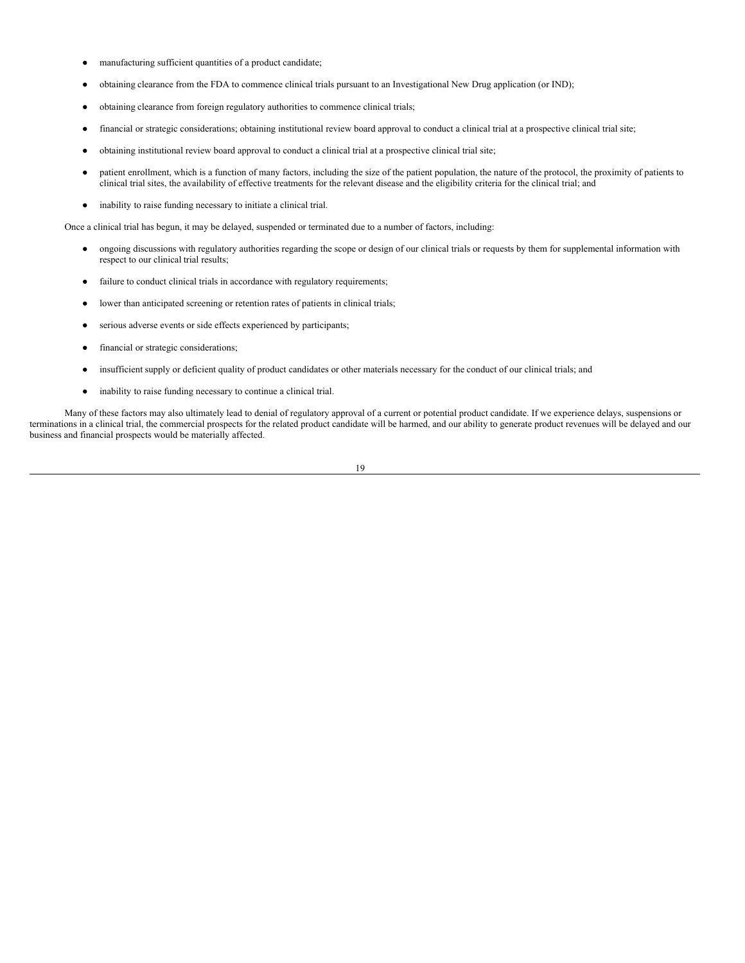- manufacturing sufficient quantities of a product candidate;
- obtaining clearance from the FDA to commence clinical trials pursuant to an Investigational New Drug application (or IND);
- obtaining clearance from foreign regulatory authorities to commence clinical trials;
- financial or strategic considerations; obtaining institutional review board approval to conduct a clinical trial at a prospective clinical trial site;
- obtaining institutional review board approval to conduct a clinical trial at a prospective clinical trial site;
- patient enrollment, which is a function of many factors, including the size of the patient population, the nature of the protocol, the proximity of patients to clinical trial sites, the availability of effective treatments for the relevant disease and the eligibility criteria for the clinical trial; and
- inability to raise funding necessary to initiate a clinical trial.

Once a clinical trial has begun, it may be delayed, suspended or terminated due to a number of factors, including:

- ongoing discussions with regulatory authorities regarding the scope or design of our clinical trials or requests by them for supplemental information with respect to our clinical trial results;
- failure to conduct clinical trials in accordance with regulatory requirements;
- lower than anticipated screening or retention rates of patients in clinical trials;
- serious adverse events or side effects experienced by participants;
- financial or strategic considerations;
- insufficient supply or deficient quality of product candidates or other materials necessary for the conduct of our clinical trials; and
- inability to raise funding necessary to continue a clinical trial.

Many of these factors may also ultimately lead to denial of regulatory approval of a current or potential product candidate. If we experience delays, suspensions or terminations in a clinical trial, the commercial prospects for the related product candidate will be harmed, and our ability to generate product revenues will be delayed and our business and financial prospects would be materially affected.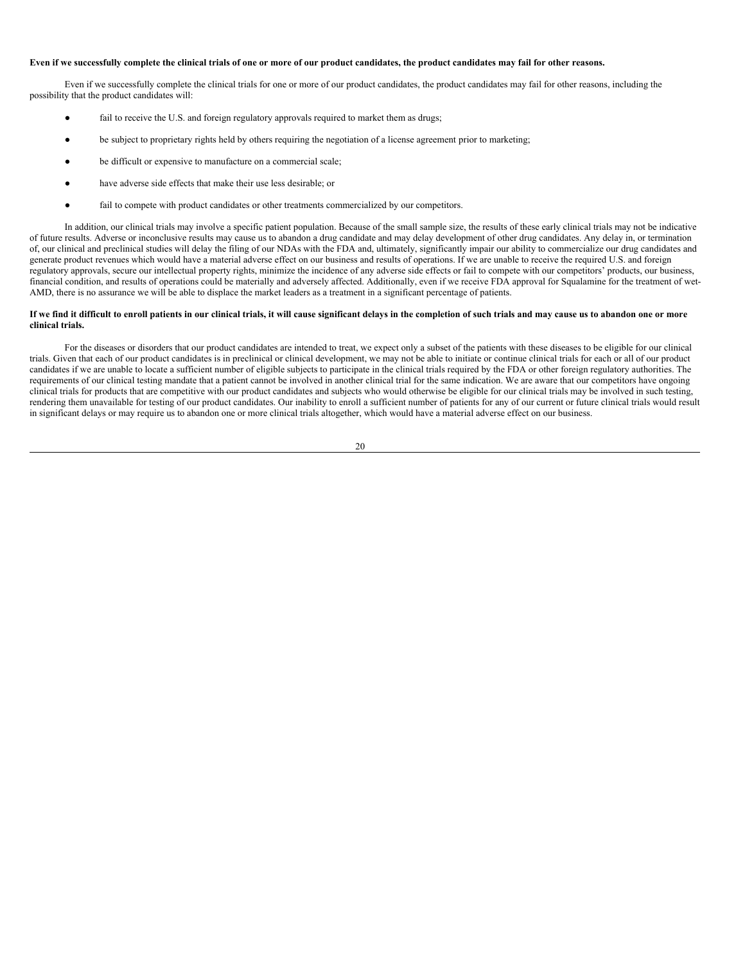#### Even if we successfully complete the clinical trials of one or more of our product candidates, the product candidates may fail for other reasons.

Even if we successfully complete the clinical trials for one or more of our product candidates, the product candidates may fail for other reasons, including the possibility that the product candidates will:

- fail to receive the U.S. and foreign regulatory approvals required to market them as drugs;
- be subject to proprietary rights held by others requiring the negotiation of a license agreement prior to marketing;
- be difficult or expensive to manufacture on a commercial scale;
- have adverse side effects that make their use less desirable; or
- fail to compete with product candidates or other treatments commercialized by our competitors.

In addition, our clinical trials may involve a specific patient population. Because of the small sample size, the results of these early clinical trials may not be indicative of future results. Adverse or inconclusive results may cause us to abandon a drug candidate and may delay development of other drug candidates. Any delay in, or termination of, our clinical and preclinical studies will delay the filing of our NDAs with the FDA and, ultimately, significantly impair our ability to commercialize our drug candidates and generate product revenues which would have a material adverse effect on our business and results of operations. If we are unable to receive the required U.S. and foreign regulatory approvals, secure our intellectual property rights, minimize the incidence of any adverse side effects or fail to compete with our competitors' products, our business, financial condition, and results of operations could be materially and adversely affected. Additionally, even if we receive FDA approval for Squalamine for the treatment of wet-AMD, there is no assurance we will be able to displace the market leaders as a treatment in a significant percentage of patients.

#### If we find it difficult to enroll patients in our clinical trials, it will cause significant delays in the completion of such trials and may cause us to abandon one or more **clinical trials.**

For the diseases or disorders that our product candidates are intended to treat, we expect only a subset of the patients with these diseases to be eligible for our clinical trials. Given that each of our product candidates is in preclinical or clinical development, we may not be able to initiate or continue clinical trials for each or all of our product candidates if we are unable to locate a sufficient number of eligible subjects to participate in the clinical trials required by the FDA or other foreign regulatory authorities. The requirements of our clinical testing mandate that a patient cannot be involved in another clinical trial for the same indication. We are aware that our competitors have ongoing clinical trials for products that are competitive with our product candidates and subjects who would otherwise be eligible for our clinical trials may be involved in such testing, rendering them unavailable for testing of our product candidates. Our inability to enroll a sufficient number of patients for any of our current or future clinical trials would result in significant delays or may require us to abandon one or more clinical trials altogether, which would have a material adverse effect on our business.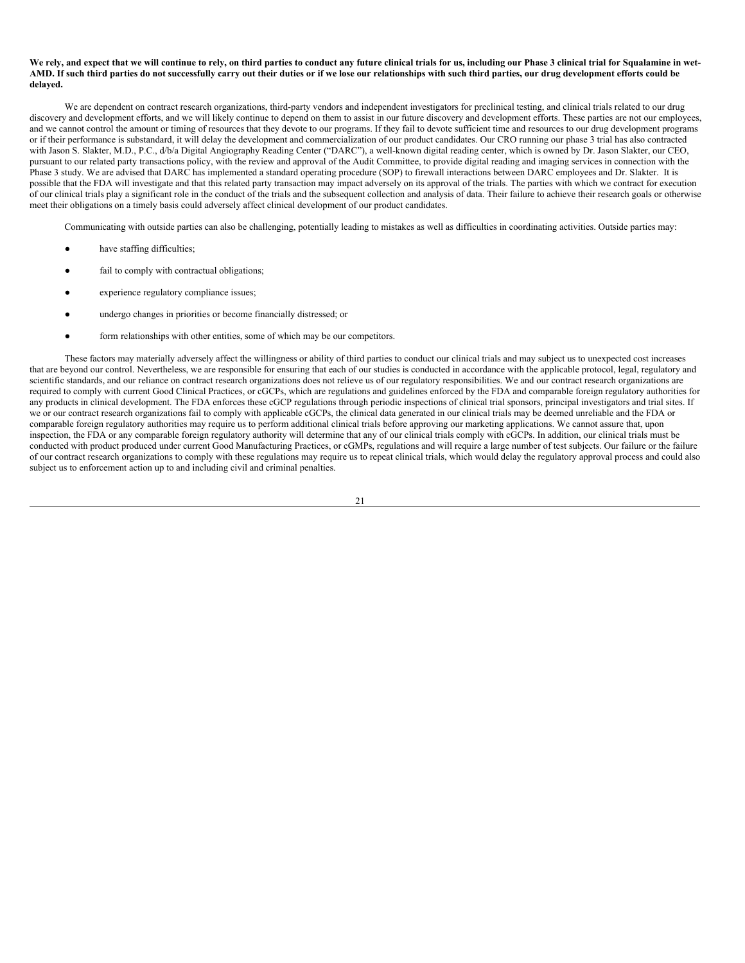#### We rely, and expect that we will continue to rely, on third parties to conduct any future clinical trials for us, including our Phase 3 clinical trial for Squalamine in wet-AMD. If such third parties do not successfully carry out their duties or if we lose our relationships with such third parties, our drug development efforts could be **delayed.**

We are dependent on contract research organizations, third-party vendors and independent investigators for preclinical testing, and clinical trials related to our drug discovery and development efforts, and we will likely continue to depend on them to assist in our future discovery and development efforts. These parties are not our employees, and we cannot control the amount or timing of resources that they devote to our programs. If they fail to devote sufficient time and resources to our drug development programs or if their performance is substandard, it will delay the development and commercialization of our product candidates. Our CRO running our phase 3 trial has also contracted with Jason S. Slakter, M.D., P.C., d/b/a Digital Angiography Reading Center ("DARC"), a well-known digital reading center, which is owned by Dr. Jason Slakter, our CEO, pursuant to our related party transactions policy, with the review and approval of the Audit Committee, to provide digital reading and imaging services in connection with the Phase 3 study. We are advised that DARC has implemented a standard operating procedure (SOP) to firewall interactions between DARC employees and Dr. Slakter. It is possible that the FDA will investigate and that this related party transaction may impact adversely on its approval of the trials. The parties with which we contract for execution of our clinical trials play a significant role in the conduct of the trials and the subsequent collection and analysis of data. Their failure to achieve their research goals or otherwise meet their obligations on a timely basis could adversely affect clinical development of our product candidates.

Communicating with outside parties can also be challenging, potentially leading to mistakes as well as difficulties in coordinating activities. Outside parties may:

- have staffing difficulties;
- fail to comply with contractual obligations;
- experience regulatory compliance issues;
- undergo changes in priorities or become financially distressed; or
- form relationships with other entities, some of which may be our competitors.

These factors may materially adversely affect the willingness or ability of third parties to conduct our clinical trials and may subject us to unexpected cost increases that are beyond our control. Nevertheless, we are responsible for ensuring that each of our studies is conducted in accordance with the applicable protocol, legal, regulatory and scientific standards, and our reliance on contract research organizations does not relieve us of our regulatory responsibilities. We and our contract research organizations are required to comply with current Good Clinical Practices, or cGCPs, which are regulations and guidelines enforced by the FDA and comparable foreign regulatory authorities for any products in clinical development. The FDA enforces these cGCP regulations through periodic inspections of clinical trial sponsors, principal investigators and trial sites. If we or our contract research organizations fail to comply with applicable cGCPs, the clinical data generated in our clinical trials may be deemed unreliable and the FDA or comparable foreign regulatory authorities may require us to perform additional clinical trials before approving our marketing applications. We cannot assure that, upon inspection, the FDA or any comparable foreign regulatory authority will determine that any of our clinical trials comply with cGCPs. In addition, our clinical trials must be conducted with product produced under current Good Manufacturing Practices, or cGMPs, regulations and will require a large number of test subjects. Our failure or the failure of our contract research organizations to comply with these regulations may require us to repeat clinical trials, which would delay the regulatory approval process and could also subject us to enforcement action up to and including civil and criminal penalties.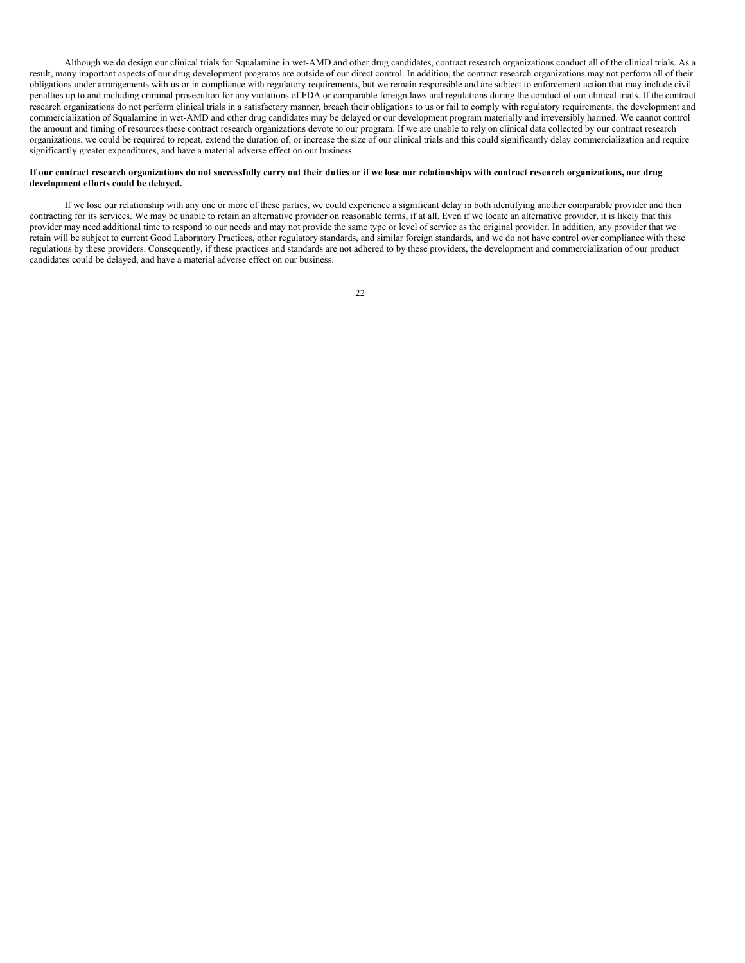Although we do design our clinical trials for Squalamine in wet-AMD and other drug candidates, contract research organizations conduct all of the clinical trials. As a result, many important aspects of our drug development programs are outside of our direct control. In addition, the contract research organizations may not perform all of their obligations under arrangements with us or in compliance with regulatory requirements, but we remain responsible and are subject to enforcement action that may include civil penalties up to and including criminal prosecution for any violations of FDA or comparable foreign laws and regulations during the conduct of our clinical trials. If the contract research organizations do not perform clinical trials in a satisfactory manner, breach their obligations to us or fail to comply with regulatory requirements, the development and commercialization of Squalamine in wet-AMD and other drug candidates may be delayed or our development program materially and irreversibly harmed. We cannot control the amount and timing of resources these contract research organizations devote to our program. If we are unable to rely on clinical data collected by our contract research organizations, we could be required to repeat, extend the duration of, or increase the size of our clinical trials and this could significantly delay commercialization and require significantly greater expenditures, and have a material adverse effect on our business.

#### If our contract research organizations do not successfully carry out their duties or if we lose our relationships with contract research organizations, our drug **development efforts could be delayed.**

If we lose our relationship with any one or more of these parties, we could experience a significant delay in both identifying another comparable provider and then contracting for its services. We may be unable to retain an alternative provider on reasonable terms, if at all. Even if we locate an alternative provider, it is likely that this provider may need additional time to respond to our needs and may not provide the same type or level of service as the original provider. In addition, any provider that we retain will be subject to current Good Laboratory Practices, other regulatory standards, and similar foreign standards, and we do not have control over compliance with these regulations by these providers. Consequently, if these practices and standards are not adhered to by these providers, the development and commercialization of our product candidates could be delayed, and have a material adverse effect on our business.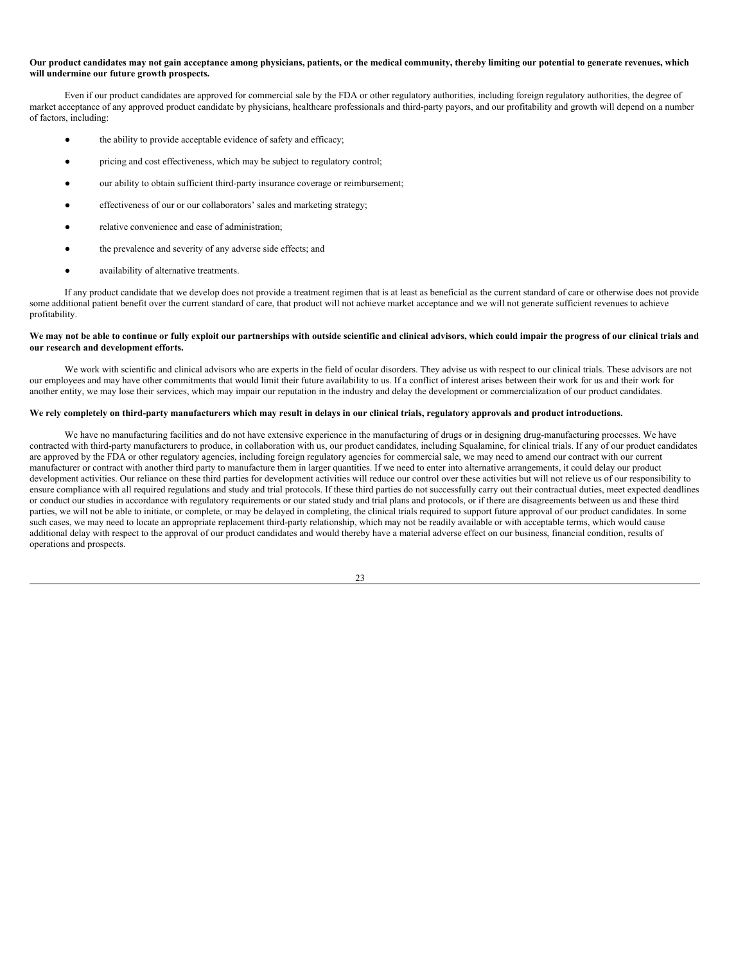#### Our product candidates may not gain acceptance among physicians, patients, or the medical community, thereby limiting our potential to generate revenues, which **will undermine our future growth prospects.**

Even if our product candidates are approved for commercial sale by the FDA or other regulatory authorities, including foreign regulatory authorities, the degree of market acceptance of any approved product candidate by physicians, healthcare professionals and third-party payors, and our profitability and growth will depend on a number of factors, including:

- the ability to provide acceptable evidence of safety and efficacy;
- pricing and cost effectiveness, which may be subject to regulatory control;
- our ability to obtain sufficient third-party insurance coverage or reimbursement;
- effectiveness of our or our collaborators' sales and marketing strategy;
- relative convenience and ease of administration;
- the prevalence and severity of any adverse side effects; and
- availability of alternative treatments.

If any product candidate that we develop does not provide a treatment regimen that is at least as beneficial as the current standard of care or otherwise does not provide some additional patient benefit over the current standard of care, that product will not achieve market acceptance and we will not generate sufficient revenues to achieve profitability.

#### We may not be able to continue or fully exploit our partnerships with outside scientific and clinical advisors, which could impair the progress of our clinical trials and **our research and development efforts.**

We work with scientific and clinical advisors who are experts in the field of ocular disorders. They advise us with respect to our clinical trials. These advisors are not our employees and may have other commitments that would limit their future availability to us. If a conflict of interest arises between their work for us and their work for another entity, we may lose their services, which may impair our reputation in the industry and delay the development or commercialization of our product candidates.

#### We rely completely on third-party manufacturers which may result in delays in our clinical trials, regulatory approvals and product introductions.

We have no manufacturing facilities and do not have extensive experience in the manufacturing of drugs or in designing drug-manufacturing processes. We have contracted with third-party manufacturers to produce, in collaboration with us, our product candidates, including Squalamine, for clinical trials. If any of our product candidates are approved by the FDA or other regulatory agencies, including foreign regulatory agencies for commercial sale, we may need to amend our contract with our current manufacturer or contract with another third party to manufacture them in larger quantities. If we need to enter into alternative arrangements, it could delay our product development activities. Our reliance on these third parties for development activities will reduce our control over these activities but will not relieve us of our responsibility to ensure compliance with all required regulations and study and trial protocols. If these third parties do not successfully carry out their contractual duties, meet expected deadlines or conduct our studies in accordance with regulatory requirements or our stated study and trial plans and protocols, or if there are disagreements between us and these third parties, we will not be able to initiate, or complete, or may be delayed in completing, the clinical trials required to support future approval of our product candidates. In some such cases, we may need to locate an appropriate replacement third-party relationship, which may not be readily available or with acceptable terms, which would cause additional delay with respect to the approval of our product candidates and would thereby have a material adverse effect on our business, financial condition, results of operations and prospects.

| v |        |
|---|--------|
|   |        |
|   | I<br>I |
|   | $\sim$ |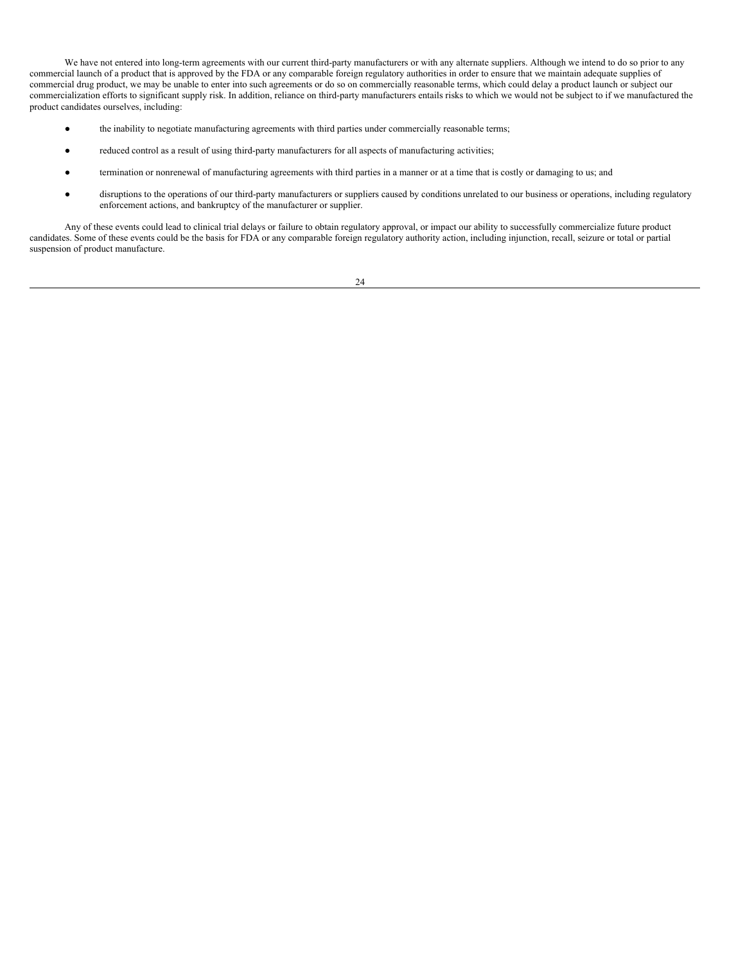We have not entered into long-term agreements with our current third-party manufacturers or with any alternate suppliers. Although we intend to do so prior to any commercial launch of a product that is approved by the FDA or any comparable foreign regulatory authorities in order to ensure that we maintain adequate supplies of commercial drug product, we may be unable to enter into such agreements or do so on commercially reasonable terms, which could delay a product launch or subject our commercialization efforts to significant supply risk. In addition, reliance on third-party manufacturers entails risks to which we would not be subject to if we manufactured the product candidates ourselves, including:

- the inability to negotiate manufacturing agreements with third parties under commercially reasonable terms;
- reduced control as a result of using third-party manufacturers for all aspects of manufacturing activities;
- termination or nonrenewal of manufacturing agreements with third parties in a manner or at a time that is costly or damaging to us; and
- disruptions to the operations of our third-party manufacturers or suppliers caused by conditions unrelated to our business or operations, including regulatory enforcement actions, and bankruptcy of the manufacturer or supplier.

Any of these events could lead to clinical trial delays or failure to obtain regulatory approval, or impact our ability to successfully commercialize future product candidates. Some of these events could be the basis for FDA or any comparable foreign regulatory authority action, including injunction, recall, seizure or total or partial suspension of product manufacture.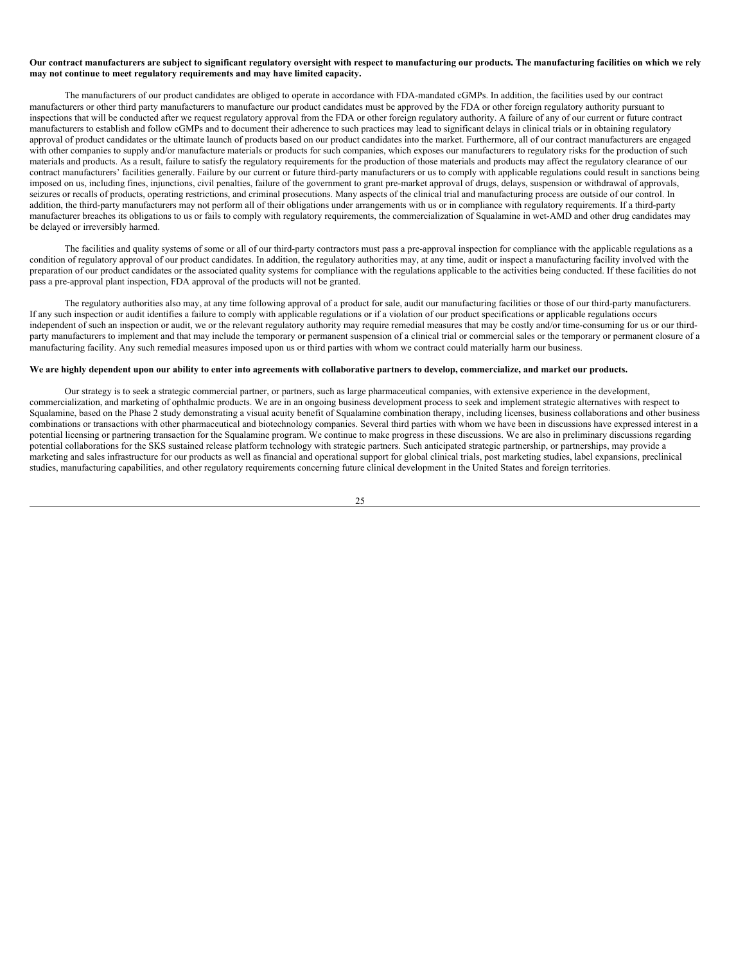#### Our contract manufacturers are subject to significant regulatory oversight with respect to manufacturing our products. The manufacturing facilities on which we rely **may not continue to meet regulatory requirements and may have limited capacity.**

The manufacturers of our product candidates are obliged to operate in accordance with FDA-mandated cGMPs. In addition, the facilities used by our contract manufacturers or other third party manufacturers to manufacture our product candidates must be approved by the FDA or other foreign regulatory authority pursuant to inspections that will be conducted after we request regulatory approval from the FDA or other foreign regulatory authority. A failure of any of our current or future contract manufacturers to establish and follow cGMPs and to document their adherence to such practices may lead to significant delays in clinical trials or in obtaining regulatory approval of product candidates or the ultimate launch of products based on our product candidates into the market. Furthermore, all of our contract manufacturers are engaged with other companies to supply and/or manufacture materials or products for such companies, which exposes our manufacturers to regulatory risks for the production of such materials and products. As a result, failure to satisfy the regulatory requirements for the production of those materials and products may affect the regulatory clearance of our contract manufacturers' facilities generally. Failure by our current or future third-party manufacturers or us to comply with applicable regulations could result in sanctions being imposed on us, including fines, injunctions, civil penalties, failure of the government to grant pre-market approval of drugs, delays, suspension or withdrawal of approvals, seizures or recalls of products, operating restrictions, and criminal prosecutions. Many aspects of the clinical trial and manufacturing process are outside of our control. In addition, the third-party manufacturers may not perform all of their obligations under arrangements with us or in compliance with regulatory requirements. If a third-party manufacturer breaches its obligations to us or fails to comply with regulatory requirements, the commercialization of Squalamine in wet-AMD and other drug candidates may be delayed or irreversibly harmed.

The facilities and quality systems of some or all of our third-party contractors must pass a pre-approval inspection for compliance with the applicable regulations as a condition of regulatory approval of our product candidates. In addition, the regulatory authorities may, at any time, audit or inspect a manufacturing facility involved with the preparation of our product candidates or the associated quality systems for compliance with the regulations applicable to the activities being conducted. If these facilities do not pass a pre-approval plant inspection, FDA approval of the products will not be granted.

The regulatory authorities also may, at any time following approval of a product for sale, audit our manufacturing facilities or those of our third-party manufacturers. If any such inspection or audit identifies a failure to comply with applicable regulations or if a violation of our product specifications or applicable regulations occurs independent of such an inspection or audit, we or the relevant regulatory authority may require remedial measures that may be costly and/or time-consuming for us or our thirdparty manufacturers to implement and that may include the temporary or permanent suspension of a clinical trial or commercial sales or the temporary or permanent closure of a manufacturing facility. Any such remedial measures imposed upon us or third parties with whom we contract could materially harm our business.

#### We are highly dependent upon our ability to enter into agreements with collaborative partners to develop, commercialize, and market our products.

Our strategy is to seek a strategic commercial partner, or partners, such as large pharmaceutical companies, with extensive experience in the development, commercialization, and marketing of ophthalmic products. We are in an ongoing business development process to seek and implement strategic alternatives with respect to Squalamine, based on the Phase 2 study demonstrating a visual acuity benefit of Squalamine combination therapy, including licenses, business collaborations and other business combinations or transactions with other pharmaceutical and biotechnology companies. Several third parties with whom we have been in discussions have expressed interest in a potential licensing or partnering transaction for the Squalamine program. We continue to make progress in these discussions. We are also in preliminary discussions regarding potential collaborations for the SKS sustained release platform technology with strategic partners. Such anticipated strategic partnership, or partnerships, may provide a marketing and sales infrastructure for our products as well as financial and operational support for global clinical trials, post marketing studies, label expansions, preclinical studies, manufacturing capabilities, and other regulatory requirements concerning future clinical development in the United States and foreign territories.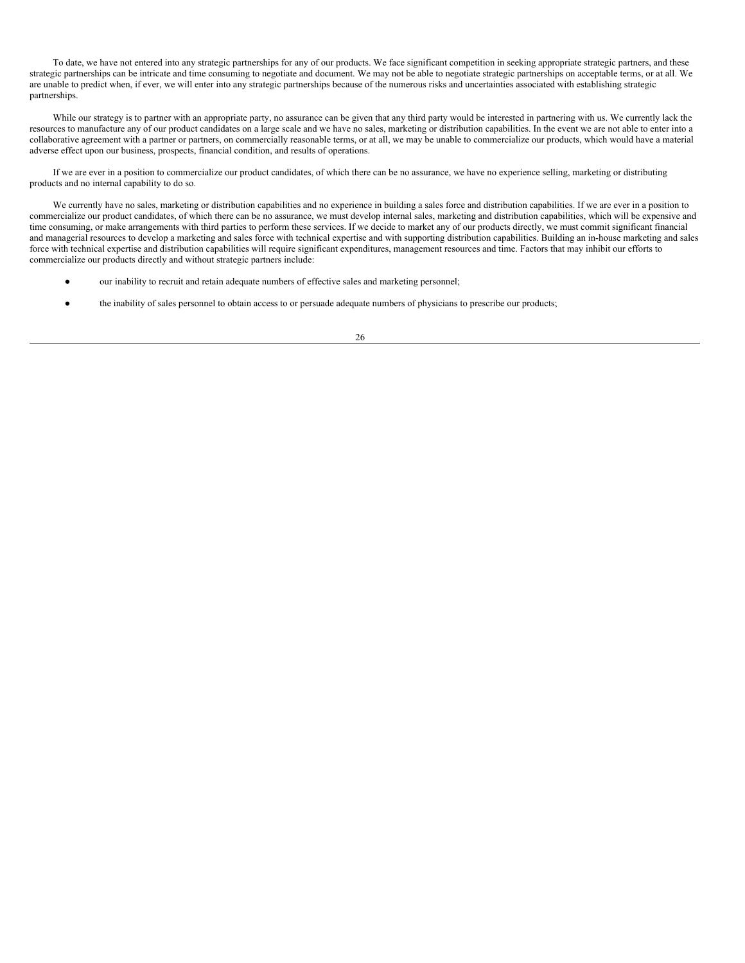To date, we have not entered into any strategic partnerships for any of our products. We face significant competition in seeking appropriate strategic partners, and these strategic partnerships can be intricate and time consuming to negotiate and document. We may not be able to negotiate strategic partnerships on acceptable terms, or at all. We are unable to predict when, if ever, we will enter into any strategic partnerships because of the numerous risks and uncertainties associated with establishing strategic partnerships.

While our strategy is to partner with an appropriate party, no assurance can be given that any third party would be interested in partnering with us. We currently lack the resources to manufacture any of our product candidates on a large scale and we have no sales, marketing or distribution capabilities. In the event we are not able to enter into a collaborative agreement with a partner or partners, on commercially reasonable terms, or at all, we may be unable to commercialize our products, which would have a material adverse effect upon our business, prospects, financial condition, and results of operations.

If we are ever in a position to commercialize our product candidates, of which there can be no assurance, we have no experience selling, marketing or distributing products and no internal capability to do so.

We currently have no sales, marketing or distribution capabilities and no experience in building a sales force and distribution capabilities. If we are ever in a position to commercialize our product candidates, of which there can be no assurance, we must develop internal sales, marketing and distribution capabilities, which will be expensive and time consuming, or make arrangements with third parties to perform these services. If we decide to market any of our products directly, we must commit significant financial and managerial resources to develop a marketing and sales force with technical expertise and with supporting distribution capabilities. Building an in-house marketing and sales force with technical expertise and distribution capabilities will require significant expenditures, management resources and time. Factors that may inhibit our efforts to commercialize our products directly and without strategic partners include:

- our inability to recruit and retain adequate numbers of effective sales and marketing personnel;
- the inability of sales personnel to obtain access to or persuade adequate numbers of physicians to prescribe our products;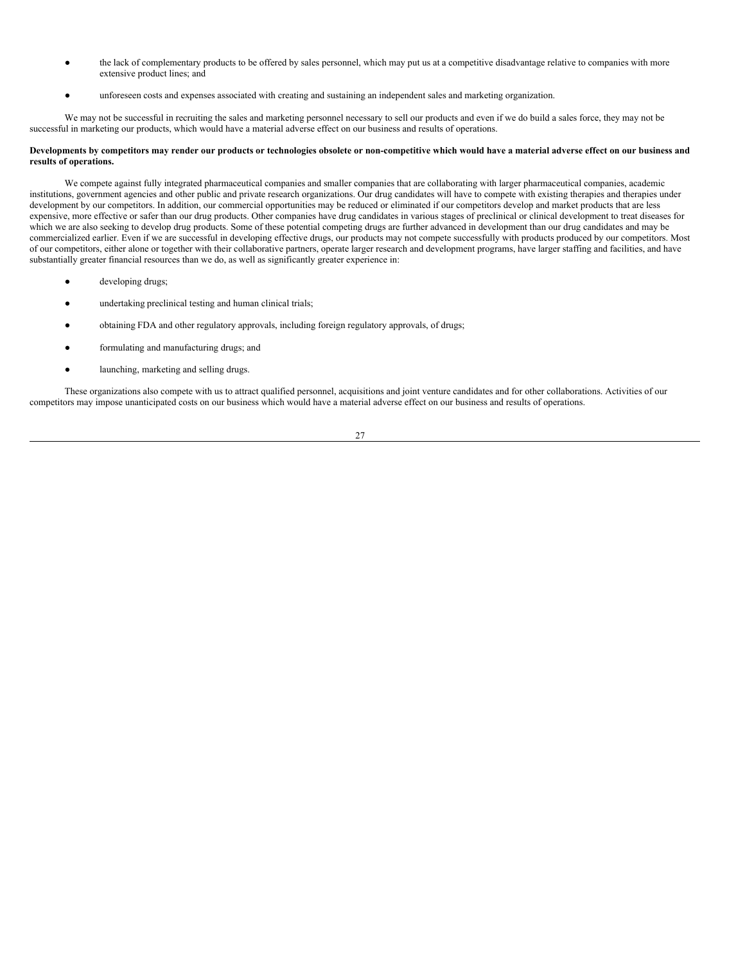- the lack of complementary products to be offered by sales personnel, which may put us at a competitive disadvantage relative to companies with more extensive product lines; and
- unforeseen costs and expenses associated with creating and sustaining an independent sales and marketing organization.

We may not be successful in recruiting the sales and marketing personnel necessary to sell our products and even if we do build a sales force, they may not be successful in marketing our products, which would have a material adverse effect on our business and results of operations.

#### Developments by competitors may render our products or technologies obsolete or non-competitive which would have a material adverse effect on our business and **results of operations.**

We compete against fully integrated pharmaceutical companies and smaller companies that are collaborating with larger pharmaceutical companies, academic institutions, government agencies and other public and private research organizations. Our drug candidates will have to compete with existing therapies and therapies under development by our competitors. In addition, our commercial opportunities may be reduced or eliminated if our competitors develop and market products that are less expensive, more effective or safer than our drug products. Other companies have drug candidates in various stages of preclinical or clinical development to treat diseases for which we are also seeking to develop drug products. Some of these potential competing drugs are further advanced in development than our drug candidates and may be commercialized earlier. Even if we are successful in developing effective drugs, our products may not compete successfully with products produced by our competitors. Most of our competitors, either alone or together with their collaborative partners, operate larger research and development programs, have larger staffing and facilities, and have substantially greater financial resources than we do, as well as significantly greater experience in:

- developing drugs;
- undertaking preclinical testing and human clinical trials;
- obtaining FDA and other regulatory approvals, including foreign regulatory approvals, of drugs;
- formulating and manufacturing drugs; and
- launching, marketing and selling drugs.

These organizations also compete with us to attract qualified personnel, acquisitions and joint venture candidates and for other collaborations. Activities of our competitors may impose unanticipated costs on our business which would have a material adverse effect on our business and results of operations.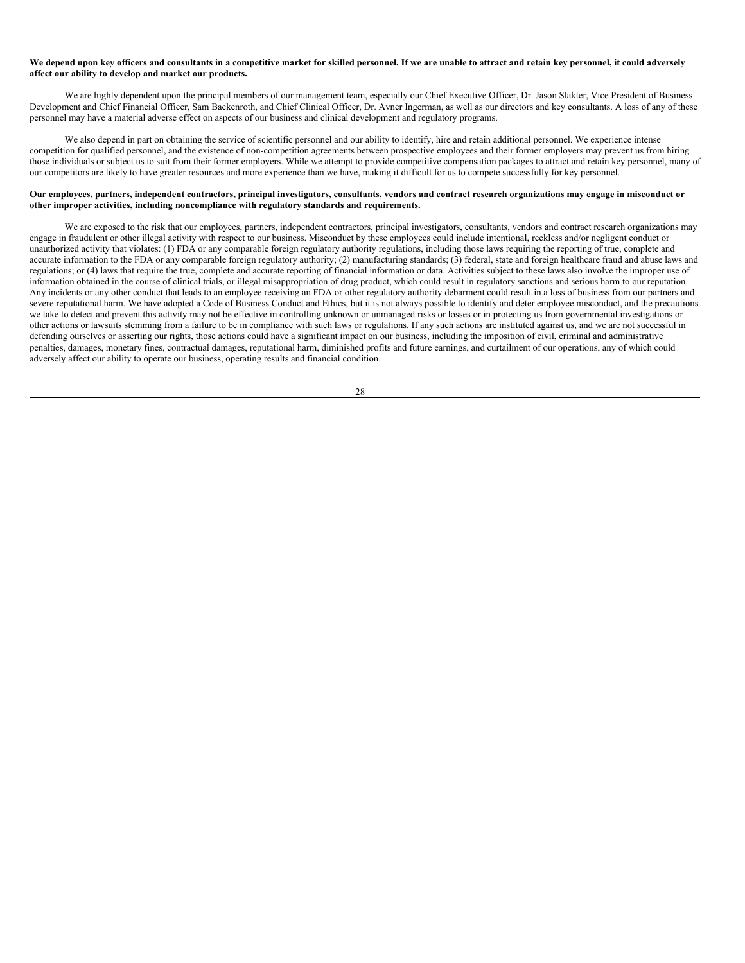#### We depend upon key officers and consultants in a competitive market for skilled personnel. If we are unable to attract and retain key personnel, it could adversely **affect our ability to develop and market our products.**

We are highly dependent upon the principal members of our management team, especially our Chief Executive Officer, Dr. Jason Slakter, Vice President of Business Development and Chief Financial Officer, Sam Backenroth, and Chief Clinical Officer, Dr. Avner Ingerman, as well as our directors and key consultants. A loss of any of these personnel may have a material adverse effect on aspects of our business and clinical development and regulatory programs.

We also depend in part on obtaining the service of scientific personnel and our ability to identify, hire and retain additional personnel. We experience intense competition for qualified personnel, and the existence of non-competition agreements between prospective employees and their former employers may prevent us from hiring those individuals or subject us to suit from their former employers. While we attempt to provide competitive compensation packages to attract and retain key personnel, many of our competitors are likely to have greater resources and more experience than we have, making it difficult for us to compete successfully for key personnel.

#### Our employees, partners, independent contractors, principal investigators, consultants, vendors and contract research organizations may engage in misconduct or **other improper activities, including noncompliance with regulatory standards and requirements.**

We are exposed to the risk that our employees, partners, independent contractors, principal investigators, consultants, vendors and contract research organizations may engage in fraudulent or other illegal activity with respect to our business. Misconduct by these employees could include intentional, reckless and/or negligent conduct or unauthorized activity that violates: (1) FDA or any comparable foreign regulatory authority regulations, including those laws requiring the reporting of true, complete and accurate information to the FDA or any comparable foreign regulatory authority; (2) manufacturing standards; (3) federal, state and foreign healthcare fraud and abuse laws and regulations; or (4) laws that require the true, complete and accurate reporting of financial information or data. Activities subject to these laws also involve the improper use of information obtained in the course of clinical trials, or illegal misappropriation of drug product, which could result in regulatory sanctions and serious harm to our reputation. Any incidents or any other conduct that leads to an employee receiving an FDA or other regulatory authority debarment could result in a loss of business from our partners and severe reputational harm. We have adopted a Code of Business Conduct and Ethics, but it is not always possible to identify and deter employee misconduct, and the precautions we take to detect and prevent this activity may not be effective in controlling unknown or unmanaged risks or losses or in protecting us from governmental investigations or other actions or lawsuits stemming from a failure to be in compliance with such laws or regulations. If any such actions are instituted against us, and we are not successful in defending ourselves or asserting our rights, those actions could have a significant impact on our business, including the imposition of civil, criminal and administrative penalties, damages, monetary fines, contractual damages, reputational harm, diminished profits and future earnings, and curtailment of our operations, any of which could adversely affect our ability to operate our business, operating results and financial condition.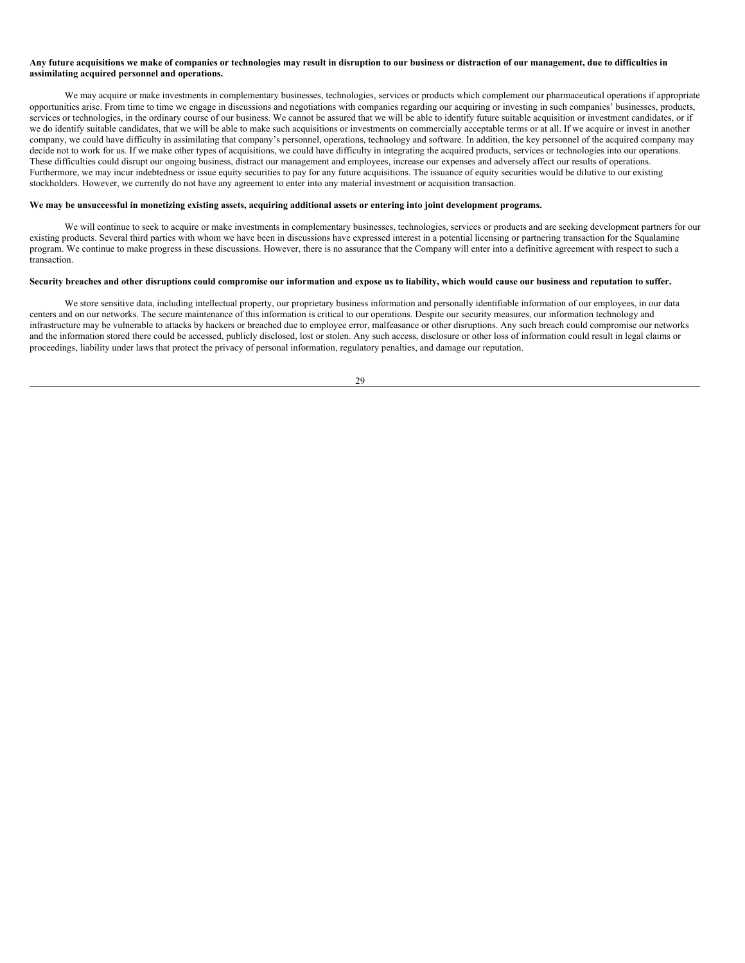#### Any future acquisitions we make of companies or technologies may result in disruption to our business or distraction of our management, due to difficulties in **assimilating acquired personnel and operations.**

We may acquire or make investments in complementary businesses, technologies, services or products which complement our pharmaceutical operations if appropriate opportunities arise. From time to time we engage in discussions and negotiations with companies regarding our acquiring or investing in such companies' businesses, products, services or technologies, in the ordinary course of our business. We cannot be assured that we will be able to identify future suitable acquisition or investment candidates, or if we do identify suitable candidates, that we will be able to make such acquisitions or investments on commercially acceptable terms or at all. If we acquire or invest in another company, we could have difficulty in assimilating that company's personnel, operations, technology and software. In addition, the key personnel of the acquired company may decide not to work for us. If we make other types of acquisitions, we could have difficulty in integrating the acquired products, services or technologies into our operations. These difficulties could disrupt our ongoing business, distract our management and employees, increase our expenses and adversely affect our results of operations. Furthermore, we may incur indebtedness or issue equity securities to pay for any future acquisitions. The issuance of equity securities would be dilutive to our existing stockholders. However, we currently do not have any agreement to enter into any material investment or acquisition transaction.

#### We may be unsuccessful in monetizing existing assets, acquiring additional assets or entering into joint development programs.

We will continue to seek to acquire or make investments in complementary businesses, technologies, services or products and are seeking development partners for our existing products. Several third parties with whom we have been in discussions have expressed interest in a potential licensing or partnering transaction for the Squalamine program. We continue to make progress in these discussions. However, there is no assurance that the Company will enter into a definitive agreement with respect to such a transaction.

#### Security breaches and other disruptions could compromise our information and expose us to liability, which would cause our business and reputation to suffer.

We store sensitive data, including intellectual property, our proprietary business information and personally identifiable information of our employees, in our data centers and on our networks. The secure maintenance of this information is critical to our operations. Despite our security measures, our information technology and infrastructure may be vulnerable to attacks by hackers or breached due to employee error, malfeasance or other disruptions. Any such breach could compromise our networks and the information stored there could be accessed, publicly disclosed, lost or stolen. Any such access, disclosure or other loss of information could result in legal claims or proceedings, liability under laws that protect the privacy of personal information, regulatory penalties, and damage our reputation.

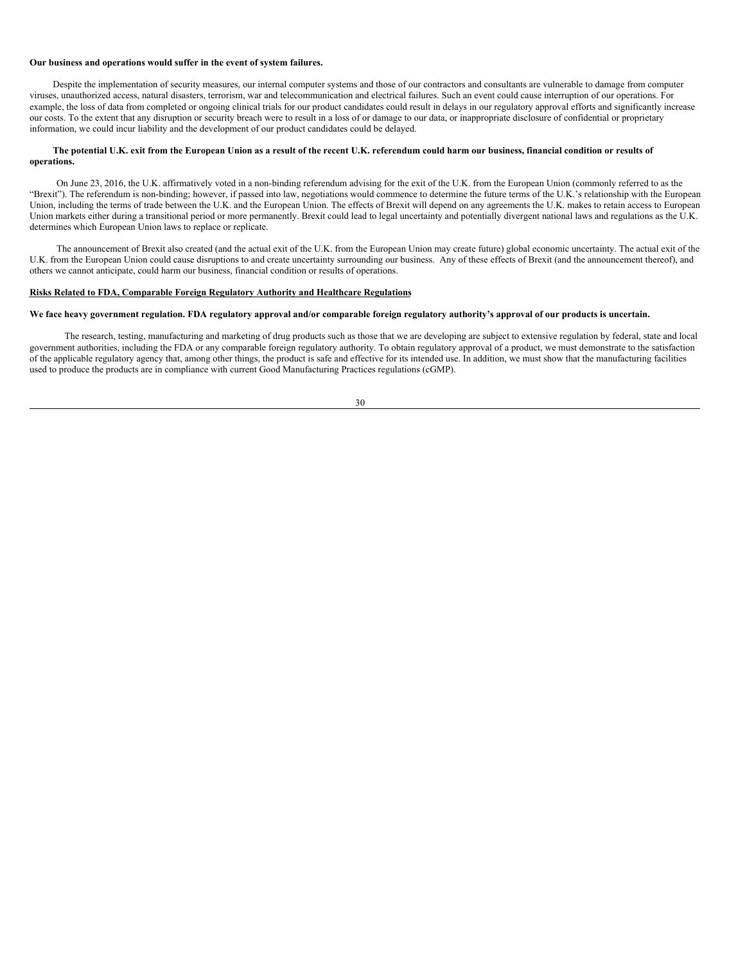#### **Our business and operations would suffer in the event of system failures.**

Despite the implementation of security measures, our internal computer systems and those of our contractors and consultants are vulnerable to damage from computer viruses, unauthorized access, natural disasters, terrorism, war and telecommunication and electrical failures. Such an event could cause interruption of our operations. For example, the loss of data from completed or ongoing clinical trials for our product candidates could result in delays in our regulatory approval efforts and significantly increase our costs. To the extent that any disruption or security breach were to result in a loss of or damage to our data, or inappropriate disclosure of confidential or proprietary information, we could incur liability and the development of our product candidates could be delayed.

#### The potential U.K. exit from the European Union as a result of the recent U.K. referendum could harm our business, financial condition or results of **operations.**

On June 23, 2016, the U.K. affirmatively voted in a non-binding referendum advising for the exit of the U.K. from the European Union (commonly referred to as the "Brexit"). The referendum is non-binding; however, if passed into law, negotiations would commence to determine the future terms of the U.K.'s relationship with the European Union, including the terms of trade between the U.K. and the European Union. The effects of Brexit will depend on any agreements the U.K. makes to retain access to European Union markets either during a transitional period or more permanently. Brexit could lead to legal uncertainty and potentially divergent national laws and regulations as the U.K. determines which European Union laws to replace or replicate.

The announcement of Brexit also created (and the actual exit of the U.K. from the European Union may create future) global economic uncertainty. The actual exit of the U.K. from the European Union could cause disruptions to and create uncertainty surrounding our business. Any of these effects of Brexit (and the announcement thereof), and others we cannot anticipate, could harm our business, financial condition or results of operations.

#### **Risks Related to FDA, Comparable Foreign Regulatory Authority and Healthcare Regulations**

#### We face heavy government regulation. FDA regulatory approval and/or comparable foreign regulatory authority's approval of our products is uncertain.

The research, testing, manufacturing and marketing of drug products such as those that we are developing are subject to extensive regulation by federal, state and local government authorities, including the FDA or any comparable foreign regulatory authority. To obtain regulatory approval of a product, we must demonstrate to the satisfaction of the applicable regulatory agency that, among other things, the product is safe and effective for its intended use. In addition, we must show that the manufacturing facilities used to produce the products are in compliance with current Good Manufacturing Practices regulations (cGMP).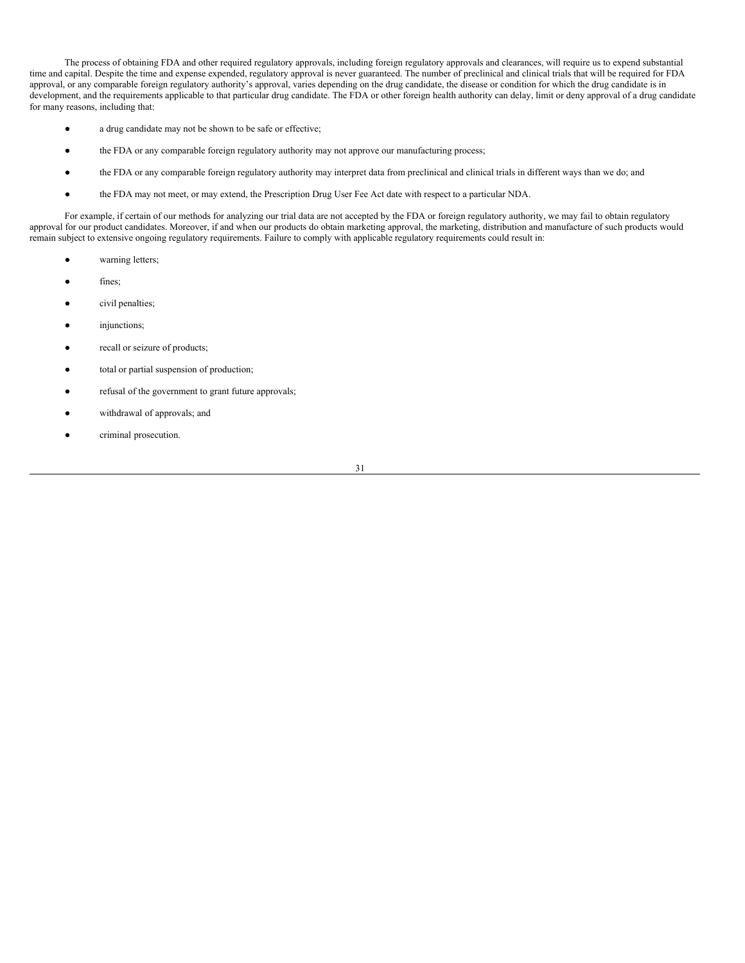The process of obtaining FDA and other required regulatory approvals, including foreign regulatory approvals and clearances, will require us to expend substantial time and capital. Despite the time and expense expended, regulatory approval is never guaranteed. The number of preclinical and clinical trials that will be required for FDA approval, or any comparable foreign regulatory authority's approval, varies depending on the drug candidate, the disease or condition for which the drug candidate is in development, and the requirements applicable to that particular drug candidate. The FDA or other foreign health authority can delay, limit or deny approval of a drug candidate for many reasons, including that:

- a drug candidate may not be shown to be safe or effective;
- the FDA or any comparable foreign regulatory authority may not approve our manufacturing process;
- the FDA or any comparable foreign regulatory authority may interpret data from preclinical and clinical trials in different ways than we do; and
- the FDA may not meet, or may extend, the Prescription Drug User Fee Act date with respect to a particular NDA.

For example, if certain of our methods for analyzing our trial data are not accepted by the FDA or foreign regulatory authority, we may fail to obtain regulatory approval for our product candidates. Moreover, if and when our products do obtain marketing approval, the marketing, distribution and manufacture of such products would remain subject to extensive ongoing regulatory requirements. Failure to comply with applicable regulatory requirements could result in:

- warning letters;
- fines;
- civil penalties;
- injunctions;
- recall or seizure of products;
- total or partial suspension of production;
- refusal of the government to grant future approvals;
- withdrawal of approvals; and
- criminal prosecution.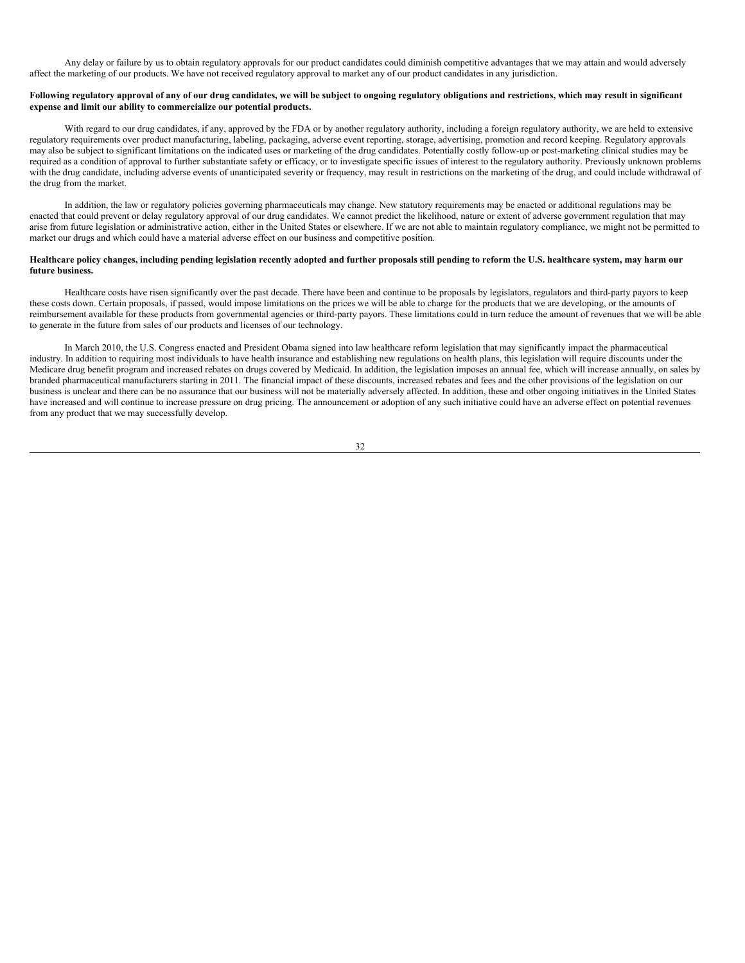Any delay or failure by us to obtain regulatory approvals for our product candidates could diminish competitive advantages that we may attain and would adversely affect the marketing of our products. We have not received regulatory approval to market any of our product candidates in any jurisdiction.

#### Following regulatory approval of any of our drug candidates, we will be subject to ongoing regulatory obligations and restrictions, which may result in significant **expense and limit our ability to commercialize our potential products.**

With regard to our drug candidates, if any, approved by the FDA or by another regulatory authority, including a foreign regulatory authority, we are held to extensive regulatory requirements over product manufacturing, labeling, packaging, adverse event reporting, storage, advertising, promotion and record keeping. Regulatory approvals may also be subject to significant limitations on the indicated uses or marketing of the drug candidates. Potentially costly follow-up or post-marketing clinical studies may be required as a condition of approval to further substantiate safety or efficacy, or to investigate specific issues of interest to the regulatory authority. Previously unknown problems with the drug candidate, including adverse events of unanticipated severity or frequency, may result in restrictions on the marketing of the drug, and could include withdrawal of the drug from the market.

In addition, the law or regulatory policies governing pharmaceuticals may change. New statutory requirements may be enacted or additional regulations may be enacted that could prevent or delay regulatory approval of our drug candidates. We cannot predict the likelihood, nature or extent of adverse government regulation that may arise from future legislation or administrative action, either in the United States or elsewhere. If we are not able to maintain regulatory compliance, we might not be permitted to market our drugs and which could have a material adverse effect on our business and competitive position.

#### Healthcare policy changes, including pending legislation recently adopted and further proposals still pending to reform the U.S. healthcare system, may harm our **future business.**

Healthcare costs have risen significantly over the past decade. There have been and continue to be proposals by legislators, regulators and third-party payors to keep these costs down. Certain proposals, if passed, would impose limitations on the prices we will be able to charge for the products that we are developing, or the amounts of reimbursement available for these products from governmental agencies or third-party payors. These limitations could in turn reduce the amount of revenues that we will be able to generate in the future from sales of our products and licenses of our technology.

In March 2010, the U.S. Congress enacted and President Obama signed into law healthcare reform legislation that may significantly impact the pharmaceutical industry. In addition to requiring most individuals to have health insurance and establishing new regulations on health plans, this legislation will require discounts under the Medicare drug benefit program and increased rebates on drugs covered by Medicaid. In addition, the legislation imposes an annual fee, which will increase annually, on sales by branded pharmaceutical manufacturers starting in 2011. The financial impact of these discounts, increased rebates and fees and the other provisions of the legislation on our business is unclear and there can be no assurance that our business will not be materially adversely affected. In addition, these and other ongoing initiatives in the United States have increased and will continue to increase pressure on drug pricing. The announcement or adoption of any such initiative could have an adverse effect on potential revenues from any product that we may successfully develop.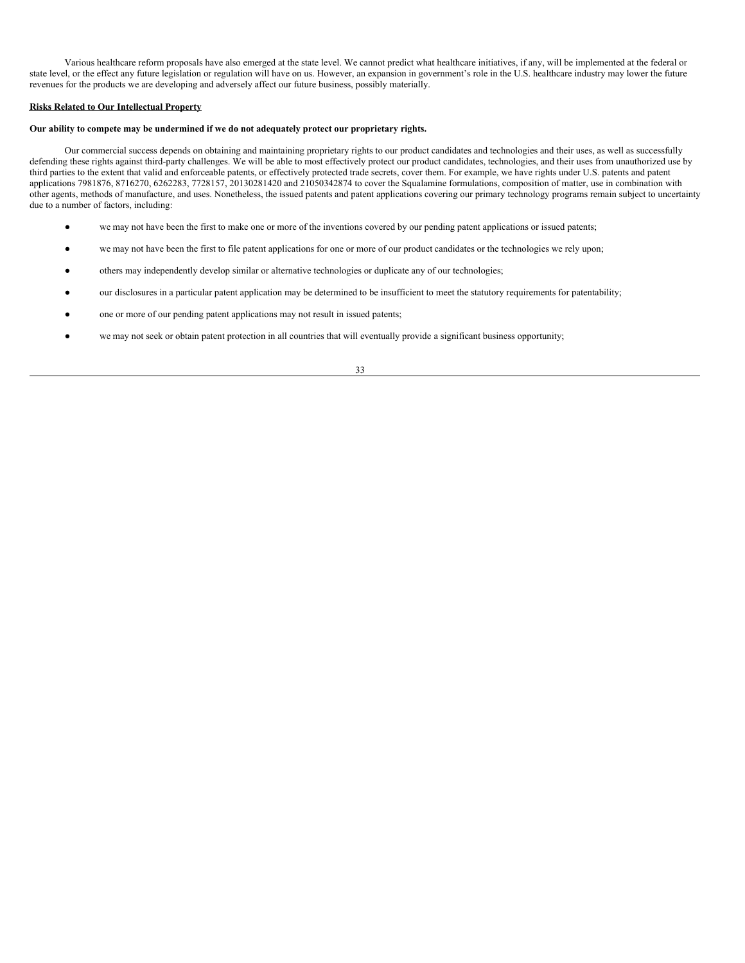Various healthcare reform proposals have also emerged at the state level. We cannot predict what healthcare initiatives, if any, will be implemented at the federal or state level, or the effect any future legislation or regulation will have on us. However, an expansion in government's role in the U.S. healthcare industry may lower the future revenues for the products we are developing and adversely affect our future business, possibly materially.

#### **Risks Related to Our Intellectual Property**

#### **Our ability to compete may be undermined if we do not adequately protect our proprietary rights.**

Our commercial success depends on obtaining and maintaining proprietary rights to our product candidates and technologies and their uses, as well as successfully defending these rights against third-party challenges. We will be able to most effectively protect our product candidates, technologies, and their uses from unauthorized use by third parties to the extent that valid and enforceable patents, or effectively protected trade secrets, cover them. For example, we have rights under U.S. patents and patent applications 7981876, 8716270, 6262283, 7728157, 20130281420 and 21050342874 to cover the Squalamine formulations, composition of matter, use in combination with other agents, methods of manufacture, and uses. Nonetheless, the issued patents and patent applications covering our primary technology programs remain subject to uncertainty due to a number of factors, including:

- we may not have been the first to make one or more of the inventions covered by our pending patent applications or issued patents;
- we may not have been the first to file patent applications for one or more of our product candidates or the technologies we rely upon;
- others may independently develop similar or alternative technologies or duplicate any of our technologies;
- our disclosures in a particular patent application may be determined to be insufficient to meet the statutory requirements for patentability;
- one or more of our pending patent applications may not result in issued patents;
- we may not seek or obtain patent protection in all countries that will eventually provide a significant business opportunity;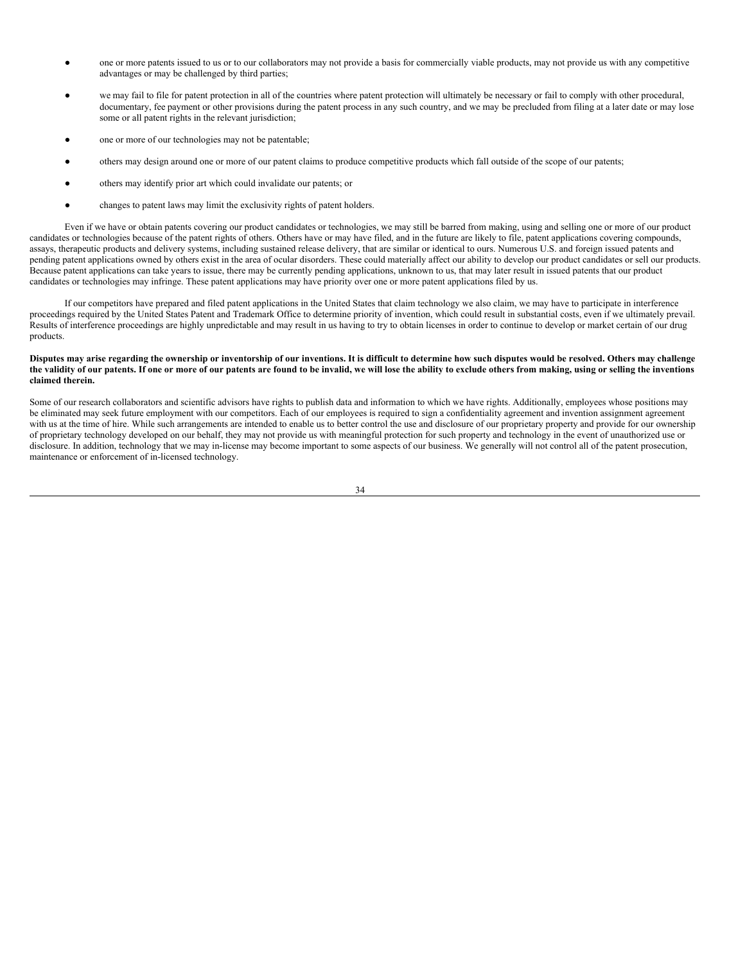- one or more patents issued to us or to our collaborators may not provide a basis for commercially viable products, may not provide us with any competitive advantages or may be challenged by third parties;
- we may fail to file for patent protection in all of the countries where patent protection will ultimately be necessary or fail to comply with other procedural, documentary, fee payment or other provisions during the patent process in any such country, and we may be precluded from filing at a later date or may lose some or all patent rights in the relevant jurisdiction;
- one or more of our technologies may not be patentable;
- others may design around one or more of our patent claims to produce competitive products which fall outside of the scope of our patents;
- others may identify prior art which could invalidate our patents; or
- changes to patent laws may limit the exclusivity rights of patent holders.

Even if we have or obtain patents covering our product candidates or technologies, we may still be barred from making, using and selling one or more of our product candidates or technologies because of the patent rights of others. Others have or may have filed, and in the future are likely to file, patent applications covering compounds, assays, therapeutic products and delivery systems, including sustained release delivery, that are similar or identical to ours. Numerous U.S. and foreign issued patents and pending patent applications owned by others exist in the area of ocular disorders. These could materially affect our ability to develop our product candidates or sell our products. Because patent applications can take years to issue, there may be currently pending applications, unknown to us, that may later result in issued patents that our product candidates or technologies may infringe. These patent applications may have priority over one or more patent applications filed by us.

If our competitors have prepared and filed patent applications in the United States that claim technology we also claim, we may have to participate in interference proceedings required by the United States Patent and Trademark Office to determine priority of invention, which could result in substantial costs, even if we ultimately prevail. Results of interference proceedings are highly unpredictable and may result in us having to try to obtain licenses in order to continue to develop or market certain of our drug products.

#### Disputes may arise regarding the ownership or inventorship of our inventions. It is difficult to determine how such disputes would be resolved. Others may challenge the validity of our patents. If one or more of our patents are found to be invalid, we will lose the ability to exclude others from making, using or selling the inventions **claimed therein.**

Some of our research collaborators and scientific advisors have rights to publish data and information to which we have rights. Additionally, employees whose positions may be eliminated may seek future employment with our competitors. Each of our employees is required to sign a confidentiality agreement and invention assignment agreement with us at the time of hire. While such arrangements are intended to enable us to better control the use and disclosure of our proprietary property and provide for our ownership of proprietary technology developed on our behalf, they may not provide us with meaningful protection for such property and technology in the event of unauthorized use or disclosure. In addition, technology that we may in-license may become important to some aspects of our business. We generally will not control all of the patent prosecution, maintenance or enforcement of in-licensed technology.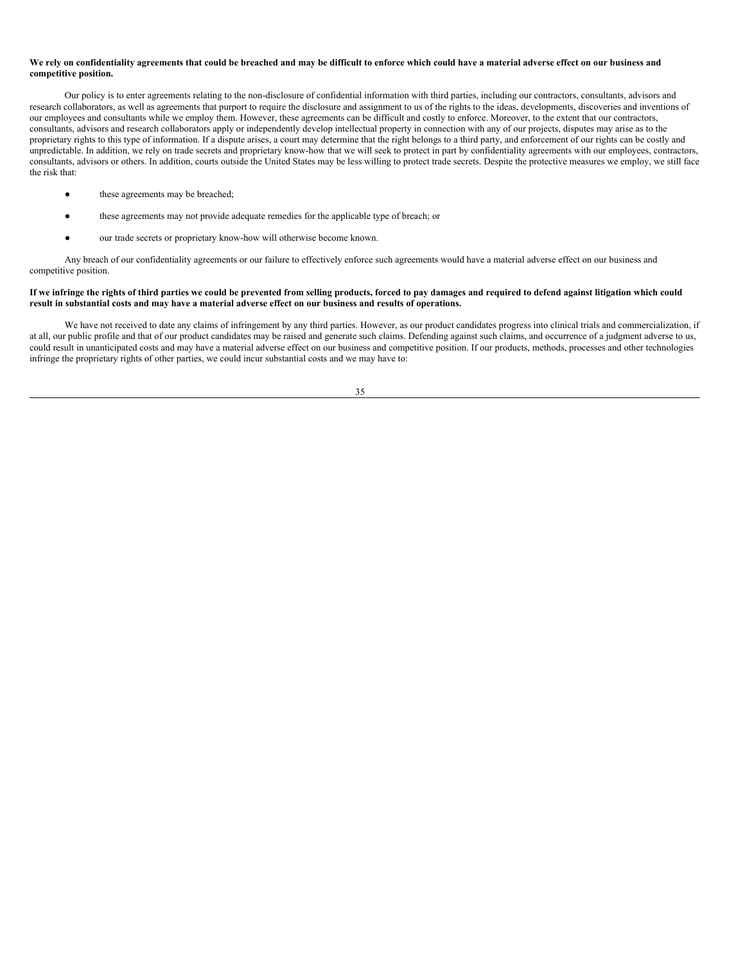### We rely on confidentiality agreements that could be breached and may be difficult to enforce which could have a material adverse effect on our business and **competitive position.**

Our policy is to enter agreements relating to the non-disclosure of confidential information with third parties, including our contractors, consultants, advisors and research collaborators, as well as agreements that purport to require the disclosure and assignment to us of the rights to the ideas, developments, discoveries and inventions of our employees and consultants while we employ them. However, these agreements can be difficult and costly to enforce. Moreover, to the extent that our contractors, consultants, advisors and research collaborators apply or independently develop intellectual property in connection with any of our projects, disputes may arise as to the proprietary rights to this type of information. If a dispute arises, a court may determine that the right belongs to a third party, and enforcement of our rights can be costly and unpredictable. In addition, we rely on trade secrets and proprietary know-how that we will seek to protect in part by confidentiality agreements with our employees, contractors, consultants, advisors or others. In addition, courts outside the United States may be less willing to protect trade secrets. Despite the protective measures we employ, we still face the risk that:

- these agreements may be breached;
- these agreements may not provide adequate remedies for the applicable type of breach; or
- our trade secrets or proprietary know-how will otherwise become known.

Any breach of our confidentiality agreements or our failure to effectively enforce such agreements would have a material adverse effect on our business and competitive position.

### If we infringe the rights of third parties we could be prevented from selling products, forced to pay damages and required to defend against litigation which could result in substantial costs and may have a material adverse effect on our business and results of operations.

We have not received to date any claims of infringement by any third parties. However, as our product candidates progress into clinical trials and commercialization, if at all, our public profile and that of our product candidates may be raised and generate such claims. Defending against such claims, and occurrence of a judgment adverse to us, could result in unanticipated costs and may have a material adverse effect on our business and competitive position. If our products, methods, processes and other technologies infringe the proprietary rights of other parties, we could incur substantial costs and we may have to:

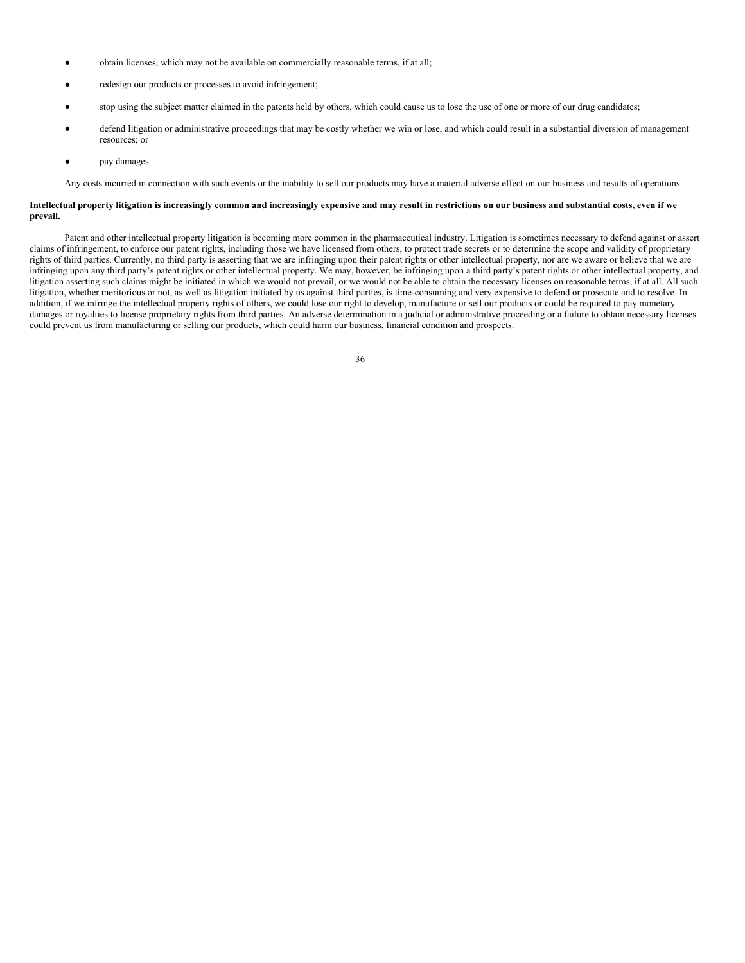- obtain licenses, which may not be available on commercially reasonable terms, if at all;
- redesign our products or processes to avoid infringement;
- stop using the subject matter claimed in the patents held by others, which could cause us to lose the use of one or more of our drug candidates;
- defend litigation or administrative proceedings that may be costly whether we win or lose, and which could result in a substantial diversion of management resources; or
- pay damages.

Any costs incurred in connection with such events or the inability to sell our products may have a material adverse effect on our business and results of operations.

### Intellectual property litigation is increasingly common and increasingly expensive and may result in restrictions on our business and substantial costs, even if we **prevail.**

Patent and other intellectual property litigation is becoming more common in the pharmaceutical industry. Litigation is sometimes necessary to defend against or assert claims of infringement, to enforce our patent rights, including those we have licensed from others, to protect trade secrets or to determine the scope and validity of proprietary rights of third parties. Currently, no third party is asserting that we are infringing upon their patent rights or other intellectual property, nor are we aware or believe that we are infringing upon any third party's patent rights or other intellectual property. We may, however, be infringing upon a third party's patent rights or other intellectual property, and litigation asserting such claims might be initiated in which we would not prevail, or we would not be able to obtain the necessary licenses on reasonable terms, if at all. All such litigation, whether meritorious or not, as well as litigation initiated by us against third parties, is time-consuming and very expensive to defend or prosecute and to resolve. In addition, if we infringe the intellectual property rights of others, we could lose our right to develop, manufacture or sell our products or could be required to pay monetary damages or royalties to license proprietary rights from third parties. An adverse determination in a judicial or administrative proceeding or a failure to obtain necessary licenses could prevent us from manufacturing or selling our products, which could harm our business, financial condition and prospects.

| ٠                | ۰.            |
|------------------|---------------|
|                  |               |
| I<br>I<br>×<br>v | ۰,<br>I<br>۰, |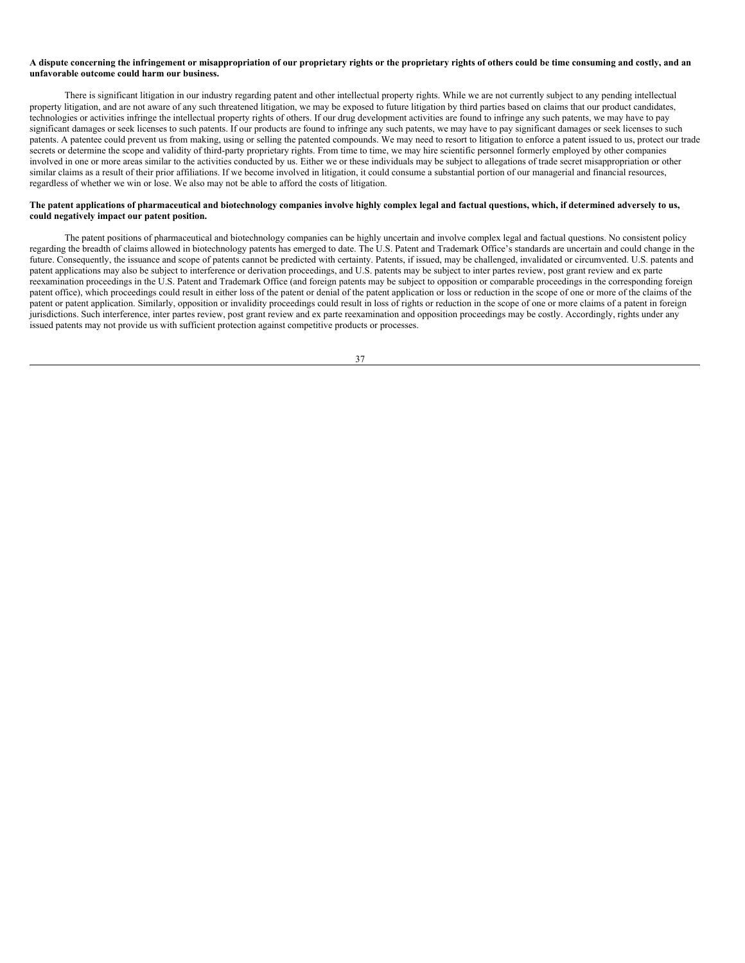### A dispute concerning the infringement or misappropriation of our proprietary rights or the proprietary rights of others could be time consuming and costly, and an **unfavorable outcome could harm our business.**

There is significant litigation in our industry regarding patent and other intellectual property rights. While we are not currently subject to any pending intellectual property litigation, and are not aware of any such threatened litigation, we may be exposed to future litigation by third parties based on claims that our product candidates, technologies or activities infringe the intellectual property rights of others. If our drug development activities are found to infringe any such patents, we may have to pay significant damages or seek licenses to such patents. If our products are found to infringe any such patents, we may have to pay significant damages or seek licenses to such patents. A patentee could prevent us from making, using or selling the patented compounds. We may need to resort to litigation to enforce a patent issued to us, protect our trade secrets or determine the scope and validity of third-party proprietary rights. From time to time, we may hire scientific personnel formerly employed by other companies involved in one or more areas similar to the activities conducted by us. Either we or these individuals may be subject to allegations of trade secret misappropriation or other similar claims as a result of their prior affiliations. If we become involved in litigation, it could consume a substantial portion of our managerial and financial resources, regardless of whether we win or lose. We also may not be able to afford the costs of litigation.

### The patent applications of pharmaceutical and biotechnology companies involve highly complex legal and factual questions, which, if determined adversely to us, **could negatively impact our patent position.**

The patent positions of pharmaceutical and biotechnology companies can be highly uncertain and involve complex legal and factual questions. No consistent policy regarding the breadth of claims allowed in biotechnology patents has emerged to date. The U.S. Patent and Trademark Office's standards are uncertain and could change in the future. Consequently, the issuance and scope of patents cannot be predicted with certainty. Patents, if issued, may be challenged, invalidated or circumvented. U.S. patents and patent applications may also be subject to interference or derivation proceedings, and U.S. patents may be subject to inter partes review, post grant review and ex parte reexamination proceedings in the U.S. Patent and Trademark Office (and foreign patents may be subject to opposition or comparable proceedings in the corresponding foreign patent office), which proceedings could result in either loss of the patent or denial of the patent application or loss or reduction in the scope of one or more of the claims of the patent or patent application. Similarly, opposition or invalidity proceedings could result in loss of rights or reduction in the scope of one or more claims of a patent in foreign jurisdictions. Such interference, inter partes review, post grant review and ex parte reexamination and opposition proceedings may be costly. Accordingly, rights under any issued patents may not provide us with sufficient protection against competitive products or processes.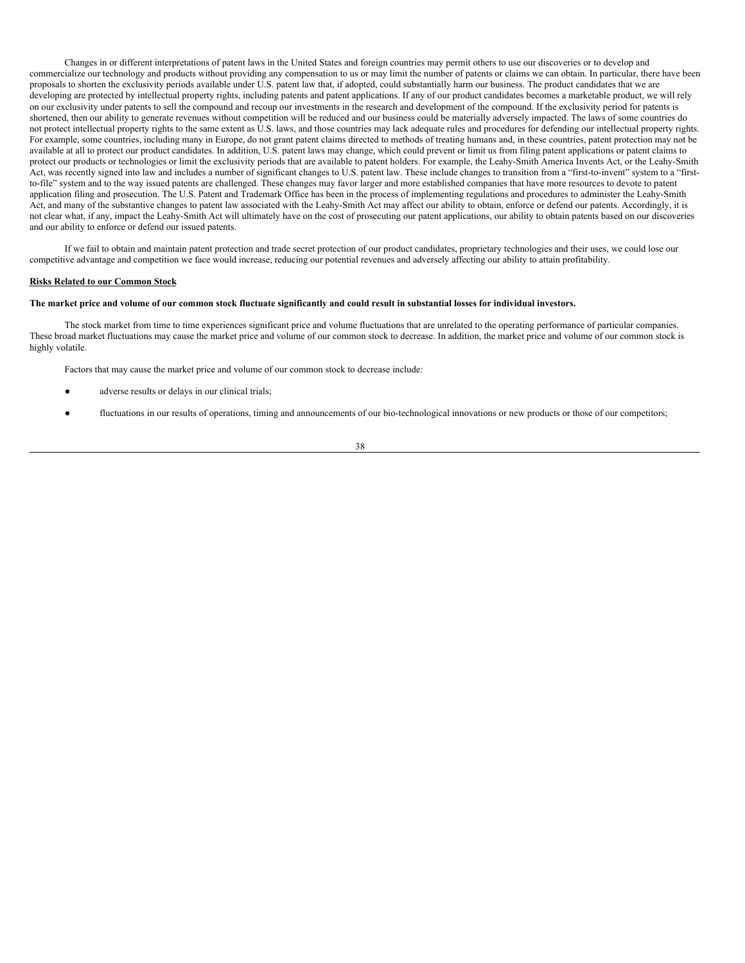Changes in or different interpretations of patent laws in the United States and foreign countries may permit others to use our discoveries or to develop and commercialize our technology and products without providing any compensation to us or may limit the number of patents or claims we can obtain. In particular, there have been proposals to shorten the exclusivity periods available under U.S. patent law that, if adopted, could substantially harm our business. The product candidates that we are developing are protected by intellectual property rights, including patents and patent applications. If any of our product candidates becomes a marketable product, we will rely on our exclusivity under patents to sell the compound and recoup our investments in the research and development of the compound. If the exclusivity period for patents is shortened, then our ability to generate revenues without competition will be reduced and our business could be materially adversely impacted. The laws of some countries do not protect intellectual property rights to the same extent as U.S. laws, and those countries may lack adequate rules and procedures for defending our intellectual property rights. For example, some countries, including many in Europe, do not grant patent claims directed to methods of treating humans and, in these countries, patent protection may not be available at all to protect our product candidates. In addition, U.S. patent laws may change, which could prevent or limit us from filing patent applications or patent claims to protect our products or technologies or limit the exclusivity periods that are available to patent holders. For example, the Leahy-Smith America Invents Act, or the Leahy-Smith Act, was recently signed into law and includes a number of significant changes to U.S. patent law. These include changes to transition from a "first-to-invent" system to a "firstto-file" system and to the way issued patents are challenged. These changes may favor larger and more established companies that have more resources to devote to patent application filing and prosecution. The U.S. Patent and Trademark Office has been in the process of implementing regulations and procedures to administer the Leahy-Smith Act, and many of the substantive changes to patent law associated with the Leahy-Smith Act may affect our ability to obtain, enforce or defend our patents. Accordingly, it is not clear what, if any, impact the Leahy-Smith Act will ultimately have on the cost of prosecuting our patent applications, our ability to obtain patents based on our discoveries and our ability to enforce or defend our issued patents.

If we fail to obtain and maintain patent protection and trade secret protection of our product candidates, proprietary technologies and their uses, we could lose our competitive advantage and competition we face would increase, reducing our potential revenues and adversely affecting our ability to attain profitability.

#### **Risks Related to our Common Stock**

### The market price and volume of our common stock fluctuate significantly and could result in substantial losses for individual investors.

The stock market from time to time experiences significant price and volume fluctuations that are unrelated to the operating performance of particular companies. These broad market fluctuations may cause the market price and volume of our common stock to decrease. In addition, the market price and volume of our common stock is highly volatile.

Factors that may cause the market price and volume of our common stock to decrease include:

- adverse results or delays in our clinical trials;
- fluctuations in our results of operations, timing and announcements of our bio-technological innovations or new products or those of our competitors;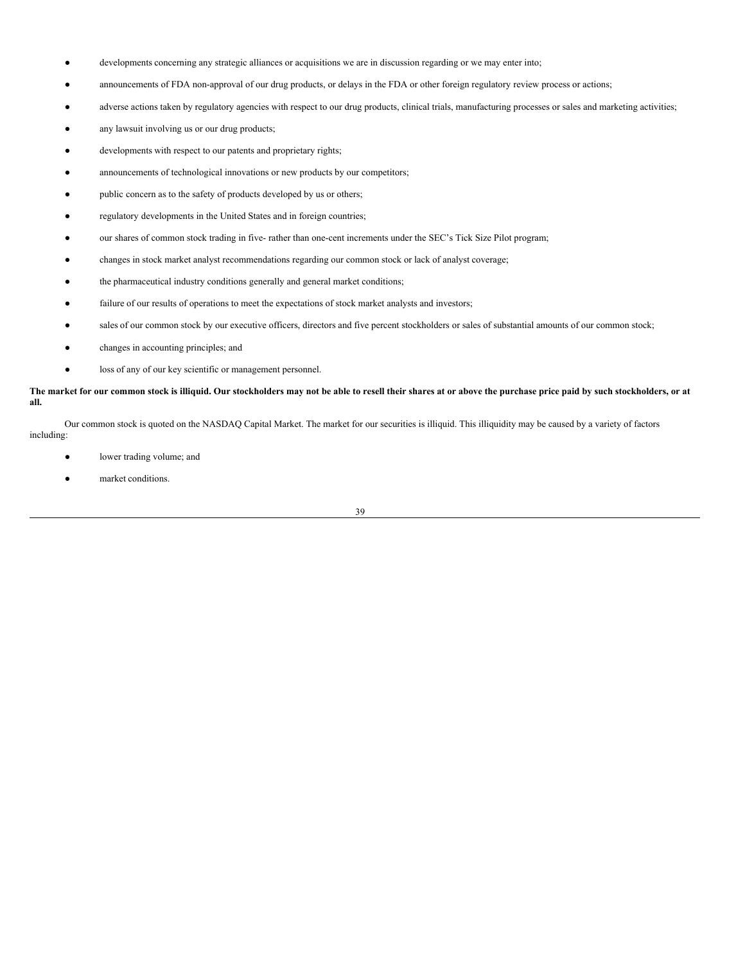- developments concerning any strategic alliances or acquisitions we are in discussion regarding or we may enter into;
- announcements of FDA non-approval of our drug products, or delays in the FDA or other foreign regulatory review process or actions;
- adverse actions taken by regulatory agencies with respect to our drug products, clinical trials, manufacturing processes or sales and marketing activities;
- any lawsuit involving us or our drug products;
- developments with respect to our patents and proprietary rights;
- announcements of technological innovations or new products by our competitors;
- public concern as to the safety of products developed by us or others;
- regulatory developments in the United States and in foreign countries;
- our shares of common stock trading in five- rather than one-cent increments under the SEC's Tick Size Pilot program;
- changes in stock market analyst recommendations regarding our common stock or lack of analyst coverage;
- the pharmaceutical industry conditions generally and general market conditions;
- failure of our results of operations to meet the expectations of stock market analysts and investors;
- sales of our common stock by our executive officers, directors and five percent stockholders or sales of substantial amounts of our common stock;
- changes in accounting principles; and
- loss of any of our key scientific or management personnel.

## The market for our common stock is illiquid. Our stockholders may not be able to resell their shares at or above the purchase price paid by such stockholders, or at **all.**

Our common stock is quoted on the NASDAQ Capital Market. The market for our securities is illiquid. This illiquidity may be caused by a variety of factors including:

- lower trading volume; and
- market conditions.

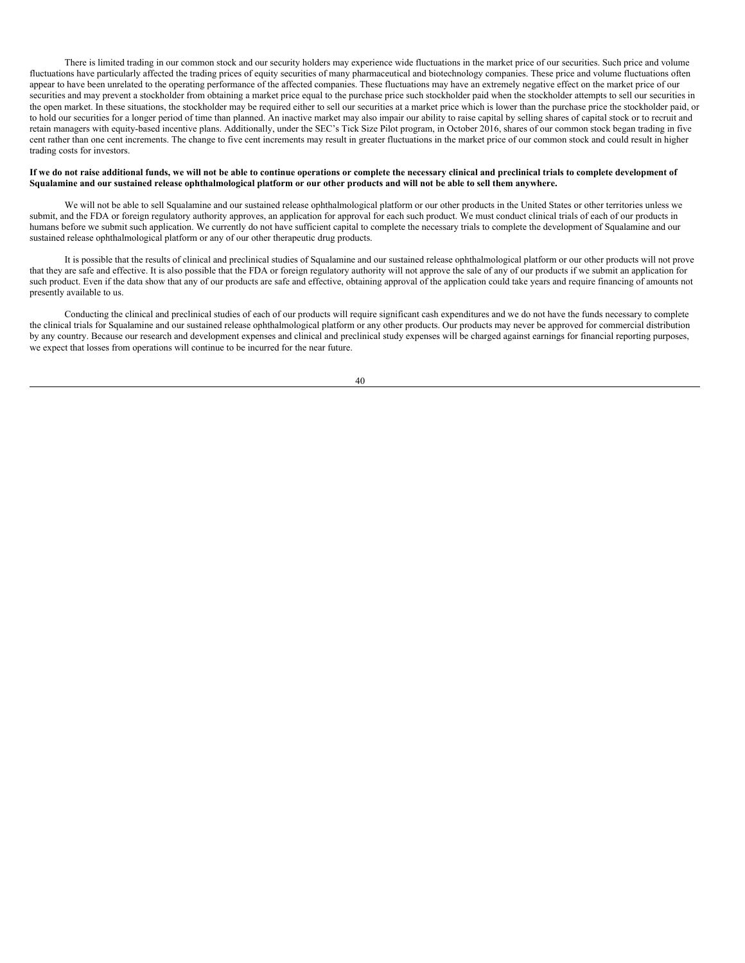There is limited trading in our common stock and our security holders may experience wide fluctuations in the market price of our securities. Such price and volume fluctuations have particularly affected the trading prices of equity securities of many pharmaceutical and biotechnology companies. These price and volume fluctuations often appear to have been unrelated to the operating performance of the affected companies. These fluctuations may have an extremely negative effect on the market price of our securities and may prevent a stockholder from obtaining a market price equal to the purchase price such stockholder paid when the stockholder attempts to sell our securities in the open market. In these situations, the stockholder may be required either to sell our securities at a market price which is lower than the purchase price the stockholder paid, or to hold our securities for a longer period of time than planned. An inactive market may also impair our ability to raise capital by selling shares of capital stock or to recruit and retain managers with equity-based incentive plans. Additionally, under the SEC's Tick Size Pilot program, in October 2016, shares of our common stock began trading in five cent rather than one cent increments. The change to five cent increments may result in greater fluctuations in the market price of our common stock and could result in higher trading costs for investors.

### If we do not raise additional funds, we will not be able to continue operations or complete the necessary clinical and preclinical trials to complete development of Squalamine and our sustained release ophthalmological platform or our other products and will not be able to sell them anywhere.

We will not be able to sell Squalamine and our sustained release ophthalmological platform or our other products in the United States or other territories unless we submit, and the FDA or foreign regulatory authority approves, an application for approval for each such product. We must conduct clinical trials of each of our products in humans before we submit such application. We currently do not have sufficient capital to complete the necessary trials to complete the development of Squalamine and our sustained release ophthalmological platform or any of our other therapeutic drug products.

It is possible that the results of clinical and preclinical studies of Squalamine and our sustained release ophthalmological platform or our other products will not prove that they are safe and effective. It is also possible that the FDA or foreign regulatory authority will not approve the sale of any of our products if we submit an application for such product. Even if the data show that any of our products are safe and effective, obtaining approval of the application could take years and require financing of amounts not presently available to us.

Conducting the clinical and preclinical studies of each of our products will require significant cash expenditures and we do not have the funds necessary to complete the clinical trials for Squalamine and our sustained release ophthalmological platform or any other products. Our products may never be approved for commercial distribution by any country. Because our research and development expenses and clinical and preclinical study expenses will be charged against earnings for financial reporting purposes, we expect that losses from operations will continue to be incurred for the near future.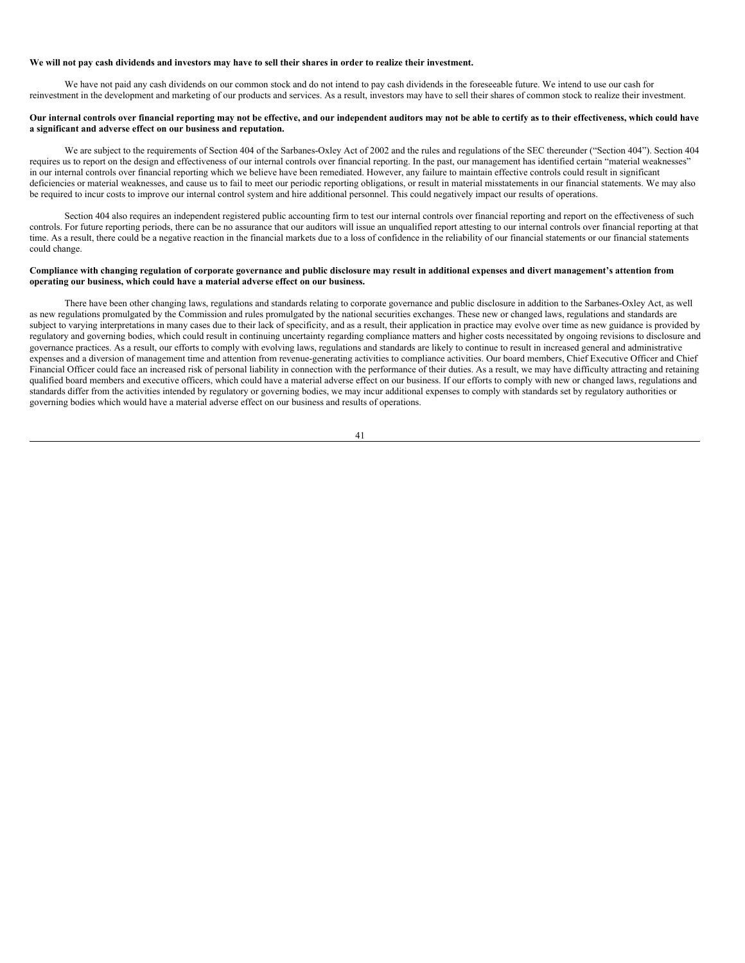#### We will not pay cash dividends and investors may have to sell their shares in order to realize their investment.

We have not paid any cash dividends on our common stock and do not intend to pay cash dividends in the foreseeable future. We intend to use our cash for reinvestment in the development and marketing of our products and services. As a result, investors may have to sell their shares of common stock to realize their investment.

### Our internal controls over financial reporting may not be effective, and our independent auditors may not be able to certify as to their effectiveness, which could have **a significant and adverse effect on our business and reputation.**

We are subject to the requirements of Section 404 of the Sarbanes-Oxley Act of 2002 and the rules and regulations of the SEC thereunder ("Section 404"). Section 404 requires us to report on the design and effectiveness of our internal controls over financial reporting. In the past, our management has identified certain "material weaknesses" in our internal controls over financial reporting which we believe have been remediated. However, any failure to maintain effective controls could result in significant deficiencies or material weaknesses, and cause us to fail to meet our periodic reporting obligations, or result in material misstatements in our financial statements. We may also be required to incur costs to improve our internal control system and hire additional personnel. This could negatively impact our results of operations.

Section 404 also requires an independent registered public accounting firm to test our internal controls over financial reporting and report on the effectiveness of such controls. For future reporting periods, there can be no assurance that our auditors will issue an unqualified report attesting to our internal controls over financial reporting at that time. As a result, there could be a negative reaction in the financial markets due to a loss of confidence in the reliability of our financial statements or our financial statements could change.

### Compliance with changing regulation of corporate governance and public disclosure may result in additional expenses and divert management's attention from **operating our business, which could have a material adverse effect on our business.**

There have been other changing laws, regulations and standards relating to corporate governance and public disclosure in addition to the Sarbanes-Oxley Act, as well as new regulations promulgated by the Commission and rules promulgated by the national securities exchanges. These new or changed laws, regulations and standards are subject to varying interpretations in many cases due to their lack of specificity, and as a result, their application in practice may evolve over time as new guidance is provided by regulatory and governing bodies, which could result in continuing uncertainty regarding compliance matters and higher costs necessitated by ongoing revisions to disclosure and governance practices. As a result, our efforts to comply with evolving laws, regulations and standards are likely to continue to result in increased general and administrative expenses and a diversion of management time and attention from revenue-generating activities to compliance activities. Our board members, Chief Executive Officer and Chief Financial Officer could face an increased risk of personal liability in connection with the performance of their duties. As a result, we may have difficulty attracting and retaining qualified board members and executive officers, which could have a material adverse effect on our business. If our efforts to comply with new or changed laws, regulations and standards differ from the activities intended by regulatory or governing bodies, we may incur additional expenses to comply with standards set by regulatory authorities or governing bodies which would have a material adverse effect on our business and results of operations.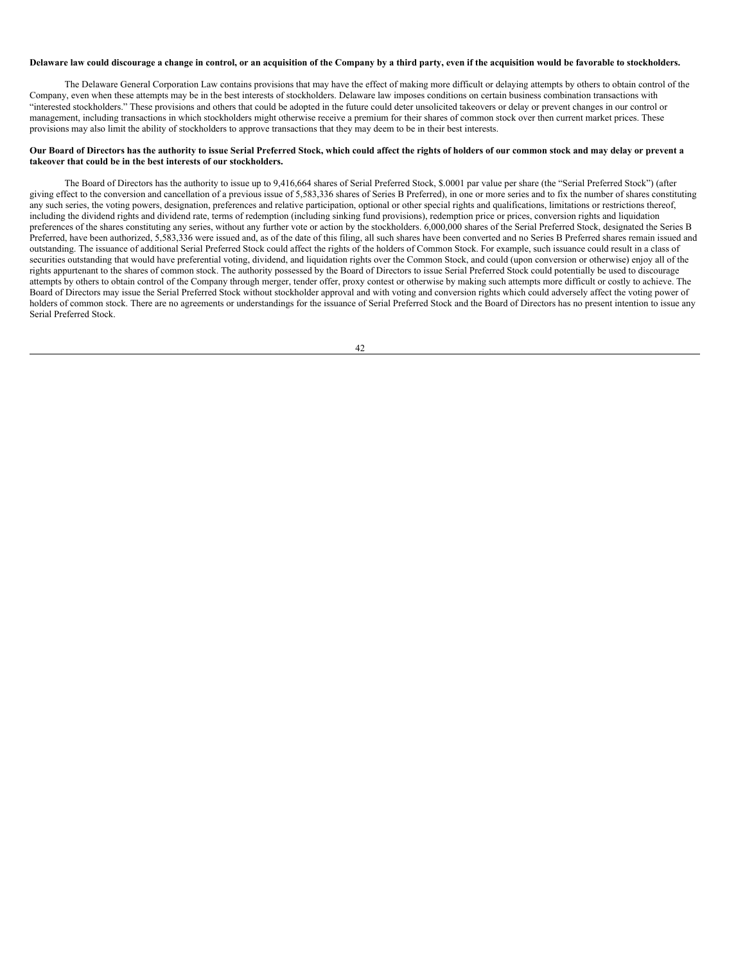#### Delaware law could discourage a change in control, or an acquisition of the Company by a third party, even if the acquisition would be favorable to stockholders.

The Delaware General Corporation Law contains provisions that may have the effect of making more difficult or delaying attempts by others to obtain control of the Company, even when these attempts may be in the best interests of stockholders. Delaware law imposes conditions on certain business combination transactions with "interested stockholders." These provisions and others that could be adopted in the future could deter unsolicited takeovers or delay or prevent changes in our control or management, including transactions in which stockholders might otherwise receive a premium for their shares of common stock over then current market prices. These provisions may also limit the ability of stockholders to approve transactions that they may deem to be in their best interests.

#### Our Board of Directors has the authority to issue Serial Preferred Stock, which could affect the rights of holders of our common stock and may delay or prevent a **takeover that could be in the best interests of our stockholders.**

The Board of Directors has the authority to issue up to 9,416,664 shares of Serial Preferred Stock, \$.0001 par value per share (the "Serial Preferred Stock") (after giving effect to the conversion and cancellation of a previous issue of 5,583,336 shares of Series B Preferred), in one or more series and to fix the number of shares constituting any such series, the voting powers, designation, preferences and relative participation, optional or other special rights and qualifications, limitations or restrictions thereof, including the dividend rights and dividend rate, terms of redemption (including sinking fund provisions), redemption price or prices, conversion rights and liquidation preferences of the shares constituting any series, without any further vote or action by the stockholders. 6,000,000 shares of the Serial Preferred Stock, designated the Series B Preferred, have been authorized, 5,583,336 were issued and, as of the date of this filing, all such shares have been converted and no Series B Preferred shares remain issued and outstanding. The issuance of additional Serial Preferred Stock could affect the rights of the holders of Common Stock. For example, such issuance could result in a class of securities outstanding that would have preferential voting, dividend, and liquidation rights over the Common Stock, and could (upon conversion or otherwise) enjoy all of the rights appurtenant to the shares of common stock. The authority possessed by the Board of Directors to issue Serial Preferred Stock could potentially be used to discourage attempts by others to obtain control of the Company through merger, tender offer, proxy contest or otherwise by making such attempts more difficult or costly to achieve. The Board of Directors may issue the Serial Preferred Stock without stockholder approval and with voting and conversion rights which could adversely affect the voting power of holders of common stock. There are no agreements or understandings for the issuance of Serial Preferred Stock and the Board of Directors has no present intention to issue any Serial Preferred Stock.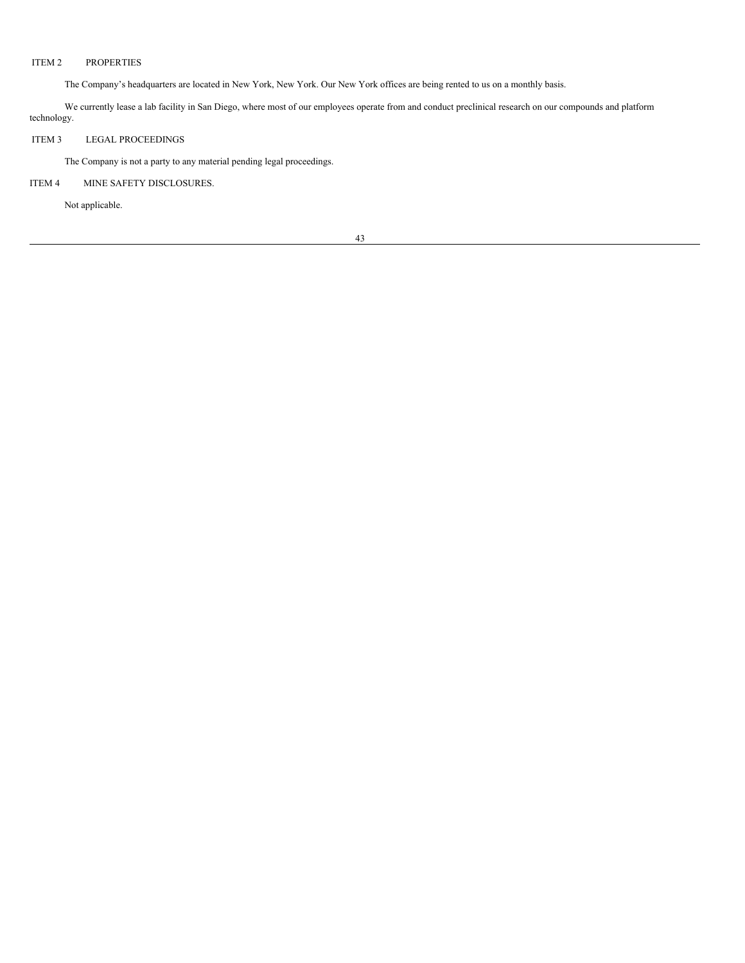## ITEM 2 PROPERTIES

The Company's headquarters are located in New York, New York. Our New York offices are being rented to us on a monthly basis.

We currently lease a lab facility in San Diego, where most of our employees operate from and conduct preclinical research on our compounds and platform technology.

## ITEM 3 LEGAL PROCEEDINGS

The Company is not a party to any material pending legal proceedings.

## ITEM 4 MINE SAFETY DISCLOSURES.

Not applicable.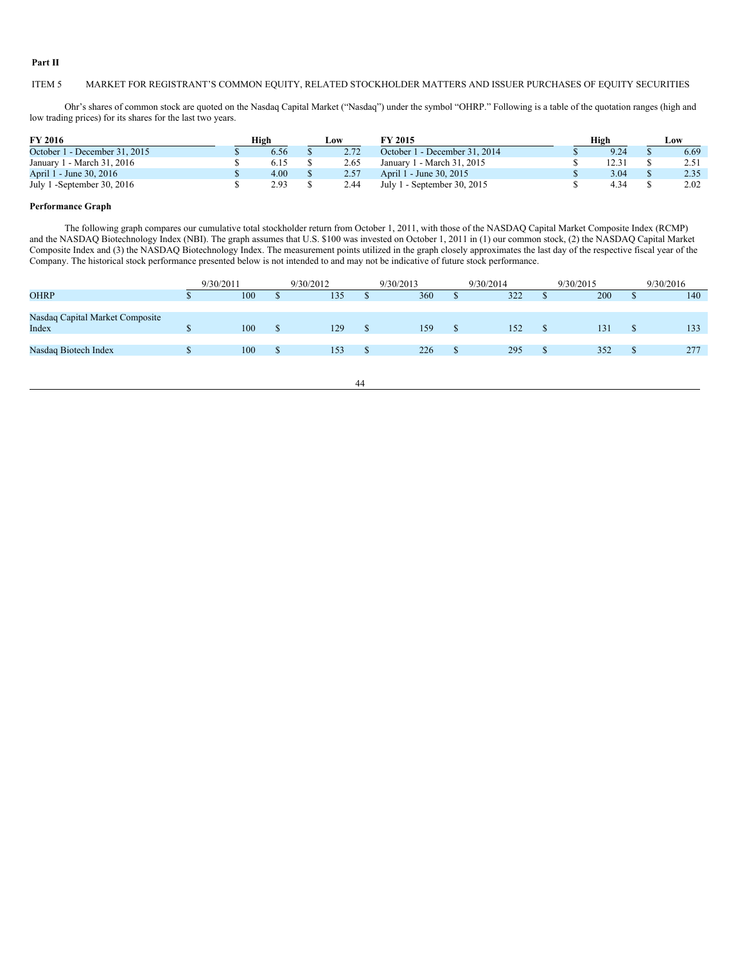## **Part II**

## ITEM 5 MARKET FOR REGISTRANT'S COMMON EQUITY, RELATED STOCKHOLDER MATTERS AND ISSUER PURCHASES OF EQUITY SECURITIES

Ohr's shares of common stock are quoted on the Nasdaq Capital Market ("Nasdaq") under the symbol "OHRP." Following is a table of the quotation ranges (high and low trading prices) for its shares for the last two years.

| <b>FY 2016</b>                | High | Low  | <b>FY 2015</b>                | High | LOW  |
|-------------------------------|------|------|-------------------------------|------|------|
| October 1 - December 31, 2015 | 6.56 | 2.72 | October 1 - December 31, 2014 | 9.24 | 6.69 |
| January 1 - March 31, 2016    | 6.15 | 2.65 | January 1 - March 31, 2015    | 2.31 | 2.51 |
| April 1 - June 30, 2016       | 4.00 | 2.57 | April 1 - June 30, 2015       | 3.04 | 2.35 |
| July 1 -September 30, 2016    | 2.93 | 2.44 | July 1 - September 30, 2015   | 4.34 | 2.02 |

## **Performance Graph**

The following graph compares our cumulative total stockholder return from October 1, 2011, with those of the NASDAQ Capital Market Composite Index (RCMP) and the NASDAQ Biotechnology Index (NBI). The graph assumes that U.S. \$100 was invested on October 1, 2011 in (1) our common stock, (2) the NASDAQ Capital Market Composite Index and (3) the NASDAQ Biotechnology Index. The measurement points utilized in the graph closely approximates the last day of the respective fiscal year of the Company. The historical stock performance presented below is not intended to and may not be indicative of future stock performance.

|                                          | 9/30/2011 | 9/30/2012 | 9/30/2013 | 9/30/2014 | 9/30/2015 | 9/30/2016 |
|------------------------------------------|-----------|-----------|-----------|-----------|-----------|-----------|
| <b>OHRP</b>                              | 100       | 135       | 360       | 322       | 200       | 140       |
|                                          |           |           |           |           |           |           |
| Nasdaq Capital Market Composite<br>Index | 100       | 129       | 159       | 152       | 131       | 133       |
|                                          |           |           |           |           |           |           |
| Nasdaq Biotech Index                     | 100       | 153       | 226       | 295       | 352       | 277       |
|                                          |           |           |           |           |           |           |

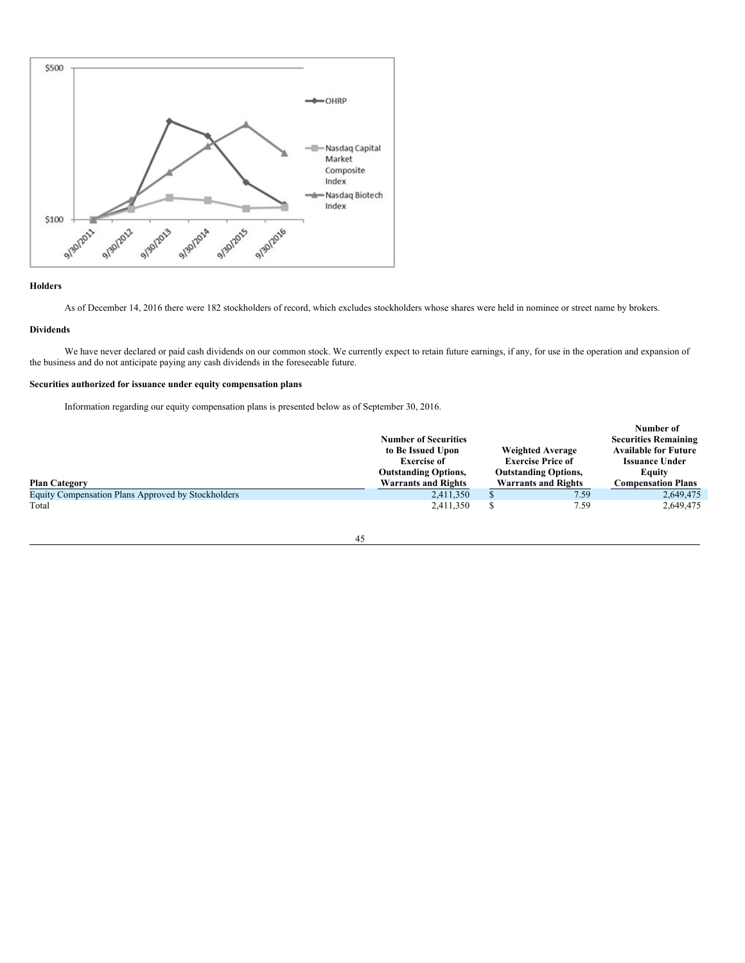

#### **Holders**

As of December 14, 2016 there were 182 stockholders of record, which excludes stockholders whose shares were held in nominee or street name by brokers.

## **Dividends**

We have never declared or paid cash dividends on our common stock. We currently expect to retain future earnings, if any, for use in the operation and expansion of the business and do not anticipate paying any cash dividends in the foreseeable future.

### **Securities authorized for issuance under equity compensation plans**

Information regarding our equity compensation plans is presented below as of September 30, 2016.

|                                                    |                             |                             | Number of                   |
|----------------------------------------------------|-----------------------------|-----------------------------|-----------------------------|
|                                                    | <b>Number of Securities</b> |                             | <b>Securities Remaining</b> |
|                                                    | to Be Issued Upon           | <b>Weighted Average</b>     | <b>Available for Future</b> |
|                                                    | <b>Exercise of</b>          | <b>Exercise Price of</b>    | <b>Issuance Under</b>       |
|                                                    | <b>Outstanding Options,</b> | <b>Outstanding Options,</b> | Equity                      |
| <b>Plan Category</b>                               | <b>Warrants and Rights</b>  | <b>Warrants and Rights</b>  | <b>Compensation Plans</b>   |
| Equity Compensation Plans Approved by Stockholders | 2,411,350                   | 7.59                        | 2.649.475                   |
| Total                                              | 2,411,350                   | 7.59                        | 2,649,475                   |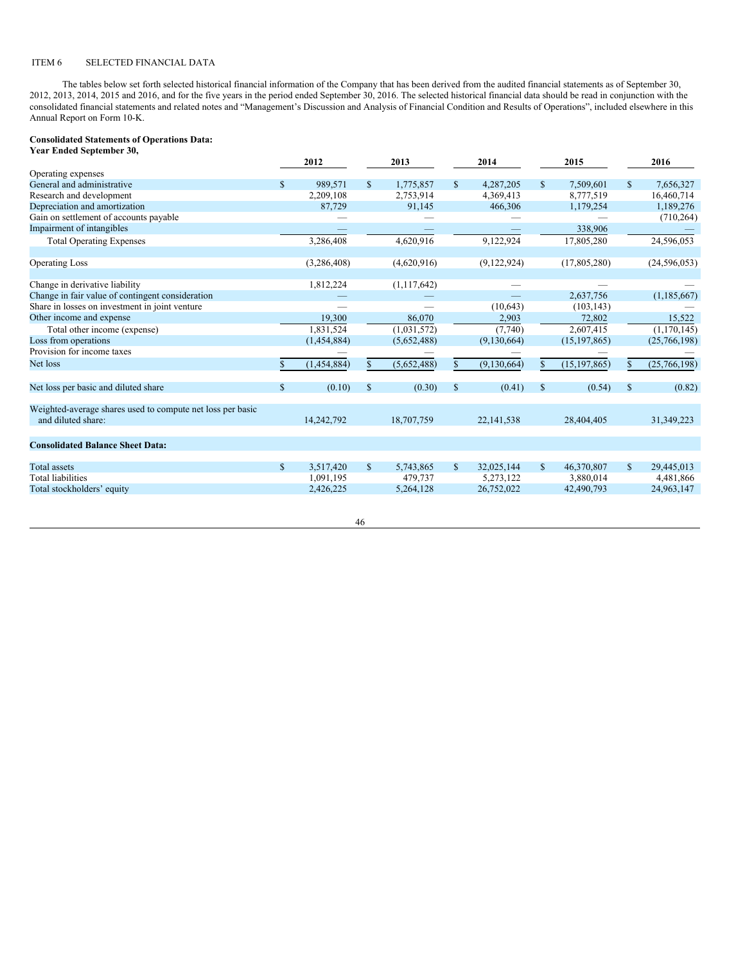## ITEM 6 SELECTED FINANCIAL DATA

The tables below set forth selected historical financial information of the Company that has been derived from the audited financial statements as of September 30, 2012, 2013, 2014, 2015 and 2016, and for the five years in the period ended September 30, 2016. The selected historical financial data should be read in conjunction with the consolidated financial statements and related notes and "Management's Discussion and Analysis of Financial Condition and Results of Operations", included elsewhere in this Annual Report on Form 10-K.

# **Consolidated Statements of Operations Data:**

| Year Ended September 30,                                   |              |               |              |               |               |             |              |                |              |                |
|------------------------------------------------------------|--------------|---------------|--------------|---------------|---------------|-------------|--------------|----------------|--------------|----------------|
|                                                            |              | 2012          |              | 2013          |               | 2014        |              | 2015           |              | 2016           |
| Operating expenses                                         |              |               |              |               |               |             |              |                |              |                |
| General and administrative                                 | $\mathbb{S}$ | 989,571       | <sup>S</sup> | 1,775,857     | <sup>S</sup>  | 4,287,205   | $\mathbb{S}$ | 7,509,601      | <sup>S</sup> | 7,656,327      |
| Research and development                                   |              | 2,209,108     |              | 2,753,914     |               | 4,369,413   |              | 8,777,519      |              | 16,460,714     |
| Depreciation and amortization                              |              | 87,729        |              | 91,145        |               | 466,306     |              | 1,179,254      |              | 1,189,276      |
| Gain on settlement of accounts payable                     |              |               |              |               |               |             |              |                |              | (710, 264)     |
| Impairment of intangibles                                  |              |               |              |               |               |             |              | 338,906        |              |                |
| <b>Total Operating Expenses</b>                            |              | 3,286,408     |              | 4,620,916     |               | 9,122,924   |              | 17,805,280     |              | 24,596,053     |
|                                                            |              |               |              |               |               |             |              |                |              |                |
| <b>Operating Loss</b>                                      |              | (3,286,408)   |              | (4,620,916)   |               | (9,122,924) |              | (17,805,280)   |              | (24, 596, 053) |
|                                                            |              |               |              |               |               |             |              |                |              |                |
| Change in derivative liability                             |              | 1,812,224     |              | (1, 117, 642) |               |             |              |                |              |                |
| Change in fair value of contingent consideration           |              |               |              |               |               |             |              | 2,637,756      |              | (1, 185, 667)  |
| Share in losses on investment in joint venture             |              |               |              |               |               | (10, 643)   |              | (103, 143)     |              |                |
| Other income and expense                                   |              | 19,300        |              | 86,070        |               | 2,903       |              | 72,802         |              | 15,522         |
| Total other income (expense)                               |              | 1,831,524     |              | (1,031,572)   |               | (7,740)     |              | 2,607,415      |              | (1,170,145)    |
| Loss from operations                                       |              | (1,454,884)   |              | (5,652,488)   |               | (9,130,664) |              | (15, 197, 865) |              | (25,766,198)   |
| Provision for income taxes                                 |              |               |              |               |               |             |              |                |              |                |
| Net loss                                                   | \$           | (1, 454, 884) | \$           | (5,652,488)   | \$            | (9,130,664) | \$           | (15, 197, 865) | $\mathbb{S}$ | (25,766,198)   |
|                                                            |              |               |              |               |               |             |              |                |              |                |
| Net loss per basic and diluted share                       | \$           | (0.10)        | $\mathbb{S}$ | (0.30)        | <sup>\$</sup> | (0.41)      | $\mathbb{S}$ | (0.54)         | $\mathbb{S}$ | (0.82)         |
|                                                            |              |               |              |               |               |             |              |                |              |                |
| Weighted-average shares used to compute net loss per basic |              |               |              |               |               |             |              |                |              |                |
| and diluted share:                                         |              | 14,242,792    |              | 18,707,759    |               | 22,141,538  |              | 28,404,405     |              | 31,349,223     |
|                                                            |              |               |              |               |               |             |              |                |              |                |
| <b>Consolidated Balance Sheet Data:</b>                    |              |               |              |               |               |             |              |                |              |                |
|                                                            |              |               |              |               |               |             |              |                |              |                |
| <b>Total assets</b>                                        | $\mathbb{S}$ | 3,517,420     | $\mathbb{S}$ | 5,743,865     | $\mathbb{S}$  | 32,025,144  | $\mathbb{S}$ | 46,370,807     | $\mathbb{S}$ | 29,445,013     |
| <b>Total liabilities</b>                                   |              | 1,091,195     |              | 479,737       |               | 5,273,122   |              | 3,880,014      |              | 4,481,866      |
| Total stockholders' equity                                 |              | 2,426,225     |              | 5,264,128     |               | 26,752,022  |              | 42,490,793     |              | 24,963,147     |
|                                                            |              |               |              |               |               |             |              |                |              |                |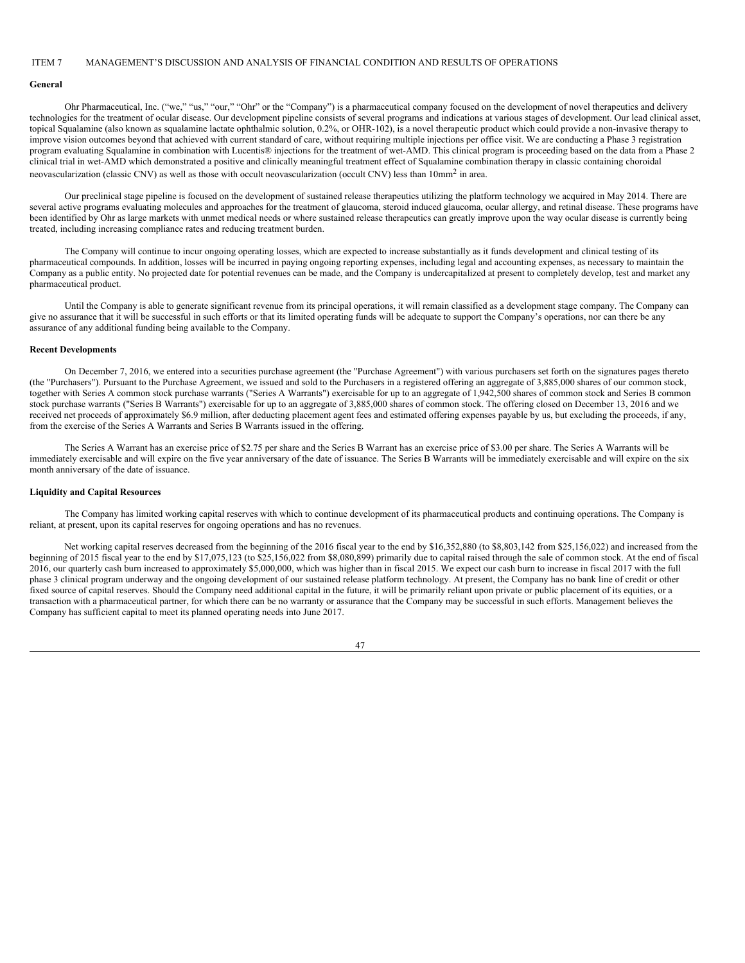### ITEM 7 MANAGEMENT'S DISCUSSION AND ANALYSIS OF FINANCIAL CONDITION AND RESULTS OF OPERATIONS

#### **General**

Ohr Pharmaceutical, Inc. ("we," "us," "our," "Ohr" or the "Company") is a pharmaceutical company focused on the development of novel therapeutics and delivery technologies for the treatment of ocular disease. Our development pipeline consists of several programs and indications at various stages of development. Our lead clinical asset, topical Squalamine (also known as squalamine lactate ophthalmic solution, 0.2%, or OHR-102), is a novel therapeutic product which could provide a non-invasive therapy to improve vision outcomes beyond that achieved with current standard of care, without requiring multiple injections per office visit. We are conducting a Phase 3 registration program evaluating Squalamine in combination with Lucentis® injections for the treatment of wet-AMD. This clinical program is proceeding based on the data from a Phase 2 clinical trial in wet-AMD which demonstrated a positive and clinically meaningful treatment effect of Squalamine combination therapy in classic containing choroidal neovascularization (classic CNV) as well as those with occult neovascularization (occult CNV) less than 10mm<sup>2</sup> in area.

Our preclinical stage pipeline is focused on the development of sustained release therapeutics utilizing the platform technology we acquired in May 2014. There are several active programs evaluating molecules and approaches for the treatment of glaucoma, steroid induced glaucoma, ocular allergy, and retinal disease. These programs have been identified by Ohr as large markets with unmet medical needs or where sustained release therapeutics can greatly improve upon the way ocular disease is currently being treated, including increasing compliance rates and reducing treatment burden.

The Company will continue to incur ongoing operating losses, which are expected to increase substantially as it funds development and clinical testing of its pharmaceutical compounds. In addition, losses will be incurred in paying ongoing reporting expenses, including legal and accounting expenses, as necessary to maintain the Company as a public entity. No projected date for potential revenues can be made, and the Company is undercapitalized at present to completely develop, test and market any pharmaceutical product.

Until the Company is able to generate significant revenue from its principal operations, it will remain classified as a development stage company. The Company can give no assurance that it will be successful in such efforts or that its limited operating funds will be adequate to support the Company's operations, nor can there be any assurance of any additional funding being available to the Company.

## **Recent Developments**

On December 7, 2016, we entered into a securities purchase agreement (the "Purchase Agreement") with various purchasers set forth on the signatures pages thereto (the "Purchasers"). Pursuant to the Purchase Agreement, we issued and sold to the Purchasers in a registered offering an aggregate of 3,885,000 shares of our common stock, together with Series A common stock purchase warrants ("Series A Warrants") exercisable for up to an aggregate of 1,942,500 shares of common stock and Series B common stock purchase warrants ("Series B Warrants") exercisable for up to an aggregate of 3,885,000 shares of common stock. The offering closed on December 13, 2016 and we received net proceeds of approximately \$6.9 million, after deducting placement agent fees and estimated offering expenses payable by us, but excluding the proceeds, if any, from the exercise of the Series A Warrants and Series B Warrants issued in the offering.

The Series A Warrant has an exercise price of \$2.75 per share and the Series B Warrant has an exercise price of \$3.00 per share. The Series A Warrants will be immediately exercisable and will expire on the five year anniversary of the date of issuance. The Series B Warrants will be immediately exercisable and will expire on the six month anniversary of the date of issuance.

### **Liquidity and Capital Resources**

The Company has limited working capital reserves with which to continue development of its pharmaceutical products and continuing operations. The Company is reliant, at present, upon its capital reserves for ongoing operations and has no revenues.

Net working capital reserves decreased from the beginning of the 2016 fiscal year to the end by \$16,352,880 (to \$8,803,142 from \$25,156,022) and increased from the beginning of 2015 fiscal year to the end by \$17,075,123 (to \$25,156,022 from \$8,080,899) primarily due to capital raised through the sale of common stock. At the end of fiscal 2016, our quarterly cash burn increased to approximately \$5,000,000, which was higher than in fiscal 2015. We expect our cash burn to increase in fiscal 2017 with the full phase 3 clinical program underway and the ongoing development of our sustained release platform technology. At present, the Company has no bank line of credit or other fixed source of capital reserves. Should the Company need additional capital in the future, it will be primarily reliant upon private or public placement of its equities, or a transaction with a pharmaceutical partner, for which there can be no warranty or assurance that the Company may be successful in such efforts. Management believes the Company has sufficient capital to meet its planned operating needs into June 2017.

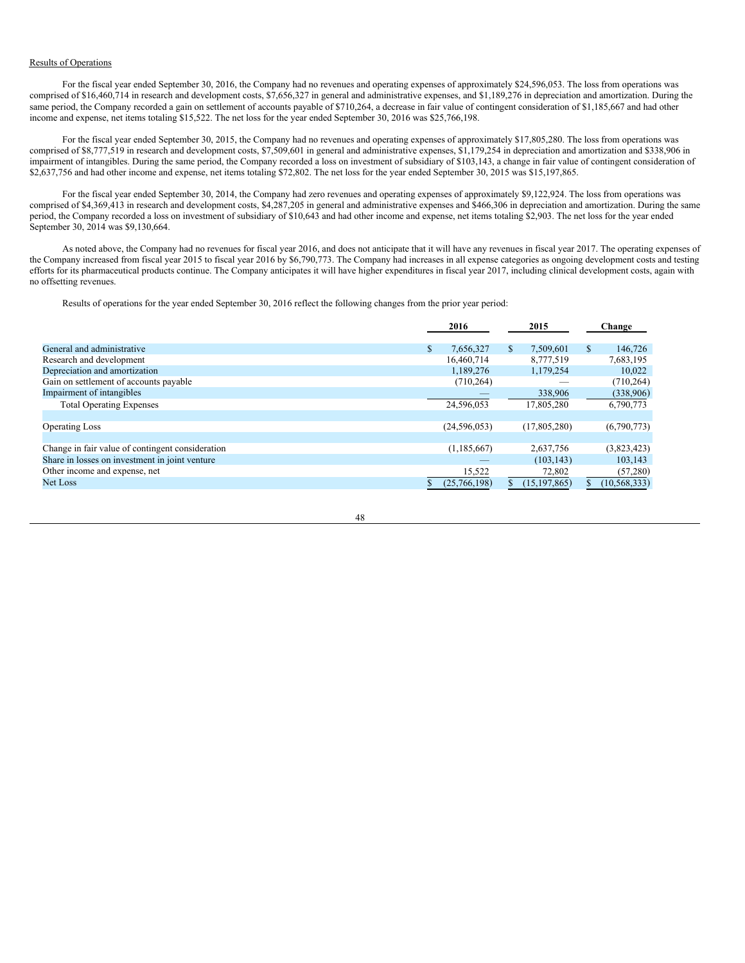### Results of Operations

For the fiscal year ended September 30, 2016, the Company had no revenues and operating expenses of approximately \$24,596,053. The loss from operations was comprised of \$16,460,714 in research and development costs, \$7,656,327 in general and administrative expenses, and \$1,189,276 in depreciation and amortization. During the same period, the Company recorded a gain on settlement of accounts payable of \$710,264, a decrease in fair value of contingent consideration of \$1,185,667 and had other income and expense, net items totaling \$15,522. The net loss for the year ended September 30, 2016 was \$25,766,198.

For the fiscal year ended September 30, 2015, the Company had no revenues and operating expenses of approximately \$17,805,280. The loss from operations was comprised of \$8,777,519 in research and development costs, \$7,509,601 in general and administrative expenses, \$1,179,254 in depreciation and amortization and \$338,906 in impairment of intangibles. During the same period, the Company recorded a loss on investment of subsidiary of \$103,143, a change in fair value of contingent consideration of \$2,637,756 and had other income and expense, net items totaling \$72,802. The net loss for the year ended September 30, 2015 was \$15,197,865.

For the fiscal year ended September 30, 2014, the Company had zero revenues and operating expenses of approximately \$9,122,924. The loss from operations was comprised of \$4,369,413 in research and development costs, \$4,287,205 in general and administrative expenses and \$466,306 in depreciation and amortization. During the same period, the Company recorded a loss on investment of subsidiary of \$10,643 and had other income and expense, net items totaling \$2,903. The net loss for the year ended September 30, 2014 was \$9,130,664.

As noted above, the Company had no revenues for fiscal year 2016, and does not anticipate that it will have any revenues in fiscal year 2017. The operating expenses of the Company increased from fiscal year 2015 to fiscal year 2016 by \$6,790,773. The Company had increases in all expense categories as ongoing development costs and testing efforts for its pharmaceutical products continue. The Company anticipates it will have higher expenditures in fiscal year 2017, including clinical development costs, again with no offsetting revenues.

Results of operations for the year ended September 30, 2016 reflect the following changes from the prior year period:

|                                                  | 2016 |                | 2015 |                |    | Change         |
|--------------------------------------------------|------|----------------|------|----------------|----|----------------|
|                                                  |      |                |      |                |    |                |
| General and administrative                       | S    | 7.656.327      | \$   | 7.509.601      | S. | 146,726        |
| Research and development                         |      | 16,460,714     |      | 8,777,519      |    | 7,683,195      |
| Depreciation and amortization                    |      | 1,189,276      |      | 1,179,254      |    | 10.022         |
| Gain on settlement of accounts payable           |      | (710, 264)     |      |                |    | (710, 264)     |
| Impairment of intangibles                        |      |                |      | 338,906        |    | (338,906)      |
| <b>Total Operating Expenses</b>                  |      | 24,596,053     |      | 17,805,280     |    | 6,790,773      |
|                                                  |      |                |      |                |    |                |
| <b>Operating Loss</b>                            |      | (24, 596, 053) |      | (17,805,280)   |    | (6,790,773)    |
|                                                  |      |                |      |                |    |                |
| Change in fair value of contingent consideration |      | (1, 185, 667)  |      | 2,637,756      |    | (3,823,423)    |
| Share in losses on investment in joint venture   |      |                |      | (103, 143)     |    | 103,143        |
| Other income and expense, net                    |      | 15,522         |      | 72,802         |    | (57,280)       |
| <b>Net Loss</b>                                  |      | (25,766,198)   |      | (15, 197, 865) |    | (10, 568, 333) |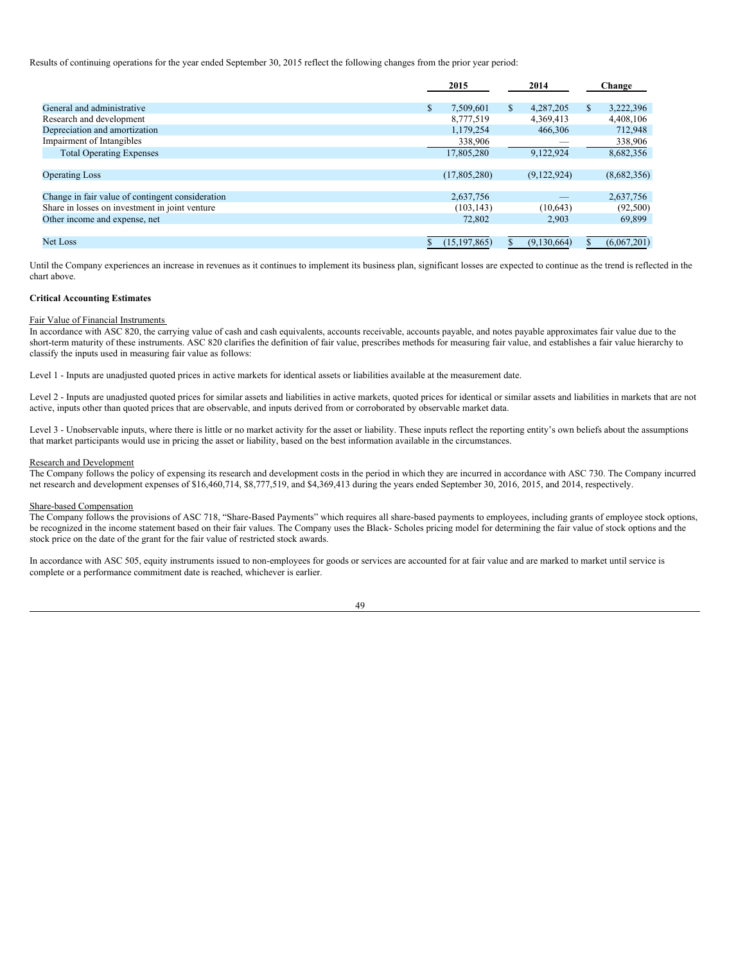Results of continuing operations for the year ended September 30, 2015 reflect the following changes from the prior year period:

|                                                  | 2015 |                | 2014 |             |    | Change      |  |
|--------------------------------------------------|------|----------------|------|-------------|----|-------------|--|
|                                                  |      |                |      |             |    |             |  |
| General and administrative                       | S    | 7,509,601      | \$.  | 4.287.205   | S. | 3,222,396   |  |
| Research and development                         |      | 8,777,519      |      | 4,369,413   |    | 4,408,106   |  |
| Depreciation and amortization                    |      | 1,179,254      |      | 466,306     |    | 712,948     |  |
| Impairment of Intangibles                        |      | 338,906        |      |             |    | 338,906     |  |
| <b>Total Operating Expenses</b>                  |      | 17,805,280     |      | 9,122,924   |    | 8,682,356   |  |
|                                                  |      |                |      |             |    |             |  |
| <b>Operating Loss</b>                            |      | (17,805,280)   |      | (9,122,924) |    | (8,682,356) |  |
|                                                  |      |                |      |             |    |             |  |
| Change in fair value of contingent consideration |      | 2,637,756      |      |             |    | 2,637,756   |  |
| Share in losses on investment in joint venture   |      | (103, 143)     |      | (10, 643)   |    | (92,500)    |  |
| Other income and expense, net                    |      | 72,802         |      | 2,903       |    | 69.899      |  |
|                                                  |      |                |      |             |    |             |  |
| <b>Net Loss</b>                                  |      | (15, 197, 865) |      | (9,130,664) |    | (6,067,201) |  |

Until the Company experiences an increase in revenues as it continues to implement its business plan, significant losses are expected to continue as the trend is reflected in the chart above.

### **Critical Accounting Estimates**

### Fair Value of Financial Instruments

In accordance with ASC 820, the carrying value of cash and cash equivalents, accounts receivable, accounts payable, and notes payable approximates fair value due to the short-term maturity of these instruments. ASC 820 clarifies the definition of fair value, prescribes methods for measuring fair value, and establishes a fair value hierarchy to classify the inputs used in measuring fair value as follows:

Level 1 - Inputs are unadjusted quoted prices in active markets for identical assets or liabilities available at the measurement date.

Level 2 - Inputs are unadjusted quoted prices for similar assets and liabilities in active markets, quoted prices for identical or similar assets and liabilities in markets that are not active, inputs other than quoted prices that are observable, and inputs derived from or corroborated by observable market data.

Level 3 - Unobservable inputs, where there is little or no market activity for the asset or liability. These inputs reflect the reporting entity's own beliefs about the assumptions that market participants would use in pricing the asset or liability, based on the best information available in the circumstances.

#### Research and Development

The Company follows the policy of expensing its research and development costs in the period in which they are incurred in accordance with ASC 730. The Company incurred net research and development expenses of \$16,460,714, \$8,777,519, and \$4,369,413 during the years ended September 30, 2016, 2015, and 2014, respectively.

#### Share-based Compensation

The Company follows the provisions of ASC 718, "Share-Based Payments" which requires all share-based payments to employees, including grants of employee stock options, be recognized in the income statement based on their fair values. The Company uses the Black- Scholes pricing model for determining the fair value of stock options and the stock price on the date of the grant for the fair value of restricted stock awards.

In accordance with ASC 505, equity instruments issued to non-employees for goods or services are accounted for at fair value and are marked to market until service is complete or a performance commitment date is reached, whichever is earlier.

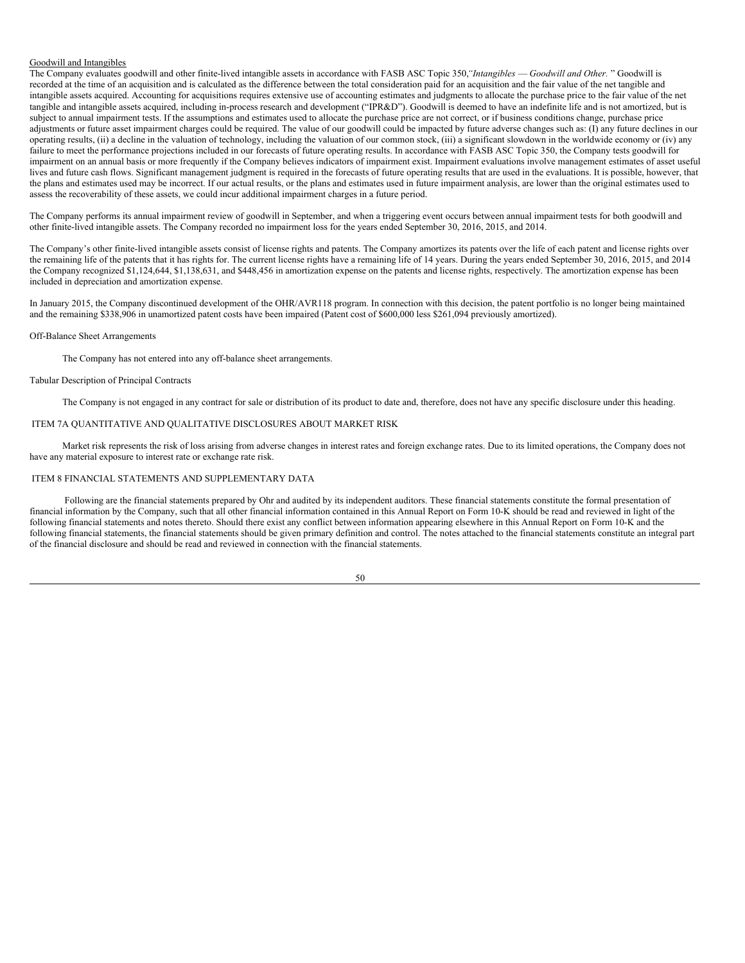#### Goodwill and Intangibles

The Company evaluates goodwill and other finite-lived intangible assets in accordance with FASB ASC Topic 350,*"Intangibles* — *Goodwill and Other.* " Goodwill is recorded at the time of an acquisition and is calculated as the difference between the total consideration paid for an acquisition and the fair value of the net tangible and intangible assets acquired. Accounting for acquisitions requires extensive use of accounting estimates and judgments to allocate the purchase price to the fair value of the net tangible and intangible assets acquired, including in-process research and development ("IPR&D"). Goodwill is deemed to have an indefinite life and is not amortized, but is subject to annual impairment tests. If the assumptions and estimates used to allocate the purchase price are not correct, or if business conditions change, purchase price adjustments or future asset impairment charges could be required. The value of our goodwill could be impacted by future adverse changes such as: (I) any future declines in our operating results, (ii) a decline in the valuation of technology, including the valuation of our common stock, (iii) a significant slowdown in the worldwide economy or (iv) any failure to meet the performance projections included in our forecasts of future operating results. In accordance with FASB ASC Topic 350, the Company tests goodwill for impairment on an annual basis or more frequently if the Company believes indicators of impairment exist. Impairment evaluations involve management estimates of asset useful lives and future cash flows. Significant management judgment is required in the forecasts of future operating results that are used in the evaluations. It is possible, however, that the plans and estimates used may be incorrect. If our actual results, or the plans and estimates used in future impairment analysis, are lower than the original estimates used to assess the recoverability of these assets, we could incur additional impairment charges in a future period.

The Company performs its annual impairment review of goodwill in September, and when a triggering event occurs between annual impairment tests for both goodwill and other finite-lived intangible assets. The Company recorded no impairment loss for the years ended September 30, 2016, 2015, and 2014.

The Company's other finite-lived intangible assets consist of license rights and patents. The Company amortizes its patents over the life of each patent and license rights over the remaining life of the patents that it has rights for. The current license rights have a remaining life of 14 years. During the years ended September 30, 2016, 2015, and 2014 the Company recognized \$1,124,644, \$1,138,631, and \$448,456 in amortization expense on the patents and license rights, respectively. The amortization expense has been included in depreciation and amortization expense.

In January 2015, the Company discontinued development of the OHR/AVR118 program. In connection with this decision, the patent portfolio is no longer being maintained and the remaining \$338,906 in unamortized patent costs have been impaired (Patent cost of \$600,000 less \$261,094 previously amortized).

#### Off-Balance Sheet Arrangements

The Company has not entered into any off-balance sheet arrangements.

### Tabular Description of Principal Contracts

The Company is not engaged in any contract for sale or distribution of its product to date and, therefore, does not have any specific disclosure under this heading.

### ITEM 7A QUANTITATIVE AND QUALITATIVE DISCLOSURES ABOUT MARKET RISK

Market risk represents the risk of loss arising from adverse changes in interest rates and foreign exchange rates. Due to its limited operations, the Company does not have any material exposure to interest rate or exchange rate risk.

### ITEM 8 FINANCIAL STATEMENTS AND SUPPLEMENTARY DATA

Following are the financial statements prepared by Ohr and audited by its independent auditors. These financial statements constitute the formal presentation of financial information by the Company, such that all other financial information contained in this Annual Report on Form 10-K should be read and reviewed in light of the following financial statements and notes thereto. Should there exist any conflict between information appearing elsewhere in this Annual Report on Form 10-K and the following financial statements, the financial statements should be given primary definition and control. The notes attached to the financial statements constitute an integral part of the financial disclosure and should be read and reviewed in connection with the financial statements.

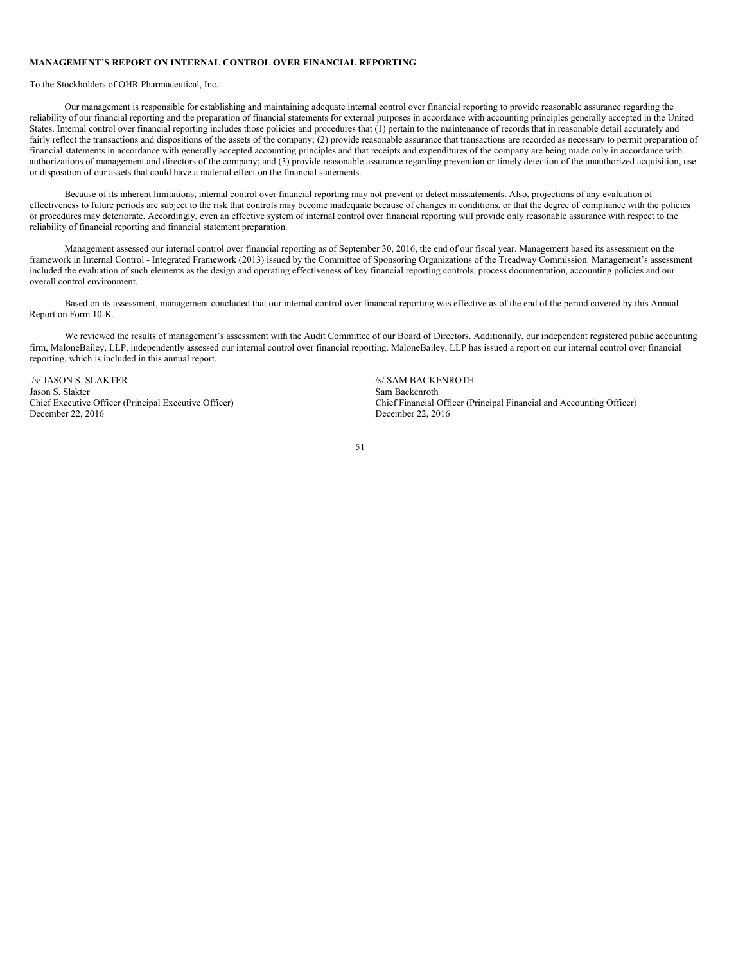## **MANAGEMENT'S REPORT ON INTERNAL CONTROL OVER FINANCIAL REPORTING**

To the Stockholders of OHR Pharmaceutical, Inc.:

Our management is responsible for establishing and maintaining adequate internal control over financial reporting to provide reasonable assurance regarding the reliability of our financial reporting and the preparation of financial statements for external purposes in accordance with accounting principles generally accepted in the United States. Internal control over financial reporting includes those policies and procedures that (1) pertain to the maintenance of records that in reasonable detail accurately and fairly reflect the transactions and dispositions of the assets of the company; (2) provide reasonable assurance that transactions are recorded as necessary to permit preparation of financial statements in accordance with generally accepted accounting principles and that receipts and expenditures of the company are being made only in accordance with authorizations of management and directors of the company; and (3) provide reasonable assurance regarding prevention or timely detection of the unauthorized acquisition, use or disposition of our assets that could have a material effect on the financial statements.

Because of its inherent limitations, internal control over financial reporting may not prevent or detect misstatements. Also, projections of any evaluation of effectiveness to future periods are subject to the risk that controls may become inadequate because of changes in conditions, or that the degree of compliance with the policies or procedures may deteriorate. Accordingly, even an effective system of internal control over financial reporting will provide only reasonable assurance with respect to the reliability of financial reporting and financial statement preparation.

Management assessed our internal control over financial reporting as of September 30, 2016, the end of our fiscal year. Management based its assessment on the framework in Internal Control - Integrated Framework (2013) issued by the Committee of Sponsoring Organizations of the Treadway Commission. Management's assessment included the evaluation of such elements as the design and operating effectiveness of key financial reporting controls, process documentation, accounting policies and our overall control environment.

Based on its assessment, management concluded that our internal control over financial reporting was effective as of the end of the period covered by this Annual Report on Form 10-K.

We reviewed the results of management's assessment with the Audit Committee of our Board of Directors. Additionally, our independent registered public accounting firm, MaloneBailey, LLP, independently assessed our internal control over financial reporting. MaloneBailey, LLP has issued a report on our internal control over financial reporting, which is included in this annual report.

| /s/ JASON S. SLAKTER                                  |
|-------------------------------------------------------|
| Jason S. Slakter                                      |
| Chief Executive Officer (Principal Executive Officer) |
| December 22, 2016                                     |

/s/ SAM BACKENROTH Sam Backenroth Chief Financial Officer (Principal Financial and Accounting Officer) December 22, 2016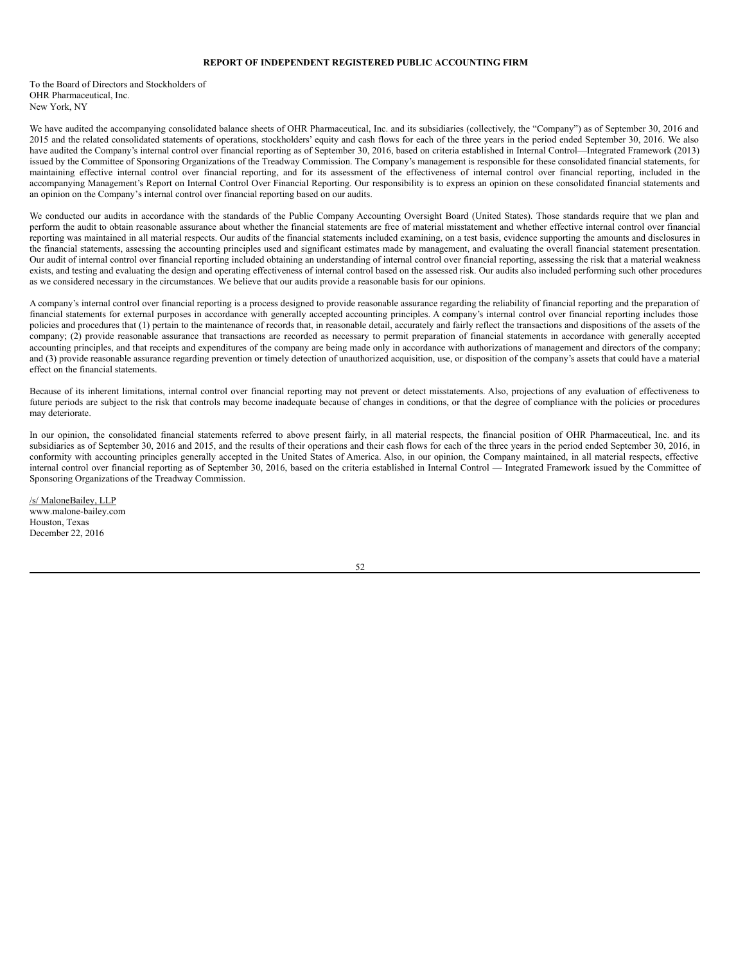#### **REPORT OF INDEPENDENT REGISTERED PUBLIC ACCOUNTING FIRM**

To the Board of Directors and Stockholders of OHR Pharmaceutical, Inc. New York, NY

We have audited the accompanying consolidated balance sheets of OHR Pharmaceutical, Inc. and its subsidiaries (collectively, the "Company") as of September 30, 2016 and 2015 and the related consolidated statements of operations, stockholders' equity and cash flows for each of the three years in the period ended September 30, 2016. We also have audited the Company's internal control over financial reporting as of September 30, 2016, based on criteria established in Internal Control—Integrated Framework (2013) issued by the Committee of Sponsoring Organizations of the Treadway Commission. The Company's management is responsible for these consolidated financial statements, for maintaining effective internal control over financial reporting, and for its assessment of the effectiveness of internal control over financial reporting, included in the accompanying Management's Report on Internal Control Over Financial Reporting. Our responsibility is to express an opinion on these consolidated financial statements and an opinion on the Company's internal control over financial reporting based on our audits.

We conducted our audits in accordance with the standards of the Public Company Accounting Oversight Board (United States). Those standards require that we plan and perform the audit to obtain reasonable assurance about whether the financial statements are free of material misstatement and whether effective internal control over financial reporting was maintained in all material respects. Our audits of the financial statements included examining, on a test basis, evidence supporting the amounts and disclosures in the financial statements, assessing the accounting principles used and significant estimates made by management, and evaluating the overall financial statement presentation. Our audit of internal control over financial reporting included obtaining an understanding of internal control over financial reporting, assessing the risk that a material weakness exists, and testing and evaluating the design and operating effectiveness of internal control based on the assessed risk. Our audits also included performing such other procedures as we considered necessary in the circumstances. We believe that our audits provide a reasonable basis for our opinions.

A company's internal control over financial reporting is a process designed to provide reasonable assurance regarding the reliability of financial reporting and the preparation of financial statements for external purposes in accordance with generally accepted accounting principles. A company's internal control over financial reporting includes those policies and procedures that (1) pertain to the maintenance of records that, in reasonable detail, accurately and fairly reflect the transactions and dispositions of the assets of the company; (2) provide reasonable assurance that transactions are recorded as necessary to permit preparation of financial statements in accordance with generally accepted accounting principles, and that receipts and expenditures of the company are being made only in accordance with authorizations of management and directors of the company; and (3) provide reasonable assurance regarding prevention or timely detection of unauthorized acquisition, use, or disposition of the company's assets that could have a material effect on the financial statements.

Because of its inherent limitations, internal control over financial reporting may not prevent or detect misstatements. Also, projections of any evaluation of effectiveness to future periods are subject to the risk that controls may become inadequate because of changes in conditions, or that the degree of compliance with the policies or procedures may deteriorate.

In our opinion, the consolidated financial statements referred to above present fairly, in all material respects, the financial position of OHR Pharmaceutical, Inc. and its subsidiaries as of September 30, 2016 and 2015, and the results of their operations and their cash flows for each of the three years in the period ended September 30, 2016, in conformity with accounting principles generally accepted in the United States of America. Also, in our opinion, the Company maintained, in all material respects, effective internal control over financial reporting as of September 30, 2016, based on the criteria established in Internal Control — Integrated Framework issued by the Committee of Sponsoring Organizations of the Treadway Commission.

/s/ MaloneBailey, LLP www.malone-bailey.com Houston, Texas December 22, 2016

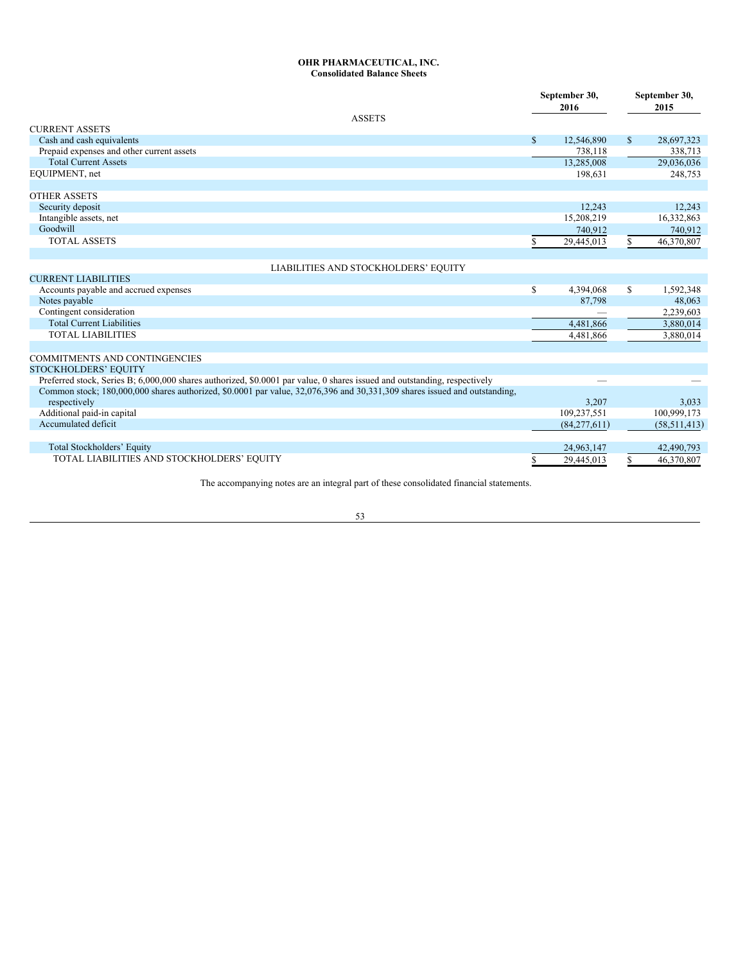## **OHR PHARMACEUTICAL, INC. Consolidated Balance Sheets**

|                                                                                                                           |              | September 30,<br>2016 |                | September 30,<br>2015 |
|---------------------------------------------------------------------------------------------------------------------------|--------------|-----------------------|----------------|-----------------------|
| <b>ASSETS</b>                                                                                                             |              |                       |                |                       |
| <b>CURRENT ASSETS</b>                                                                                                     |              |                       |                |                       |
| Cash and cash equivalents                                                                                                 | $\mathbb{S}$ | 12,546,890            | $\mathbb{S}$   | 28,697,323            |
| Prepaid expenses and other current assets                                                                                 |              | 738,118               |                | 338,713               |
| <b>Total Current Assets</b>                                                                                               |              | 13,285,008            |                | 29,036,036            |
| EQUIPMENT, net                                                                                                            |              | 198,631               |                | 248,753               |
| <b>OTHER ASSETS</b>                                                                                                       |              |                       |                |                       |
| Security deposit                                                                                                          |              | 12.243                |                | 12.243                |
| Intangible assets, net                                                                                                    |              | 15,208,219            |                | 16,332,863            |
| Goodwill                                                                                                                  |              | 740,912               |                | 740,912               |
| <b>TOTAL ASSETS</b>                                                                                                       |              | 29,445,013            | $\mathbb{S}^-$ | 46,370,807            |
| LIABILITIES AND STOCKHOLDERS' EQUITY                                                                                      |              |                       |                |                       |
| <b>CURRENT LIABILITIES</b>                                                                                                |              |                       |                |                       |
| Accounts payable and accrued expenses                                                                                     | \$           | 4,394,068             | \$             | 1,592,348             |
| Notes payable                                                                                                             |              | 87,798                |                | 48,063                |
| Contingent consideration                                                                                                  |              |                       |                | 2,239,603             |
| <b>Total Current Liabilities</b>                                                                                          |              | 4,481,866             |                | 3,880,014             |
| <b>TOTAL LIABILITIES</b>                                                                                                  |              | 4,481,866             |                | 3,880,014             |
| <b>COMMITMENTS AND CONTINGENCIES</b>                                                                                      |              |                       |                |                       |
| <b>STOCKHOLDERS' EQUITY</b>                                                                                               |              |                       |                |                       |
| Preferred stock, Series B; 6,000,000 shares authorized, \$0,0001 par value, 0 shares issued and outstanding, respectively |              |                       |                |                       |
| Common stock; 180,000,000 shares authorized, \$0,0001 par value, 32,076,396 and 30,331,309 shares issued and outstanding, |              |                       |                |                       |
| respectively                                                                                                              |              | 3.207                 |                | 3.033                 |
| Additional paid-in capital                                                                                                |              | 109,237,551           |                | 100,999,173           |
| Accumulated deficit                                                                                                       |              | (84, 277, 611)        |                | (58, 511, 413)        |
| Total Stockholders' Equity                                                                                                |              | 24,963,147            |                | 42,490,793            |
| TOTAL LIABILITIES AND STOCKHOLDERS' EQUITY                                                                                |              | 29,445,013            | \$             | 46,370,807            |
|                                                                                                                           |              |                       |                |                       |

The accompanying notes are an integral part of these consolidated financial statements.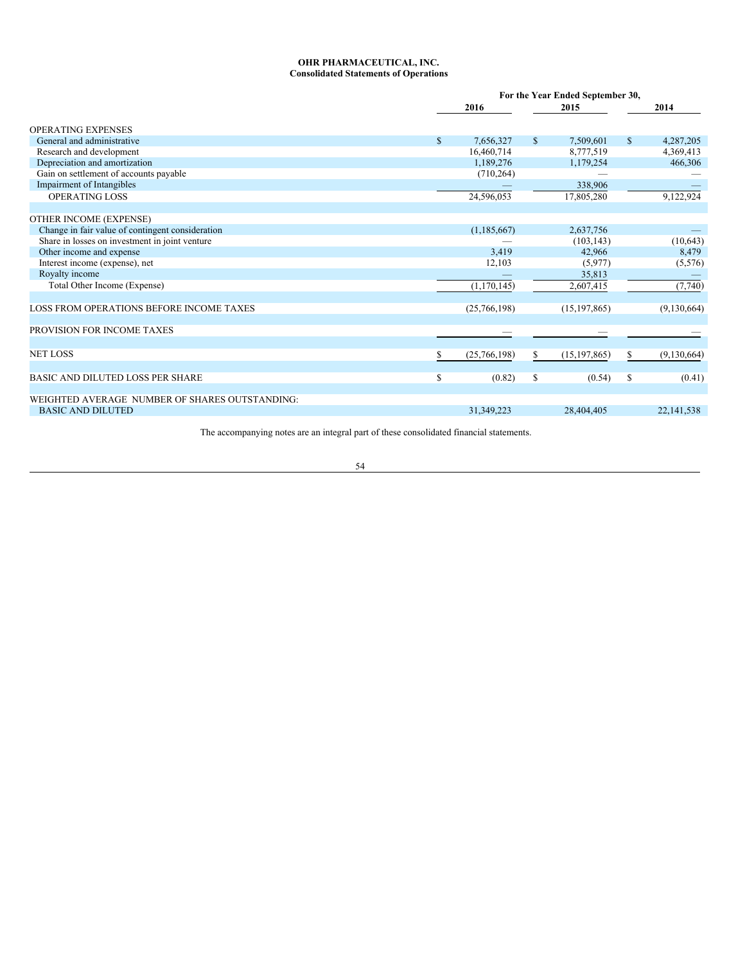### **OHR PHARMACEUTICAL, INC. Consolidated Statements of Operations**

|                                                  |               |               |              | For the Year Ended September 30, |              |              |
|--------------------------------------------------|---------------|---------------|--------------|----------------------------------|--------------|--------------|
|                                                  |               | 2016          |              | 2015                             |              | 2014         |
| <b>OPERATING EXPENSES</b>                        |               |               |              |                                  |              |              |
| General and administrative                       | $\mathsf{\$}$ | 7,656,327     | $\mathbb{S}$ | 7,509,601                        | $\mathbb{S}$ | 4,287,205    |
| Research and development                         |               | 16,460,714    |              | 8,777,519                        |              | 4,369,413    |
| Depreciation and amortization                    |               | 1,189,276     |              | 1,179,254                        |              | 466,306      |
| Gain on settlement of accounts payable           |               | (710, 264)    |              |                                  |              |              |
| Impairment of Intangibles                        |               |               |              | 338,906                          |              |              |
| <b>OPERATING LOSS</b>                            |               | 24,596,053    |              | 17,805,280                       |              | 9,122,924    |
|                                                  |               |               |              |                                  |              |              |
| OTHER INCOME (EXPENSE)                           |               |               |              |                                  |              |              |
| Change in fair value of contingent consideration |               | (1, 185, 667) |              | 2,637,756                        |              |              |
| Share in losses on investment in joint venture   |               |               |              | (103, 143)                       |              | (10, 643)    |
| Other income and expense                         |               | 3.419         |              | 42,966                           |              | 8,479        |
| Interest income (expense), net                   |               | 12,103        |              | (5,977)                          |              | (5,576)      |
| Royalty income                                   |               |               |              | 35,813                           |              |              |
| Total Other Income (Expense)                     |               | (1, 170, 145) |              | 2,607,415                        |              | (7,740)      |
|                                                  |               |               |              |                                  |              |              |
| <b>LOSS FROM OPERATIONS BEFORE INCOME TAXES</b>  |               | (25,766,198)  |              | (15, 197, 865)                   |              | (9,130,664)  |
|                                                  |               |               |              |                                  |              |              |
| PROVISION FOR INCOME TAXES                       |               |               |              |                                  |              |              |
|                                                  |               |               |              |                                  |              |              |
| <b>NET LOSS</b>                                  |               | (25,766,198)  | S.           | (15, 197, 865)                   | S.           | (9,130,664)  |
|                                                  |               |               |              |                                  |              |              |
| <b>BASIC AND DILUTED LOSS PER SHARE</b>          | \$            | (0.82)        | S            | (0.54)                           | \$           | (0.41)       |
|                                                  |               |               |              |                                  |              |              |
| WEIGHTED AVERAGE NUMBER OF SHARES OUTSTANDING:   |               |               |              |                                  |              |              |
| <b>BASIC AND DILUTED</b>                         |               | 31,349,223    |              | 28,404,405                       |              | 22, 141, 538 |
|                                                  |               |               |              |                                  |              |              |

The accompanying notes are an integral part of these consolidated financial statements.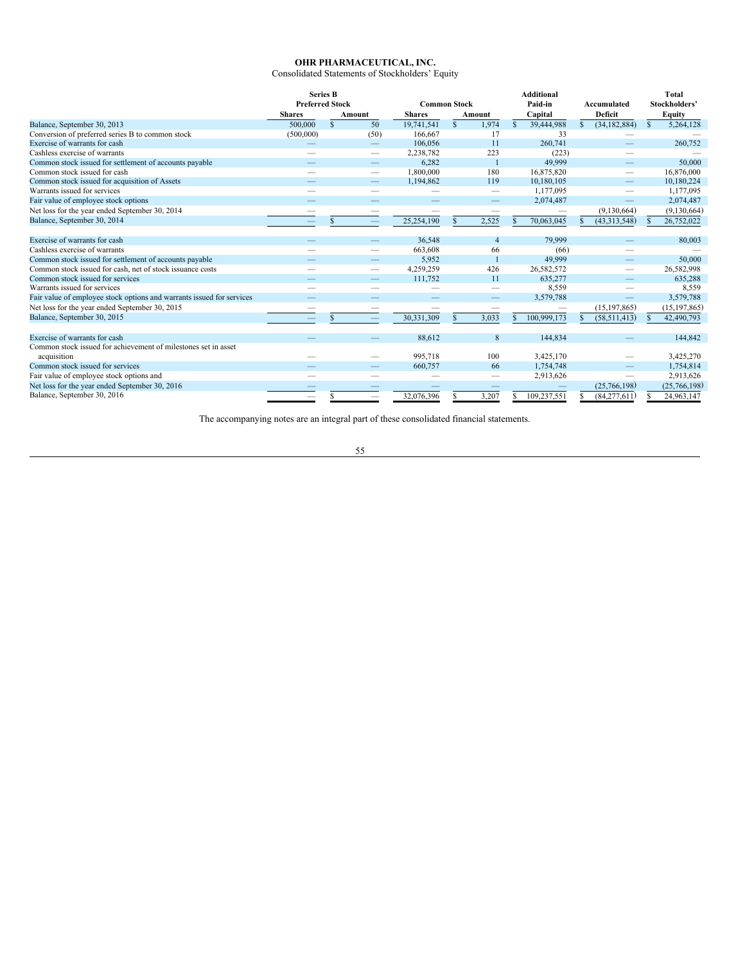### **OHR PHARMACEUTICAL, INC.**

Consolidated Statements of Stockholders' Equity

|                                                                               | <b>Series B</b><br><b>Preferred Stock</b> |             |                   | <b>Common Stock</b> |             |                          |               | <b>Additional</b><br>Paid-in |              | Accumulated              | <b>Total</b><br>Stockholders' |                |
|-------------------------------------------------------------------------------|-------------------------------------------|-------------|-------------------|---------------------|-------------|--------------------------|---------------|------------------------------|--------------|--------------------------|-------------------------------|----------------|
|                                                                               | <b>Shares</b>                             | Amount      |                   | <b>Shares</b>       |             | Amount                   |               | Capital                      |              | Deficit                  |                               | Equity         |
| Balance, September 30, 2013                                                   | 500,000                                   | $\mathbf S$ | 50                | 19,741,541          | $\mathbf S$ | 1,974                    | <sup>\$</sup> | 39,444,988                   | $\mathbf{s}$ | (34, 182, 884)           | $\mathbf S$                   | 5.264.128      |
| Conversion of preferred series B to common stock                              | (500,000)                                 |             | (50)              | 166,667             |             | 17                       |               | 33                           |              |                          |                               |                |
| Exercise of warrants for cash                                                 |                                           |             |                   | 106,056             |             | 11                       |               | 260,741                      |              |                          |                               | 260,752        |
| Cashless exercise of warrants                                                 |                                           |             |                   | 2,238,782           |             | 223                      |               | (223)                        |              |                          |                               |                |
| Common stock issued for settlement of accounts payable                        |                                           |             |                   | 6,282               |             |                          |               | 49,999                       |              |                          |                               | 50,000         |
| Common stock issued for cash                                                  |                                           |             |                   | 1,800,000           |             | 180                      |               | 16,875,820                   |              |                          |                               | 16,876,000     |
| Common stock issued for acquisition of Assets                                 |                                           |             | $\qquad \qquad -$ | 1,194,862           |             | 119                      |               | 10,180,105                   |              |                          |                               | 10,180,224     |
| Warrants issued for services                                                  |                                           |             | --                |                     |             | $\overline{\phantom{m}}$ |               | 1,177,095                    |              | $\qquad \qquad$          |                               | 1,177,095      |
| Fair value of employee stock options                                          |                                           |             |                   |                     |             | $\qquad \qquad$          |               | 2,074,487                    |              | $\qquad \qquad -$        |                               | 2,074,487      |
| Net loss for the year ended September 30, 2014                                |                                           |             |                   |                     |             |                          |               |                              |              | (9,130,664)              |                               | (9,130,664)    |
| Balance, September 30, 2014                                                   |                                           | \$          |                   | 25,254,190          |             | 2,525                    |               | 70.063,045                   |              | (43,313,548)             |                               | 26,752,022     |
| Exercise of warrants for cash                                                 |                                           |             |                   | 36,548              |             | $\overline{4}$           |               | 79,999                       |              |                          |                               | 80,003         |
| Cashless exercise of warrants                                                 |                                           |             |                   | 663,608             |             | 66                       |               | (66)                         |              |                          |                               |                |
| Common stock issued for settlement of accounts payable                        |                                           |             |                   | 5,952               |             |                          |               | 49.999                       |              |                          |                               | 50,000         |
| Common stock issued for cash, net of stock issuance costs                     |                                           |             |                   | 4,259,259           |             | 426                      |               | 26,582,572                   |              |                          |                               | 26,582,998     |
| Common stock issued for services                                              |                                           |             |                   | 111.752             |             | 11                       |               | 635,277                      |              |                          |                               | 635,288        |
| Warrants issued for services                                                  |                                           |             |                   |                     |             | $\overline{\phantom{0}}$ |               | 8,559                        |              |                          |                               | 8,559          |
| Fair value of employee stock options and warrants issued for services         |                                           |             |                   |                     |             | $\qquad \qquad -$        |               | 3,579,788                    |              | $\qquad \qquad -$        |                               | 3,579,788      |
| Net loss for the year ended September 30, 2015                                |                                           |             |                   |                     |             |                          |               |                              |              | (15, 197, 865)           |                               | (15, 197, 865) |
| Balance, September 30, 2015                                                   |                                           | \$.         |                   | 30,331,309          |             | 3,033                    |               | 100,999,173                  |              | (58, 511, 413)           |                               | 42,490,793     |
| Exercise of warrants for cash                                                 |                                           |             |                   | 88.612              |             | 8                        |               | 144,834                      |              |                          |                               | 144,842        |
| Common stock issued for achievement of milestones set in asset<br>acquisition |                                           |             |                   | 995,718             |             | 100                      |               | 3,425,170                    |              |                          |                               | 3,425,270      |
| Common stock issued for services                                              |                                           |             |                   | 660,757             |             | 66                       |               | 1,754,748                    |              |                          |                               | 1,754,814      |
| Fair value of employee stock options and                                      |                                           |             |                   |                     |             | $\overline{\phantom{m}}$ |               | 2,913,626                    |              | $\overline{\phantom{m}}$ |                               | 2,913,626      |
| Net loss for the year ended September 30, 2016                                |                                           |             |                   |                     |             |                          |               |                              |              | (25,766,198)             |                               | (25,766,198)   |
| Balance, September 30, 2016                                                   |                                           |             |                   | 32,076,396          |             | 3,207                    |               | 109,237,551                  |              | (84, 277, 611)           |                               | 24,963,147     |

The accompanying notes are an integral part of these consolidated financial statements.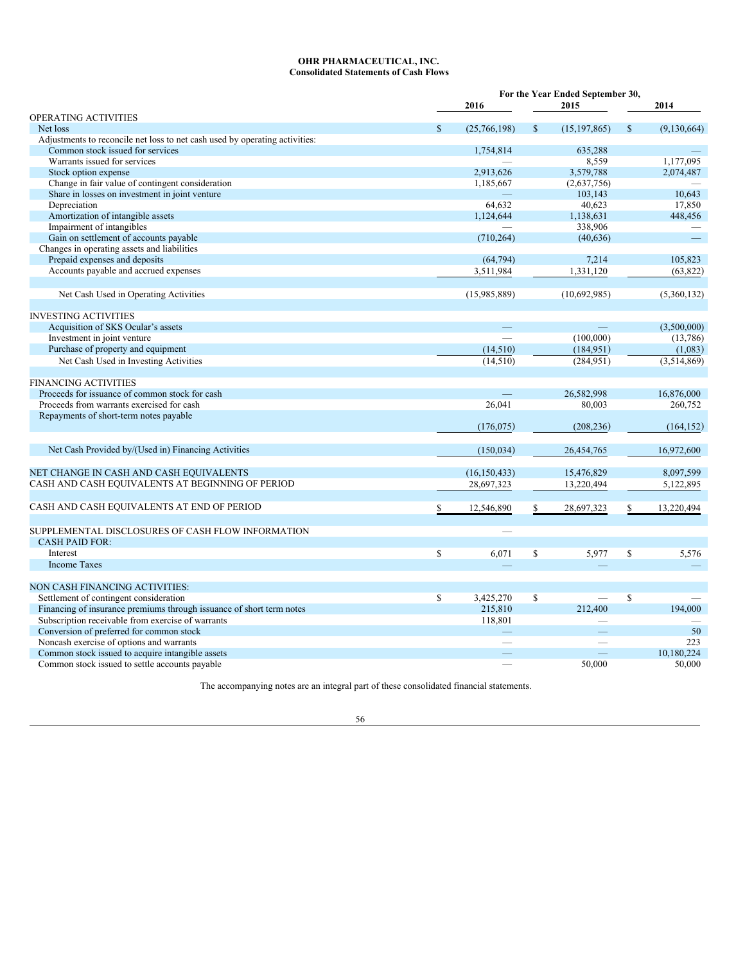### **OHR PHARMACEUTICAL, INC. Consolidated Statements of Cash Flows**

|                                                                                                                |               |                |             | For the Year Ended September 30, |              |             |  |  |
|----------------------------------------------------------------------------------------------------------------|---------------|----------------|-------------|----------------------------------|--------------|-------------|--|--|
|                                                                                                                |               | 2016           |             | 2015                             |              | 2014        |  |  |
| OPERATING ACTIVITIES                                                                                           |               |                |             |                                  |              |             |  |  |
| Net loss                                                                                                       | $\mathbf S$   | (25,766,198)   | $\mathbf S$ | (15, 197, 865)                   | $\mathbb{S}$ | (9,130,664) |  |  |
| Adjustments to reconcile net loss to net cash used by operating activities:                                    |               |                |             |                                  |              |             |  |  |
| Common stock issued for services                                                                               |               | 1,754,814      |             | 635,288                          |              |             |  |  |
| Warrants issued for services                                                                                   |               |                |             | 8,559                            |              | 1,177,095   |  |  |
| Stock option expense                                                                                           |               | 2,913,626      |             | 3,579,788                        |              | 2.074.487   |  |  |
| Change in fair value of contingent consideration                                                               |               | 1,185,667      |             | (2,637,756)                      |              |             |  |  |
| Share in losses on investment in joint venture                                                                 |               |                |             | 103,143                          |              | 10,643      |  |  |
| Depreciation                                                                                                   |               | 64.632         |             | 40,623                           |              | 17,850      |  |  |
| Amortization of intangible assets                                                                              |               | 1,124,644      |             | 1,138,631                        |              | 448,456     |  |  |
| Impairment of intangibles                                                                                      |               |                |             | 338,906                          |              |             |  |  |
| Gain on settlement of accounts payable                                                                         |               | (710, 264)     |             | (40, 636)                        |              |             |  |  |
| Changes in operating assets and liabilities                                                                    |               |                |             |                                  |              |             |  |  |
| Prepaid expenses and deposits                                                                                  |               | (64, 794)      |             | 7,214                            |              | 105,823     |  |  |
| Accounts payable and accrued expenses                                                                          |               | 3,511,984      |             | 1,331,120                        |              | (63, 822)   |  |  |
|                                                                                                                |               |                |             |                                  |              |             |  |  |
| Net Cash Used in Operating Activities                                                                          |               | (15,985,889)   |             | (10,692,985)                     |              | (5,360,132) |  |  |
|                                                                                                                |               |                |             |                                  |              |             |  |  |
| <b>INVESTING ACTIVITIES</b>                                                                                    |               |                |             |                                  |              |             |  |  |
| Acquisition of SKS Ocular's assets                                                                             |               |                |             |                                  |              | (3,500,000) |  |  |
| Investment in joint venture                                                                                    |               |                |             | (100,000)                        |              | (13,786)    |  |  |
| Purchase of property and equipment                                                                             |               | (14,510)       |             | (184, 951)                       |              | (1,083)     |  |  |
| Net Cash Used in Investing Activities                                                                          |               | (14, 510)      |             | (284, 951)                       |              | (3,514,869) |  |  |
|                                                                                                                |               |                |             |                                  |              |             |  |  |
| <b>FINANCING ACTIVITIES</b>                                                                                    |               |                |             |                                  |              |             |  |  |
| Proceeds for issuance of common stock for cash                                                                 |               |                |             | 26.582.998                       |              | 16,876,000  |  |  |
| Proceeds from warrants exercised for cash                                                                      |               | 26,041         |             | 80,003                           |              | 260,752     |  |  |
| Repayments of short-term notes payable                                                                         |               |                |             |                                  |              |             |  |  |
|                                                                                                                |               | (176, 075)     |             | (208, 236)                       |              | (164, 152)  |  |  |
|                                                                                                                |               |                |             |                                  |              |             |  |  |
| Net Cash Provided by/(Used in) Financing Activities                                                            |               | (150, 034)     |             | 26,454,765                       |              | 16,972,600  |  |  |
|                                                                                                                |               |                |             |                                  |              |             |  |  |
| NET CHANGE IN CASH AND CASH EQUIVALENTS                                                                        |               | (16, 150, 433) |             | 15,476,829                       |              | 8,097,599   |  |  |
| CASH AND CASH EQUIVALENTS AT BEGINNING OF PERIOD                                                               |               | 28,697,323     |             | 13,220,494                       |              | 5,122,895   |  |  |
|                                                                                                                |               |                |             |                                  |              |             |  |  |
| CASH AND CASH EQUIVALENTS AT END OF PERIOD                                                                     | \$            | 12,546,890     | \$          | 28,697,323                       | $\mathbb{S}$ | 13,220,494  |  |  |
|                                                                                                                |               |                |             |                                  |              |             |  |  |
| SUPPLEMENTAL DISCLOSURES OF CASH FLOW INFORMATION                                                              |               |                |             |                                  |              |             |  |  |
| <b>CASH PAID FOR:</b>                                                                                          |               |                |             |                                  |              |             |  |  |
| Interest                                                                                                       | $\mathsf{\$}$ |                | \$          |                                  |              |             |  |  |
| <b>Income Taxes</b>                                                                                            |               | 6,071          |             | 5,977                            | $\mathbb S$  | 5,576       |  |  |
|                                                                                                                |               |                |             |                                  |              |             |  |  |
|                                                                                                                |               |                |             |                                  |              |             |  |  |
| NON CASH FINANCING ACTIVITIES:                                                                                 |               |                |             |                                  |              |             |  |  |
| Settlement of contingent consideration<br>Financing of insurance premiums through issuance of short term notes | \$            | 3,425,270      | \$          | $\qquad \qquad$<br>212,400       | $\mathbb{S}$ | 194,000     |  |  |
|                                                                                                                |               | 215,810        |             |                                  |              |             |  |  |
| Subscription receivable from exercise of warrants                                                              |               | 118,801        |             |                                  |              | 50          |  |  |
| Conversion of preferred for common stock                                                                       |               |                |             | $\overline{\phantom{0}}$         |              | 223         |  |  |
| Noncash exercise of options and warrants                                                                       |               |                |             | ᆖ                                |              | 10.180.224  |  |  |
| Common stock issued to acquire intangible assets                                                               |               |                |             |                                  |              |             |  |  |
| Common stock issued to settle accounts payable                                                                 |               |                |             | 50,000                           |              | 50,000      |  |  |

The accompanying notes are an integral part of these consolidated financial statements.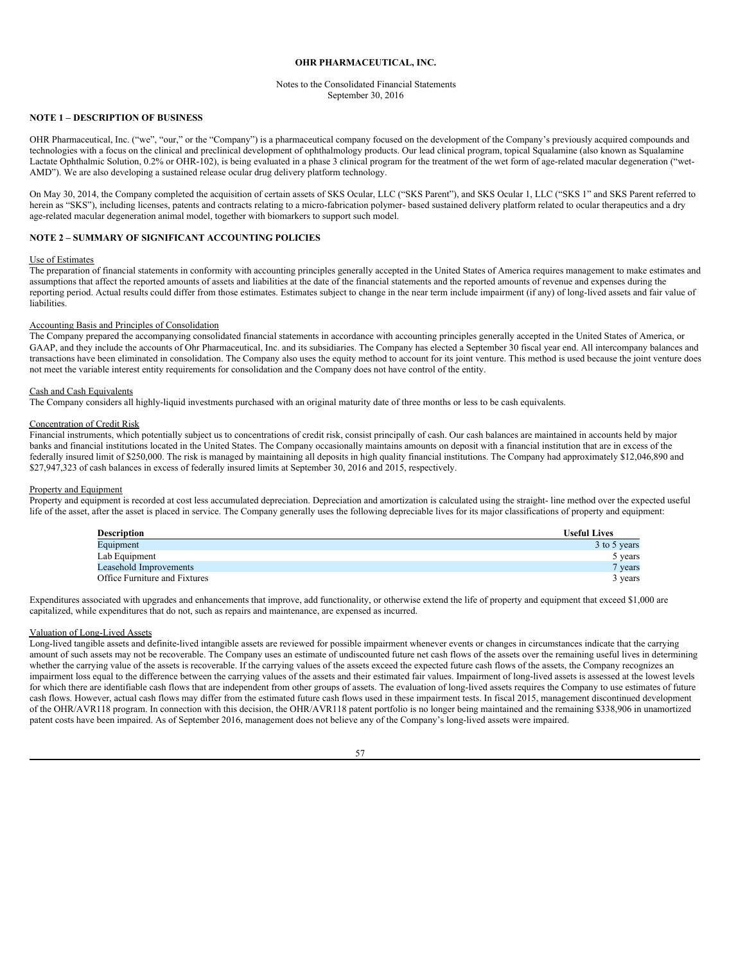#### **OHR PHARMACEUTICAL, INC.**

Notes to the Consolidated Financial Statements September 30, 2016

## **NOTE 1 – DESCRIPTION OF BUSINESS**

OHR Pharmaceutical, Inc. ("we", "our," or the "Company") is a pharmaceutical company focused on the development of the Company's previously acquired compounds and technologies with a focus on the clinical and preclinical development of ophthalmology products. Our lead clinical program, topical Squalamine (also known as Squalamine Lactate Ophthalmic Solution, 0.2% or OHR-102), is being evaluated in a phase 3 clinical program for the treatment of the wet form of age-related macular degeneration ("wet-AMD"). We are also developing a sustained release ocular drug delivery platform technology.

On May 30, 2014, the Company completed the acquisition of certain assets of SKS Ocular, LLC ("SKS Parent"), and SKS Ocular 1, LLC ("SKS 1" and SKS Parent referred to herein as "SKS"), including licenses, patents and contracts relating to a micro-fabrication polymer- based sustained delivery platform related to ocular therapeutics and a dry age-related macular degeneration animal model, together with biomarkers to support such model.

### **NOTE 2 – SUMMARY OF SIGNIFICANT ACCOUNTING POLICIES**

### Use of Estimates

The preparation of financial statements in conformity with accounting principles generally accepted in the United States of America requires management to make estimates and assumptions that affect the reported amounts of assets and liabilities at the date of the financial statements and the reported amounts of revenue and expenses during the reporting period. Actual results could differ from those estimates. Estimates subject to change in the near term include impairment (if any) of long-lived assets and fair value of liabilities.

#### Accounting Basis and Principles of Consolidation

The Company prepared the accompanying consolidated financial statements in accordance with accounting principles generally accepted in the United States of America, or GAAP, and they include the accounts of Ohr Pharmaceutical, Inc. and its subsidiaries. The Company has elected a September 30 fiscal year end. All intercompany balances and transactions have been eliminated in consolidation. The Company also uses the equity method to account for its joint venture. This method is used because the joint venture does not meet the variable interest entity requirements for consolidation and the Company does not have control of the entity.

#### Cash and Cash Equivalents

The Company considers all highly-liquid investments purchased with an original maturity date of three months or less to be cash equivalents.

#### Concentration of Credit Risk

Financial instruments, which potentially subject us to concentrations of credit risk, consist principally of cash. Our cash balances are maintained in accounts held by major banks and financial institutions located in the United States. The Company occasionally maintains amounts on deposit with a financial institution that are in excess of the federally insured limit of \$250,000. The risk is managed by maintaining all deposits in high quality financial institutions. The Company had approximately \$12,046,890 and \$27,947,323 of cash balances in excess of federally insured limits at September 30, 2016 and 2015, respectively.

#### Property and Equipment

Property and equipment is recorded at cost less accumulated depreciation. Depreciation and amortization is calculated using the straight- line method over the expected useful life of the asset, after the asset is placed in service. The Company generally uses the following depreciable lives for its major classifications of property and equipment:

| <b>Description</b>            | <b>Useful Lives</b> |
|-------------------------------|---------------------|
| Equipment                     | 3 to 5 years        |
| Lab Equipment                 | 5 years             |
| Leasehold Improvements        | 7 years             |
| Office Furniture and Fixtures | 3 vears             |

Expenditures associated with upgrades and enhancements that improve, add functionality, or otherwise extend the life of property and equipment that exceed \$1,000 are capitalized, while expenditures that do not, such as repairs and maintenance, are expensed as incurred.

#### Valuation of Long-Lived Assets

Long-lived tangible assets and definite-lived intangible assets are reviewed for possible impairment whenever events or changes in circumstances indicate that the carrying amount of such assets may not be recoverable. The Company uses an estimate of undiscounted future net cash flows of the assets over the remaining useful lives in determining whether the carrying value of the assets is recoverable. If the carrying values of the assets exceed the expected future cash flows of the assets, the Company recognizes an impairment loss equal to the difference between the carrying values of the assets and their estimated fair values. Impairment of long-lived assets is assessed at the lowest levels for which there are identifiable cash flows that are independent from other groups of assets. The evaluation of long-lived assets requires the Company to use estimates of future cash flows. However, actual cash flows may differ from the estimated future cash flows used in these impairment tests. In fiscal 2015, management discontinued development of the OHR/AVR118 program. In connection with this decision, the OHR/AVR118 patent portfolio is no longer being maintained and the remaining \$338,906 in unamortized patent costs have been impaired. As of September 2016, management does not believe any of the Company's long-lived assets were impaired.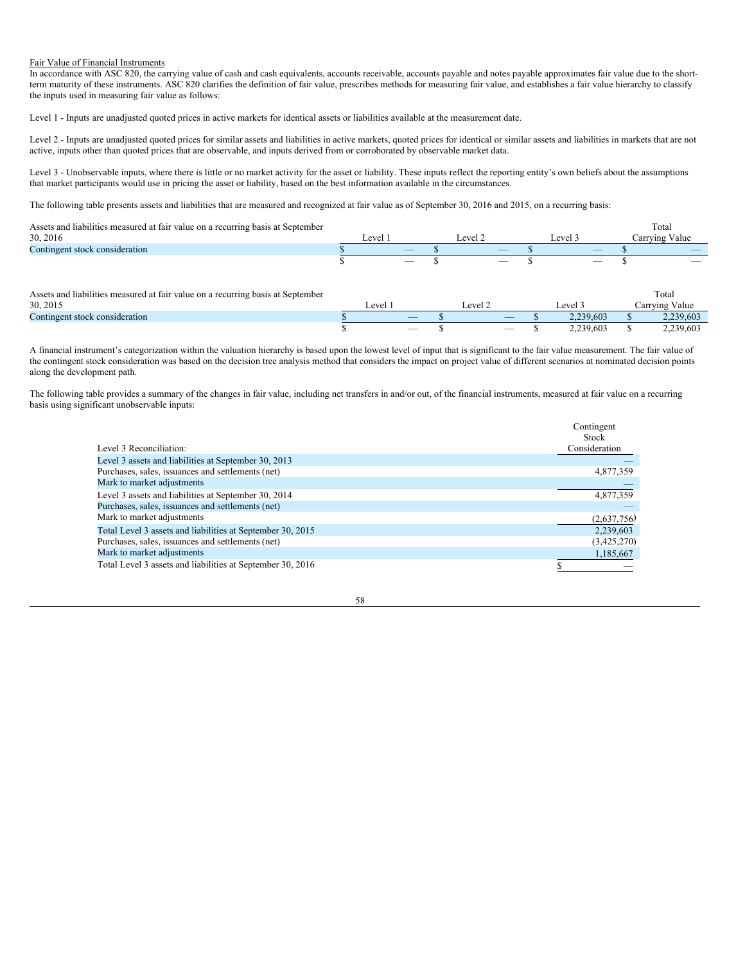#### Fair Value of Financial Instruments

In accordance with ASC 820, the carrying value of cash and cash equivalents, accounts receivable, accounts payable and notes payable approximates fair value due to the shortterm maturity of these instruments. ASC 820 clarifies the definition of fair value, prescribes methods for measuring fair value, and establishes a fair value hierarchy to classify the inputs used in measuring fair value as follows:

Level 1 - Inputs are unadjusted quoted prices in active markets for identical assets or liabilities available at the measurement date.

Level 2 - Inputs are unadjusted quoted prices for similar assets and liabilities in active markets, quoted prices for identical or similar assets and liabilities in markets that are not active, inputs other than quoted prices that are observable, and inputs derived from or corroborated by observable market data.

Level 3 - Unobservable inputs, where there is little or no market activity for the asset or liability. These inputs reflect the reporting entity's own beliefs about the assumptions that market participants would use in pricing the asset or liability, based on the best information available in the circumstances.

The following table presents assets and liabilities that are measured and recognized at fair value as of September 30, 2016 and 2015, on a recurring basis:

| Assets and liabilities measured at fair value on a recurring basis at September |      |   |         |     |       |                          | Total          |
|---------------------------------------------------------------------------------|------|---|---------|-----|-------|--------------------------|----------------|
| 30, 2016                                                                        | evel |   | Level 1 |     | ∟evel |                          | Carrying Value |
| Contingent stock consideration                                                  |      | _ |         | $-$ |       | $\overline{\phantom{a}}$ |                |
|                                                                                 |      | - |         | -   |       | -                        |                |
|                                                                                 |      |   |         |     |       |                          |                |

| Assets and liabilities measured at fair value on a recurring basis at September |           |                          |        |           | Total          |
|---------------------------------------------------------------------------------|-----------|--------------------------|--------|-----------|----------------|
| 30, 2015                                                                        | . .evel * |                          | evel 2 | Level 3   | Carrying Value |
| Contingent stock consideration                                                  |           | $\overline{\phantom{a}}$ | _      | 2.239.603 | 2.239.603      |
|                                                                                 |           | -                        | --     | 2.239.603 | 2.239.603      |

A financial instrument's categorization within the valuation hierarchy is based upon the lowest level of input that is significant to the fair value measurement. The fair value of the contingent stock consideration was based on the decision tree analysis method that considers the impact on project value of different scenarios at nominated decision points along the development path.

The following table provides a summary of the changes in fair value, including net transfers in and/or out, of the financial instruments, measured at fair value on a recurring basis using significant unobservable inputs:

|                                                            | Contingent<br>Stock |
|------------------------------------------------------------|---------------------|
| Level 3 Reconciliation:                                    | Consideration       |
| Level 3 assets and liabilities at September 30, 2013       |                     |
| Purchases, sales, issuances and settlements (net)          | 4,877,359           |
| Mark to market adjustments                                 |                     |
| Level 3 assets and liabilities at September 30, 2014       | 4,877,359           |
| Purchases, sales, issuances and settlements (net)          |                     |
| Mark to market adjustments                                 | (2,637,756)         |
| Total Level 3 assets and liabilities at September 30, 2015 | 2,239,603           |
| Purchases, sales, issuances and settlements (net)          | (3,425,270)         |
| Mark to market adjustments                                 | 1,185,667           |
| Total Level 3 assets and liabilities at September 30, 2016 |                     |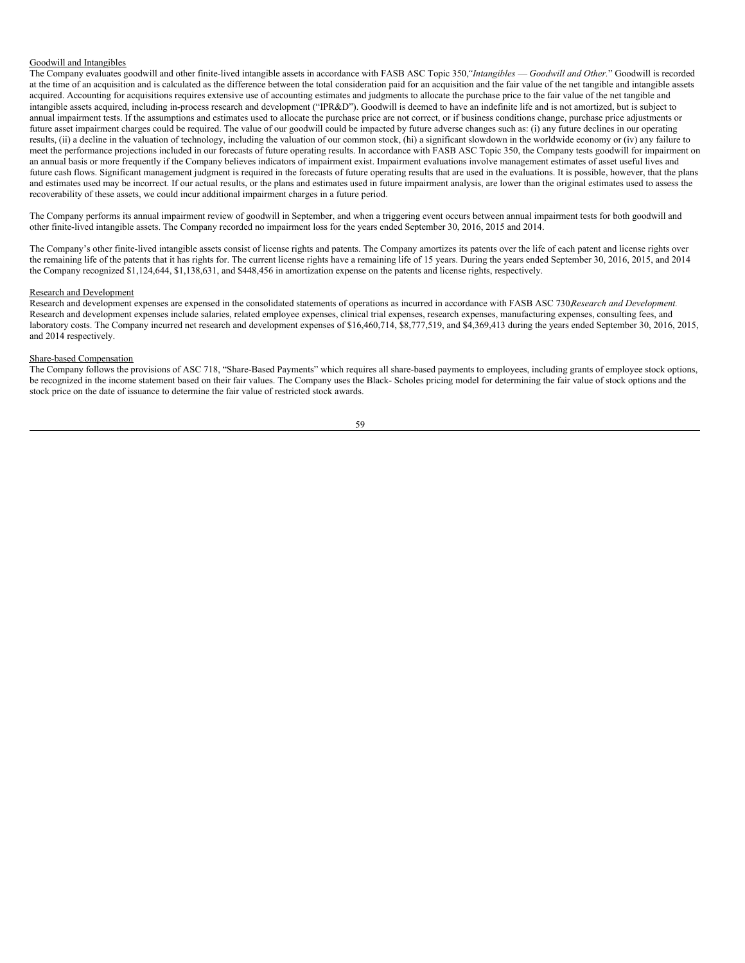#### Goodwill and Intangibles

The Company evaluates goodwill and other finite-lived intangible assets in accordance with FASB ASC Topic 350,*"Intangibles* — *Goodwill and Other.*" Goodwill is recorded at the time of an acquisition and is calculated as the difference between the total consideration paid for an acquisition and the fair value of the net tangible and intangible assets acquired. Accounting for acquisitions requires extensive use of accounting estimates and judgments to allocate the purchase price to the fair value of the net tangible and intangible assets acquired, including in-process research and development ("IPR&D"). Goodwill is deemed to have an indefinite life and is not amortized, but is subject to annual impairment tests. If the assumptions and estimates used to allocate the purchase price are not correct, or if business conditions change, purchase price adjustments or future asset impairment charges could be required. The value of our goodwill could be impacted by future adverse changes such as: (i) any future declines in our operating results, (ii) a decline in the valuation of technology, including the valuation of our common stock, (hi) a significant slowdown in the worldwide economy or (iv) any failure to meet the performance projections included in our forecasts of future operating results. In accordance with FASB ASC Topic 350, the Company tests goodwill for impairment on an annual basis or more frequently if the Company believes indicators of impairment exist. Impairment evaluations involve management estimates of asset useful lives and future cash flows. Significant management judgment is required in the forecasts of future operating results that are used in the evaluations. It is possible, however, that the plans and estimates used may be incorrect. If our actual results, or the plans and estimates used in future impairment analysis, are lower than the original estimates used to assess the recoverability of these assets, we could incur additional impairment charges in a future period.

The Company performs its annual impairment review of goodwill in September, and when a triggering event occurs between annual impairment tests for both goodwill and other finite-lived intangible assets. The Company recorded no impairment loss for the years ended September 30, 2016, 2015 and 2014.

The Company's other finite-lived intangible assets consist of license rights and patents. The Company amortizes its patents over the life of each patent and license rights over the remaining life of the patents that it has rights for. The current license rights have a remaining life of 15 years. During the years ended September 30, 2016, 2015, and 2014 the Company recognized \$1,124,644, \$1,138,631, and \$448,456 in amortization expense on the patents and license rights, respectively.

### Research and Development

Research and development expenses are expensed in the consolidated statements of operations as incurred in accordance with FASB ASC 730,*Research and Development.* Research and development expenses include salaries, related employee expenses, clinical trial expenses, research expenses, manufacturing expenses, consulting fees, and laboratory costs. The Company incurred net research and development expenses of \$16,460,714, \$8,777,519, and \$4,369,413 during the years ended September 30, 2016, 2015, and 2014 respectively.

### Share-based Compensation

The Company follows the provisions of ASC 718, "Share-Based Payments" which requires all share-based payments to employees, including grants of employee stock options, be recognized in the income statement based on their fair values. The Company uses the Black- Scholes pricing model for determining the fair value of stock options and the stock price on the date of issuance to determine the fair value of restricted stock awards.

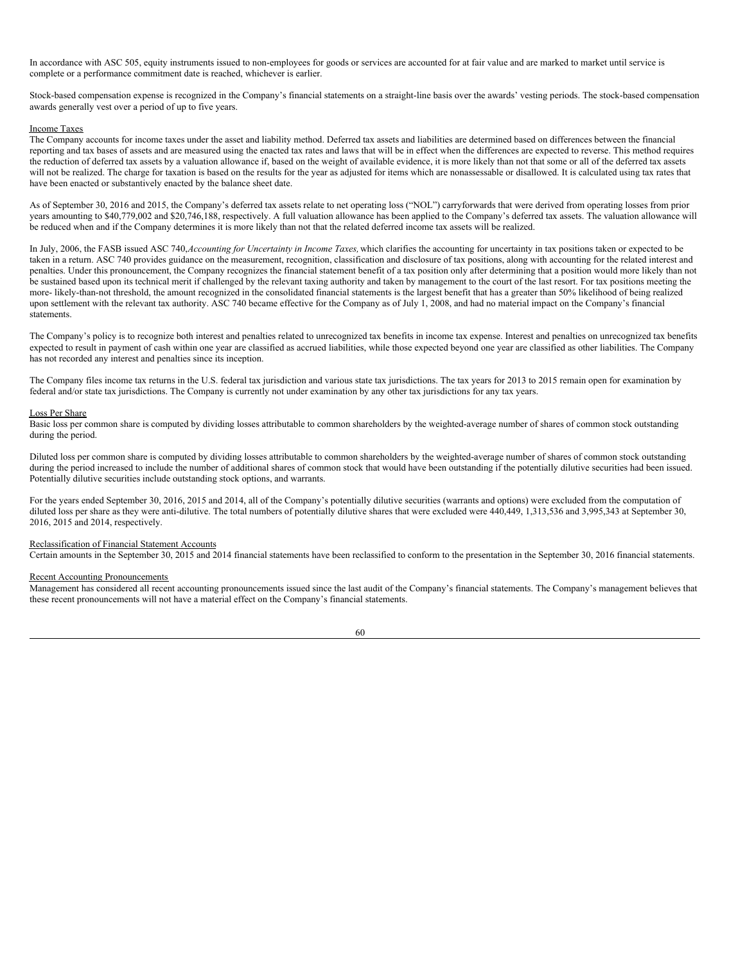In accordance with ASC 505, equity instruments issued to non-employees for goods or services are accounted for at fair value and are marked to market until service is complete or a performance commitment date is reached, whichever is earlier.

Stock-based compensation expense is recognized in the Company's financial statements on a straight-line basis over the awards' vesting periods. The stock-based compensation awards generally vest over a period of up to five years.

## Income Taxes

The Company accounts for income taxes under the asset and liability method. Deferred tax assets and liabilities are determined based on differences between the financial reporting and tax bases of assets and are measured using the enacted tax rates and laws that will be in effect when the differences are expected to reverse. This method requires the reduction of deferred tax assets by a valuation allowance if, based on the weight of available evidence, it is more likely than not that some or all of the deferred tax assets will not be realized. The charge for taxation is based on the results for the year as adjusted for items which are nonassessable or disallowed. It is calculated using tax rates that have been enacted or substantively enacted by the balance sheet date.

As of September 30, 2016 and 2015, the Company's deferred tax assets relate to net operating loss ("NOL") carryforwards that were derived from operating losses from prior years amounting to \$40,779,002 and \$20,746,188, respectively. A full valuation allowance has been applied to the Company's deferred tax assets. The valuation allowance will be reduced when and if the Company determines it is more likely than not that the related deferred income tax assets will be realized.

In July, 2006, the FASB issued ASC 740,*Accounting for Uncertainty in Income Taxes,*which clarifies the accounting for uncertainty in tax positions taken or expected to be taken in a return. ASC 740 provides guidance on the measurement, recognition, classification and disclosure of tax positions, along with accounting for the related interest and penalties. Under this pronouncement, the Company recognizes the financial statement benefit of a tax position only after determining that a position would more likely than not be sustained based upon its technical merit if challenged by the relevant taxing authority and taken by management to the court of the last resort. For tax positions meeting the more- likely-than-not threshold, the amount recognized in the consolidated financial statements is the largest benefit that has a greater than 50% likelihood of being realized upon settlement with the relevant tax authority. ASC 740 became effective for the Company as of July 1, 2008, and had no material impact on the Company's financial statements.

The Company's policy is to recognize both interest and penalties related to unrecognized tax benefits in income tax expense. Interest and penalties on unrecognized tax benefits expected to result in payment of cash within one year are classified as accrued liabilities, while those expected beyond one year are classified as other liabilities. The Company has not recorded any interest and penalties since its inception.

The Company files income tax returns in the U.S. federal tax jurisdiction and various state tax jurisdictions. The tax years for 2013 to 2015 remain open for examination by federal and/or state tax jurisdictions. The Company is currently not under examination by any other tax jurisdictions for any tax years.

#### Loss Per Share

Basic loss per common share is computed by dividing losses attributable to common shareholders by the weighted-average number of shares of common stock outstanding during the period.

Diluted loss per common share is computed by dividing losses attributable to common shareholders by the weighted-average number of shares of common stock outstanding during the period increased to include the number of additional shares of common stock that would have been outstanding if the potentially dilutive securities had been issued. Potentially dilutive securities include outstanding stock options, and warrants.

For the years ended September 30, 2016, 2015 and 2014, all of the Company's potentially dilutive securities (warrants and options) were excluded from the computation of diluted loss per share as they were anti-dilutive. The total numbers of potentially dilutive shares that were excluded were 440, 449, 1, 313, 536 and 3,995, 343 at September 30, 2016, 2015 and 2014, respectively.

#### Reclassification of Financial Statement Accounts

Certain amounts in the September 30, 2015 and 2014 financial statements have been reclassified to conform to the presentation in the September 30, 2016 financial statements.

#### Recent Accounting Pronouncements

Management has considered all recent accounting pronouncements issued since the last audit of the Company's financial statements. The Company's management believes that these recent pronouncements will not have a material effect on the Company's financial statements.

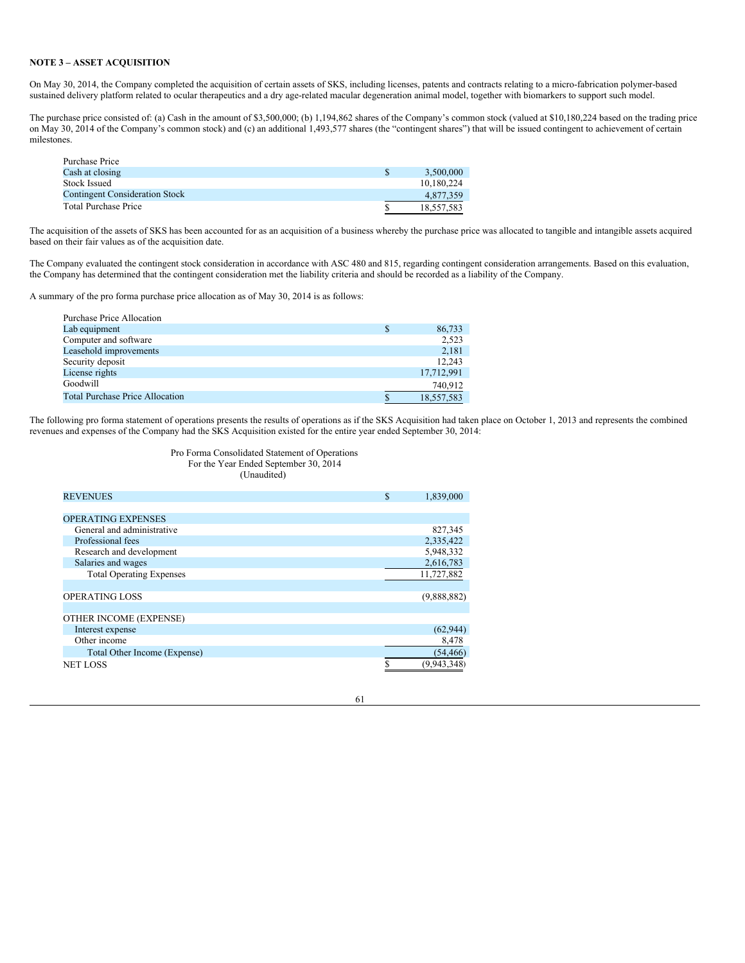## **NOTE 3 – ASSET ACQUISITION**

On May 30, 2014, the Company completed the acquisition of certain assets of SKS, including licenses, patents and contracts relating to a micro-fabrication polymer-based sustained delivery platform related to ocular therapeutics and a dry age-related macular degeneration animal model, together with biomarkers to support such model.

The purchase price consisted of: (a) Cash in the amount of \$3,500,000; (b) 1,194,862 shares of the Company's common stock (valued at \$10,180,224 based on the trading price on May 30, 2014 of the Company's common stock) and (c) an additional 1,493,577 shares (the "contingent shares") that will be issued contingent to achievement of certain milestones.

| Purchase Price                        |            |
|---------------------------------------|------------|
| Cash at closing                       | 3.500,000  |
| <b>Stock Issued</b>                   | 10.180.224 |
| <b>Contingent Consideration Stock</b> | 4.877.359  |
| <b>Total Purchase Price</b>           | 18,557,583 |

The acquisition of the assets of SKS has been accounted for as an acquisition of a business whereby the purchase price was allocated to tangible and intangible assets acquired based on their fair values as of the acquisition date.

The Company evaluated the contingent stock consideration in accordance with ASC 480 and 815, regarding contingent consideration arrangements. Based on this evaluation, the Company has determined that the contingent consideration met the liability criteria and should be recorded as a liability of the Company.

A summary of the pro forma purchase price allocation as of May 30, 2014 is as follows:

| <b>Purchase Price Allocation</b>       |   |            |
|----------------------------------------|---|------------|
| Lab equipment                          | S | 86,733     |
| Computer and software                  |   | 2,523      |
| Leasehold improvements                 |   | 2,181      |
| Security deposit                       |   | 12.243     |
| License rights                         |   | 17,712,991 |
| Goodwill                               |   | 740,912    |
| <b>Total Purchase Price Allocation</b> |   | 18,557,583 |
|                                        |   |            |

The following pro forma statement of operations presents the results of operations as if the SKS Acquisition had taken place on October 1, 2013 and represents the combined revenues and expenses of the Company had the SKS Acquisition existed for the entire year ended September 30, 2014:

### Pro Forma Consolidated Statement of Operations For the Year Ended September 30, 2014 (Unaudited)

| <b>REVENUES</b>                 | \$ | 1,839,000   |
|---------------------------------|----|-------------|
|                                 |    |             |
| <b>OPERATING EXPENSES</b>       |    |             |
| General and administrative      |    | 827,345     |
| Professional fees               |    | 2,335,422   |
| Research and development        |    | 5,948,332   |
| Salaries and wages              |    | 2,616,783   |
| <b>Total Operating Expenses</b> |    | 11,727,882  |
|                                 |    |             |
| <b>OPERATING LOSS</b>           |    | (9,888,882) |
|                                 |    |             |
| OTHER INCOME (EXPENSE)          |    |             |
| Interest expense                |    | (62, 944)   |
| Other income                    |    | 8,478       |
| Total Other Income (Expense)    |    | (54, 466)   |
| <b>NET LOSS</b>                 | S  | (9.943.348) |

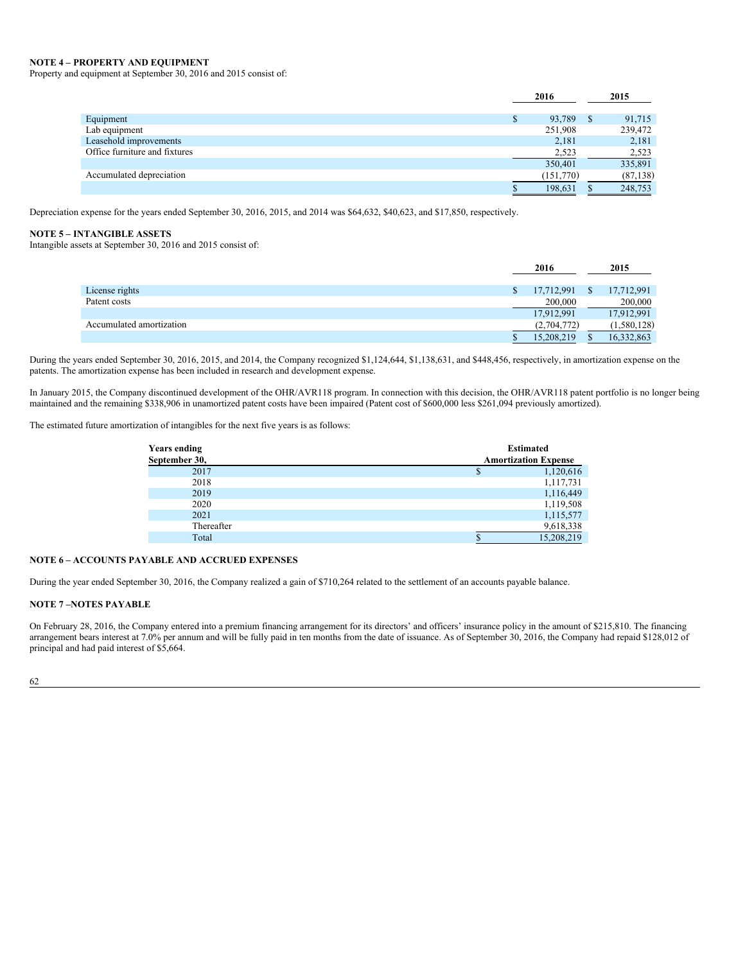## **NOTE 4 – PROPERTY AND EQUIPMENT**

Property and equipment at September 30, 2016 and 2015 consist of:

|                               |   | 2016      |  | 2015      |
|-------------------------------|---|-----------|--|-----------|
|                               |   |           |  |           |
| Equipment                     | S | 93,789 \$ |  | 91,715    |
| Lab equipment                 |   | 251,908   |  | 239,472   |
| Leasehold improvements        |   | 2,181     |  | 2,181     |
| Office furniture and fixtures |   | 2,523     |  | 2,523     |
|                               |   | 350,401   |  | 335,891   |
| Accumulated depreciation      |   | (151,770) |  | (87, 138) |
|                               |   | 198.631   |  | 248,753   |

Depreciation expense for the years ended September 30, 2016, 2015, and 2014 was \$64,632, \$40,623, and \$17,850, respectively.

### **NOTE 5 – INTANGIBLE ASSETS**

Intangible assets at September 30, 2016 and 2015 consist of:

|                          |   | 2016        |  | 2015        |
|--------------------------|---|-------------|--|-------------|
|                          |   |             |  |             |
| License rights           | S | 17,712,991  |  | 17,712,991  |
| Patent costs             |   | 200,000     |  | 200,000     |
|                          |   | 17,912,991  |  | 17,912,991  |
| Accumulated amortization |   | (2,704,772) |  | (1,580,128) |
|                          |   | 15,208,219  |  | 16,332,863  |

During the years ended September 30, 2016, 2015, and 2014, the Company recognized \$1,124,644, \$1,138,631, and \$448,456, respectively, in amortization expense on the patents. The amortization expense has been included in research and development expense.

In January 2015, the Company discontinued development of the OHR/AVR118 program. In connection with this decision, the OHR/AVR118 patent portfolio is no longer being maintained and the remaining \$338,906 in unamortized patent costs have been impaired (Patent cost of \$600,000 less \$261,094 previously amortized).

The estimated future amortization of intangibles for the next five years is as follows:

| <b>Years ending</b> | <b>Estimated</b> |                             |  |
|---------------------|------------------|-----------------------------|--|
| September 30,       |                  | <b>Amortization Expense</b> |  |
| 2017                | Φ                | 1,120,616                   |  |
| 2018                |                  | 1,117,731                   |  |
| 2019                |                  | 1,116,449                   |  |
| 2020                |                  | 1,119,508                   |  |
| 2021                |                  | 1,115,577                   |  |
| Thereafter          |                  | 9,618,338                   |  |
| Total               | w                | 15,208,219                  |  |

## **NOTE 6 – ACCOUNTS PAYABLE AND ACCRUED EXPENSES**

During the year ended September 30, 2016, the Company realized a gain of \$710,264 related to the settlement of an accounts payable balance.

## **NOTE 7 –NOTES PAYABLE**

On February 28, 2016, the Company entered into a premium financing arrangement for its directors' and officers' insurance policy in the amount of \$215,810. The financing arrangement bears interest at 7.0% per annum and will be fully paid in ten months from the date of issuance. As of September 30, 2016, the Company had repaid \$128,012 of principal and had paid interest of \$5,664.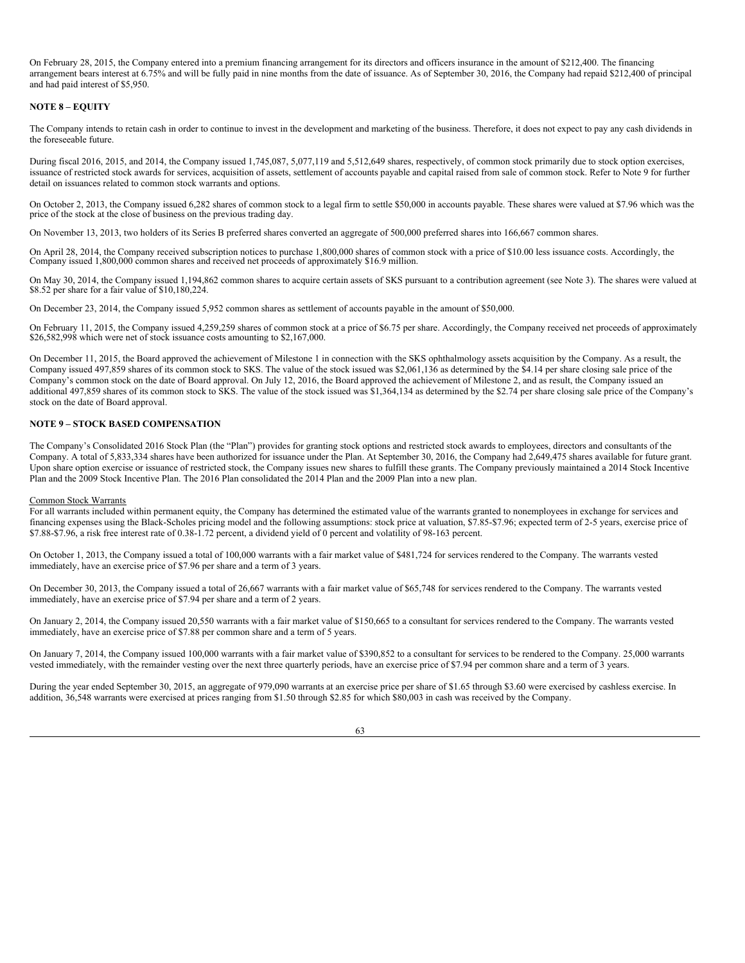On February 28, 2015, the Company entered into a premium financing arrangement for its directors and officers insurance in the amount of \$212,400. The financing arrangement bears interest at 6.75% and will be fully paid in nine months from the date of issuance. As of September 30, 2016, the Company had repaid \$212,400 of principal and had paid interest of \$5,950.

## **NOTE 8 – EQUITY**

The Company intends to retain cash in order to continue to invest in the development and marketing of the business. Therefore, it does not expect to pay any cash dividends in the foreseeable future.

During fiscal 2016, 2015, and 2014, the Company issued 1,745,087, 5,077,119 and 5,512,649 shares, respectively, of common stock primarily due to stock option exercises, issuance of restricted stock awards for services, acquisition of assets, settlement of accounts payable and capital raised from sale of common stock. Refer to Note 9 for further detail on issuances related to common stock warrants and options.

On October 2, 2013, the Company issued 6,282 shares of common stock to a legal firm to settle \$50,000 in accounts payable. These shares were valued at \$7.96 which was the price of the stock at the close of business on the previous trading day.

On November 13, 2013, two holders of its Series B preferred shares converted an aggregate of 500,000 preferred shares into 166,667 common shares.

On April 28, 2014, the Company received subscription notices to purchase 1,800,000 shares of common stock with a price of \$10.00 less issuance costs. Accordingly, the Company issued 1,800,000 common shares and received net proceeds of approximately \$16.9 million.

On May 30, 2014, the Company issued 1,194,862 common shares to acquire certain assets of SKS pursuant to a contribution agreement (see Note 3). The shares were valued at \$8.52 per share for a fair value of \$10,180,224.

On December 23, 2014, the Company issued 5,952 common shares as settlement of accounts payable in the amount of \$50,000.

On February 11, 2015, the Company issued 4,259,259 shares of common stock at a price of \$6.75 per share. Accordingly, the Company received net proceeds of approximately \$26,582,998 which were net of stock issuance costs amounting to \$2,167,000.

On December 11, 2015, the Board approved the achievement of Milestone 1 in connection with the SKS ophthalmology assets acquisition by the Company. As a result, the Company issued 497,859 shares of its common stock to SKS. The value of the stock issued was \$2,061,136 as determined by the \$4.14 per share closing sale price of the Company's common stock on the date of Board approval. On July 12, 2016, the Board approved the achievement of Milestone 2, and as result, the Company issued an additional 497,859 shares of its common stock to SKS. The value of the stock issued was \$1,364,134 as determined by the \$2.74 per share closing sale price of the Company's stock on the date of Board approval.

## **NOTE 9 – STOCK BASED COMPENSATION**

The Company's Consolidated 2016 Stock Plan (the "Plan") provides for granting stock options and restricted stock awards to employees, directors and consultants of the Company. A total of 5,833,334 shares have been authorized for issuance under the Plan. At September 30, 2016, the Company had 2,649,475 shares available for future grant. Upon share option exercise or issuance of restricted stock, the Company issues new shares to fulfill these grants. The Company previously maintained a 2014 Stock Incentive Plan and the 2009 Stock Incentive Plan. The 2016 Plan consolidated the 2014 Plan and the 2009 Plan into a new plan.

### Common Stock Warrants

For all warrants included within permanent equity, the Company has determined the estimated value of the warrants granted to nonemployees in exchange for services and financing expenses using the Black-Scholes pricing model and the following assumptions: stock price at valuation, \$7.85-\$7.96; expected term of 2-5 years, exercise price of \$7.88-\$7.96, a risk free interest rate of 0.38-1.72 percent, a dividend yield of 0 percent and volatility of 98-163 percent.

On October 1, 2013, the Company issued a total of 100,000 warrants with a fair market value of \$481,724 for services rendered to the Company. The warrants vested immediately, have an exercise price of \$7.96 per share and a term of 3 years.

On December 30, 2013, the Company issued a total of 26,667 warrants with a fair market value of \$65,748 for services rendered to the Company. The warrants vested immediately, have an exercise price of \$7.94 per share and a term of 2 years.

On January 2, 2014, the Company issued 20,550 warrants with a fair market value of \$150,665 to a consultant for services rendered to the Company. The warrants vested immediately, have an exercise price of \$7.88 per common share and a term of 5 years.

On January 7, 2014, the Company issued 100,000 warrants with a fair market value of \$390,852 to a consultant for services to be rendered to the Company. 25,000 warrants vested immediately, with the remainder vesting over the next three quarterly periods, have an exercise price of \$7.94 per common share and a term of 3 years.

During the year ended September 30, 2015, an aggregate of 979,090 warrants at an exercise price per share of \$1.65 through \$3.60 were exercised by cashless exercise. In addition, 36,548 warrants were exercised at prices ranging from \$1.50 through \$2.85 for which \$80,003 in cash was received by the Company.

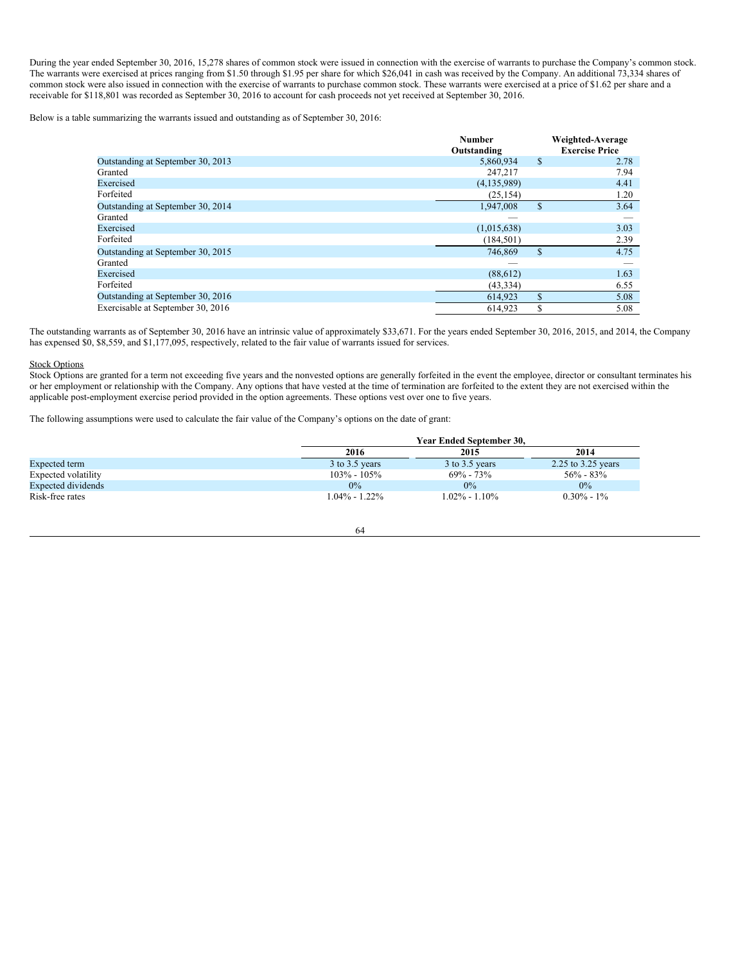During the year ended September 30, 2016, 15,278 shares of common stock were issued in connection with the exercise of warrants to purchase the Company's common stock. The warrants were exercised at prices ranging from \$1.50 through \$1.95 per share for which \$26,041 in cash was received by the Company. An additional 73,334 shares of common stock were also issued in connection with the exercise of warrants to purchase common stock. These warrants were exercised at a price of \$1.62 per share and a receivable for \$118,801 was recorded as September 30, 2016 to account for cash proceeds not yet received at September 30, 2016.

Below is a table summarizing the warrants issued and outstanding as of September 30, 2016:

|                                   | <b>Number</b> |              | Weighted-Average      |
|-----------------------------------|---------------|--------------|-----------------------|
|                                   | Outstanding   |              | <b>Exercise Price</b> |
| Outstanding at September 30, 2013 | 5,860,934     | \$           | 2.78                  |
| Granted                           | 247,217       |              | 7.94                  |
| Exercised                         | (4, 135, 989) |              | 4.41                  |
| Forfeited                         | (25, 154)     |              | 1.20                  |
| Outstanding at September 30, 2014 | 1,947,008     | $\mathbb{S}$ | 3.64                  |
| Granted                           | $-$           |              |                       |
| Exercised                         | (1,015,638)   |              | 3.03                  |
| Forfeited                         | (184, 501)    |              | 2.39                  |
| Outstanding at September 30, 2015 | 746,869       | \$           | 4.75                  |
| Granted                           |               |              |                       |
| Exercised                         | (88, 612)     |              | 1.63                  |
| Forfeited                         | (43, 334)     |              | 6.55                  |
| Outstanding at September 30, 2016 | 614.923       | \$           | 5.08                  |
| Exercisable at September 30, 2016 | 614.923       | \$           | 5.08                  |

The outstanding warrants as of September 30, 2016 have an intrinsic value of approximately \$33,671. For the years ended September 30, 2016, 2015, and 2014, the Company has expensed \$0, \$8,559, and \$1,177,095, respectively, related to the fair value of warrants issued for services.

#### Stock Options

Stock Options are granted for a term not exceeding five years and the nonvested options are generally forfeited in the event the employee, director or consultant terminates his or her employment or relationship with the Company. Any options that have vested at the time of termination are forfeited to the extent they are not exercised within the applicable post-employment exercise period provided in the option agreements. These options vest over one to five years.

The following assumptions were used to calculate the fair value of the Company's options on the date of grant:

|                     |                    | <b>Year Ended September 30.</b> |                    |  |  |  |  |
|---------------------|--------------------|---------------------------------|--------------------|--|--|--|--|
|                     | 2016               | 2015                            | 2014               |  |  |  |  |
| Expected term       | $3$ to $3.5$ years | $3$ to 3.5 years                | 2.25 to 3.25 years |  |  |  |  |
| Expected volatility | $103\% - 105\%$    | $69\% - 73\%$                   | $56\% - 83\%$      |  |  |  |  |
| Expected dividends  | $0\%$              | $0\%$                           | $0\%$              |  |  |  |  |
| Risk-free rates     | $1.04\% - 1.22\%$  | $1.02\% - 1.10\%$               | $0.30\% - 1\%$     |  |  |  |  |

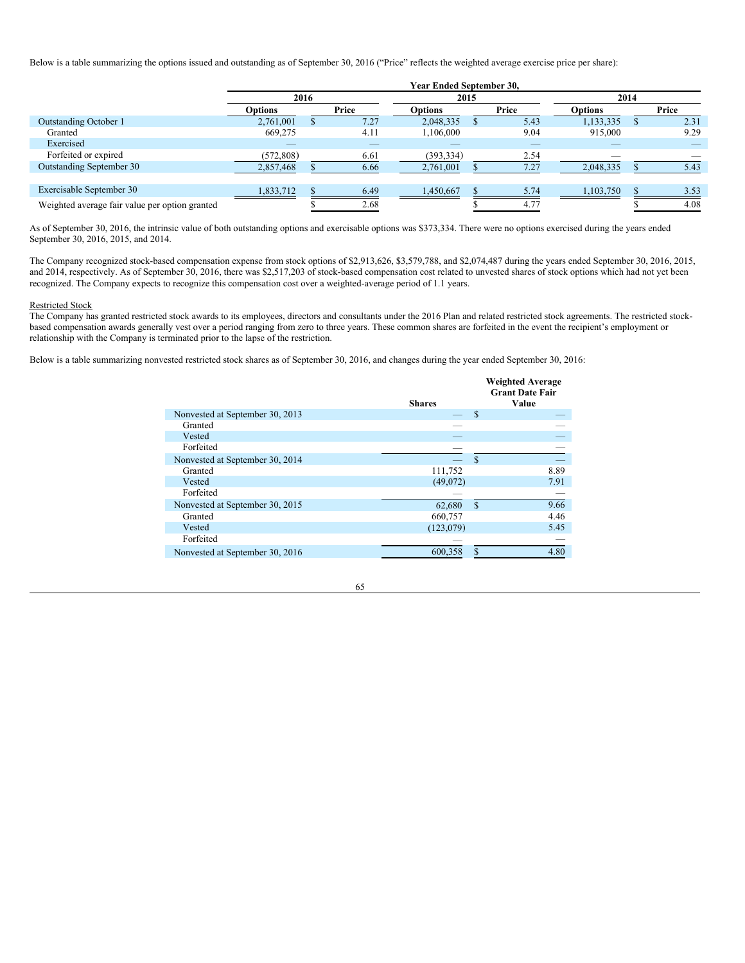Below is a table summarizing the options issued and outstanding as of September 30, 2016 ("Price" reflects the weighted average exercise price per share):

|                                                | Year Ended September 30, |  |       |                |  |       |                |  |       |
|------------------------------------------------|--------------------------|--|-------|----------------|--|-------|----------------|--|-------|
|                                                | 2016                     |  | 2015  |                |  | 2014  |                |  |       |
|                                                | <b>Options</b>           |  | Price | <b>Options</b> |  | Price | <b>Options</b> |  | Price |
| Outstanding October 1                          | 2,761,001                |  | 7.27  | 2,048,335      |  | 5.43  | 1,133,335      |  | 2.31  |
| Granted                                        | 669,275                  |  | 4.11  | 1,106,000      |  | 9.04  | 915,000        |  | 9.29  |
| Exercised                                      |                          |  | _     |                |  | $-$   |                |  |       |
| Forfeited or expired                           | (572, 808)               |  | 6.61  | (393, 334)     |  | 2.54  |                |  |       |
| Outstanding September 30                       | 2,857,468                |  | 6.66  | 2,761,001      |  | 7.27  | 2,048,335      |  | 5.43  |
|                                                |                          |  |       |                |  |       |                |  |       |
| Exercisable September 30                       | .833,712                 |  | 6.49  | 1,450,667      |  | 5.74  | 1,103,750      |  | 3.53  |
| Weighted average fair value per option granted |                          |  | 2.68  |                |  | 4.77  |                |  | 4.08  |

As of September 30, 2016, the intrinsic value of both outstanding options and exercisable options was \$373,334. There were no options exercised during the years ended September 30, 2016, 2015, and 2014.

The Company recognized stock-based compensation expense from stock options of \$2,913,626, \$3,579,788, and \$2,074,487 during the years ended September 30, 2016, 2015, and 2014, respectively. As of September 30, 2016, there was \$2,517,203 of stock-based compensation cost related to unvested shares of stock options which had not yet been recognized. The Company expects to recognize this compensation cost over a weighted-average period of 1.1 years.

## Restricted Stock

The Company has granted restricted stock awards to its employees, directors and consultants under the 2016 Plan and related restricted stock agreements. The restricted stockbased compensation awards generally vest over a period ranging from zero to three years. These common shares are forfeited in the event the recipient's employment or relationship with the Company is terminated prior to the lapse of the restriction.

Below is a table summarizing nonvested restricted stock shares as of September 30, 2016, and changes during the year ended September 30, 2016:

|                                 | <b>Shares</b> | <b>Weighted Average</b><br><b>Grant Date Fair</b><br>Value |
|---------------------------------|---------------|------------------------------------------------------------|
| Nonvested at September 30, 2013 |               | <b>S</b>                                                   |
| Granted                         |               |                                                            |
| Vested                          |               |                                                            |
| Forfeited                       |               |                                                            |
| Nonvested at September 30, 2014 |               | \$                                                         |
| Granted                         | 111,752       | 8.89                                                       |
| Vested                          | (49,072)      | 7.91                                                       |
| Forfeited                       |               |                                                            |
| Nonvested at September 30, 2015 | 62,680        | 9.66<br>$\mathcal{S}$                                      |
| Granted                         | 660,757       | 4.46                                                       |
| Vested                          | (123,079)     | 5.45                                                       |
| Forfeited                       |               |                                                            |
| Nonvested at September 30, 2016 | 600.358       | 4.80<br>S                                                  |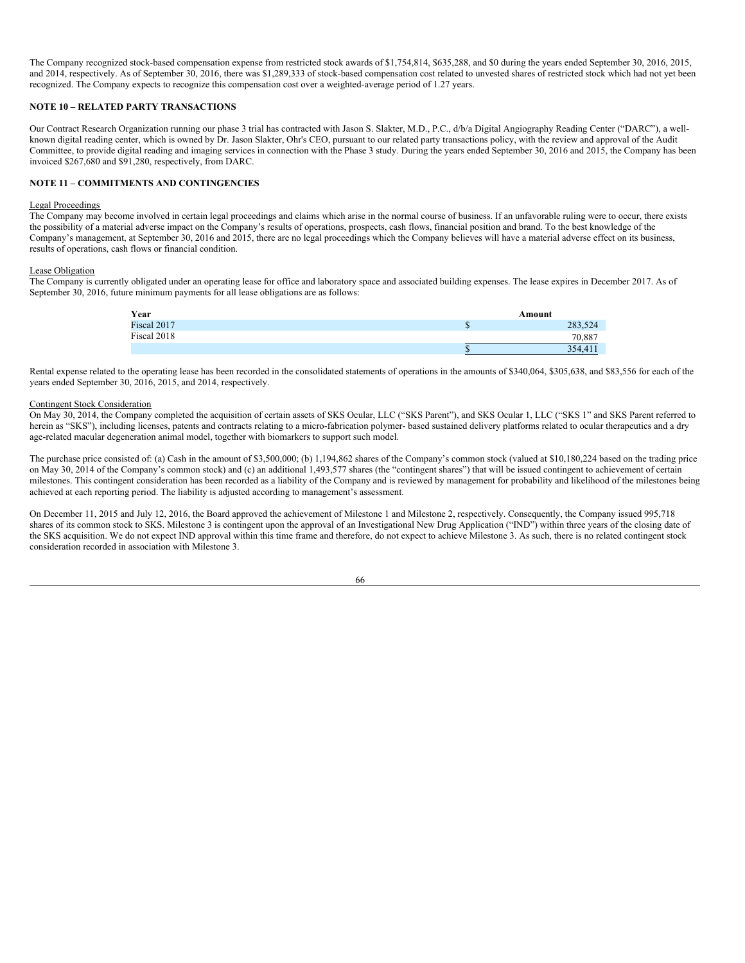The Company recognized stock-based compensation expense from restricted stock awards of \$1,754,814, \$635,288, and \$0 during the years ended September 30, 2016, 2015, and 2014, respectively. As of September 30, 2016, there was \$1,289,333 of stock-based compensation cost related to unvested shares of restricted stock which had not yet been recognized. The Company expects to recognize this compensation cost over a weighted-average period of 1.27 years.

## **NOTE 10 – RELATED PARTY TRANSACTIONS**

Our Contract Research Organization running our phase 3 trial has contracted with Jason S. Slakter, M.D., P.C., d/b/a Digital Angiography Reading Center ("DARC"), a wellknown digital reading center, which is owned by Dr. Jason Slakter, Ohr's CEO, pursuant to our related party transactions policy, with the review and approval of the Audit Committee, to provide digital reading and imaging services in connection with the Phase 3 study. During the years ended September 30, 2016 and 2015, the Company has been invoiced \$267,680 and \$91,280, respectively, from DARC.

### **NOTE 11 – COMMITMENTS AND CONTINGENCIES**

### Legal Proceedings

The Company may become involved in certain legal proceedings and claims which arise in the normal course of business. If an unfavorable ruling were to occur, there exists the possibility of a material adverse impact on the Company's results of operations, prospects, cash flows, financial position and brand. To the best knowledge of the Company's management, at September 30, 2016 and 2015, there are no legal proceedings which the Company believes will have a material adverse effect on its business, results of operations, cash flows or financial condition.

### Lease Obligation

The Company is currently obligated under an operating lease for office and laboratory space and associated building expenses. The lease expires in December 2017. As of September 30, 2016, future minimum payments for all lease obligations are as follows:

| Year        | Amount  |
|-------------|---------|
| Fiscal 2017 | 283.524 |
| Fiscal 2018 | 70,887  |
|             | 354,411 |

Rental expense related to the operating lease has been recorded in the consolidated statements of operations in the amounts of \$340,064, \$305,638, and \$83,556 for each of the years ended September 30, 2016, 2015, and 2014, respectively.

#### Contingent Stock Consideration

On May 30, 2014, the Company completed the acquisition of certain assets of SKS Ocular, LLC ("SKS Parent"), and SKS Ocular 1, LLC ("SKS 1" and SKS Parent referred to herein as "SKS"), including licenses, patents and contracts relating to a micro-fabrication polymer- based sustained delivery platforms related to ocular therapeutics and a dry age-related macular degeneration animal model, together with biomarkers to support such model.

The purchase price consisted of: (a) Cash in the amount of \$3,500,000; (b) 1,194,862 shares of the Company's common stock (valued at \$10,180,224 based on the trading price on May 30, 2014 of the Company's common stock) and (c) an additional 1,493,577 shares (the "contingent shares") that will be issued contingent to achievement of certain milestones. This contingent consideration has been recorded as a liability of the Company and is reviewed by management for probability and likelihood of the milestones being achieved at each reporting period. The liability is adjusted according to management's assessment.

On December 11, 2015 and July 12, 2016, the Board approved the achievement of Milestone 1 and Milestone 2, respectively. Consequently, the Company issued 995,718 shares of its common stock to SKS. Milestone 3 is contingent upon the approval of an Investigational New Drug Application ("IND") within three years of the closing date of the SKS acquisition. We do not expect IND approval within this time frame and therefore, do not expect to achieve Milestone 3. As such, there is no related contingent stock consideration recorded in association with Milestone 3.

66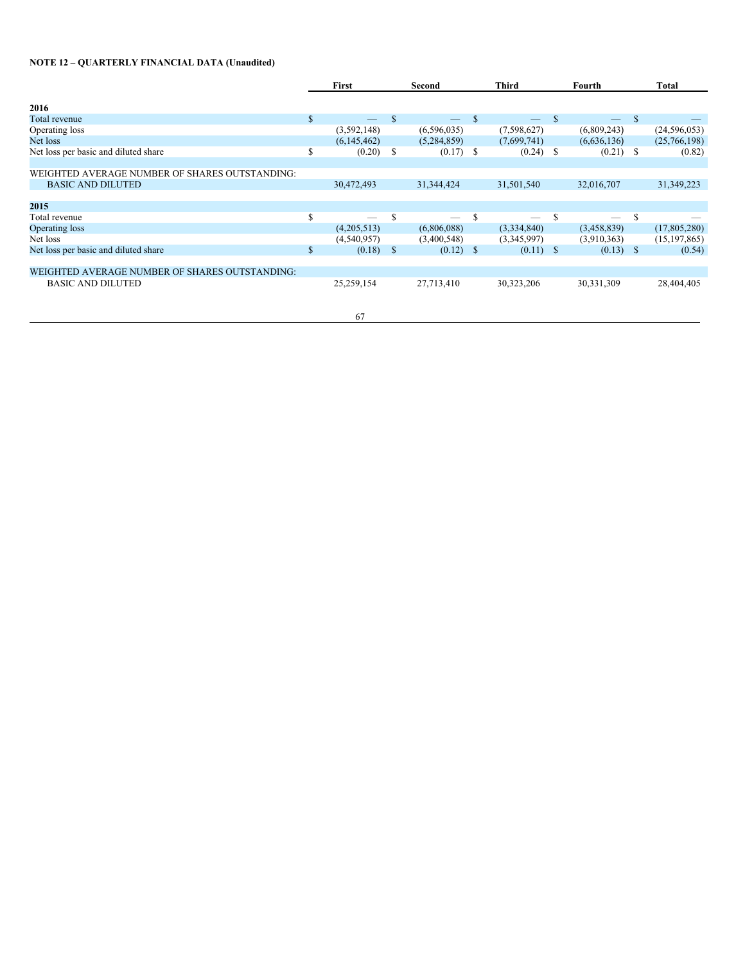# **NOTE 12 – QUARTERLY FINANCIAL DATA (Unaudited)**

|                                                |     | First       |               | Second        |               | <b>Third</b> |    | Fourth      |     | <b>Total</b>   |
|------------------------------------------------|-----|-------------|---------------|---------------|---------------|--------------|----|-------------|-----|----------------|
|                                                |     |             |               |               |               |              |    |             |     |                |
| 2016                                           |     |             |               |               |               |              |    |             |     |                |
| Total revenue                                  | S   |             | \$.           |               | <sup>\$</sup> |              | \$ |             | \$. |                |
| Operating loss                                 |     | (3,592,148) |               | (6, 596, 035) |               | (7,598,627)  |    | (6,809,243) |     | (24, 596, 053) |
| Net loss                                       |     | (6,145,462) |               | (5,284,859)   |               | (7,699,741)  |    | (6,636,136) |     | (25,766,198)   |
| Net loss per basic and diluted share           | S   | (0.20)      | \$            | $(0.17)$ \$   |               | $(0.24)$ \$  |    | $(0.21)$ \$ |     | (0.82)         |
|                                                |     |             |               |               |               |              |    |             |     |                |
| WEIGHTED AVERAGE NUMBER OF SHARES OUTSTANDING: |     |             |               |               |               |              |    |             |     |                |
| <b>BASIC AND DILUTED</b>                       |     | 30,472,493  |               | 31,344,424    |               | 31,501,540   |    | 32,016,707  |     | 31,349,223     |
|                                                |     |             |               |               |               |              |    |             |     |                |
| 2015                                           |     |             |               |               |               |              |    |             |     |                |
| Total revenue                                  | \$. |             | S             | -             | \$.           |              | S  |             | \$. |                |
| Operating loss                                 |     | (4,205,513) |               | (6,806,088)   |               | (3,334,840)  |    | (3,458,839) |     | (17,805,280)   |
| Net loss                                       |     | (4,540,957) |               | (3,400,548)   |               | (3,345,997)  |    | (3,910,363) |     | (15, 197, 865) |
| Net loss per basic and diluted share           | S   | (0.18)      | <sup>\$</sup> | (0.12)        | -S            | $(0.11)$ \$  |    | $(0.13)$ \$ |     | (0.54)         |
|                                                |     |             |               |               |               |              |    |             |     |                |
| WEIGHTED AVERAGE NUMBER OF SHARES OUTSTANDING: |     |             |               |               |               |              |    |             |     |                |
| <b>BASIC AND DILUTED</b>                       |     | 25,259,154  |               | 27,713,410    |               | 30,323,206   |    | 30,331,309  |     | 28,404,405     |
|                                                |     |             |               |               |               |              |    |             |     |                |
|                                                |     |             |               |               |               |              |    |             |     |                |
|                                                |     | 67          |               |               |               |              |    |             |     |                |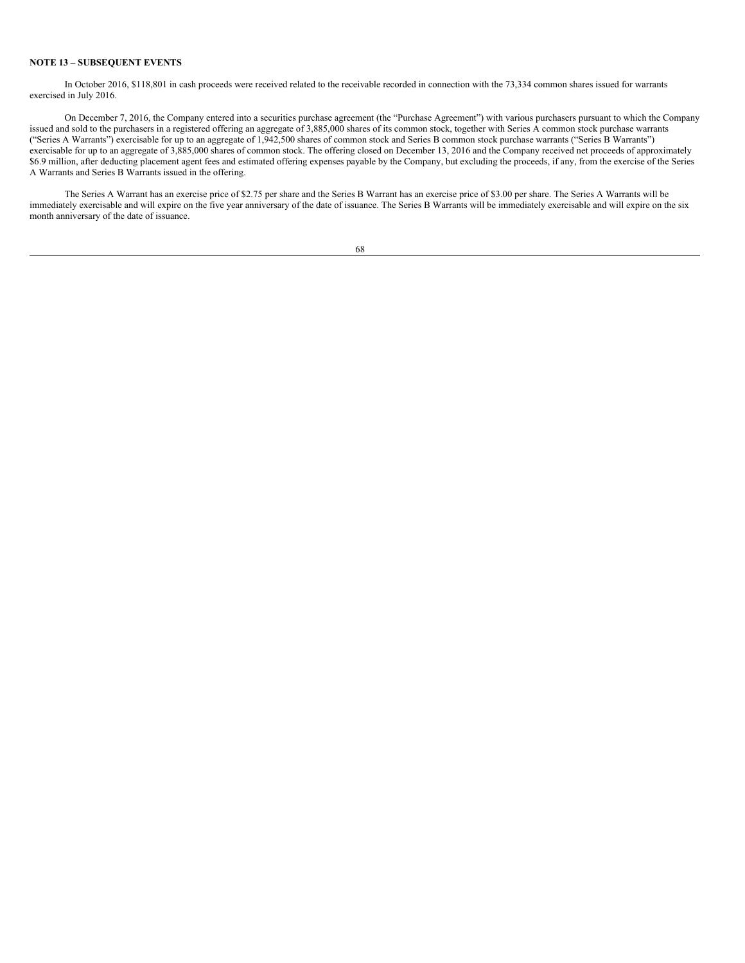## **NOTE 13 – SUBSEQUENT EVENTS**

In October 2016, \$118,801 in cash proceeds were received related to the receivable recorded in connection with the 73,334 common shares issued for warrants exercised in July 2016.

On December 7, 2016, the Company entered into a securities purchase agreement (the "Purchase Agreement") with various purchasers pursuant to which the Company issued and sold to the purchasers in a registered offering an aggregate of 3,885,000 shares of its common stock, together with Series A common stock purchase warrants ("Series A Warrants") exercisable for up to an aggregate of 1,942,500 shares of common stock and Series B common stock purchase warrants ("Series B Warrants") exercisable for up to an aggregate of 3,885,000 shares of common stock. The offering closed on December 13, 2016 and the Company received net proceeds of approximately \$6.9 million, after deducting placement agent fees and estimated offering expenses payable by the Company, but excluding the proceeds, if any, from the exercise of the Series A Warrants and Series B Warrants issued in the offering.

The Series A Warrant has an exercise price of \$2.75 per share and the Series B Warrant has an exercise price of \$3.00 per share. The Series A Warrants will be immediately exercisable and will expire on the five year anniversary of the date of issuance. The Series B Warrants will be immediately exercisable and will expire on the six month anniversary of the date of issuance.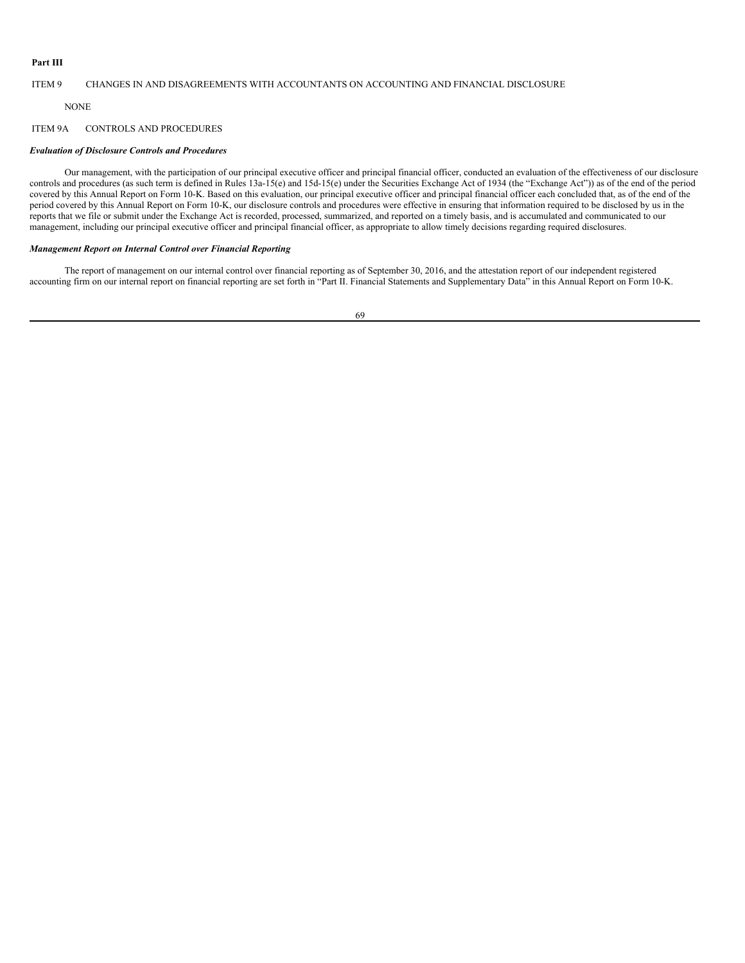## **Part III**

### ITEM 9 CHANGES IN AND DISAGREEMENTS WITH ACCOUNTANTS ON ACCOUNTING AND FINANCIAL DISCLOSURE

NONE

ITEM 9A CONTROLS AND PROCEDURES

#### *Evaluation of Disclosure Controls and Procedures*

Our management, with the participation of our principal executive officer and principal financial officer, conducted an evaluation of the effectiveness of our disclosure controls and procedures (as such term is defined in Rules 13a-15(e) and 15d-15(e) under the Securities Exchange Act of 1934 (the "Exchange Act")) as of the end of the period covered by this Annual Report on Form 10-K. Based on this evaluation, our principal executive officer and principal financial officer each concluded that, as of the end of the period covered by this Annual Report on Form 10-K, our disclosure controls and procedures were effective in ensuring that information required to be disclosed by us in the reports that we file or submit under the Exchange Act is recorded, processed, summarized, and reported on a timely basis, and is accumulated and communicated to our management, including our principal executive officer and principal financial officer, as appropriate to allow timely decisions regarding required disclosures.

## *Management Report on Internal Control over Financial Reporting*

The report of management on our internal control over financial reporting as of September 30, 2016, and the attestation report of our independent registered accounting firm on our internal report on financial reporting are set forth in "Part II. Financial Statements and Supplementary Data" in this Annual Report on Form 10-K.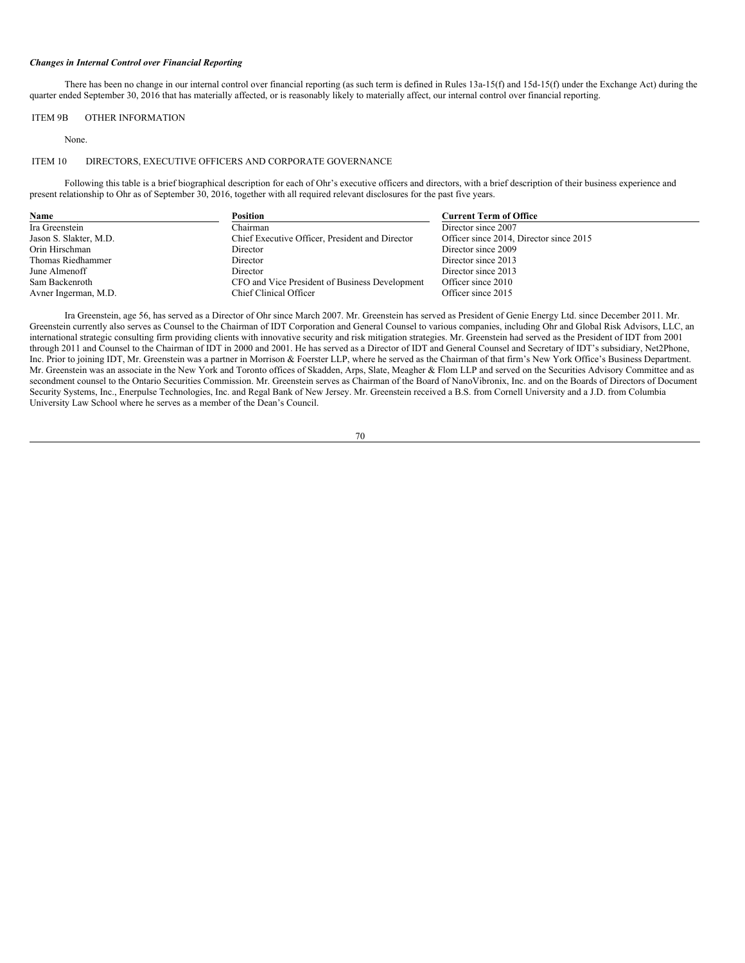#### *Changes in Internal Control over Financial Reporting*

There has been no change in our internal control over financial reporting (as such term is defined in Rules 13a-15(f) and 15d-15(f) under the Exchange Act) during the quarter ended September 30, 2016 that has materially affected, or is reasonably likely to materially affect, our internal control over financial reporting.

#### ITEM 9B OTHER INFORMATION

None.

## ITEM 10 DIRECTORS, EXECUTIVE OFFICERS AND CORPORATE GOVERNANCE

Following this table is a brief biographical description for each of Ohr's executive officers and directors, with a brief description of their business experience and present relationship to Ohr as of September 30, 2016, together with all required relevant disclosures for the past five years.

| Name                   | <b>Position</b>                                 | <b>Current Term of Office</b>           |
|------------------------|-------------------------------------------------|-----------------------------------------|
| Ira Greenstein         | Chairman                                        | Director since 2007                     |
| Jason S. Slakter, M.D. | Chief Executive Officer, President and Director | Officer since 2014, Director since 2015 |
| Orin Hirschman         | Director                                        | Director since 2009                     |
| Thomas Riedhammer      | Director                                        | Director since 2013                     |
| June Almenoff          | Director                                        | Director since 2013                     |
| Sam Backenroth         | CFO and Vice President of Business Development  | Officer since 2010                      |
| Avner Ingerman, M.D.   | Chief Clinical Officer                          | Officer since 2015                      |

Ira Greenstein, age 56, has served as a Director of Ohr since March 2007. Mr. Greenstein has served as President of Genie Energy Ltd. since December 2011. Mr. Greenstein currently also serves as Counsel to the Chairman of IDT Corporation and General Counsel to various companies, including Ohr and Global Risk Advisors, LLC, an international strategic consulting firm providing clients with innovative security and risk mitigation strategies. Mr. Greenstein had served as the President of IDT from 2001 through 2011 and Counsel to the Chairman of IDT in 2000 and 2001. He has served as a Director of IDT and General Counsel and Secretary of IDT's subsidiary, Net2Phone, Inc. Prior to joining IDT, Mr. Greenstein was a partner in Morrison & Foerster LLP, where he served as the Chairman of that firm's New York Office's Business Department. Mr. Greenstein was an associate in the New York and Toronto offices of Skadden, Arps, Slate, Meagher & Flom LLP and served on the Securities Advisory Committee and as secondment counsel to the Ontario Securities Commission. Mr. Greenstein serves as Chairman of the Board of NanoVibronix, Inc. and on the Boards of Directors of Document Security Systems, Inc., Enerpulse Technologies, Inc. and Regal Bank of New Jersey. Mr. Greenstein received a B.S. from Cornell University and a J.D. from Columbia University Law School where he serves as a member of the Dean's Council.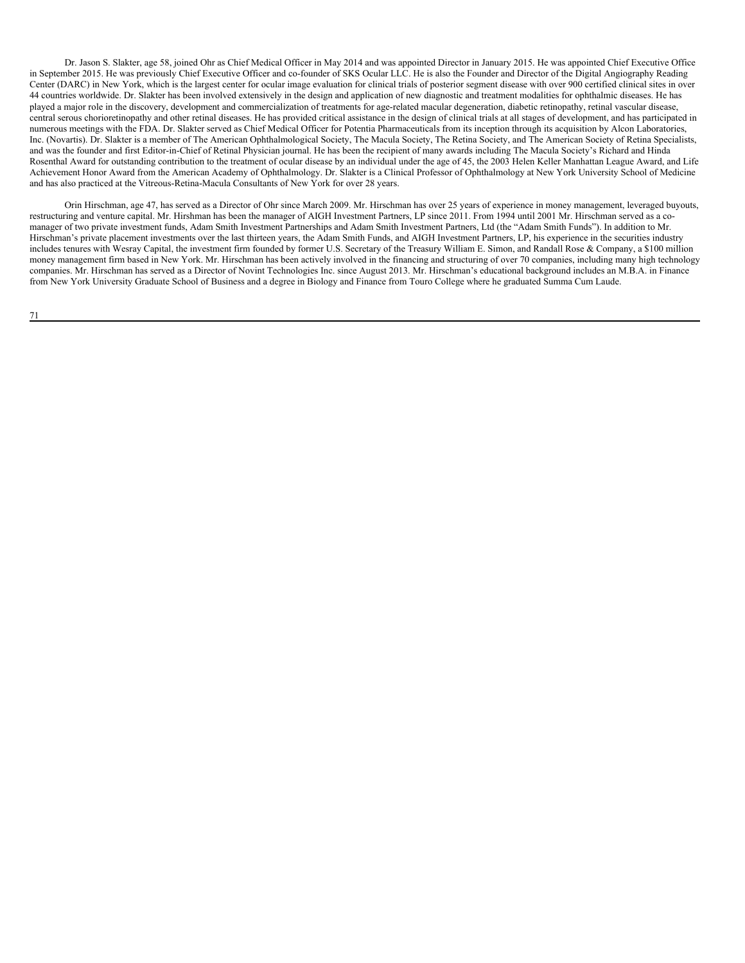Dr. Jason S. Slakter, age 58, joined Ohr as Chief Medical Officer in May 2014 and was appointed Director in January 2015. He was appointed Chief Executive Office in September 2015. He was previously Chief Executive Officer and co-founder of SKS Ocular LLC. He is also the Founder and Director of the Digital Angiography Reading Center (DARC) in New York, which is the largest center for ocular image evaluation for clinical trials of posterior segment disease with over 900 certified clinical sites in over 44 countries worldwide. Dr. Slakter has been involved extensively in the design and application of new diagnostic and treatment modalities for ophthalmic diseases. He has played a major role in the discovery, development and commercialization of treatments for age-related macular degeneration, diabetic retinopathy, retinal vascular disease, central serous chorioretinopathy and other retinal diseases. He has provided critical assistance in the design of clinical trials at all stages of development, and has participated in numerous meetings with the FDA. Dr. Slakter served as Chief Medical Officer for Potentia Pharmaceuticals from its inception through its acquisition by Alcon Laboratories, Inc. (Novartis). Dr. Slakter is a member of The American Ophthalmological Society, The Macula Society, The Retina Society, and The American Society of Retina Specialists, and was the founder and first Editor-in-Chief of Retinal Physician journal. He has been the recipient of many awards including The Macula Society's Richard and Hinda Rosenthal Award for outstanding contribution to the treatment of ocular disease by an individual under the age of 45, the 2003 Helen Keller Manhattan League Award, and Life Achievement Honor Award from the American Academy of Ophthalmology. Dr. Slakter is a Clinical Professor of Ophthalmology at New York University School of Medicine and has also practiced at the Vitreous-Retina-Macula Consultants of New York for over 28 years.

Orin Hirschman, age 47, has served as a Director of Ohr since March 2009. Mr. Hirschman has over 25 years of experience in money management, leveraged buyouts, restructuring and venture capital. Mr. Hirshman has been the manager of AIGH Investment Partners, LP since 2011. From 1994 until 2001 Mr. Hirschman served as a comanager of two private investment funds, Adam Smith Investment Partnerships and Adam Smith Investment Partners, Ltd (the "Adam Smith Funds"). In addition to Mr. Hirschman's private placement investments over the last thirteen years, the Adam Smith Funds, and AIGH Investment Partners, LP, his experience in the securities industry includes tenures with Wesray Capital, the investment firm founded by former U.S. Secretary of the Treasury William E. Simon, and Randall Rose & Company, a \$100 million money management firm based in New York. Mr. Hirschman has been actively involved in the financing and structuring of over 70 companies, including many high technology companies. Mr. Hirschman has served as a Director of Novint Technologies Inc. since August 2013. Mr. Hirschman's educational background includes an M.B.A. in Finance from New York University Graduate School of Business and a degree in Biology and Finance from Touro College where he graduated Summa Cum Laude.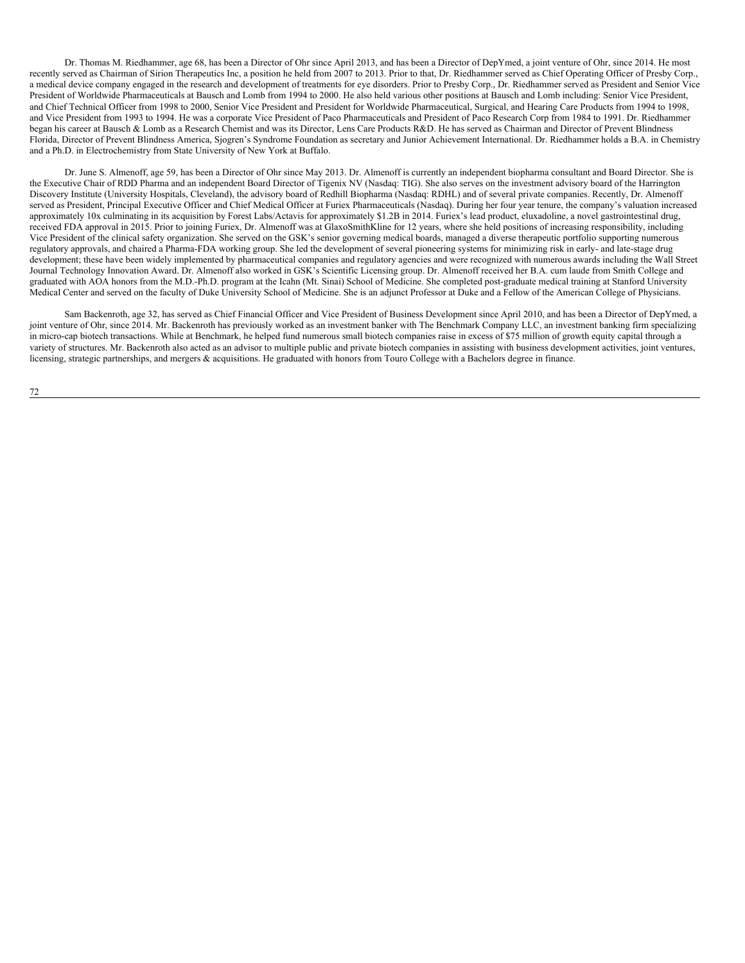Dr. Thomas M. Riedhammer, age 68, has been a Director of Ohr since April 2013, and has been a Director of DepYmed, a joint venture of Ohr, since 2014. He most recently served as Chairman of Sirion Therapeutics Inc, a position he held from 2007 to 2013. Prior to that, Dr. Riedhammer served as Chief Operating Officer of Presby Corp., a medical device company engaged in the research and development of treatments for eye disorders. Prior to Presby Corp., Dr. Riedhammer served as President and Senior Vice President of Worldwide Pharmaceuticals at Bausch and Lomb from 1994 to 2000. He also held various other positions at Bausch and Lomb including: Senior Vice President, and Chief Technical Officer from 1998 to 2000, Senior Vice President and President for Worldwide Pharmaceutical, Surgical, and Hearing Care Products from 1994 to 1998, and Vice President from 1993 to 1994. He was a corporate Vice President of Paco Pharmaceuticals and President of Paco Research Corp from 1984 to 1991. Dr. Riedhammer began his career at Bausch & Lomb as a Research Chemist and was its Director, Lens Care Products R&D. He has served as Chairman and Director of Prevent Blindness Florida, Director of Prevent Blindness America, Sjogren's Syndrome Foundation as secretary and Junior Achievement International. Dr. Riedhammer holds a B.A. in Chemistry and a Ph.D. in Electrochemistry from State University of New York at Buffalo.

Dr. June S. Almenoff, age 59, has been a Director of Ohr since May 2013. Dr. Almenoff is currently an independent biopharma consultant and Board Director. She is the Executive Chair of RDD Pharma and an independent Board Director of Tigenix NV (Nasdaq: TIG). She also serves on the investment advisory board of the Harrington Discovery Institute (University Hospitals, Cleveland), the advisory board of Redhill Biopharma (Nasdaq: RDHL) and of several private companies. Recently, Dr. Almenoff served as President, Principal Executive Officer and Chief Medical Officer at Furiex Pharmaceuticals (Nasdaq). During her four year tenure, the company's valuation increased approximately 10x culminating in its acquisition by Forest Labs/Actavis for approximately \$1.2B in 2014. Furiex's lead product, eluxadoline, a novel gastrointestinal drug, received FDA approval in 2015. Prior to joining Furiex, Dr. Almenoff was at GlaxoSmithKline for 12 years, where she held positions of increasing responsibility, including Vice President of the clinical safety organization. She served on the GSK's senior governing medical boards, managed a diverse therapeutic portfolio supporting numerous regulatory approvals, and chaired a Pharma-FDA working group. She led the development of several pioneering systems for minimizing risk in early- and late-stage drug development; these have been widely implemented by pharmaceutical companies and regulatory agencies and were recognized with numerous awards including the Wall Street Journal Technology Innovation Award. Dr. Almenoff also worked in GSK's Scientific Licensing group. Dr. Almenoff received her B.A. cum laude from Smith College and graduated with AOA honors from the M.D.-Ph.D. program at the Icahn (Mt. Sinai) School of Medicine. She completed post-graduate medical training at Stanford University Medical Center and served on the faculty of Duke University School of Medicine. She is an adjunct Professor at Duke and a Fellow of the American College of Physicians.

Sam Backenroth, age 32, has served as Chief Financial Officer and Vice President of Business Development since April 2010, and has been a Director of DepYmed, a joint venture of Ohr, since 2014. Mr. Backenroth has previously worked as an investment banker with The Benchmark Company LLC, an investment banking firm specializing in micro-cap biotech transactions. While at Benchmark, he helped fund numerous small biotech companies raise in excess of \$75 million of growth equity capital through a variety of structures. Mr. Backenroth also acted as an advisor to multiple public and private biotech companies in assisting with business development activities, joint ventures, licensing, strategic partnerships, and mergers & acquisitions. He graduated with honors from Touro College with a Bachelors degree in finance.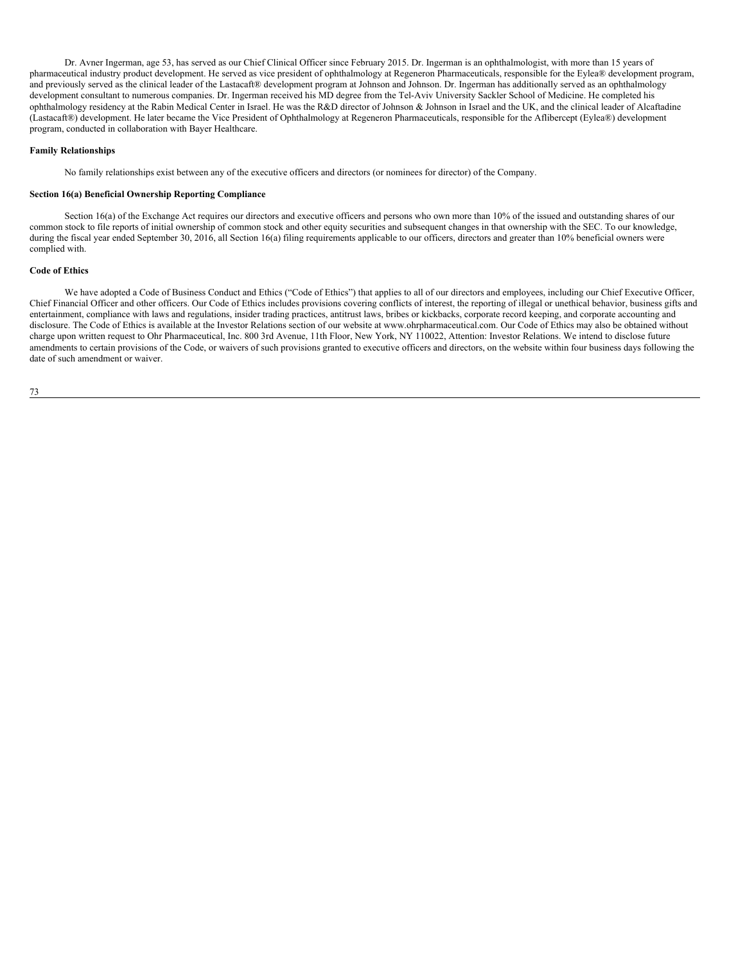Dr. Avner Ingerman, age 53, has served as our Chief Clinical Officer since February 2015. Dr. Ingerman is an ophthalmologist, with more than 15 years of pharmaceutical industry product development. He served as vice president of ophthalmology at Regeneron Pharmaceuticals, responsible for the Eylea® development program, and previously served as the clinical leader of the Lastacaft® development program at Johnson and Johnson. Dr. Ingerman has additionally served as an ophthalmology development consultant to numerous companies. Dr. Ingerman received his MD degree from the Tel-Aviv University Sackler School of Medicine. He completed his ophthalmology residency at the Rabin Medical Center in Israel. He was the R&D director of Johnson & Johnson in Israel and the UK, and the clinical leader of Alcaftadine (Lastacaft®) development. He later became the Vice President of Ophthalmology at Regeneron Pharmaceuticals, responsible for the Aflibercept (Eylea®) development program, conducted in collaboration with Bayer Healthcare.

#### **Family Relationships**

No family relationships exist between any of the executive officers and directors (or nominees for director) of the Company.

# **Section 16(a) Beneficial Ownership Reporting Compliance**

Section 16(a) of the Exchange Act requires our directors and executive officers and persons who own more than 10% of the issued and outstanding shares of our common stock to file reports of initial ownership of common stock and other equity securities and subsequent changes in that ownership with the SEC. To our knowledge, during the fiscal year ended September 30, 2016, all Section 16(a) filing requirements applicable to our officers, directors and greater than 10% beneficial owners were complied with.

# **Code of Ethics**

We have adopted a Code of Business Conduct and Ethics ("Code of Ethics") that applies to all of our directors and employees, including our Chief Executive Officer, Chief Financial Officer and other officers. Our Code of Ethics includes provisions covering conflicts of interest, the reporting of illegal or unethical behavior, business gifts and entertainment, compliance with laws and regulations, insider trading practices, antitrust laws, bribes or kickbacks, corporate record keeping, and corporate accounting and disclosure. The Code of Ethics is available at the Investor Relations section of our website at www.ohrpharmaceutical.com. Our Code of Ethics may also be obtained without charge upon written request to Ohr Pharmaceutical, Inc. 800 3rd Avenue, 11th Floor, New York, NY 110022, Attention: Investor Relations. We intend to disclose future amendments to certain provisions of the Code, or waivers of such provisions granted to executive officers and directors, on the website within four business days following the date of such amendment or waiver.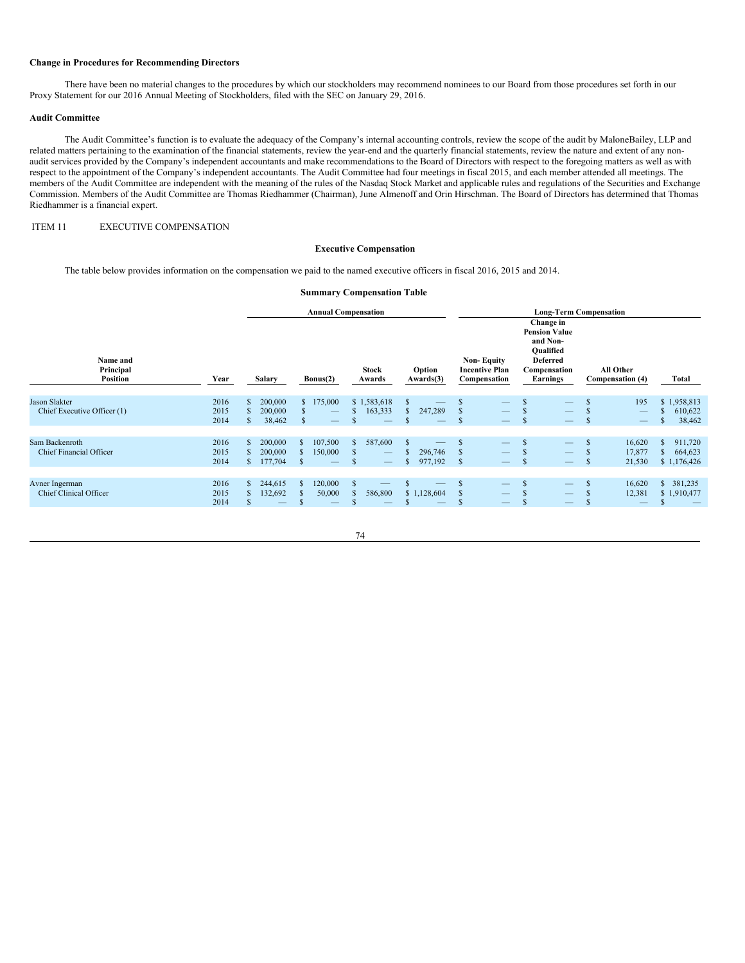# **Change in Procedures for Recommending Directors**

There have been no material changes to the procedures by which our stockholders may recommend nominees to our Board from those procedures set forth in our Proxy Statement for our 2016 Annual Meeting of Stockholders, filed with the SEC on January 29, 2016.

# **Audit Committee**

The Audit Committee's function is to evaluate the adequacy of the Company's internal accounting controls, review the scope of the audit by MaloneBailey, LLP and related matters pertaining to the examination of the financial statements, review the year-end and the quarterly financial statements, review the nature and extent of any nonaudit services provided by the Company's independent accountants and make recommendations to the Board of Directors with respect to the foregoing matters as well as with respect to the appointment of the Company's independent accountants. The Audit Committee had four meetings in fiscal 2015, and each member attended all meetings. The members of the Audit Committee are independent with the meaning of the rules of the Nasdaq Stock Market and applicable rules and regulations of the Securities and Exchange Commission. Members of the Audit Committee are Thomas Riedhammer (Chairman), June Almenoff and Orin Hirschman. The Board of Directors has determined that Thomas Riedhammer is a financial expert.

# ITEM 11 EXECUTIVE COMPENSATION

# **Executive Compensation**

The table below provides information on the compensation we paid to the named executive officers in fiscal 2016, 2015 and 2014.

# **Summary Compensation Table**

|                                                     |                      |                                                                                  |                               | <b>Annual Compensation</b>                |                          | <b>Long-Term Compensation</b>                                                                     |                                                                                                                  |                                                                 |                                       |  |  |
|-----------------------------------------------------|----------------------|----------------------------------------------------------------------------------|-------------------------------|-------------------------------------------|--------------------------|---------------------------------------------------------------------------------------------------|------------------------------------------------------------------------------------------------------------------|-----------------------------------------------------------------|---------------------------------------|--|--|
| Name and<br>Principal<br><b>Position</b>            | Year                 | Salary                                                                           | Bonus(2)                      | <b>Stock</b><br>Awards                    | Option<br>Awards(3)      | <b>Non-Equity</b><br><b>Incentive Plan</b><br>Compensation                                        | Change in<br><b>Pension Value</b><br>and Non-<br><b>Oualified</b><br><b>Deferred</b><br>Compensation<br>Earnings | All Other<br>Compensation (4)                                   | Total                                 |  |  |
| <b>Jason Slakter</b><br>Chief Executive Officer (1) | 2016<br>2015<br>2014 | <sup>\$</sup><br>200,000<br>200,000<br><sup>\$</sup><br>38,462<br><sup>\$</sup>  | \$175,000<br>S.<br>S<br>–     | \$1,583,618<br>163,333<br>S.              | -S<br>247,289<br>-S<br>_ | $\hspace{0.1mm}-\hspace{0.1mm}$<br><sup>\$</sup><br>$\overline{\phantom{m}}$                      | $\hspace{0.1mm}-\hspace{0.1mm}$<br>-S                                                                            | 195<br>£.<br>$\overline{\phantom{m}}$<br>S<br>$\qquad \qquad -$ | \$1,958,813<br>S<br>610,622<br>38,462 |  |  |
| Sam Backenroth<br>Chief Financial Officer           | 2016<br>2015<br>2014 | 200,000<br><sup>\$</sup><br>200,000<br><sup>\$</sup><br>177,704<br><sup>\$</sup> | 107,500<br>S.<br>150,000<br>S | 587,600<br>S.<br>$\overline{\phantom{m}}$ | -S<br>296,746<br>977,192 | $\overline{\phantom{m}}$<br><sup>\$</sup><br>$\overline{\phantom{m}}$                             | $\hspace{0.1mm}-\hspace{0.1mm}$<br>$\overline{\phantom{m}}$                                                      | 16,620<br>17,877<br>21,530                                      | 911,720<br>664,623<br>\$1,176,426     |  |  |
| Avner Ingerman<br>Chief Clinical Officer            | 2016<br>2015<br>2014 | 244,615<br><sup>\$</sup><br>132,692<br><sup>\$</sup>                             | 120,000<br>S.<br>50,000<br>S. | \$.<br>586,800<br>S.                      | \$1,128,604              | $\hspace{0.1mm}-\hspace{0.1mm}$<br><sup>\$</sup><br>$\overline{\phantom{m}}$<br>$\qquad \qquad -$ | <sup>\$</sup><br>$\hspace{0.1mm}-\hspace{0.1mm}$<br>-8                                                           | 16,620<br><sup>\$</sup><br>12,381<br>ъ<br>S                     | \$381,235<br>\$1,910,477              |  |  |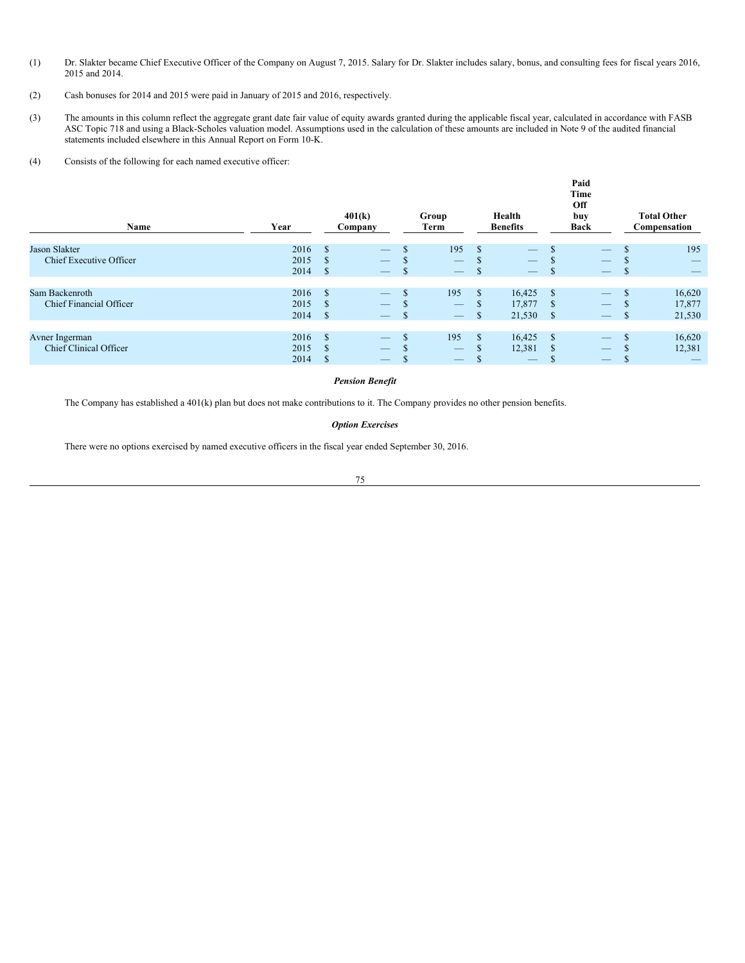- (1) Dr. Slakter became Chief Executive Officer of the Company on August 7, 2015. Salary for Dr. Slakter includes salary, bonus, and consulting fees for fiscal years 2016, 2015 and 2014.
- (2) Cash bonuses for 2014 and 2015 were paid in January of 2015 and 2016, respectively.
- (3) The amounts in this column reflect the aggregate grant date fair value of equity awards granted during the applicable fiscal year, calculated in accordance with FASB ASC Topic 718 and using a Black-Scholes valuation model. Assumptions used in the calculation of these amounts are included in Note 9 of the audited financial statements included elsewhere in this Annual Report on Form 10-K.
- (4) Consists of the following for each named executive officer:

| Name                                                   | Year                 |                                            | 401(k)<br>Company                                                                                                                                                                                                                                                                                                                                                                                                                                               |                           | Group<br>Term                                                      |                                       | Health<br><b>Benefits</b>                    |                        | Paid<br>Time<br><b>Off</b><br>buy<br><b>Back</b>     |                                      | <b>Total Other</b><br>Compensation  |
|--------------------------------------------------------|----------------------|--------------------------------------------|-----------------------------------------------------------------------------------------------------------------------------------------------------------------------------------------------------------------------------------------------------------------------------------------------------------------------------------------------------------------------------------------------------------------------------------------------------------------|---------------------------|--------------------------------------------------------------------|---------------------------------------|----------------------------------------------|------------------------|------------------------------------------------------|--------------------------------------|-------------------------------------|
| <b>Jason Slakter</b><br><b>Chief Executive Officer</b> | 2016<br>2015<br>2014 | $\mathcal{S}$<br><b>S</b><br><sup>\$</sup> | $\overline{\phantom{m}}$<br>$\overline{\phantom{m}}$<br>$\hspace{1.0cm} \overline{\hspace{1.0cm} \hspace{1.0cm} \hspace{1.0cm} } \hspace{1.0cm} \hspace{1.0cm} \overline{\hspace{1.0cm} \hspace{1.0cm} \hspace{1.0cm} } \hspace{1.0cm} \hspace{1.0cm} \overline{\hspace{1.0cm} \hspace{1.0cm} \hspace{1.0cm} } \hspace{1.0cm} \hspace{1.0cm} \overline{\hspace{1.0cm} \hspace{1.0cm} \hspace{1.0cm} } \hspace{1.0cm} \hspace{1.0cm} \hspace{1.0cm} } \hspace{1$ | $\mathcal{S}$<br>\$.<br>S | 195<br>$\overline{\phantom{m}}$<br>$\hspace{0.1mm}-\hspace{0.1mm}$ | $\mathcal{S}$<br>ж<br><sup>\$</sup>   | $\qquad \qquad -$                            | S                      | $\qquad \qquad -$<br>$\hspace{0.1mm}-\hspace{0.1mm}$ | <sup>\$</sup><br>\$<br><sup>\$</sup> | 195                                 |
|                                                        |                      |                                            |                                                                                                                                                                                                                                                                                                                                                                                                                                                                 |                           |                                                                    |                                       |                                              |                        |                                                      |                                      |                                     |
| Sam Backenroth<br><b>Chief Financial Officer</b>       | 2016<br>2015<br>2014 | $\mathbf{s}$<br><b>S</b><br>S              | $\overline{\phantom{m}}$<br>$\frac{1}{2}$<br>$\overline{\phantom{m}}$                                                                                                                                                                                                                                                                                                                                                                                           | \$<br>\$.<br>S            | 195<br>$\overline{\phantom{m}}$<br>$\hspace{0.1mm}-\hspace{0.1mm}$ | $\mathcal{S}$<br><sup>\$</sup>        | 16,425<br>17,877<br>21,530                   | - \$<br>-S<br>- S      |                                                      | S<br>ъ<br>S                          | 16,620<br>17,877<br>21,530          |
| Avner Ingerman<br><b>Chief Clinical Officer</b>        | 2016<br>2015<br>2014 | <b>S</b><br><b>S</b><br>S                  | $\overline{\phantom{m}}$                                                                                                                                                                                                                                                                                                                                                                                                                                        | <b>S</b><br>S<br>S        | 195<br>$\overline{\phantom{m}}$                                    | $\mathcal{S}$<br><b>J</b><br><b>J</b> | 16,425<br>12,381<br>$\qquad \qquad - \qquad$ | $\mathbf{s}$<br>S<br>S | $\overline{\phantom{a}}$                             | \$<br>ъ<br><sup>\$</sup>             | 16,620<br>12,381<br>$\qquad \qquad$ |

# *Pension Benefit*

The Company has established a 401(k) plan but does not make contributions to it. The Company provides no other pension benefits.

# *Option Exercises*

There were no options exercised by named executive officers in the fiscal year ended September 30, 2016.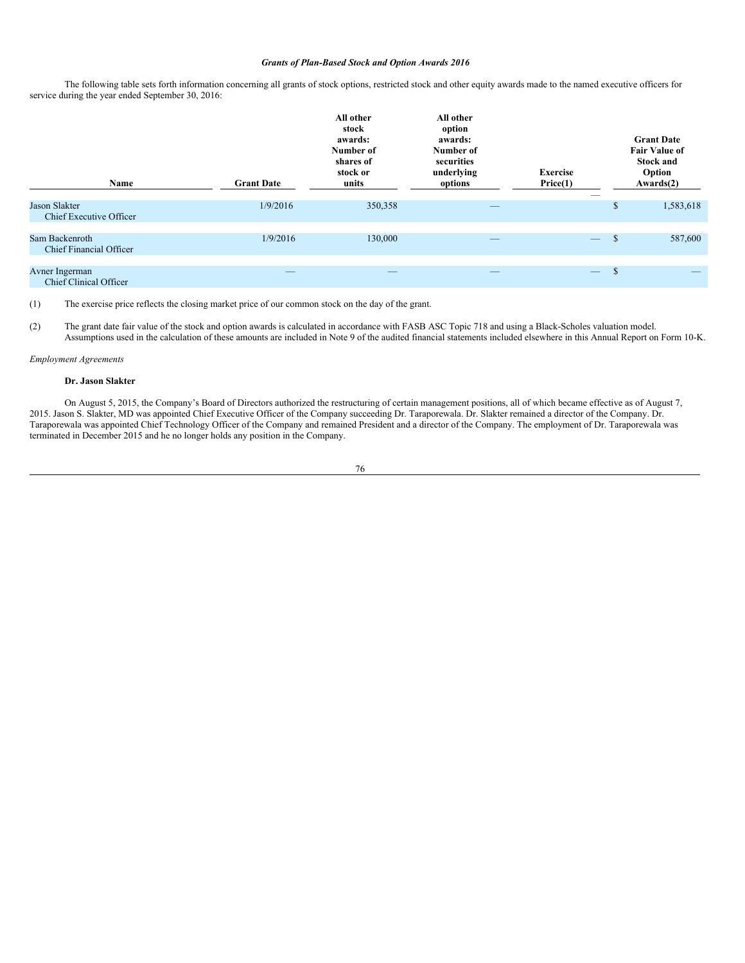## *Grants of Plan-Based Stock and Option Awards 2016*

The following table sets forth information concerning all grants of stock options, restricted stock and other equity awards made to the named executive officers for service during the year ended September 30, 2016:

| Name                                                   | <b>Grant Date</b> | All other<br>stock<br>awards:<br>Number of<br>shares of<br>stock or<br>units | All other<br>option<br>awards:<br>Number of<br>securities<br>underlying<br>options | <b>Exercise</b><br>Price(1)<br>_ |               | <b>Grant Date</b><br><b>Fair Value of</b><br><b>Stock and</b><br>Option<br>Awards(2) |
|--------------------------------------------------------|-------------------|------------------------------------------------------------------------------|------------------------------------------------------------------------------------|----------------------------------|---------------|--------------------------------------------------------------------------------------|
| <b>Jason Slakter</b><br><b>Chief Executive Officer</b> | 1/9/2016          | 350,358                                                                      | _                                                                                  |                                  | $\mathbb{S}$  | 1,583,618                                                                            |
| Sam Backenroth<br><b>Chief Financial Officer</b>       | 1/9/2016          | 130,000                                                                      | $\overline{\phantom{a}}$                                                           |                                  | -S            | 587,600                                                                              |
| Avner Ingerman<br><b>Chief Clinical Officer</b>        |                   | _                                                                            | _                                                                                  | $\hspace{0.1mm}-\hspace{0.1mm}$  | <sup>\$</sup> |                                                                                      |

(1) The exercise price reflects the closing market price of our common stock on the day of the grant.

(2) The grant date fair value of the stock and option awards is calculated in accordance with FASB ASC Topic 718 and using a Black-Scholes valuation model. Assumptions used in the calculation of these amounts are included in Note 9 of the audited financial statements included elsewhere in this Annual Report on Form 10-K.

## *Employment Agreements*

# **Dr. Jason Slakter**

On August 5, 2015, the Company's Board of Directors authorized the restructuring of certain management positions, all of which became effective as of August 7, 2015. Jason S. Slakter, MD was appointed Chief Executive Officer of the Company succeeding Dr. Taraporewala. Dr. Slakter remained a director of the Company. Dr. Taraporewala was appointed Chief Technology Officer of the Company and remained President and a director of the Company. The employment of Dr. Taraporewala was terminated in December 2015 and he no longer holds any position in the Company.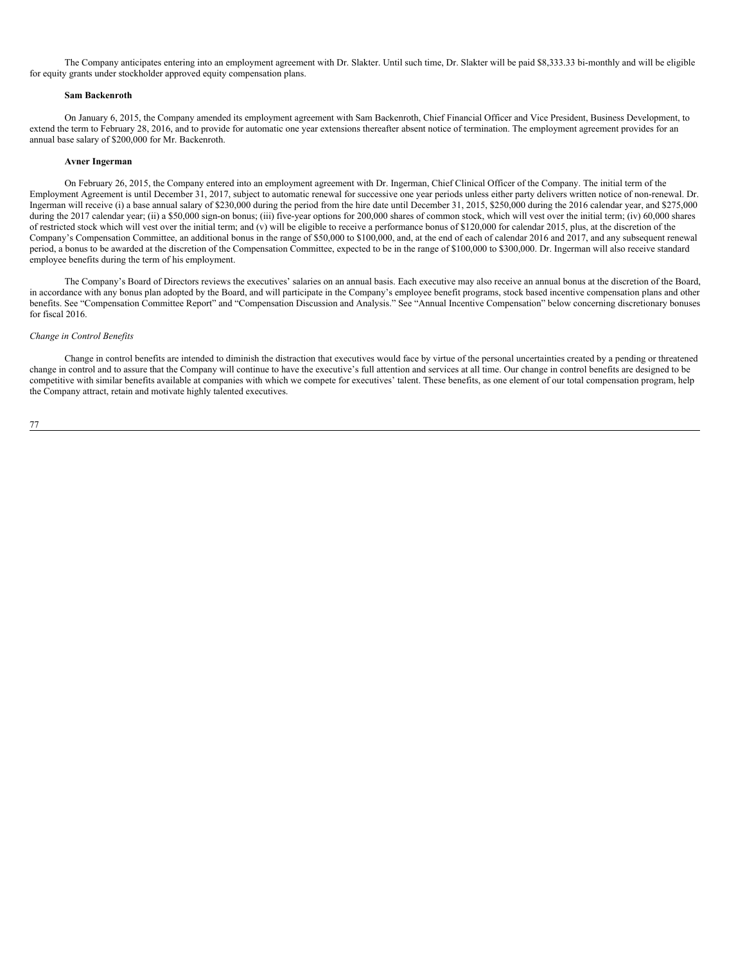The Company anticipates entering into an employment agreement with Dr. Slakter. Until such time, Dr. Slakter will be paid \$8,333.33 bi-monthly and will be eligible for equity grants under stockholder approved equity compensation plans.

#### **Sam Backenroth**

On January 6, 2015, the Company amended its employment agreement with Sam Backenroth, Chief Financial Officer and Vice President, Business Development, to extend the term to February 28, 2016, and to provide for automatic one year extensions thereafter absent notice of termination. The employment agreement provides for an annual base salary of \$200,000 for Mr. Backenroth.

## **Avner Ingerman**

On February 26, 2015, the Company entered into an employment agreement with Dr. Ingerman, Chief Clinical Officer of the Company. The initial term of the Employment Agreement is until December 31, 2017, subject to automatic renewal for successive one year periods unless either party delivers written notice of non-renewal. Dr. Ingerman will receive (i) a base annual salary of \$230,000 during the period from the hire date until December 31, 2015, \$250,000 during the 2016 calendar year, and \$275,000 during the 2017 calendar year; (ii) a \$50,000 sign-on bonus; (iii) five-year options for 200,000 shares of common stock, which will vest over the initial term; (iv) 60,000 shares of restricted stock which will vest over the initial term; and (v) will be eligible to receive a performance bonus of \$120,000 for calendar 2015, plus, at the discretion of the Company's Compensation Committee, an additional bonus in the range of \$50,000 to \$100,000, and, at the end of each of calendar 2016 and 2017, and any subsequent renewal period, a bonus to be awarded at the discretion of the Compensation Committee, expected to be in the range of \$100,000 to \$300,000. Dr. Ingerman will also receive standard employee benefits during the term of his employment.

The Company's Board of Directors reviews the executives' salaries on an annual basis. Each executive may also receive an annual bonus at the discretion of the Board, in accordance with any bonus plan adopted by the Board, and will participate in the Company's employee benefit programs, stock based incentive compensation plans and other benefits. See "Compensation Committee Report" and "Compensation Discussion and Analysis." See "Annual Incentive Compensation" below concerning discretionary bonuses for fiscal 2016.

#### *Change in Control Benefits*

Change in control benefits are intended to diminish the distraction that executives would face by virtue of the personal uncertainties created by a pending or threatened change in control and to assure that the Company will continue to have the executive's full attention and services at all time. Our change in control benefits are designed to be competitive with similar benefits available at companies with which we compete for executives' talent. These benefits, as one element of our total compensation program, help the Company attract, retain and motivate highly talented executives.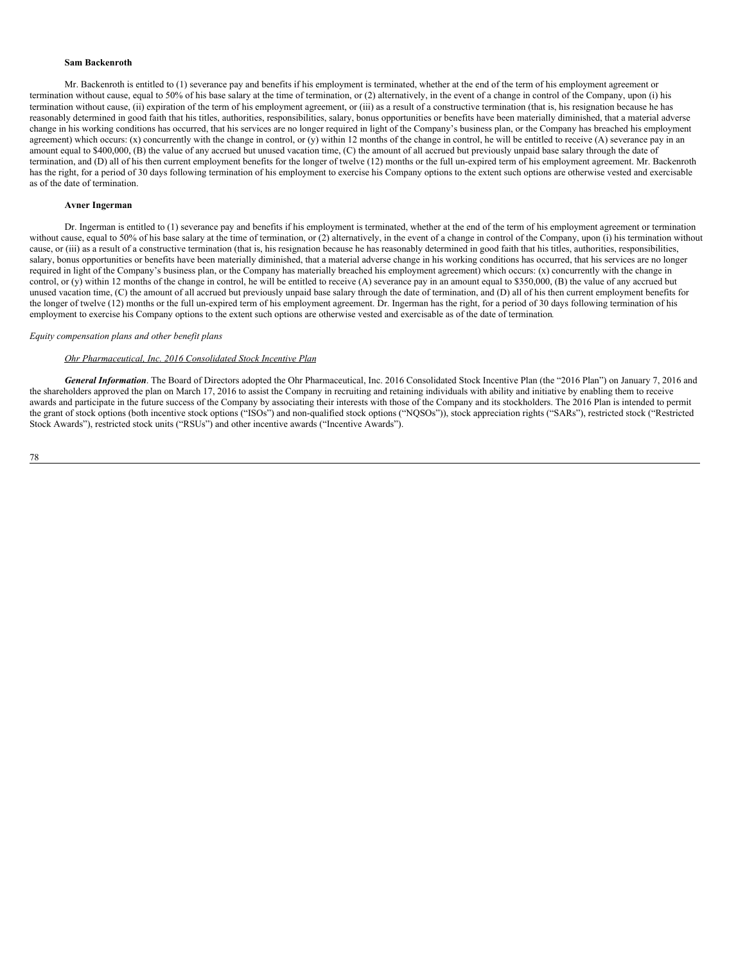#### **Sam Backenroth**

Mr. Backenroth is entitled to (1) severance pay and benefits if his employment is terminated, whether at the end of the term of his employment agreement or termination without cause, equal to 50% of his base salary at the time of termination, or (2) alternatively, in the event of a change in control of the Company, upon (i) his termination without cause, (ii) expiration of the term of his employment agreement, or (iii) as a result of a constructive termination (that is, his resignation because he has reasonably determined in good faith that his titles, authorities, responsibilities, salary, bonus opportunities or benefits have been materially diminished, that a material adverse change in his working conditions has occurred, that his services are no longer required in light of the Company's business plan, or the Company has breached his employment agreement) which occurs: (x) concurrently with the change in control, or  $(y)$  within 12 months of the change in control, he will be entitled to receive (A) severance pay in an amount equal to \$400,000, (B) the value of any accrued but unused vacation time, (C) the amount of all accrued but previously unpaid base salary through the date of termination, and (D) all of his then current employment benefits for the longer of twelve (12) months or the full un-expired term of his employment agreement. Mr. Backenroth has the right, for a period of 30 days following termination of his employment to exercise his Company options to the extent such options are otherwise vested and exercisable as of the date of termination.

#### **Avner Ingerman**

Dr. Ingerman is entitled to (1) severance pay and benefits if his employment is terminated, whether at the end of the term of his employment agreement or termination without cause, equal to 50% of his base salary at the time of termination, or (2) alternatively, in the event of a change in control of the Company, upon (i) his termination without cause, or (iii) as a result of a constructive termination (that is, his resignation because he has reasonably determined in good faith that his titles, authorities, responsibilities, salary, bonus opportunities or benefits have been materially diminished, that a material adverse change in his working conditions has occurred, that his services are no longer required in light of the Company's business plan, or the Company has materially breached his employment agreement) which occurs: (x) concurrently with the change in control, or (y) within 12 months of the change in control, he will be entitled to receive (A) severance pay in an amount equal to \$350,000, (B) the value of any accrued but unused vacation time, (C) the amount of all accrued but previously unpaid base salary through the date of termination, and (D) all of his then current employment benefits for the longer of twelve (12) months or the full un-expired term of his employment agreement. Dr. Ingerman has the right, for a period of 30 days following termination of his employment to exercise his Company options to the extent such options are otherwise vested and exercisable as of the date of termination*.*

#### *Equity compensation plans and other benefit plans*

## *Ohr Pharmaceutical, Inc. 2016 Consolidated Stock Incentive Plan*

*General Information*. The Board of Directors adopted the Ohr Pharmaceutical, Inc. 2016 Consolidated Stock Incentive Plan (the "2016 Plan") on January 7, 2016 and the shareholders approved the plan on March 17, 2016 to assist the Company in recruiting and retaining individuals with ability and initiative by enabling them to receive awards and participate in the future success of the Company by associating their interests with those of the Company and its stockholders. The 2016 Plan is intended to permit the grant of stock options (both incentive stock options ("ISOs") and non-qualified stock options ("NQSOs")), stock appreciation rights ("SARs"), restricted stock ("Restricted Stock Awards"), restricted stock units ("RSUs") and other incentive awards ("Incentive Awards").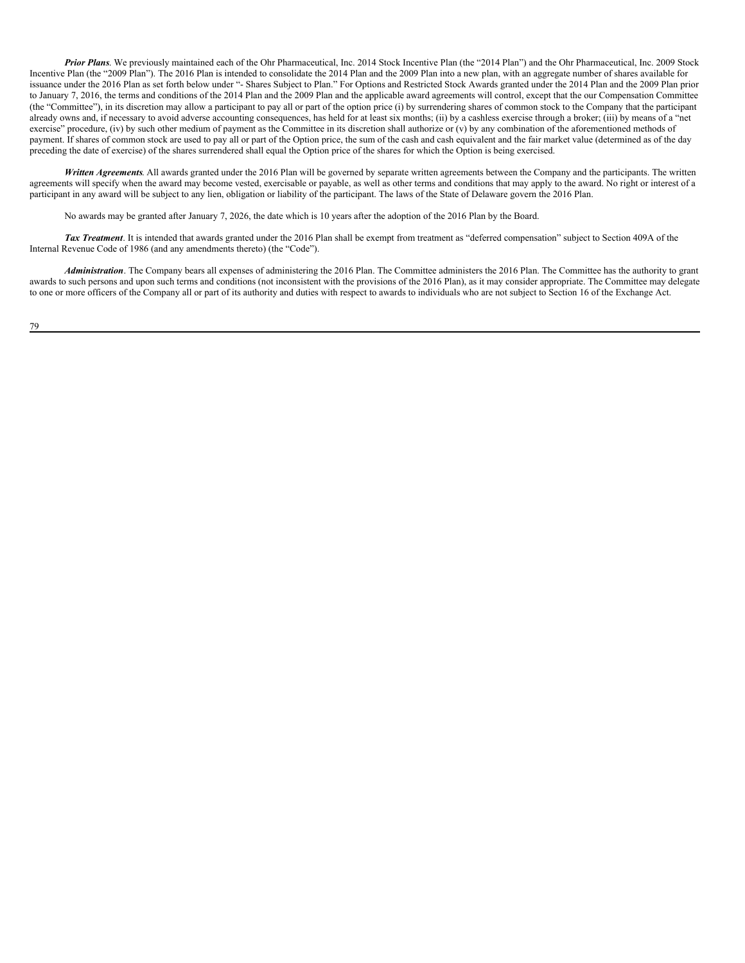*Prior Plans.* We previously maintained each of the Ohr Pharmaceutical, Inc. 2014 Stock Incentive Plan (the "2014 Plan") and the Ohr Pharmaceutical, Inc. 2009 Stock Incentive Plan (the "2009 Plan"). The 2016 Plan is intended to consolidate the 2014 Plan and the 2009 Plan into a new plan, with an aggregate number of shares available for issuance under the 2016 Plan as set forth below under "- Shares Subject to Plan." For Options and Restricted Stock Awards granted under the 2014 Plan and the 2009 Plan prior to January 7, 2016, the terms and conditions of the 2014 Plan and the 2009 Plan and the applicable award agreements will control, except that the our Compensation Committee (the "Committee"), in its discretion may allow a participant to pay all or part of the option price (i) by surrendering shares of common stock to the Company that the participant already owns and, if necessary to avoid adverse accounting consequences, has held for at least six months; (ii) by a cashless exercise through a broker; (iii) by means of a "net exercise" procedure, (iv) by such other medium of payment as the Committee in its discretion shall authorize or (v) by any combination of the aforementioned methods of payment. If shares of common stock are used to pay all or part of the Option price, the sum of the cash and cash equivalent and the fair market value (determined as of the day preceding the date of exercise) of the shares surrendered shall equal the Option price of the shares for which the Option is being exercised.

*Written Agreements*. All awards granted under the 2016 Plan will be governed by separate written agreements between the Company and the participants. The written agreements will specify when the award may become vested, exercisable or payable, as well as other terms and conditions that may apply to the award. No right or interest of a participant in any award will be subject to any lien, obligation or liability of the participant. The laws of the State of Delaware govern the 2016 Plan.

No awards may be granted after January 7, 2026, the date which is 10 years after the adoption of the 2016 Plan by the Board.

*Tax Treatment*. It is intended that awards granted under the 2016 Plan shall be exempt from treatment as "deferred compensation" subject to Section 409A of the Internal Revenue Code of 1986 (and any amendments thereto) (the "Code").

*Administration*. The Company bears all expenses of administering the 2016 Plan. The Committee administers the 2016 Plan. The Committee has the authority to grant awards to such persons and upon such terms and conditions (not inconsistent with the provisions of the 2016 Plan), as it may consider appropriate. The Committee may delegate to one or more officers of the Company all or part of its authority and duties with respect to awards to individuals who are not subject to Section 16 of the Exchange Act.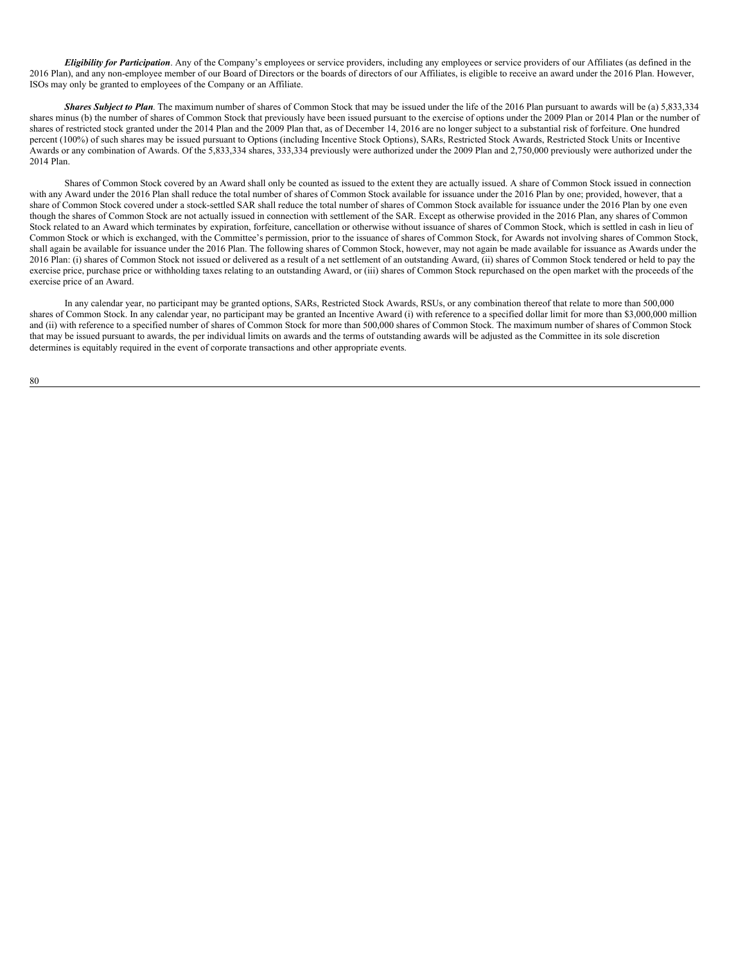*Eligibility for Participation*. Any of the Company's employees or service providers, including any employees or service providers of our Affiliates (as defined in the 2016 Plan), and any non-employee member of our Board of Directors or the boards of directors of our Affiliates, is eligible to receive an award under the 2016 Plan. However, ISOs may only be granted to employees of the Company or an Affiliate.

*Shares Subject to Plan*. The maximum number of shares of Common Stock that may be issued under the life of the 2016 Plan pursuant to awards will be (a) 5,833,334 shares minus (b) the number of shares of Common Stock that previously have been issued pursuant to the exercise of options under the 2009 Plan or 2014 Plan or the number of shares of restricted stock granted under the 2014 Plan and the 2009 Plan that, as of December 14, 2016 are no longer subject to a substantial risk of forfeiture. One hundred percent (100%) of such shares may be issued pursuant to Options (including Incentive Stock Options), SARs, Restricted Stock Awards, Restricted Stock Units or Incentive Awards or any combination of Awards. Of the 5,833,334 shares, 333,334 previously were authorized under the 2009 Plan and 2,750,000 previously were authorized under the 2014 Plan.

Shares of Common Stock covered by an Award shall only be counted as issued to the extent they are actually issued. A share of Common Stock issued in connection with any Award under the 2016 Plan shall reduce the total number of shares of Common Stock available for issuance under the 2016 Plan by one; provided, however, that a share of Common Stock covered under a stock-settled SAR shall reduce the total number of shares of Common Stock available for issuance under the 2016 Plan by one even though the shares of Common Stock are not actually issued in connection with settlement of the SAR. Except as otherwise provided in the 2016 Plan, any shares of Common Stock related to an Award which terminates by expiration, forfeiture, cancellation or otherwise without issuance of shares of Common Stock, which is settled in cash in lieu of Common Stock or which is exchanged, with the Committee's permission, prior to the issuance of shares of Common Stock, for Awards not involving shares of Common Stock, shall again be available for issuance under the 2016 Plan. The following shares of Common Stock, however, may not again be made available for issuance as Awards under the 2016 Plan: (i) shares of Common Stock not issued or delivered as a result of a net settlement of an outstanding Award, (ii) shares of Common Stock tendered or held to pay the exercise price, purchase price or withholding taxes relating to an outstanding Award, or (iii) shares of Common Stock repurchased on the open market with the proceeds of the exercise price of an Award.

In any calendar year, no participant may be granted options, SARs, Restricted Stock Awards, RSUs, or any combination thereof that relate to more than 500,000 shares of Common Stock. In any calendar year, no participant may be granted an Incentive Award (i) with reference to a specified dollar limit for more than \$3,000,000 million and (ii) with reference to a specified number of shares of Common Stock for more than 500,000 shares of Common Stock. The maximum number of shares of Common Stock that may be issued pursuant to awards, the per individual limits on awards and the terms of outstanding awards will be adjusted as the Committee in its sole discretion determines is equitably required in the event of corporate transactions and other appropriate events.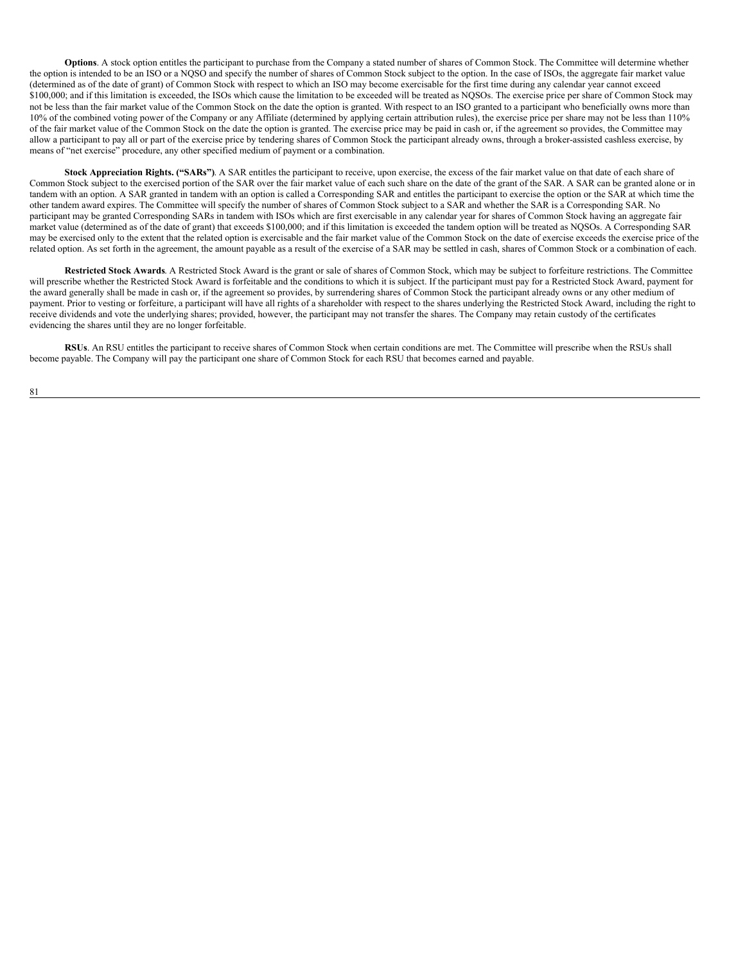**Options**. A stock option entitles the participant to purchase from the Company a stated number of shares of Common Stock. The Committee will determine whether the option is intended to be an ISO or a NQSO and specify the number of shares of Common Stock subject to the option. In the case of ISOs, the aggregate fair market value (determined as of the date of grant) of Common Stock with respect to which an ISO may become exercisable for the first time during any calendar year cannot exceed \$100,000; and if this limitation is exceeded, the ISOs which cause the limitation to be exceeded will be treated as NQSOs. The exercise price per share of Common Stock may not be less than the fair market value of the Common Stock on the date the option is granted. With respect to an ISO granted to a participant who beneficially owns more than 10% of the combined voting power of the Company or any Affiliate (determined by applying certain attribution rules), the exercise price per share may not be less than 110% of the fair market value of the Common Stock on the date the option is granted. The exercise price may be paid in cash or, if the agreement so provides, the Committee may allow a participant to pay all or part of the exercise price by tendering shares of Common Stock the participant already owns, through a broker-assisted cashless exercise, by means of "net exercise" procedure, any other specified medium of payment or a combination.

**Stock Appreciation Rights. ("SARs")**. A SAR entitles the participant to receive, upon exercise, the excess of the fair market value on that date of each share of Common Stock subject to the exercised portion of the SAR over the fair market value of each such share on the date of the grant of the SAR. A SAR can be granted alone or in tandem with an option. A SAR granted in tandem with an option is called a Corresponding SAR and entitles the participant to exercise the option or the SAR at which time the other tandem award expires. The Committee will specify the number of shares of Common Stock subject to a SAR and whether the SAR is a Corresponding SAR. No participant may be granted Corresponding SARs in tandem with ISOs which are first exercisable in any calendar year for shares of Common Stock having an aggregate fair market value (determined as of the date of grant) that exceeds \$100,000; and if this limitation is exceeded the tandem option will be treated as NQSOs. A Corresponding SAR may be exercised only to the extent that the related option is exercisable and the fair market value of the Common Stock on the date of exercise exceeds the exercise price of the related option. As set forth in the agreement, the amount payable as a result of the exercise of a SAR may be settled in cash, shares of Common Stock or a combination of each.

**Restricted Stock Awards**. A Restricted Stock Award is the grant or sale of shares of Common Stock, which may be subject to forfeiture restrictions. The Committee will prescribe whether the Restricted Stock Award is forfeitable and the conditions to which it is subject. If the participant must pay for a Restricted Stock Award, payment for the award generally shall be made in cash or, if the agreement so provides, by surrendering shares of Common Stock the participant already owns or any other medium of payment. Prior to vesting or forfeiture, a participant will have all rights of a shareholder with respect to the shares underlying the Restricted Stock Award, including the right to receive dividends and vote the underlying shares; provided, however, the participant may not transfer the shares. The Company may retain custody of the certificates evidencing the shares until they are no longer forfeitable.

**RSUs**. An RSU entitles the participant to receive shares of Common Stock when certain conditions are met. The Committee will prescribe when the RSUs shall become payable. The Company will pay the participant one share of Common Stock for each RSU that becomes earned and payable.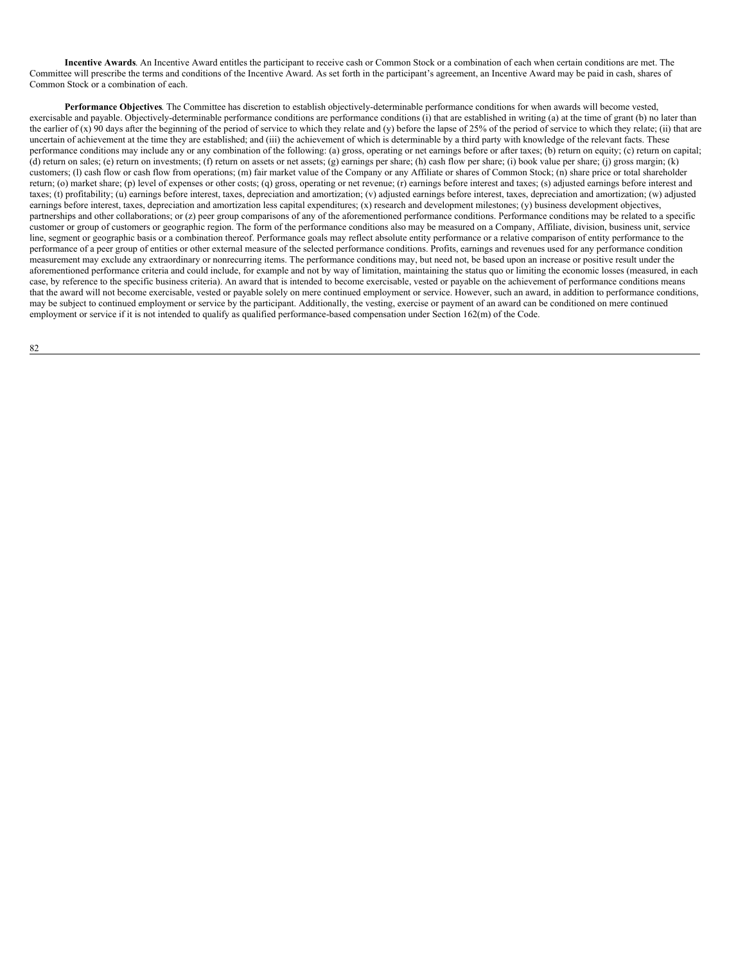**Incentive Awards**. An Incentive Award entitles the participant to receive cash or Common Stock or a combination of each when certain conditions are met. The Committee will prescribe the terms and conditions of the Incentive Award. As set forth in the participant's agreement, an Incentive Award may be paid in cash, shares of Common Stock or a combination of each.

**Performance Objectives**. The Committee has discretion to establish objectively-determinable performance conditions for when awards will become vested, exercisable and payable. Objectively-determinable performance conditions are performance conditions  $(i)$  that are established in writing (a) at the time of grant (b) no later than the earlier of  $(x)$  90 days after the beginning of the period of service to which they relate and  $(y)$  before the lapse of 25% of the period of service to which they relate; (ii) that are uncertain of achievement at the time they are established; and (iii) the achievement of which is determinable by a third party with knowledge of the relevant facts. These performance conditions may include any or any combination of the following: (a) gross, operating or net earnings before or after taxes; (b) return on equity; (c) return on capital; (d) return on sales; (e) return on investments; (f) return on assets or net assets; (g) earnings per share; (h) cash flow per share; (i) book value per share; (i) gross margin; (k) customers; (l) cash flow or cash flow from operations; (m) fair market value of the Company or any Affiliate or shares of Common Stock; (n) share price or total shareholder return; (o) market share; (p) level of expenses or other costs; (q) gross, operating or net revenue; (r) earnings before interest and taxes; (s) adjusted earnings before interest and taxes; (t) profitability; (u) earnings before interest, taxes, depreciation and amortization; (v) adjusted earnings before interest, taxes, depreciation and amortization; (w) adjusted earnings before interest, taxes, depreciation and amortization less capital expenditures; (x) research and development milestones; (y) business development objectives, partnerships and other collaborations; or (z) peer group comparisons of any of the aforementioned performance conditions. Performance conditions may be related to a specific customer or group of customers or geographic region. The form of the performance conditions also may be measured on a Company, Affiliate, division, business unit, service line, segment or geographic basis or a combination thereof. Performance goals may reflect absolute entity performance or a relative comparison of entity performance to the performance of a peer group of entities or other external measure of the selected performance conditions. Profits, earnings and revenues used for any performance condition measurement may exclude any extraordinary or nonrecurring items. The performance conditions may, but need not, be based upon an increase or positive result under the aforementioned performance criteria and could include, for example and not by way of limitation, maintaining the status quo or limiting the economic losses (measured, in each case, by reference to the specific business criteria). An award that is intended to become exercisable, vested or payable on the achievement of performance conditions means that the award will not become exercisable, vested or payable solely on mere continued employment or service. However, such an award, in addition to performance conditions, may be subject to continued employment or service by the participant. Additionally, the vesting, exercise or payment of an award can be conditioned on mere continued employment or service if it is not intended to qualify as qualified performance-based compensation under Section 162(m) of the Code.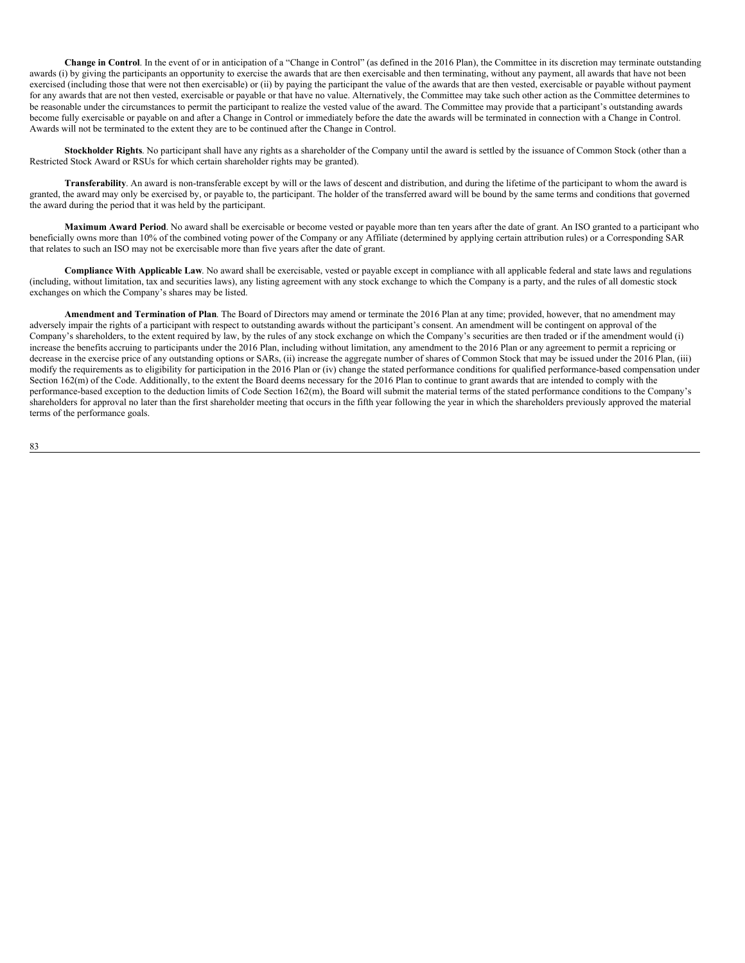**Change in Control**. In the event of or in anticipation of a "Change in Control" (as defined in the 2016 Plan), the Committee in its discretion may terminate outstanding awards (i) by giving the participants an opportunity to exercise the awards that are then exercisable and then terminating, without any payment, all awards that have not been exercised (including those that were not then exercisable) or (ii) by paying the participant the value of the awards that are then vested, exercisable or payable without payment for any awards that are not then vested, exercisable or payable or that have no value. Alternatively, the Committee may take such other action as the Committee determines to be reasonable under the circumstances to permit the participant to realize the vested value of the award. The Committee may provide that a participant's outstanding awards become fully exercisable or payable on and after a Change in Control or immediately before the date the awards will be terminated in connection with a Change in Control. Awards will not be terminated to the extent they are to be continued after the Change in Control.

**Stockholder Rights**. No participant shall have any rights as a shareholder of the Company until the award is settled by the issuance of Common Stock (other than a Restricted Stock Award or RSUs for which certain shareholder rights may be granted).

**Transferability**. An award is non-transferable except by will or the laws of descent and distribution, and during the lifetime of the participant to whom the award is granted, the award may only be exercised by, or payable to, the participant. The holder of the transferred award will be bound by the same terms and conditions that governed the award during the period that it was held by the participant.

**Maximum Award Period**. No award shall be exercisable or become vested or payable more than ten years after the date of grant. An ISO granted to a participant who beneficially owns more than 10% of the combined voting power of the Company or any Affiliate (determined by applying certain attribution rules) or a Corresponding SAR that relates to such an ISO may not be exercisable more than five years after the date of grant.

**Compliance With Applicable Law**. No award shall be exercisable, vested or payable except in compliance with all applicable federal and state laws and regulations (including, without limitation, tax and securities laws), any listing agreement with any stock exchange to which the Company is a party, and the rules of all domestic stock exchanges on which the Company's shares may be listed.

**Amendment and Termination of Plan**. The Board of Directors may amend or terminate the 2016 Plan at any time; provided, however, that no amendment may adversely impair the rights of a participant with respect to outstanding awards without the participant's consent. An amendment will be contingent on approval of the Company's shareholders, to the extent required by law, by the rules of any stock exchange on which the Company's securities are then traded or if the amendment would (i) increase the benefits accruing to participants under the 2016 Plan, including without limitation, any amendment to the 2016 Plan or any agreement to permit a repricing or decrease in the exercise price of any outstanding options or SARs, (ii) increase the aggregate number of shares of Common Stock that may be issued under the 2016 Plan, (iii) modify the requirements as to eligibility for participation in the 2016 Plan or (iv) change the stated performance conditions for qualified performance-based compensation under Section  $162(m)$  of the Code. Additionally, to the extent the Board deems necessary for the 2016 Plan to continue to grant awards that are intended to comply with the performance-based exception to the deduction limits of Code Section 162(m), the Board will submit the material terms of the stated performance conditions to the Company's shareholders for approval no later than the first shareholder meeting that occurs in the fifth year following the year in which the shareholders previously approved the material terms of the performance goals.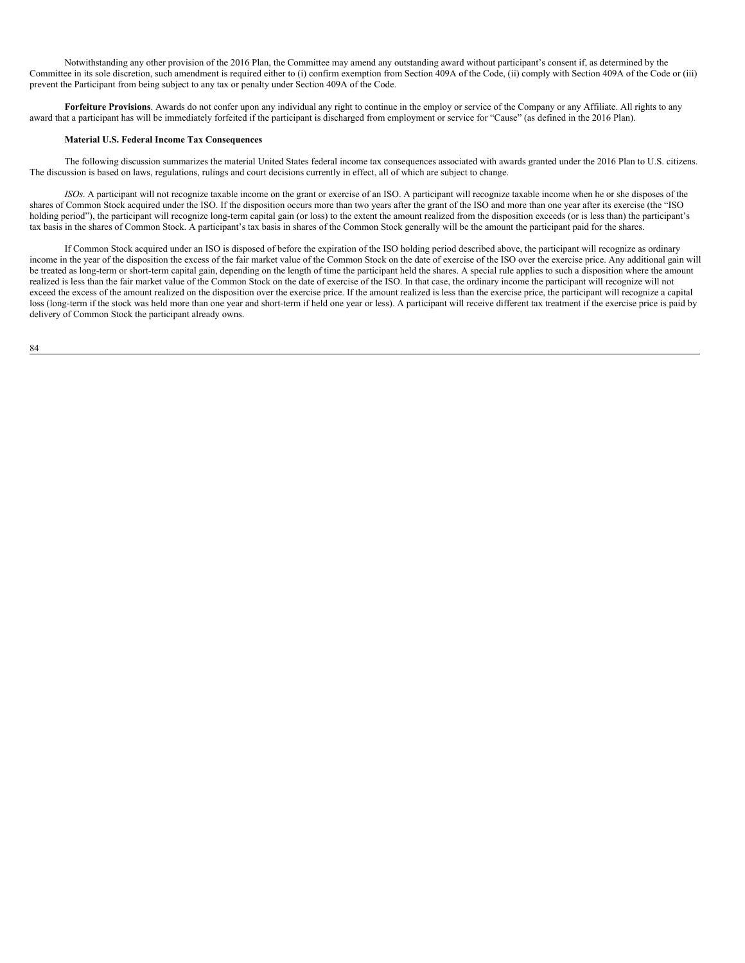Notwithstanding any other provision of the 2016 Plan, the Committee may amend any outstanding award without participant's consent if, as determined by the Committee in its sole discretion, such amendment is required either to (i) confirm exemption from Section 409A of the Code, (ii) comply with Section 409A of the Code or (iii) prevent the Participant from being subject to any tax or penalty under Section 409A of the Code.

**Forfeiture Provisions**. Awards do not confer upon any individual any right to continue in the employ or service of the Company or any Affiliate. All rights to any award that a participant has will be immediately forfeited if the participant is discharged from employment or service for "Cause" (as defined in the 2016 Plan).

# **Material U.S. Federal Income Tax Consequences**

The following discussion summarizes the material United States federal income tax consequences associated with awards granted under the 2016 Plan to U.S. citizens. The discussion is based on laws, regulations, rulings and court decisions currently in effect, all of which are subject to change.

*ISOs*. A participant will not recognize taxable income on the grant or exercise of an ISO. A participant will recognize taxable income when he or she disposes of the shares of Common Stock acquired under the ISO. If the disposition occurs more than two years after the grant of the ISO and more than one year after its exercise (the "ISO holding period"), the participant will recognize long-term capital gain (or loss) to the extent the amount realized from the disposition exceeds (or is less than) the participant's tax basis in the shares of Common Stock. A participant's tax basis in shares of the Common Stock generally will be the amount the participant paid for the shares.

If Common Stock acquired under an ISO is disposed of before the expiration of the ISO holding period described above, the participant will recognize as ordinary income in the year of the disposition the excess of the fair market value of the Common Stock on the date of exercise of the ISO over the exercise price. Any additional gain will be treated as long-term or short-term capital gain, depending on the length of time the participant held the shares. A special rule applies to such a disposition where the amount realized is less than the fair market value of the Common Stock on the date of exercise of the ISO. In that case, the ordinary income the participant will recognize will not exceed the excess of the amount realized on the disposition over the exercise price. If the amount realized is less than the exercise price, the participant will recognize a capital loss (long-term if the stock was held more than one year and short-term if held one year or less). A participant will receive different tax treatment if the exercise price is paid by delivery of Common Stock the participant already owns.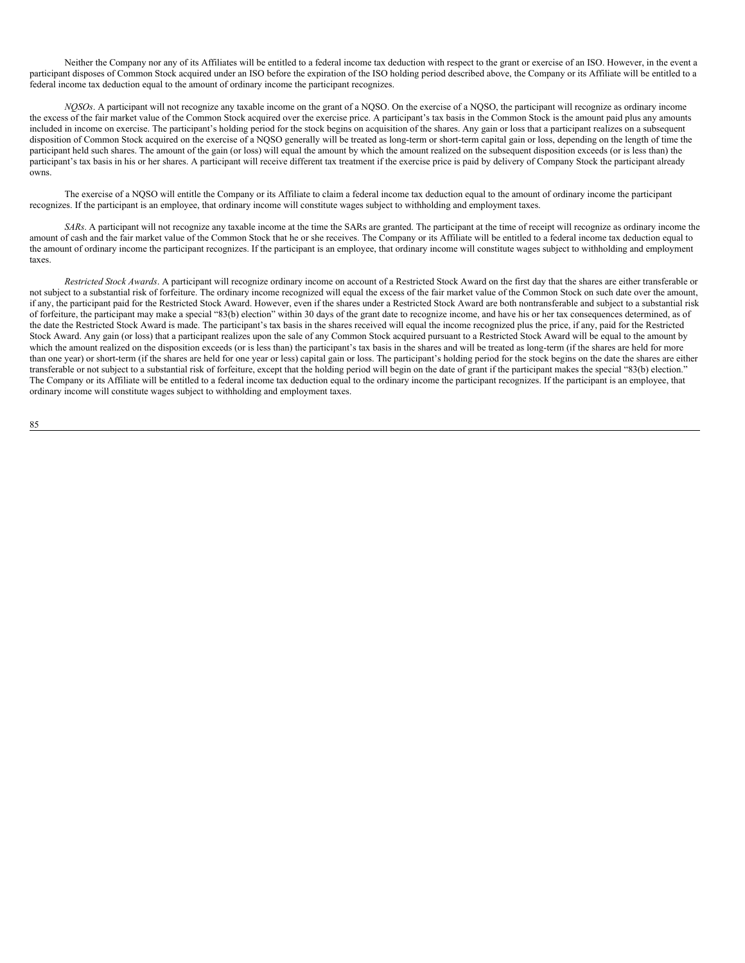Neither the Company nor any of its Affiliates will be entitled to a federal income tax deduction with respect to the grant or exercise of an ISO. However, in the event a participant disposes of Common Stock acquired under an ISO before the expiration of the ISO holding period described above, the Company or its Affiliate will be entitled to a federal income tax deduction equal to the amount of ordinary income the participant recognizes.

*NQSOs*. A participant will not recognize any taxable income on the grant of a NQSO. On the exercise of a NQSO, the participant will recognize as ordinary income the excess of the fair market value of the Common Stock acquired over the exercise price. A participant's tax basis in the Common Stock is the amount paid plus any amounts included in income on exercise. The participant's holding period for the stock begins on acquisition of the shares. Any gain or loss that a participant realizes on a subsequent disposition of Common Stock acquired on the exercise of a NOSO generally will be treated as long-term or short-term capital gain or loss, depending on the length of time the participant held such shares. The amount of the gain (or loss) will equal the amount by which the amount realized on the subsequent disposition exceeds (or is less than) the participant's tax basis in his or her shares. A participant will receive different tax treatment if the exercise price is paid by delivery of Company Stock the participant already owns.

The exercise of a NQSO will entitle the Company or its Affiliate to claim a federal income tax deduction equal to the amount of ordinary income the participant recognizes. If the participant is an employee, that ordinary income will constitute wages subject to withholding and employment taxes.

*SARs*. A participant will not recognize any taxable income at the time the SARs are granted. The participant at the time of receipt will recognize as ordinary income the amount of cash and the fair market value of the Common Stock that he or she receives. The Company or its Affiliate will be entitled to a federal income tax deduction equal to the amount of ordinary income the participant recognizes. If the participant is an employee, that ordinary income will constitute wages subject to withholding and employment taxes.

*Restricted Stock Awards*. A participant will recognize ordinary income on account of a Restricted Stock Award on the first day that the shares are either transferable or not subject to a substantial risk of forfeiture. The ordinary income recognized will equal the excess of the fair market value of the Common Stock on such date over the amount, if any, the participant paid for the Restricted Stock Award. However, even if the shares under a Restricted Stock Award are both nontransferable and subject to a substantial risk of forfeiture, the participant may make a special "83(b) election" within 30 days of the grant date to recognize income, and have his or her tax consequences determined, as of the date the Restricted Stock Award is made. The participant's tax basis in the shares received will equal the income recognized plus the price, if any, paid for the Restricted Stock Award. Any gain (or loss) that a participant realizes upon the sale of any Common Stock acquired pursuant to a Restricted Stock Award will be equal to the amount by which the amount realized on the disposition exceeds (or is less than) the participant's tax basis in the shares and will be treated as long-term (if the shares are held for more than one year) or short-term (if the shares are held for one year or less) capital gain or loss. The participant's holding period for the stock begins on the date the shares are either transferable or not subject to a substantial risk of forfeiture, except that the holding period will begin on the date of grant if the participant makes the special "83(b) election." The Company or its Affiliate will be entitled to a federal income tax deduction equal to the ordinary income the participant recognizes. If the participant is an employee, that ordinary income will constitute wages subject to withholding and employment taxes.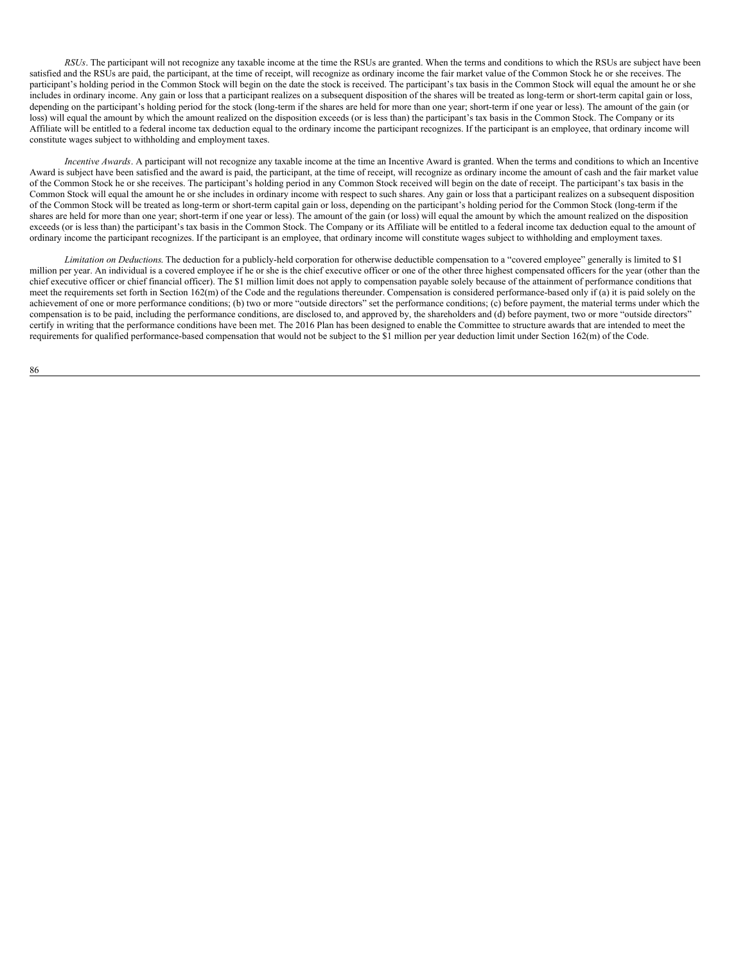*RSUs*. The participant will not recognize any taxable income at the time the RSUs are granted. When the terms and conditions to which the RSUs are subject have been satisfied and the RSUs are paid, the participant, at the time of receipt, will recognize as ordinary income the fair market value of the Common Stock he or she receives. The participant's holding period in the Common Stock will begin on the date the stock is received. The participant's tax basis in the Common Stock will equal the amount he or she includes in ordinary income. Any gain or loss that a participant realizes on a subsequent disposition of the shares will be treated as long-term or short-term capital gain or loss, depending on the participant's holding period for the stock (long-term if the shares are held for more than one year; short-term if one year or less). The amount of the gain (or loss) will equal the amount by which the amount realized on the disposition exceeds (or is less than) the participant's tax basis in the Common Stock. The Company or its Affiliate will be entitled to a federal income tax deduction equal to the ordinary income the participant recognizes. If the participant is an employee, that ordinary income will constitute wages subject to withholding and employment taxes.

*Incentive Awards*. A participant will not recognize any taxable income at the time an Incentive Award is granted. When the terms and conditions to which an Incentive Award is subject have been satisfied and the award is paid, the participant, at the time of receipt, will recognize as ordinary income the amount of cash and the fair market value of the Common Stock he or she receives. The participant's holding period in any Common Stock received will begin on the date of receipt. The participant's tax basis in the Common Stock will equal the amount he or she includes in ordinary income with respect to such shares. Any gain or loss that a participant realizes on a subsequent disposition of the Common Stock will be treated as long-term or short-term capital gain or loss, depending on the participant's holding period for the Common Stock (long-term if the shares are held for more than one year; short-term if one year or less). The amount of the gain (or loss) will equal the amount by which the amount realized on the disposition exceeds (or is less than) the participant's tax basis in the Common Stock. The Company or its Affiliate will be entitled to a federal income tax deduction equal to the amount of ordinary income the participant recognizes. If the participant is an employee, that ordinary income will constitute wages subject to withholding and employment taxes.

*Limitation on Deductions*. The deduction for a publicly-held corporation for otherwise deductible compensation to a "covered employee" generally is limited to \$1 million per year. An individual is a covered employee if he or she is the chief executive officer or one of the other three highest compensated officers for the year (other than the chief executive officer or chief financial officer). The \$1 million limit does not apply to compensation payable solely because of the attainment of performance conditions that meet the requirements set forth in Section 162(m) of the Code and the regulations thereunder. Compensation is considered performance-based only if (a) it is paid solely on the achievement of one or more performance conditions; (b) two or more "outside directors" set the performance conditions; (c) before payment, the material terms under which the compensation is to be paid, including the performance conditions, are disclosed to, and approved by, the shareholders and (d) before payment, two or more "outside directors" certify in writing that the performance conditions have been met. The 2016 Plan has been designed to enable the Committee to structure awards that are intended to meet the requirements for qualified performance-based compensation that would not be subject to the \$1 million per year deduction limit under Section 162(m) of the Code.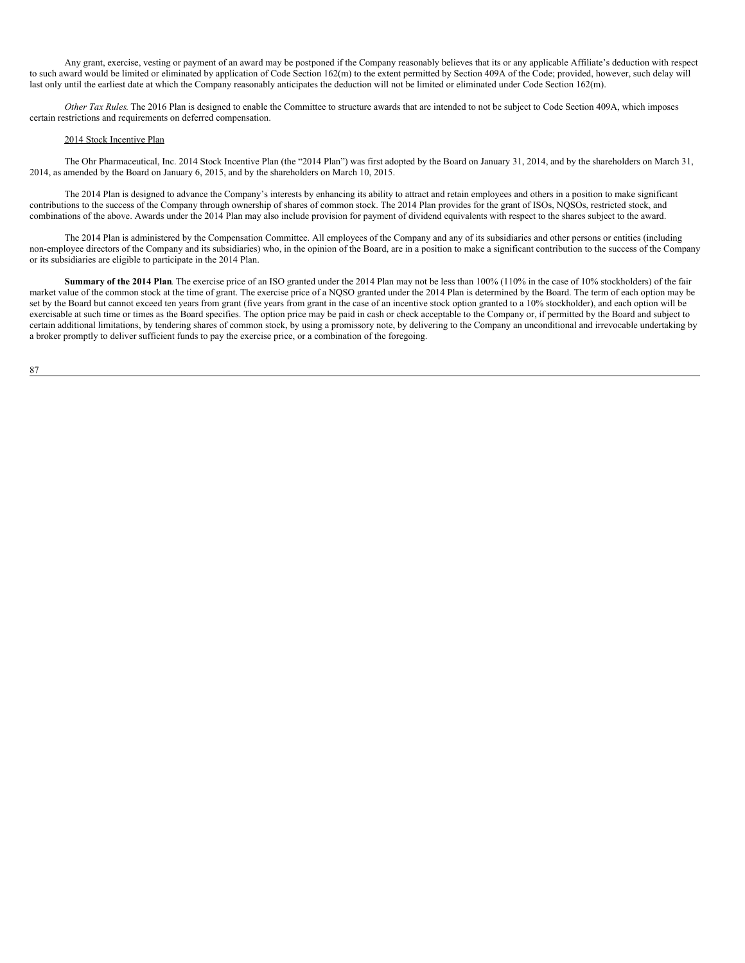Any grant, exercise, vesting or payment of an award may be postponed if the Company reasonably believes that its or any applicable Affiliate's deduction with respect to such award would be limited or eliminated by application of Code Section 162(m) to the extent permitted by Section 409A of the Code; provided, however, such delay will last only until the earliest date at which the Company reasonably anticipates the deduction will not be limited or eliminated under Code Section 162(m).

*Other Tax Rules*. The 2016 Plan is designed to enable the Committee to structure awards that are intended to not be subject to Code Section 409A, which imposes certain restrictions and requirements on deferred compensation.

## 2014 Stock Incentive Plan

The Ohr Pharmaceutical, Inc. 2014 Stock Incentive Plan (the "2014 Plan") was first adopted by the Board on January 31, 2014, and by the shareholders on March 31, 2014, as amended by the Board on January 6, 2015, and by the shareholders on March 10, 2015.

The 2014 Plan is designed to advance the Company's interests by enhancing its ability to attract and retain employees and others in a position to make significant contributions to the success of the Company through ownership of shares of common stock. The 2014 Plan provides for the grant of ISOs, NQSOs, restricted stock, and combinations of the above. Awards under the 2014 Plan may also include provision for payment of dividend equivalents with respect to the shares subject to the award.

The 2014 Plan is administered by the Compensation Committee. All employees of the Company and any of its subsidiaries and other persons or entities (including non-employee directors of the Company and its subsidiaries) who, in the opinion of the Board, are in a position to make a significant contribution to the success of the Company or its subsidiaries are eligible to participate in the 2014 Plan.

**Summary of the 2014 Plan**. The exercise price of an ISO granted under the 2014 Plan may not be less than 100% (110% in the case of 10% stockholders) of the fair market value of the common stock at the time of grant. The exercise price of a NQSO granted under the 2014 Plan is determined by the Board. The term of each option may be set by the Board but cannot exceed ten years from grant (five years from grant in the case of an incentive stock option granted to a 10% stockholder), and each option will be exercisable at such time or times as the Board specifies. The option price may be paid in cash or check acceptable to the Company or, if permitted by the Board and subject to certain additional limitations, by tendering shares of common stock, by using a promissory note, by delivering to the Company an unconditional and irrevocable undertaking by a broker promptly to deliver sufficient funds to pay the exercise price, or a combination of the foregoing.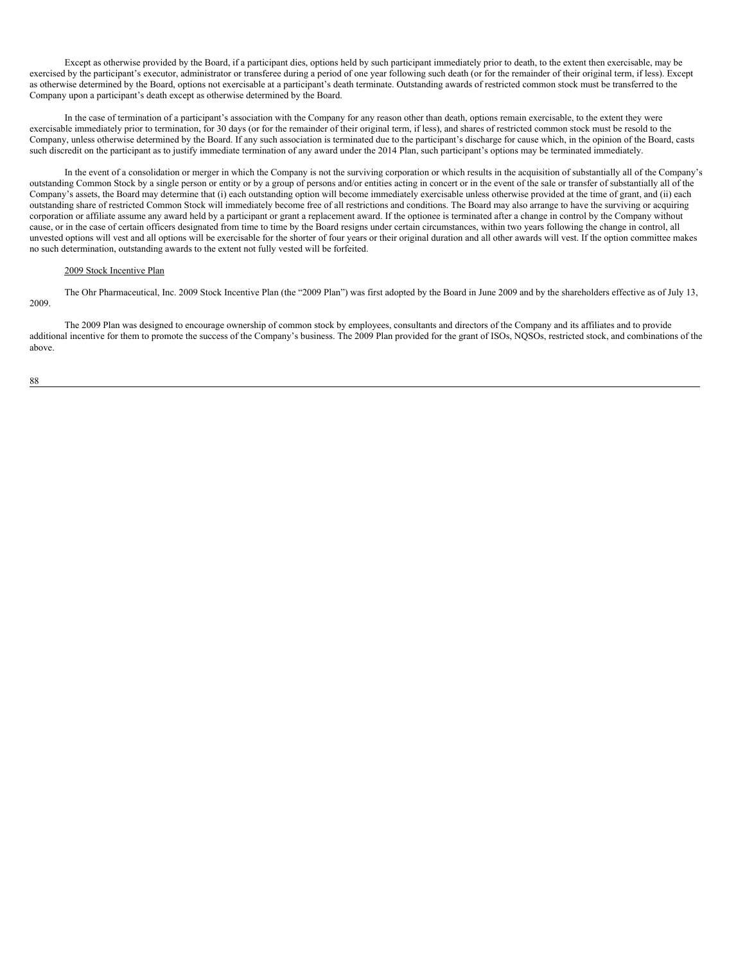Except as otherwise provided by the Board, if a participant dies, options held by such participant immediately prior to death, to the extent then exercisable, may be exercised by the participant's executor, administrator or transferee during a period of one year following such death (or for the remainder of their original term, if less). Except as otherwise determined by the Board, options not exercisable at a participant's death terminate. Outstanding awards of restricted common stock must be transferred to the Company upon a participant's death except as otherwise determined by the Board.

In the case of termination of a participant's association with the Company for any reason other than death, options remain exercisable, to the extent they were exercisable immediately prior to termination, for 30 days (or for the remainder of their original term, if less), and shares of restricted common stock must be resold to the Company, unless otherwise determined by the Board. If any such association is terminated due to the participant's discharge for cause which, in the opinion of the Board, casts such discredit on the participant as to justify immediate termination of any award under the 2014 Plan, such participant's options may be terminated immediately.

In the event of a consolidation or merger in which the Company is not the surviving corporation or which results in the acquisition of substantially all of the Company's outstanding Common Stock by a single person or entity or by a group of persons and/or entities acting in concert or in the event of the sale or transfer of substantially all of the Company's assets, the Board may determine that (i) each outstanding option will become immediately exercisable unless otherwise provided at the time of grant, and (ii) each outstanding share of restricted Common Stock will immediately become free of all restrictions and conditions. The Board may also arrange to have the surviving or acquiring corporation or affiliate assume any award held by a participant or grant a replacement award. If the optionee is terminated after a change in control by the Company without cause, or in the case of certain officers designated from time to time by the Board resigns under certain circumstances, within two years following the change in control, all unvested options will vest and all options will be exercisable for the shorter of four years or their original duration and all other awards will vest. If the option committee makes no such determination, outstanding awards to the extent not fully vested will be forfeited.

# 2009 Stock Incentive Plan

The Ohr Pharmaceutical, Inc. 2009 Stock Incentive Plan (the "2009 Plan") was first adopted by the Board in June 2009 and by the shareholders effective as of July 13, 2009.

The 2009 Plan was designed to encourage ownership of common stock by employees, consultants and directors of the Company and its affiliates and to provide additional incentive for them to promote the success of the Company's business. The 2009 Plan provided for the grant of ISOs, NQSOs, restricted stock, and combinations of the above.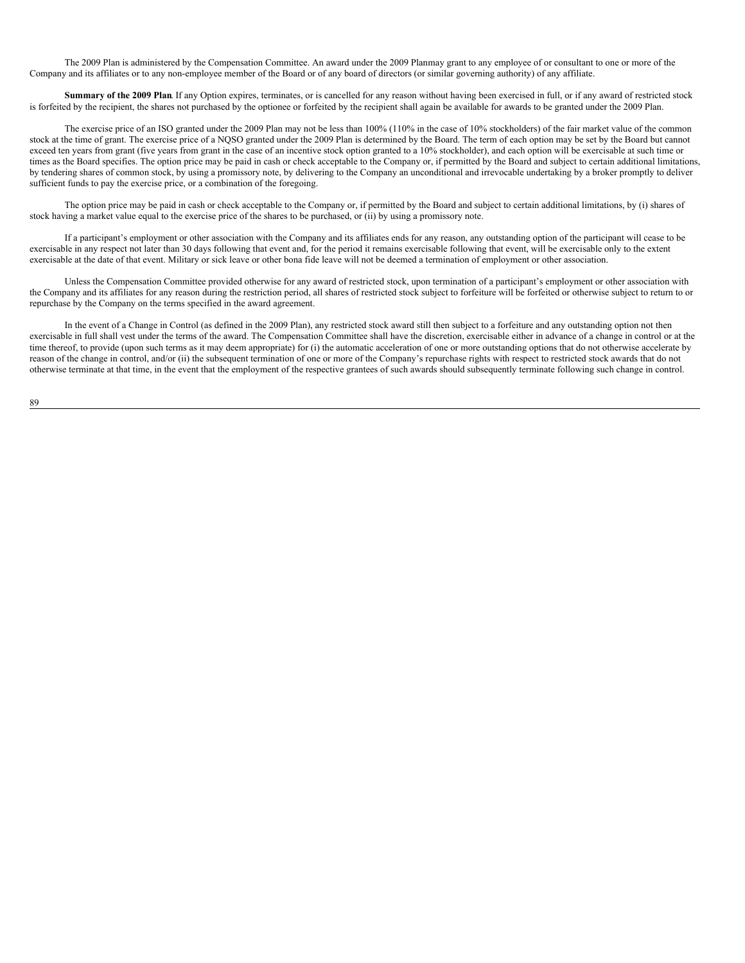The 2009 Plan is administered by the Compensation Committee. An award under the 2009 Planmay grant to any employee of or consultant to one or more of the Company and its affiliates or to any non-employee member of the Board or of any board of directors (or similar governing authority) of any affiliate.

**Summary of the 2009 Plan**. If any Option expires, terminates, or is cancelled for any reason without having been exercised in full, or if any award of restricted stock is forfeited by the recipient, the shares not purchased by the optionee or forfeited by the recipient shall again be available for awards to be granted under the 2009 Plan.

The exercise price of an ISO granted under the 2009 Plan may not be less than 100% (110% in the case of 10% stockholders) of the fair market value of the common stock at the time of grant. The exercise price of a NOSO granted under the 2009 Plan is determined by the Board. The term of each option may be set by the Board but cannot exceed ten years from grant (five years from grant in the case of an incentive stock option granted to a 10% stockholder), and each option will be exercisable at such time or times as the Board specifies. The option price may be paid in cash or check acceptable to the Company or, if permitted by the Board and subject to certain additional limitations, by tendering shares of common stock, by using a promissory note, by delivering to the Company an unconditional and irrevocable undertaking by a broker promptly to deliver sufficient funds to pay the exercise price, or a combination of the foregoing.

The option price may be paid in cash or check acceptable to the Company or, if permitted by the Board and subject to certain additional limitations, by (i) shares of stock having a market value equal to the exercise price of the shares to be purchased, or (ii) by using a promissory note.

If a participant's employment or other association with the Company and its affiliates ends for any reason, any outstanding option of the participant will cease to be exercisable in any respect not later than 30 days following that event and, for the period it remains exercisable following that event, will be exercisable only to the extent exercisable at the date of that event. Military or sick leave or other bona fide leave will not be deemed a termination of employment or other association.

Unless the Compensation Committee provided otherwise for any award of restricted stock, upon termination of a participant's employment or other association with the Company and its affiliates for any reason during the restriction period, all shares of restricted stock subject to forfeiture will be forfeited or otherwise subject to return to or repurchase by the Company on the terms specified in the award agreement.

In the event of a Change in Control (as defined in the 2009 Plan), any restricted stock award still then subject to a forfeiture and any outstanding option not then exercisable in full shall vest under the terms of the award. The Compensation Committee shall have the discretion, exercisable either in advance of a change in control or at the time thereof, to provide (upon such terms as it may deem appropriate) for (i) the automatic acceleration of one or more outstanding options that do not otherwise accelerate by reason of the change in control, and/or (ii) the subsequent termination of one or more of the Company's repurchase rights with respect to restricted stock awards that do not otherwise terminate at that time, in the event that the employment of the respective grantees of such awards should subsequently terminate following such change in control.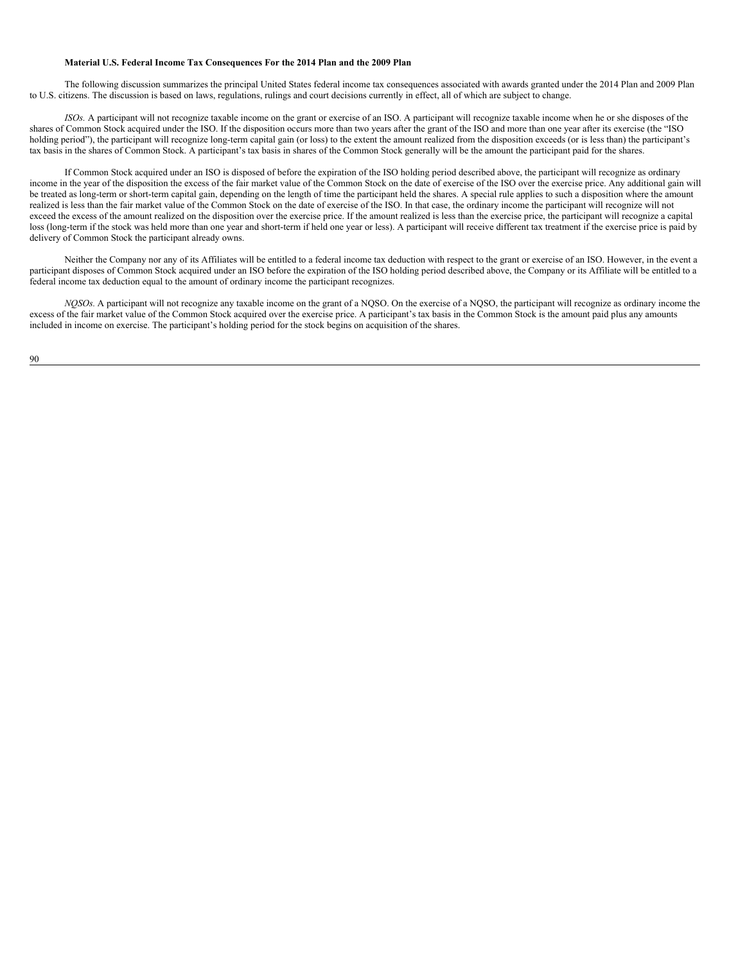### **Material U.S. Federal Income Tax Consequences For the 2014 Plan and the 2009 Plan**

The following discussion summarizes the principal United States federal income tax consequences associated with awards granted under the 2014 Plan and 2009 Plan to U.S. citizens. The discussion is based on laws, regulations, rulings and court decisions currently in effect, all of which are subject to change.

*ISOs.* A participant will not recognize taxable income on the grant or exercise of an ISO. A participant will recognize taxable income when he or she disposes of the shares of Common Stock acquired under the ISO. If the disposition occurs more than two years after the grant of the ISO and more than one year after its exercise (the "ISO holding period"), the participant will recognize long-term capital gain (or loss) to the extent the amount realized from the disposition exceeds (or is less than) the participant's tax basis in the shares of Common Stock. A participant's tax basis in shares of the Common Stock generally will be the amount the participant paid for the shares.

If Common Stock acquired under an ISO is disposed of before the expiration of the ISO holding period described above, the participant will recognize as ordinary income in the year of the disposition the excess of the fair market value of the Common Stock on the date of exercise of the ISO over the exercise price. Any additional gain will be treated as long-term or short-term capital gain, depending on the length of time the participant held the shares. A special rule applies to such a disposition where the amount realized is less than the fair market value of the Common Stock on the date of exercise of the ISO. In that case, the ordinary income the participant will recognize will not exceed the excess of the amount realized on the disposition over the exercise price. If the amount realized is less than the exercise price, the participant will recognize a capital loss (long-term if the stock was held more than one year and short-term if held one year or less). A participant will receive different tax treatment if the exercise price is paid by delivery of Common Stock the participant already owns.

Neither the Company nor any of its Affiliates will be entitled to a federal income tax deduction with respect to the grant or exercise of an ISO. However, in the event a participant disposes of Common Stock acquired under an ISO before the expiration of the ISO holding period described above, the Company or its Affiliate will be entitled to a federal income tax deduction equal to the amount of ordinary income the participant recognizes.

*NQSOs.* A participant will not recognize any taxable income on the grant of a NQSO. On the exercise of a NQSO, the participant will recognize as ordinary income the excess of the fair market value of the Common Stock acquired over the exercise price. A participant's tax basis in the Common Stock is the amount paid plus any amounts included in income on exercise. The participant's holding period for the stock begins on acquisition of the shares.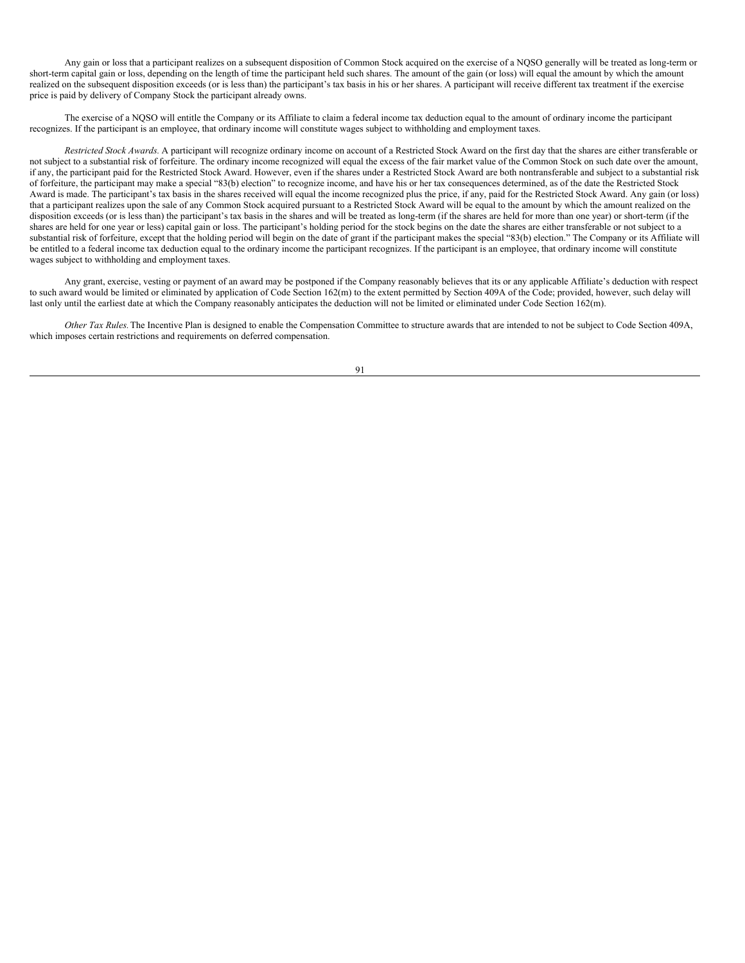Any gain or loss that a participant realizes on a subsequent disposition of Common Stock acquired on the exercise of a NQSO generally will be treated as long-term or short-term capital gain or loss, depending on the length of time the participant held such shares. The amount of the gain (or loss) will equal the amount by which the amount realized on the subsequent disposition exceeds (or is less than) the participant's tax basis in his or her shares. A participant will receive different tax treatment if the exercise price is paid by delivery of Company Stock the participant already owns.

The exercise of a NQSO will entitle the Company or its Affiliate to claim a federal income tax deduction equal to the amount of ordinary income the participant recognizes. If the participant is an employee, that ordinary income will constitute wages subject to withholding and employment taxes.

*Restricted Stock Awards.* A participant will recognize ordinary income on account of a Restricted Stock Award on the first day that the shares are either transferable or not subject to a substantial risk of forfeiture. The ordinary income recognized will equal the excess of the fair market value of the Common Stock on such date over the amount, if any, the participant paid for the Restricted Stock Award. However, even if the shares under a Restricted Stock Award are both nontransferable and subject to a substantial risk of forfeiture, the participant may make a special "83(b) election" to recognize income, and have his or her tax consequences determined, as of the date the Restricted Stock Award is made. The participant's tax basis in the shares received will equal the income recognized plus the price, if any, paid for the Restricted Stock Award. Any gain (or loss) that a participant realizes upon the sale of any Common Stock acquired pursuant to a Restricted Stock Award will be equal to the amount by which the amount realized on the disposition exceeds (or is less than) the participant's tax basis in the shares and will be treated as long-term (if the shares are held for more than one year) or short-term (if the shares are held for one year or less) capital gain or loss. The participant's holding period for the stock begins on the date the shares are either transferable or not subject to a substantial risk of forfeiture, except that the holding period will begin on the date of grant if the participant makes the special "83(b) election." The Company or its Affiliate will be entitled to a federal income tax deduction equal to the ordinary income the participant recognizes. If the participant is an employee, that ordinary income will constitute wages subject to withholding and employment taxes.

Any grant, exercise, vesting or payment of an award may be postponed if the Company reasonably believes that its or any applicable Affiliate's deduction with respect to such award would be limited or eliminated by application of Code Section 162(m) to the extent permitted by Section 409A of the Code; provided, however, such delay will last only until the earliest date at which the Company reasonably anticipates the deduction will not be limited or eliminated under Code Section 162(m).

*Other Tax Rules.*The Incentive Plan is designed to enable the Compensation Committee to structure awards that are intended to not be subject to Code Section 409A, which imposes certain restrictions and requirements on deferred compensation.

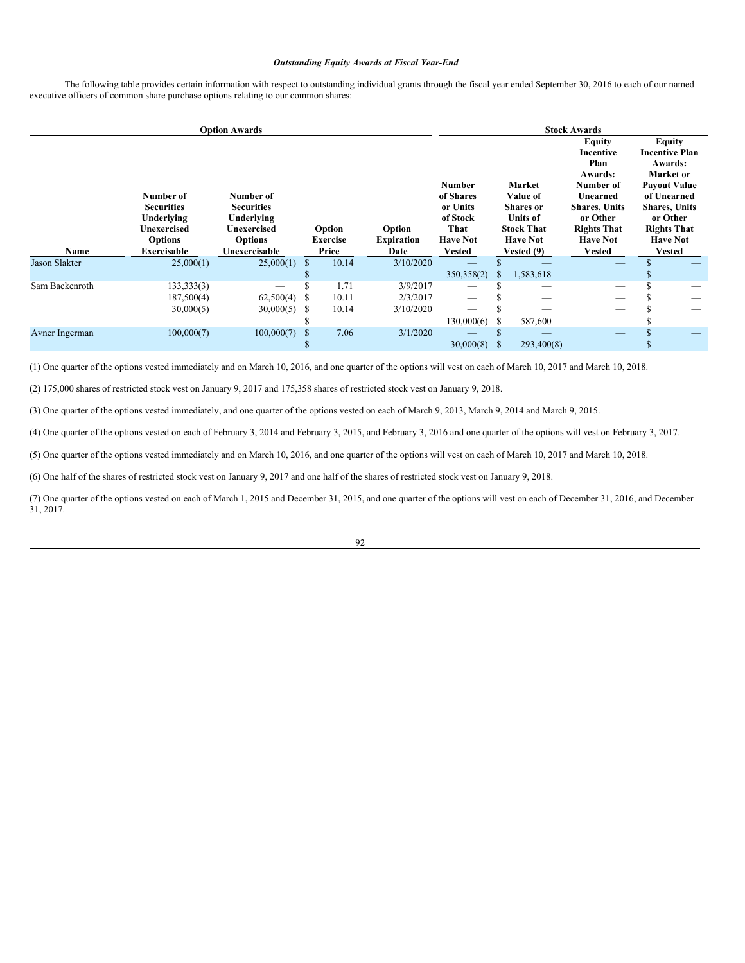# *Outstanding Equity Awards at Fiscal Year-End*

The following table provides certain information with respect to outstanding individual grants through the fiscal year ended September 30, 2016 to each of our named executive officers of common share purchase options relating to our common shares:

|                | <b>Stock Awards</b>                                                                                   |                 |                                                                                                            |       |           |                                                                               |    |                                                                                                          |                                                                                                                                                     |                                                                                                                                                                                   |               |
|----------------|-------------------------------------------------------------------------------------------------------|-----------------|------------------------------------------------------------------------------------------------------------|-------|-----------|-------------------------------------------------------------------------------|----|----------------------------------------------------------------------------------------------------------|-----------------------------------------------------------------------------------------------------------------------------------------------------|-----------------------------------------------------------------------------------------------------------------------------------------------------------------------------------|---------------|
|                | <b>Option Awards</b><br>Number of<br><b>Securities</b><br>Underlying<br>Unexercised<br><b>Options</b> |                 | Number of<br><b>Securities</b><br>Underlying<br>Unexercised<br>Option<br><b>Options</b><br><b>Exercise</b> |       |           | <b>Number</b><br>of Shares<br>or Units<br>of Stock<br>That<br><b>Have Not</b> |    | <b>Market</b><br>Value of<br><b>Shares</b> or<br><b>Units of</b><br><b>Stock That</b><br><b>Have Not</b> | <b>Equity</b><br>Incentive<br>Plan<br>Awards:<br>Number of<br>Unearned<br><b>Shares, Units</b><br>or Other<br><b>Rights That</b><br><b>Have Not</b> | <b>Equity</b><br><b>Incentive Plan</b><br>Awards:<br>Market or<br><b>Payout Value</b><br>of Unearned<br><b>Shares, Units</b><br>or Other<br><b>Rights That</b><br><b>Have Not</b> |               |
| Name           | Exercisable                                                                                           | Unexercisable   |                                                                                                            | Price | Date      | <b>Vested</b>                                                                 |    | Vested (9)                                                                                               | Vested                                                                                                                                              |                                                                                                                                                                                   | <b>Vested</b> |
| Jason Slakter  | 25,000(1)                                                                                             | 25,000(1)       | <sup>S</sup>                                                                                               | 10.14 | 3/10/2020 |                                                                               |    |                                                                                                          |                                                                                                                                                     |                                                                                                                                                                                   |               |
|                |                                                                                                       |                 |                                                                                                            | --    |           | 350,358(2)                                                                    | S. | 1,583,618                                                                                                |                                                                                                                                                     |                                                                                                                                                                                   |               |
| Sam Backenroth | 133,333(3)                                                                                            |                 |                                                                                                            | 1.71  | 3/9/2017  |                                                                               |    |                                                                                                          | _                                                                                                                                                   |                                                                                                                                                                                   |               |
|                | 187,500(4)                                                                                            | $62,500(4)$ \$  |                                                                                                            | 10.11 | 2/3/2017  |                                                                               |    |                                                                                                          |                                                                                                                                                     |                                                                                                                                                                                   |               |
|                | 30,000(5)                                                                                             | $30,000(5)$ \$  |                                                                                                            | 10.14 | 3/10/2020 |                                                                               |    |                                                                                                          |                                                                                                                                                     |                                                                                                                                                                                   |               |
|                |                                                                                                       |                 |                                                                                                            |       |           | 130,000(6)                                                                    | S  | 587,600                                                                                                  |                                                                                                                                                     |                                                                                                                                                                                   |               |
| Avner Ingerman | 100,000(7)                                                                                            | $100,000(7)$ \$ |                                                                                                            | 7.06  | 3/1/2020  |                                                                               |    |                                                                                                          |                                                                                                                                                     |                                                                                                                                                                                   |               |
|                |                                                                                                       |                 |                                                                                                            |       |           | 30,000(8)                                                                     |    | 293,400(8)                                                                                               |                                                                                                                                                     |                                                                                                                                                                                   |               |

(1) One quarter of the options vested immediately and on March 10, 2016, and one quarter of the options will vest on each of March 10, 2017 and March 10, 2018.

(2) 175,000 shares of restricted stock vest on January 9, 2017 and 175,358 shares of restricted stock vest on January 9, 2018.

(3) One quarter of the options vested immediately, and one quarter of the options vested on each of March 9, 2013, March 9, 2014 and March 9, 2015.

(4) One quarter of the options vested on each of February 3, 2014 and February 3, 2015, and February 3, 2016 and one quarter of the options will vest on February 3, 2017.

(5) One quarter of the options vested immediately and on March 10, 2016, and one quarter of the options will vest on each of March 10, 2017 and March 10, 2018.

(6) One half of the shares of restricted stock vest on January 9, 2017 and one half of the shares of restricted stock vest on January 9, 2018.

(7) One quarter of the options vested on each of March 1, 2015 and December 31, 2015, and one quarter of the options will vest on each of December 31, 2016, and December 31, 2017.

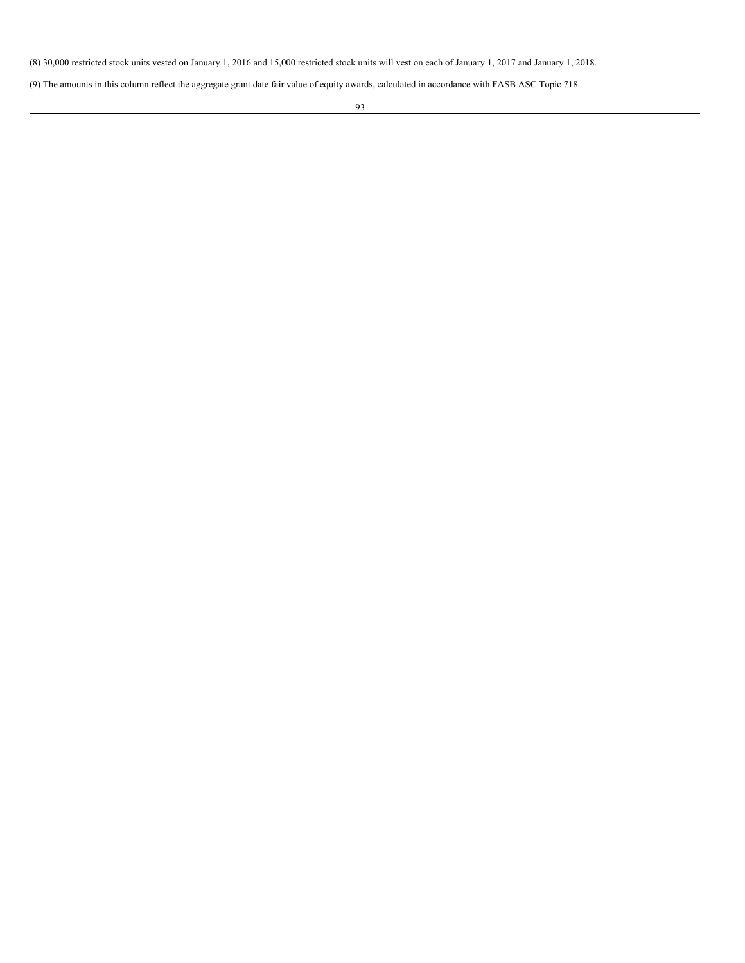(8) 30,000 restricted stock units vested on January 1, 2016 and 15,000 restricted stock units will vest on each of January 1, 2017 and January 1, 2018.

(9) The amounts in this column reflect the aggregate grant date fair value of equity awards, calculated in accordance with FASB ASC Topic 718.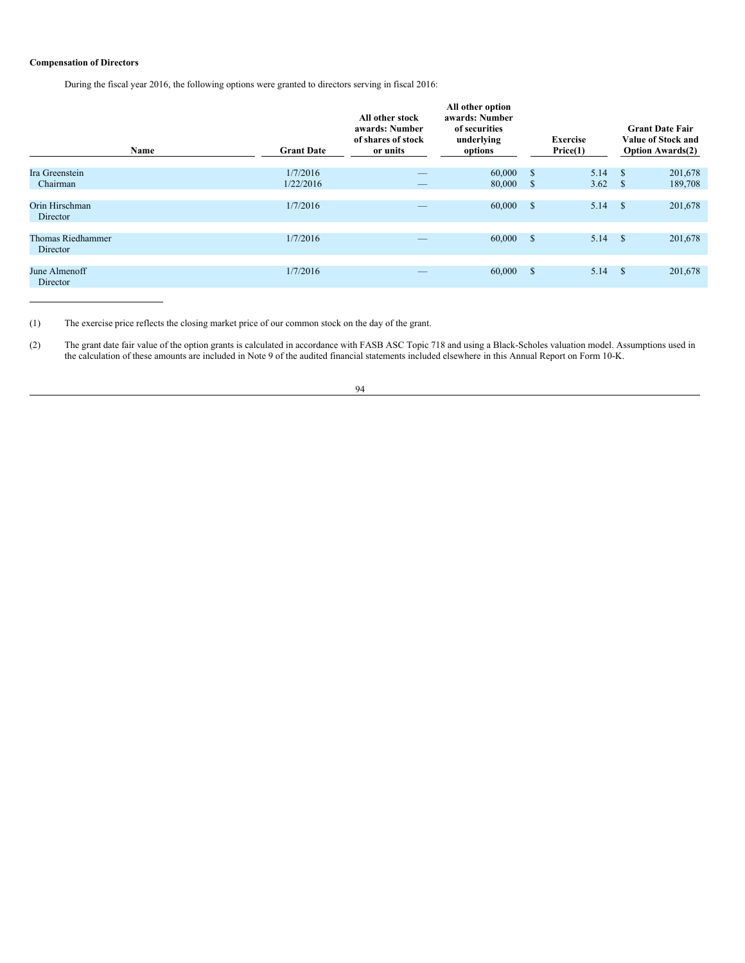# **Compensation of Directors**

During the fiscal year 2016, the following options were granted to directors serving in fiscal 2016:

|                                      | Name | <b>Grant Date</b> | All other stock<br>awards: Number<br>of shares of stock<br>or units | All other option<br>awards: Number<br>of securities<br>underlying<br>options |               | <b>Exercise</b><br>Price(1) | <b>Grant Date Fair</b><br>Value of Stock and<br><b>Option Awards(2)</b> |         |  |
|--------------------------------------|------|-------------------|---------------------------------------------------------------------|------------------------------------------------------------------------------|---------------|-----------------------------|-------------------------------------------------------------------------|---------|--|
| Ira Greenstein                       |      | 1/7/2016          |                                                                     | 60,000                                                                       | <sup>\$</sup> | 5.14                        | -S                                                                      | 201,678 |  |
| Chairman                             |      | 1/22/2016         | $-$                                                                 | 80,000                                                                       | <sup>\$</sup> | 3.62                        | -S                                                                      | 189,708 |  |
|                                      |      |                   |                                                                     |                                                                              |               |                             |                                                                         |         |  |
| Orin Hirschman<br>Director           |      | 1/7/2016          | _                                                                   | 60,000                                                                       | $\mathbf S$   | 5.14                        | -S                                                                      | 201,678 |  |
|                                      |      |                   |                                                                     |                                                                              |               |                             |                                                                         |         |  |
| <b>Thomas Riedhammer</b><br>Director |      | 1/7/2016          |                                                                     | 60,000                                                                       | -S            | 5.14                        | -S                                                                      | 201,678 |  |
|                                      |      |                   |                                                                     |                                                                              |               |                             |                                                                         |         |  |
| June Almenoff<br>Director            |      | 1/7/2016          | _                                                                   | 60,000                                                                       | $\mathcal{S}$ | 5.14                        | -\$                                                                     | 201,678 |  |
|                                      |      |                   |                                                                     |                                                                              |               |                             |                                                                         |         |  |

(1) The exercise price reflects the closing market price of our common stock on the day of the grant.

(2) The grant date fair value of the option grants is calculated in accordance with FASB ASC Topic 718 and using a Black-Scholes valuation model. Assumptions used in the calculation of these amounts are included in Note 9 of the audited financial statements included elsewhere in this Annual Report on Form 10-K.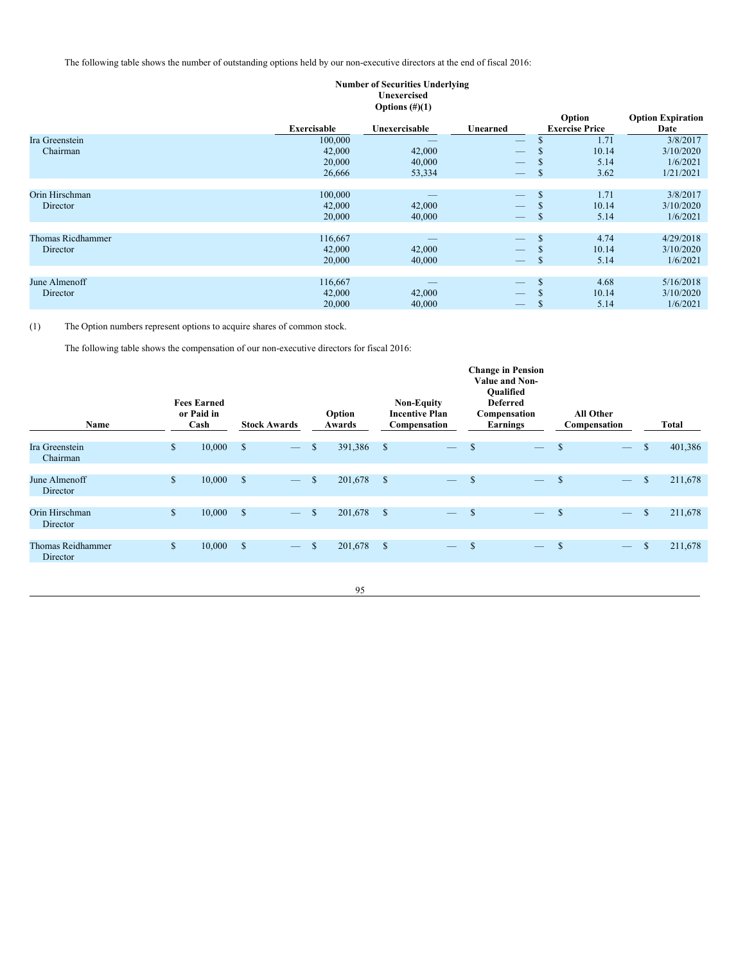The following table shows the number of outstanding options held by our non-executive directors at the end of fiscal 2016:

# **Number of Securities Underlying Unexercised**

|                          |             | Options $(\#)(1)$ |                                 |    |                       |                          |
|--------------------------|-------------|-------------------|---------------------------------|----|-----------------------|--------------------------|
|                          |             |                   |                                 |    | Option                | <b>Option Expiration</b> |
|                          | Exercisable | Unexercisable     | Unearned                        |    | <b>Exercise Price</b> | Date                     |
| Ira Greenstein           | 100,000     |                   |                                 | S  | 1.71                  | 3/8/2017                 |
| Chairman                 | 42,000      | 42,000            | $\qquad \qquad -$               | S  | 10.14                 | 3/10/2020                |
|                          | 20,000      | 40,000            | $\overline{\phantom{m}}$        | \$ | 5.14                  | 1/6/2021                 |
|                          | 26,666      | 53,334            | $\hspace{0.1mm}-\hspace{0.1mm}$ | \$ | 3.62                  | 1/21/2021                |
|                          |             |                   |                                 |    |                       |                          |
| Orin Hirschman           | 100,000     |                   |                                 | S  | 1.71                  | 3/8/2017                 |
| Director                 | 42,000      | 42,000            |                                 | S  | 10.14                 | 3/10/2020                |
|                          | 20,000      | 40,000            |                                 | S  | 5.14                  | 1/6/2021                 |
|                          |             |                   |                                 |    |                       |                          |
| <b>Thomas Ricdhammer</b> | 116,667     |                   | $\qquad \qquad -$               | S  | 4.74                  | 4/29/2018                |
| Director                 | 42,000      | 42,000            | $\qquad \qquad -$               | S  | 10.14                 | 3/10/2020                |
|                          | 20,000      | 40,000            |                                 | S  | 5.14                  | 1/6/2021                 |
|                          |             |                   |                                 |    |                       |                          |
| June Almenoff            | 116,667     |                   | $\qquad \qquad -$               | S  | 4.68                  | 5/16/2018                |
| Director                 | 42,000      | 42,000            |                                 | S  | 10.14                 | 3/10/2020                |
|                          | 20,000      | 40,000            |                                 | \$ | 5.14                  | 1/6/2021                 |

(1) The Option numbers represent options to acquire shares of common stock.

The following table shows the compensation of our non-executive directors for fiscal 2016:

| Name                                 |    | <b>Fees Earned</b><br>or Paid in<br>Cash |              | <b>Stock Awards</b>      |              | Option<br>Awards |              | <b>Non-Equity</b><br><b>Incentive Plan</b><br>Compensation |               | <b>Change in Pension</b><br>Value and Non-<br><b>Oualified</b><br><b>Deferred</b><br>Compensation<br>Earnings |               | <b>All Other</b><br>Compensation |              | Total   |
|--------------------------------------|----|------------------------------------------|--------------|--------------------------|--------------|------------------|--------------|------------------------------------------------------------|---------------|---------------------------------------------------------------------------------------------------------------|---------------|----------------------------------|--------------|---------|
| Ira Greenstein<br>Chairman           | S  | 10,000                                   | <sup>S</sup> | $\overline{\phantom{m}}$ | <sup>S</sup> | 391,386          | \$           | $\overline{\phantom{m}}$                                   | S             | $\overline{\phantom{m}}$                                                                                      | <sup>\$</sup> | $\overline{\phantom{0}}$         | $\mathbb{S}$ | 401,386 |
| June Almenoff<br>Director            | S  | 10,000                                   | $^{\circ}$ s | $\frac{1}{2}$            | $\mathbf S$  | 201,678          | $\mathbb{S}$ | $\overline{\phantom{m}}$                                   | <sup>\$</sup> | $\overline{\phantom{a}}$                                                                                      | <sup>S</sup>  | $\overline{\phantom{0}}$         | $\mathbb{S}$ | 211,678 |
| Orin Hirschman<br>Director           | S  | 10,000                                   | <sup>S</sup> | $\overline{\phantom{a}}$ | $\mathbf S$  | 201,678          | $\mathbb{S}$ | $\overline{\phantom{m}}$                                   | <sup>\$</sup> | $\overline{\phantom{a}}$                                                                                      | <sup>S</sup>  | $\overline{\phantom{m}}$         | $\mathbb{S}$ | 211,678 |
| <b>Thomas Reidhammer</b><br>Director | S. | 10,000                                   | -S           | $\frac{1}{2}$            | S            | 201,678          | $\mathbb{S}$ | $\overline{\phantom{a}}$                                   | <sup>\$</sup> |                                                                                                               | <sup>\$</sup> | $\overline{\phantom{0}}$         | $\mathbb{S}$ | 211,678 |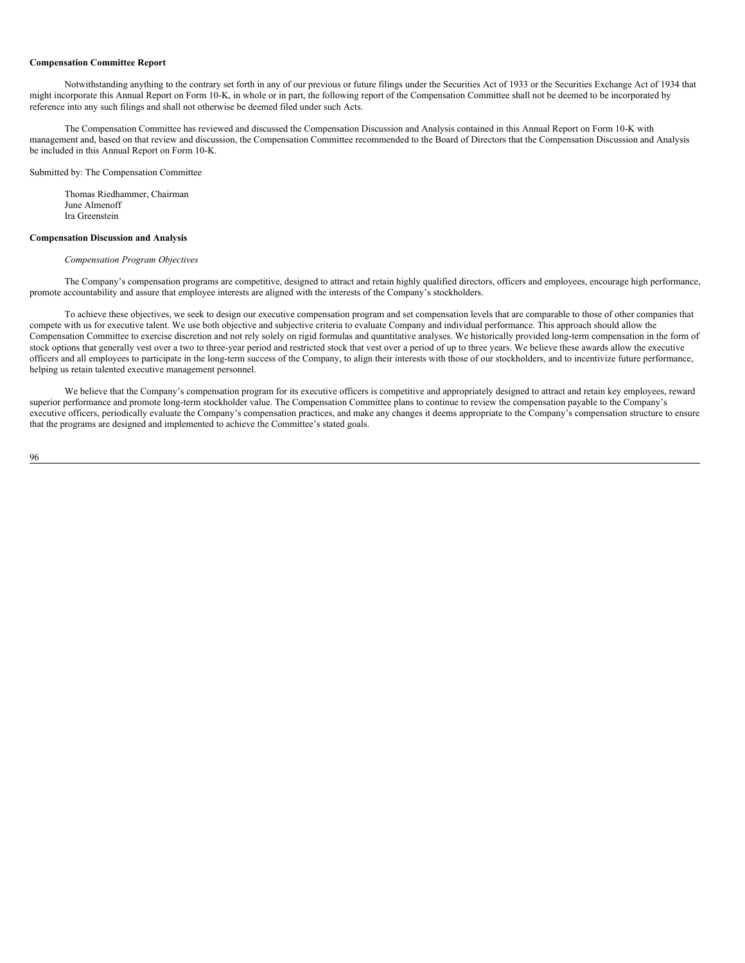## **Compensation Committee Report**

Notwithstanding anything to the contrary set forth in any of our previous or future filings under the Securities Act of 1933 or the Securities Exchange Act of 1934 that might incorporate this Annual Report on Form 10-K, in whole or in part, the following report of the Compensation Committee shall not be deemed to be incorporated by reference into any such filings and shall not otherwise be deemed filed under such Acts.

The Compensation Committee has reviewed and discussed the Compensation Discussion and Analysis contained in this Annual Report on Form 10-K with management and, based on that review and discussion, the Compensation Committee recommended to the Board of Directors that the Compensation Discussion and Analysis be included in this Annual Report on Form 10-K.

Submitted by: The Compensation Committee

Thomas Riedhammer, Chairman June Almenoff Ira Greenstein

# **Compensation Discussion and Analysis**

## *Compensation Program Objectives*

The Company's compensation programs are competitive, designed to attract and retain highly qualified directors, officers and employees, encourage high performance, promote accountability and assure that employee interests are aligned with the interests of the Company's stockholders.

To achieve these objectives, we seek to design our executive compensation program and set compensation levels that are comparable to those of other companies that compete with us for executive talent. We use both objective and subjective criteria to evaluate Company and individual performance. This approach should allow the Compensation Committee to exercise discretion and not rely solely on rigid formulas and quantitative analyses. We historically provided long-term compensation in the form of stock options that generally vest over a two to three-year period and restricted stock that vest over a period of up to three years. We believe these awards allow the executive officers and all employees to participate in the long-term success of the Company, to align their interests with those of our stockholders, and to incentivize future performance, helping us retain talented executive management personnel.

We believe that the Company's compensation program for its executive officers is competitive and appropriately designed to attract and retain key employees, reward superior performance and promote long-term stockholder value. The Compensation Committee plans to continue to review the compensation payable to the Company's executive officers, periodically evaluate the Company's compensation practices, and make any changes it deems appropriate to the Company's compensation structure to ensure that the programs are designed and implemented to achieve the Committee's stated goals.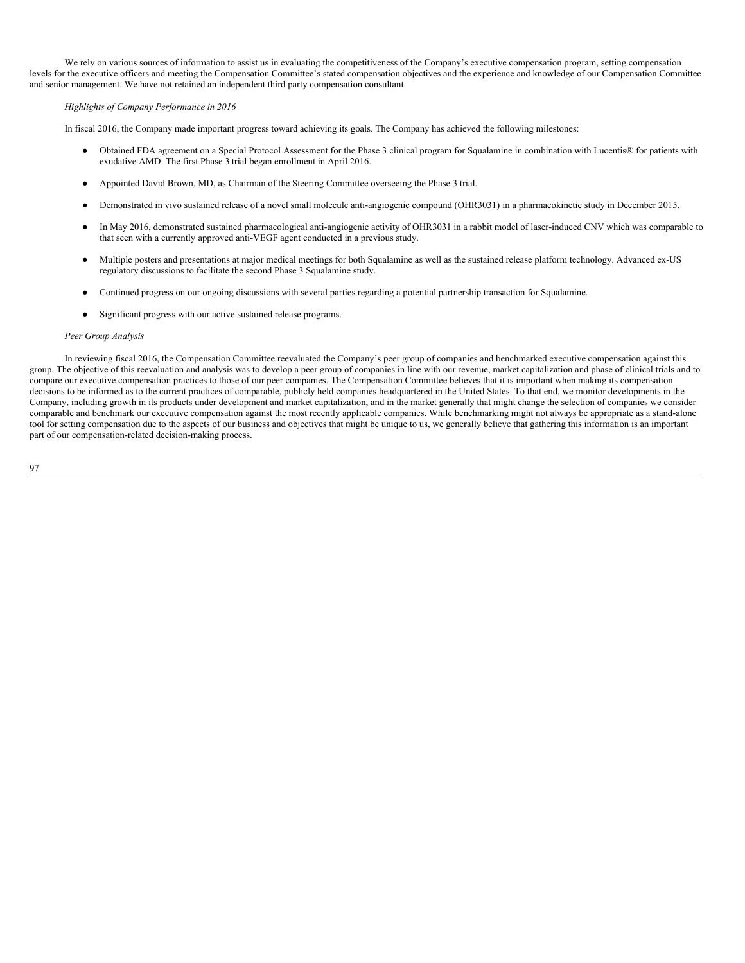We rely on various sources of information to assist us in evaluating the competitiveness of the Company's executive compensation program, setting compensation levels for the executive officers and meeting the Compensation Committee's stated compensation objectives and the experience and knowledge of our Compensation Committee and senior management. We have not retained an independent third party compensation consultant.

# *Highlights of Company Performance in 2016*

In fiscal 2016, the Company made important progress toward achieving its goals. The Company has achieved the following milestones:

- Obtained FDA agreement on a Special Protocol Assessment for the Phase 3 clinical program for Squalamine in combination with Lucentis® for patients with exudative AMD. The first Phase 3 trial began enrollment in April 2016.
- Appointed David Brown, MD, as Chairman of the Steering Committee overseeing the Phase 3 trial.
- Demonstrated in vivo sustained release of a novel small molecule anti-angiogenic compound (OHR3031) in a pharmacokinetic study in December 2015.
- In May 2016, demonstrated sustained pharmacological anti-angiogenic activity of OHR3031 in a rabbit model of laser-induced CNV which was comparable to that seen with a currently approved anti-VEGF agent conducted in a previous study.
- Multiple posters and presentations at major medical meetings for both Squalamine as well as the sustained release platform technology. Advanced ex-US regulatory discussions to facilitate the second Phase 3 Squalamine study.
- Continued progress on our ongoing discussions with several parties regarding a potential partnership transaction for Squalamine.
- Significant progress with our active sustained release programs.

#### *Peer Group Analysis*

In reviewing fiscal 2016, the Compensation Committee reevaluated the Company's peer group of companies and benchmarked executive compensation against this group. The objective of this reevaluation and analysis was to develop a peer group of companies in line with our revenue, market capitalization and phase of clinical trials and to compare our executive compensation practices to those of our peer companies. The Compensation Committee believes that it is important when making its compensation decisions to be informed as to the current practices of comparable, publicly held companies headquartered in the United States. To that end, we monitor developments in the Company, including growth in its products under development and market capitalization, and in the market generally that might change the selection of companies we consider comparable and benchmark our executive compensation against the most recently applicable companies. While benchmarking might not always be appropriate as a stand-alone tool for setting compensation due to the aspects of our business and objectives that might be unique to us, we generally believe that gathering this information is an important part of our compensation-related decision-making process.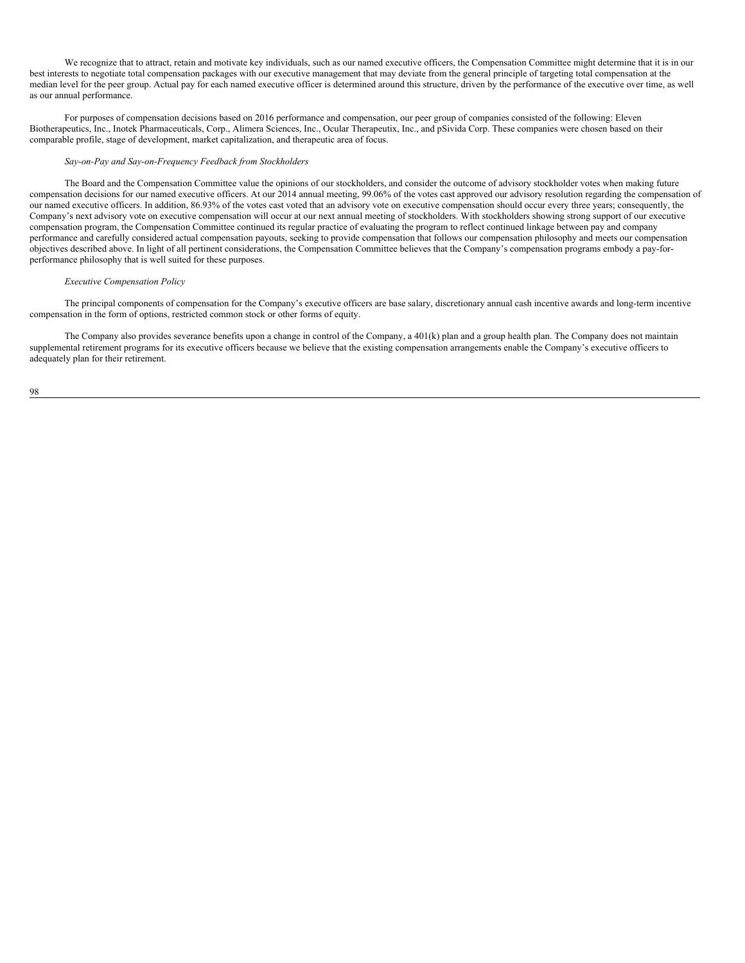We recognize that to attract, retain and motivate key individuals, such as our named executive officers, the Compensation Committee might determine that it is in our best interests to negotiate total compensation packages with our executive management that may deviate from the general principle of targeting total compensation at the median level for the peer group. Actual pay for each named executive officer is determined around this structure, driven by the performance of the executive over time, as well as our annual performance.

For purposes of compensation decisions based on 2016 performance and compensation, our peer group of companies consisted of the following: Eleven Biotherapeutics, Inc., Inotek Pharmaceuticals, Corp., Alimera Sciences, Inc., Ocular Therapeutix, Inc., and pSivida Corp. These companies were chosen based on their comparable profile, stage of development, market capitalization, and therapeutic area of focus.

# *Say-on-Pay and Say-on-Frequency Feedback from Stockholders*

The Board and the Compensation Committee value the opinions of our stockholders, and consider the outcome of advisory stockholder votes when making future compensation decisions for our named executive officers. At our 2014 annual meeting, 99.06% of the votes cast approved our advisory resolution regarding the compensation of our named executive officers. In addition, 86.93% of the votes cast voted that an advisory vote on executive compensation should occur every three years; consequently, the Company's next advisory vote on executive compensation will occur at our next annual meeting of stockholders. With stockholders showing strong support of our executive compensation program, the Compensation Committee continued its regular practice of evaluating the program to reflect continued linkage between pay and company performance and carefully considered actual compensation payouts, seeking to provide compensation that follows our compensation philosophy and meets our compensation objectives described above. In light of all pertinent considerations, the Compensation Committee believes that the Company's compensation programs embody a pay-forperformance philosophy that is well suited for these purposes.

#### *Executive Compensation Policy*

The principal components of compensation for the Company's executive officers are base salary, discretionary annual cash incentive awards and long-term incentive compensation in the form of options, restricted common stock or other forms of equity.

The Company also provides severance benefits upon a change in control of the Company, a 401(k) plan and a group health plan. The Company does not maintain supplemental retirement programs for its executive officers because we believe that the existing compensation arrangements enable the Company's executive officers to adequately plan for their retirement.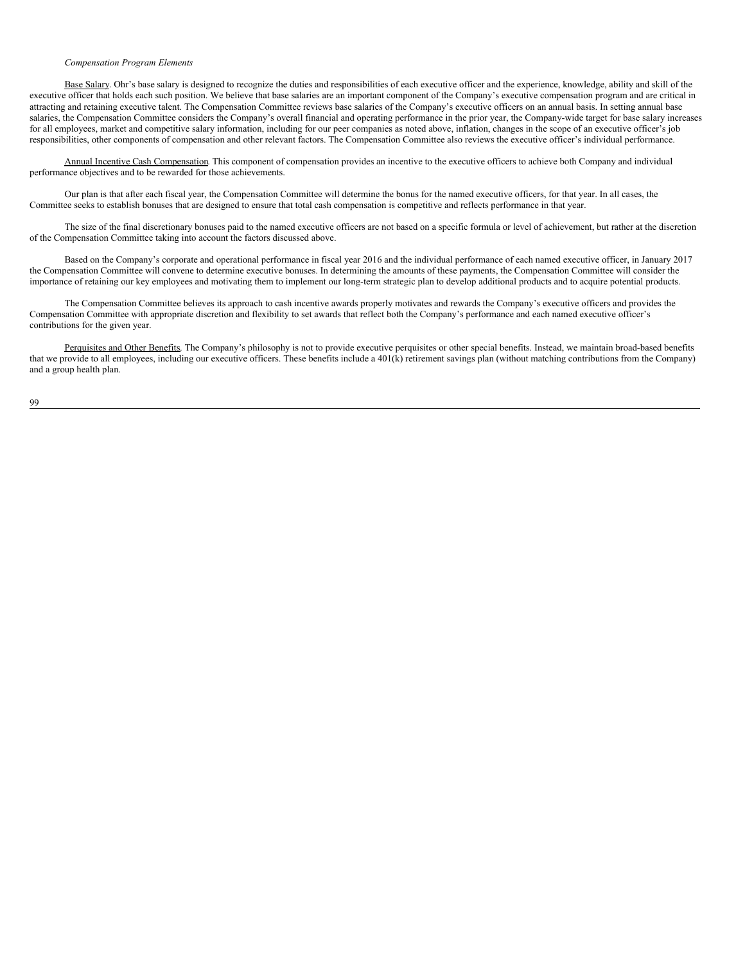#### *Compensation Program Elements*

Base Salary. Ohr's base salary is designed to recognize the duties and responsibilities of each executive officer and the experience, knowledge, ability and skill of the executive officer that holds each such position. We believe that base salaries are an important component of the Company's executive compensation program and are critical in attracting and retaining executive talent. The Compensation Committee reviews base salaries of the Company's executive officers on an annual basis. In setting annual base salaries, the Compensation Committee considers the Company's overall financial and operating performance in the prior year, the Company-wide target for base salary increases for all employees, market and competitive salary information, including for our peer companies as noted above, inflation, changes in the scope of an executive officer's job responsibilities, other components of compensation and other relevant factors. The Compensation Committee also reviews the executive officer's individual performance.

Annual Incentive Cash Compensation. This component of compensation provides an incentive to the executive officers to achieve both Company and individual performance objectives and to be rewarded for those achievements.

Our plan is that after each fiscal year, the Compensation Committee will determine the bonus for the named executive officers, for that year. In all cases, the Committee seeks to establish bonuses that are designed to ensure that total cash compensation is competitive and reflects performance in that year.

The size of the final discretionary bonuses paid to the named executive officers are not based on a specific formula or level of achievement, but rather at the discretion of the Compensation Committee taking into account the factors discussed above.

Based on the Company's corporate and operational performance in fiscal year 2016 and the individual performance of each named executive officer, in January 2017 the Compensation Committee will convene to determine executive bonuses. In determining the amounts of these payments, the Compensation Committee will consider the importance of retaining our key employees and motivating them to implement our long-term strategic plan to develop additional products and to acquire potential products.

The Compensation Committee believes its approach to cash incentive awards properly motivates and rewards the Company's executive officers and provides the Compensation Committee with appropriate discretion and flexibility to set awards that reflect both the Company's performance and each named executive officer's contributions for the given year.

Perquisites and Other Benefits. The Company's philosophy is not to provide executive perquisites or other special benefits. Instead, we maintain broad-based benefits that we provide to all employees, including our executive officers. These benefits include a 401(k) retirement savings plan (without matching contributions from the Company) and a group health plan.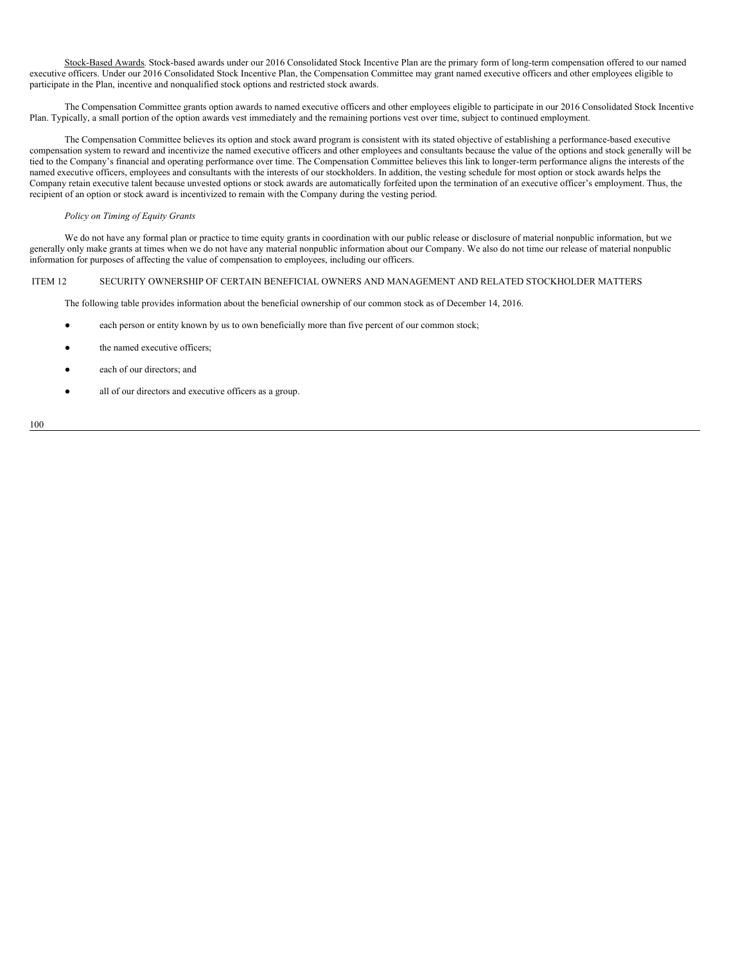Stock-Based Awards. Stock-based awards under our 2016 Consolidated Stock Incentive Plan are the primary form of long-term compensation offered to our named executive officers. Under our 2016 Consolidated Stock Incentive Plan, the Compensation Committee may grant named executive officers and other employees eligible to participate in the Plan, incentive and nonqualified stock options and restricted stock awards.

The Compensation Committee grants option awards to named executive officers and other employees eligible to participate in our 2016 Consolidated Stock Incentive Plan. Typically, a small portion of the option awards vest immediately and the remaining portions vest over time, subject to continued employment.

The Compensation Committee believes its option and stock award program is consistent with its stated objective of establishing a performance-based executive compensation system to reward and incentivize the named executive officers and other employees and consultants because the value of the options and stock generally will be tied to the Company's financial and operating performance over time. The Compensation Committee believes this link to longer-term performance aligns the interests of the named executive officers, employees and consultants with the interests of our stockholders. In addition, the vesting schedule for most option or stock awards helps the Company retain executive talent because unvested options or stock awards are automatically forfeited upon the termination of an executive officer's employment. Thus, the recipient of an option or stock award is incentivized to remain with the Company during the vesting period.

*Policy on Timing of Equity Grants*

We do not have any formal plan or practice to time equity grants in coordination with our public release or disclosure of material nonpublic information, but we generally only make grants at times when we do not have any material nonpublic information about our Company. We also do not time our release of material nonpublic information for purposes of affecting the value of compensation to employees, including our officers.

# ITEM 12 SECURITY OWNERSHIP OF CERTAIN BENEFICIAL OWNERS AND MANAGEMENT AND RELATED STOCKHOLDER MATTERS

The following table provides information about the beneficial ownership of our common stock as of December 14, 2016.

- each person or entity known by us to own beneficially more than five percent of our common stock;
- the named executive officers;
- each of our directors; and
- all of our directors and executive officers as a group.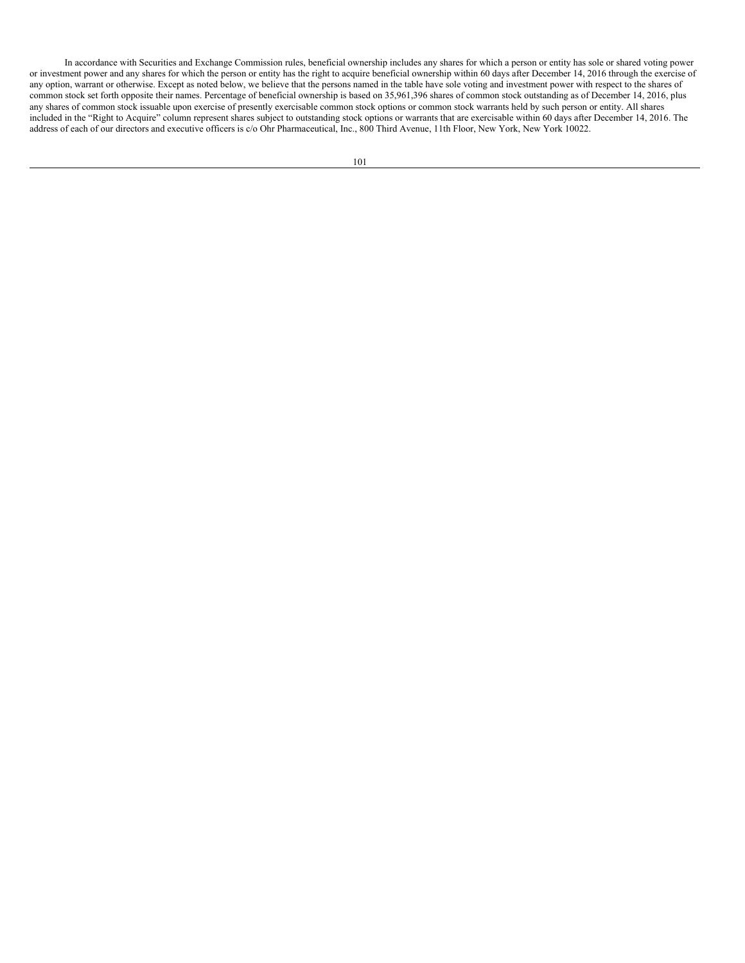In accordance with Securities and Exchange Commission rules, beneficial ownership includes any shares for which a person or entity has sole or shared voting power or investment power and any shares for which the person or entity has the right to acquire beneficial ownership within 60 days after December 14, 2016 through the exercise of any option, warrant or otherwise. Except as noted below, we believe that the persons named in the table have sole voting and investment power with respect to the shares of common stock set forth opposite their names. Percentage of beneficial ownership is based on 35,961,396 shares of common stock outstanding as of December 14, 2016, plus any shares of common stock issuable upon exercise of presently exercisable common stock options or common stock warrants held by such person or entity. All shares included in the "Right to Acquire" column represent shares subject to outstanding stock options or warrants that are exercisable within 60 days after December 14, 2016. The address of each of our directors and executive officers is c/o Ohr Pharmaceutical, Inc., 800 Third Avenue, 11th Floor, New York, New York 10022.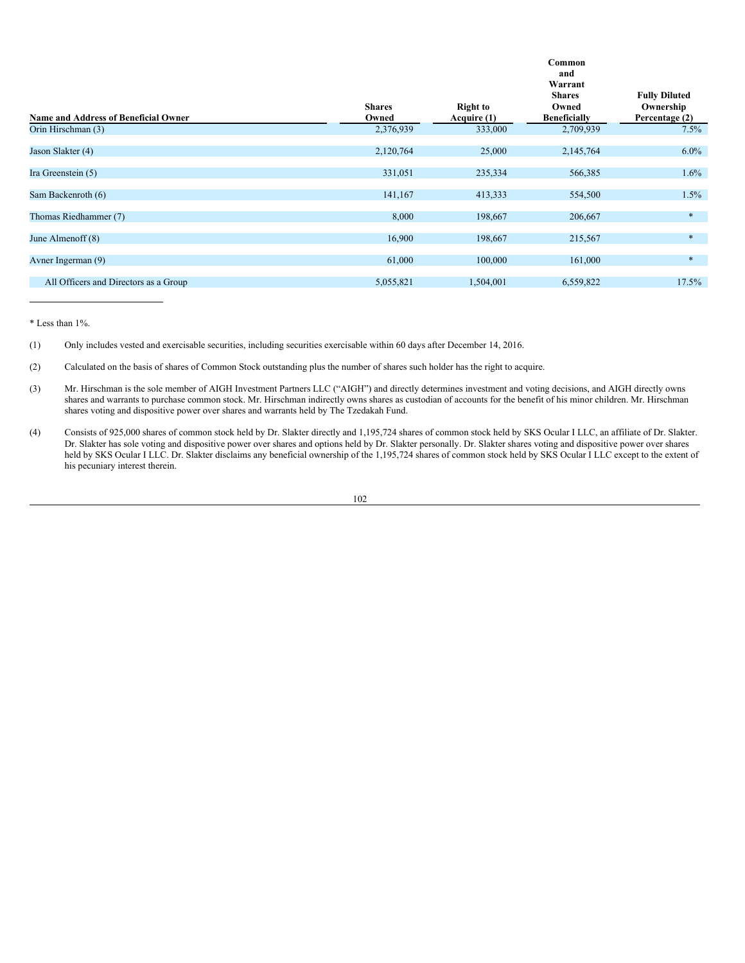| Name and Address of Beneficial Owner  | <b>Shares</b><br>Owned | <b>Right to</b><br>Acquire (1) | Common<br>and<br>Warrant<br><b>Shares</b><br>Owned<br><b>Beneficially</b> | <b>Fully Diluted</b><br>Ownership<br>Percentage (2) |
|---------------------------------------|------------------------|--------------------------------|---------------------------------------------------------------------------|-----------------------------------------------------|
| Orin Hirschman (3)                    | 2,376,939              | 333,000                        | 2,709,939                                                                 | 7.5%                                                |
| Jason Slakter (4)                     | 2,120,764              | 25,000                         | 2,145,764                                                                 | $6.0\%$                                             |
| Ira Greenstein (5)                    | 331,051                | 235,334                        | 566,385                                                                   | $1.6\%$                                             |
| Sam Backenroth (6)                    | 141,167                | 413,333                        | 554,500                                                                   | 1.5%                                                |
| Thomas Riedhammer (7)                 | 8,000                  | 198,667                        | 206,667                                                                   | $\ast$                                              |
| June Almenoff (8)                     | 16,900                 | 198,667                        | 215,567                                                                   | $*$                                                 |
| Avner Ingerman (9)                    | 61,000                 | 100,000                        | 161,000                                                                   | $\ast$                                              |
| All Officers and Directors as a Group | 5,055,821              | 1,504,001                      | 6,559,822                                                                 | 17.5%                                               |

\* Less than 1%.

(1) Only includes vested and exercisable securities, including securities exercisable within 60 days after December 14, 2016.

(2) Calculated on the basis of shares of Common Stock outstanding plus the number of shares such holder has the right to acquire.

- (3) Mr. Hirschman is the sole member of AIGH Investment Partners LLC ("AIGH") and directly determines investment and voting decisions, and AIGH directly owns shares and warrants to purchase common stock. Mr. Hirschman indirectly owns shares as custodian of accounts for the benefit of his minor children. Mr. Hirschman shares voting and dispositive power over shares and warrants held by The Tzedakah Fund.
- (4) Consists of 925,000 shares of common stock held by Dr. Slakter directly and 1,195,724 shares of common stock held by SKS Ocular I LLC, an affiliate of Dr. Slakter. Dr. Slakter has sole voting and dispositive power over shares and options held by Dr. Slakter personally. Dr. Slakter shares voting and dispositive power over shares held by SKS Ocular I LLC. Dr. Slakter disclaims any beneficial ownership of the 1,195,724 shares of common stock held by SKS Ocular I LLC except to the extent of his pecuniary interest therein.

$$
102\\
$$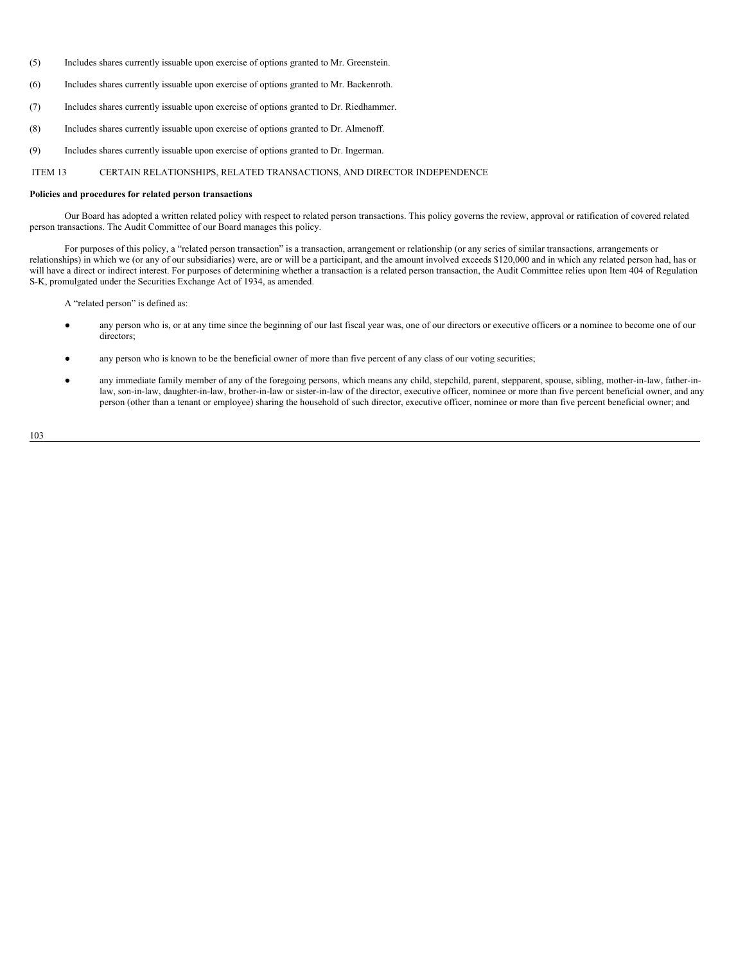- (5) Includes shares currently issuable upon exercise of options granted to Mr. Greenstein.
- (6) Includes shares currently issuable upon exercise of options granted to Mr. Backenroth.
- (7) Includes shares currently issuable upon exercise of options granted to Dr. Riedhammer.
- (8) Includes shares currently issuable upon exercise of options granted to Dr. Almenoff.
- (9) Includes shares currently issuable upon exercise of options granted to Dr. Ingerman.

## ITEM 13 CERTAIN RELATIONSHIPS, RELATED TRANSACTIONS, AND DIRECTOR INDEPENDENCE

#### **Policies and procedures for related person transactions**

Our Board has adopted a written related policy with respect to related person transactions. This policy governs the review, approval or ratification of covered related person transactions. The Audit Committee of our Board manages this policy.

For purposes of this policy, a "related person transaction" is a transaction, arrangement or relationship (or any series of similar transactions, arrangements or relationships) in which we (or any of our subsidiaries) were, are or will be a participant, and the amount involved exceeds \$120,000 and in which any related person had, has or will have a direct or indirect interest. For purposes of determining whether a transaction is a related person transaction, the Audit Committee relies upon Item 404 of Regulation S-K, promulgated under the Securities Exchange Act of 1934, as amended.

A "related person" is defined as:

- any person who is, or at any time since the beginning of our last fiscal year was, one of our directors or executive officers or a nominee to become one of our directors;
- any person who is known to be the beneficial owner of more than five percent of any class of our voting securities;
- any immediate family member of any of the foregoing persons, which means any child, stepchild, parent, stepparent, spouse, sibling, mother-in-law, father-inlaw, son-in-law, daughter-in-law, brother-in-law or sister-in-law of the director, executive officer, nominee or more than five percent beneficial owner, and any person (other than a tenant or employee) sharing the household of such director, executive officer, nominee or more than five percent beneficial owner; and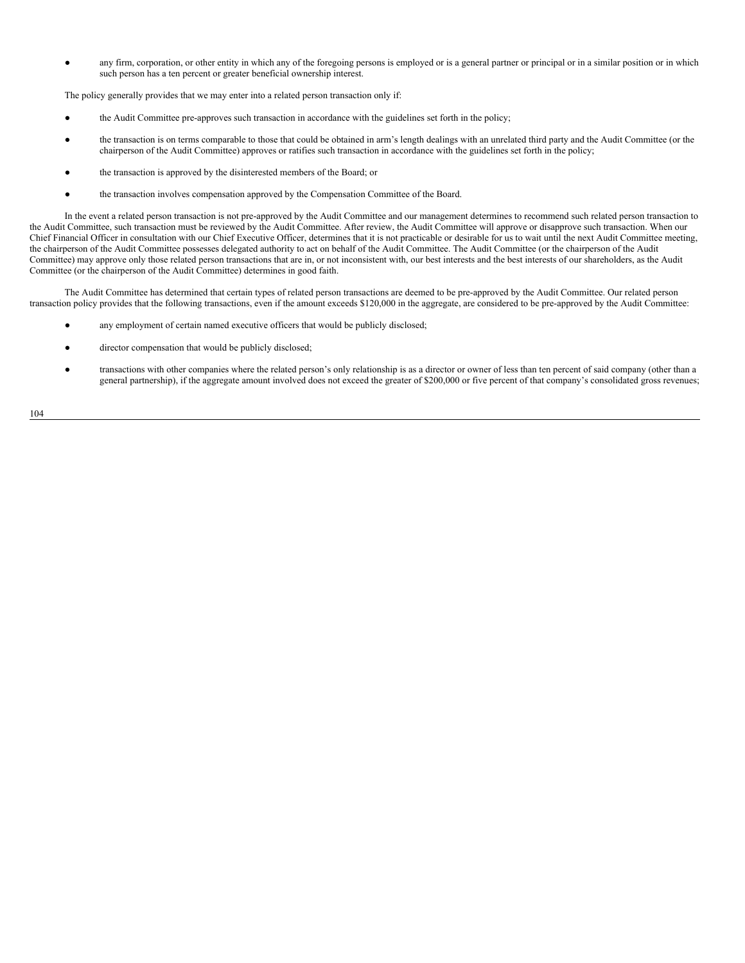any firm, corporation, or other entity in which any of the foregoing persons is employed or is a general partner or principal or in a similar position or in which such person has a ten percent or greater beneficial ownership interest.

The policy generally provides that we may enter into a related person transaction only if:

- the Audit Committee pre-approves such transaction in accordance with the guidelines set forth in the policy;
- the transaction is on terms comparable to those that could be obtained in arm's length dealings with an unrelated third party and the Audit Committee (or the chairperson of the Audit Committee) approves or ratifies such transaction in accordance with the guidelines set forth in the policy;
- the transaction is approved by the disinterested members of the Board; or
- the transaction involves compensation approved by the Compensation Committee of the Board.

In the event a related person transaction is not pre-approved by the Audit Committee and our management determines to recommend such related person transaction to the Audit Committee, such transaction must be reviewed by the Audit Committee. After review, the Audit Committee will approve or disapprove such transaction. When our Chief Financial Officer in consultation with our Chief Executive Officer, determines that it is not practicable or desirable for us to wait until the next Audit Committee meeting, the chairperson of the Audit Committee possesses delegated authority to act on behalf of the Audit Committee. The Audit Committee (or the chairperson of the Audit Committee) may approve only those related person transactions that are in, or not inconsistent with, our best interests and the best interests of our shareholders, as the Audit Committee (or the chairperson of the Audit Committee) determines in good faith.

The Audit Committee has determined that certain types of related person transactions are deemed to be pre-approved by the Audit Committee. Our related person transaction policy provides that the following transactions, even if the amount exceeds \$120,000 in the aggregate, are considered to be pre-approved by the Audit Committee:

- any employment of certain named executive officers that would be publicly disclosed;
- director compensation that would be publicly disclosed;
- transactions with other companies where the related person's only relationship is as a director or owner of less than ten percent of said company (other than a general partnership), if the aggregate amount involved does not exceed the greater of \$200,000 or five percent of that company's consolidated gross revenues;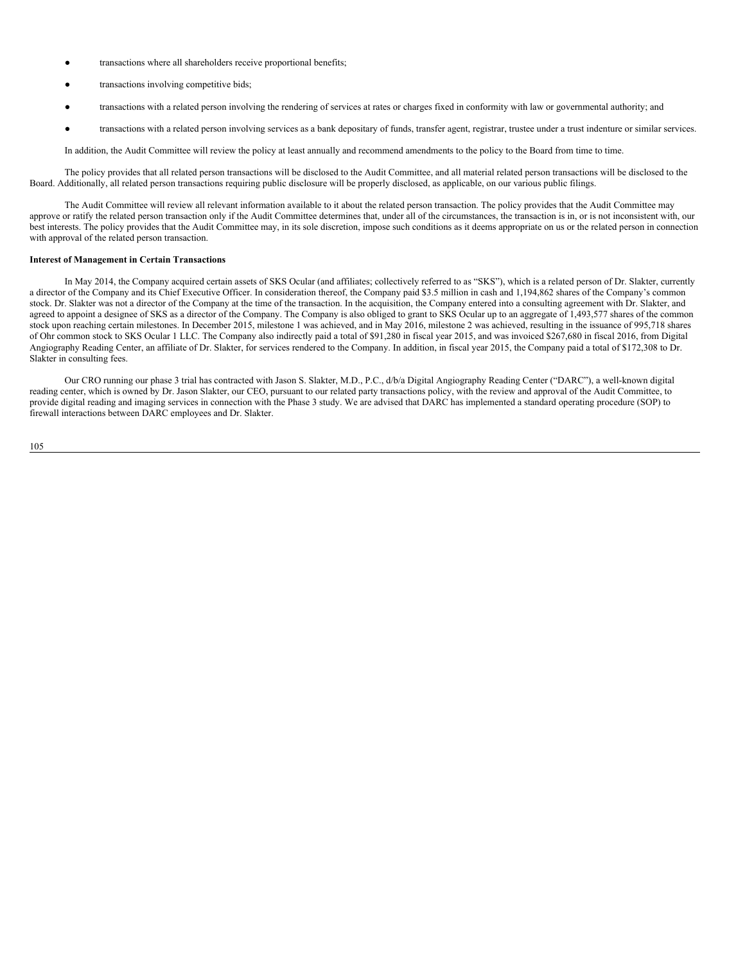- transactions where all shareholders receive proportional benefits;
- transactions involving competitive bids;
- transactions with a related person involving the rendering of services at rates or charges fixed in conformity with law or governmental authority; and
- transactions with a related person involving services as a bank depositary of funds, transfer agent, registrar, trustee under a trust indenture or similar services.

In addition, the Audit Committee will review the policy at least annually and recommend amendments to the policy to the Board from time to time.

The policy provides that all related person transactions will be disclosed to the Audit Committee, and all material related person transactions will be disclosed to the Board. Additionally, all related person transactions requiring public disclosure will be properly disclosed, as applicable, on our various public filings.

The Audit Committee will review all relevant information available to it about the related person transaction. The policy provides that the Audit Committee may approve or ratify the related person transaction only if the Audit Committee determines that, under all of the circumstances, the transaction is in, or is not inconsistent with, our best interests. The policy provides that the Audit Committee may, in its sole discretion, impose such conditions as it deems appropriate on us or the related person in connection with approval of the related person transaction.

# **Interest of Management in Certain Transactions**

In May 2014, the Company acquired certain assets of SKS Ocular (and affiliates; collectively referred to as "SKS"), which is a related person of Dr. Slakter, currently a director of the Company and its Chief Executive Officer. In consideration thereof, the Company paid \$3.5 million in cash and 1,194,862 shares of the Company's common stock. Dr. Slakter was not a director of the Company at the time of the transaction. In the acquisition, the Company entered into a consulting agreement with Dr. Slakter, and agreed to appoint a designee of SKS as a director of the Company. The Company is also obliged to grant to SKS Ocular up to an aggregate of 1,493,577 shares of the common stock upon reaching certain milestones. In December 2015, milestone 1 was achieved, and in May 2016, milestone 2 was achieved, resulting in the issuance of 995,718 shares of Ohr common stock to SKS Ocular 1 LLC. The Company also indirectly paid a total of \$91,280 in fiscal year 2015, and was invoiced \$267,680 in fiscal 2016, from Digital Angiography Reading Center, an affiliate of Dr. Slakter, for services rendered to the Company. In addition, in fiscal year 2015, the Company paid a total of \$172,308 to Dr. Slakter in consulting fees.

Our CRO running our phase 3 trial has contracted with Jason S. Slakter, M.D., P.C., d/b/a Digital Angiography Reading Center ("DARC"), a well-known digital reading center, which is owned by Dr. Jason Slakter, our CEO, pursuant to our related party transactions policy, with the review and approval of the Audit Committee, to provide digital reading and imaging services in connection with the Phase 3 study. We are advised that DARC has implemented a standard operating procedure (SOP) to firewall interactions between DARC employees and Dr. Slakter.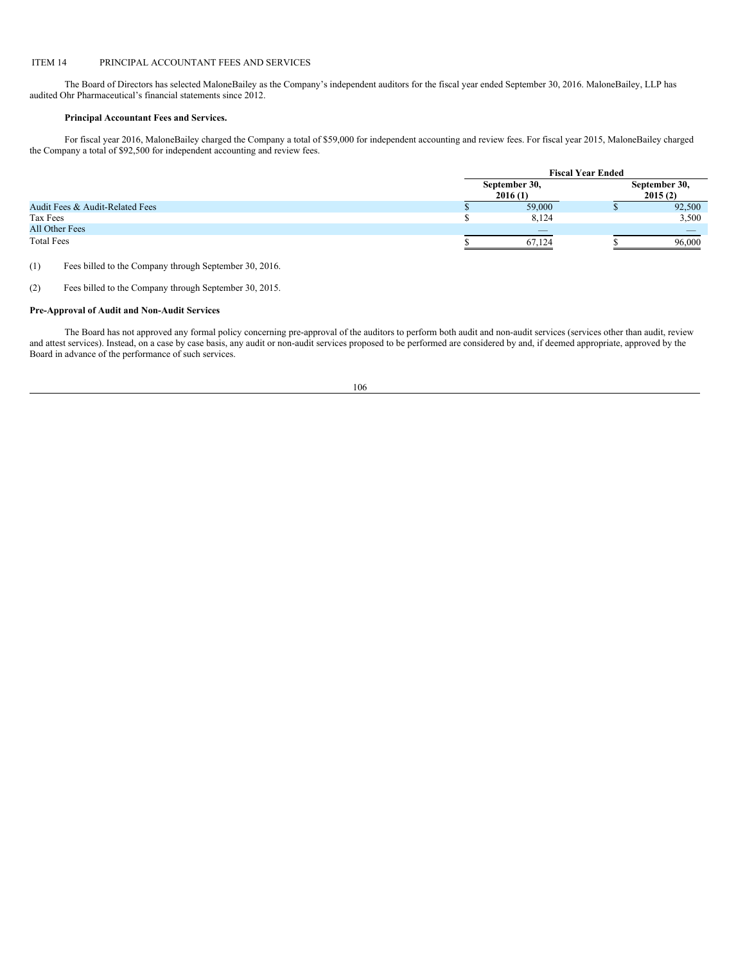# ITEM 14 PRINCIPAL ACCOUNTANT FEES AND SERVICES

The Board of Directors has selected MaloneBailey as the Company's independent auditors for the fiscal year ended September 30, 2016. MaloneBailey, LLP has audited Ohr Pharmaceutical's financial statements since 2012.

# **Principal Accountant Fees and Services.**

For fiscal year 2016, MaloneBailey charged the Company a total of \$59,000 for independent accounting and review fees. For fiscal year 2015, MaloneBailey charged the Company a total of \$92,500 for independent accounting and review fees.

|                                 | <b>Fiscal Year Ended</b> |  |                          |  |  |  |
|---------------------------------|--------------------------|--|--------------------------|--|--|--|
|                                 | September 30,<br>2016(1) |  | September 30,<br>2015(2) |  |  |  |
| Audit Fees & Audit-Related Fees | 59,000                   |  | 92,500                   |  |  |  |
| Tax Fees                        | 8,124                    |  | 3,500                    |  |  |  |
| All Other Fees                  | $-$                      |  |                          |  |  |  |
| <b>Total Fees</b>               | 67.124                   |  | 96,000                   |  |  |  |

(1) Fees billed to the Company through September 30, 2016.

(2) Fees billed to the Company through September 30, 2015.

# **Pre-Approval of Audit and Non-Audit Services**

The Board has not approved any formal policy concerning pre-approval of the auditors to perform both audit and non-audit services (services other than audit, review and attest services). Instead, on a case by case basis, any audit or non-audit services proposed to be performed are considered by and, if deemed appropriate, approved by the Board in advance of the performance of such services.

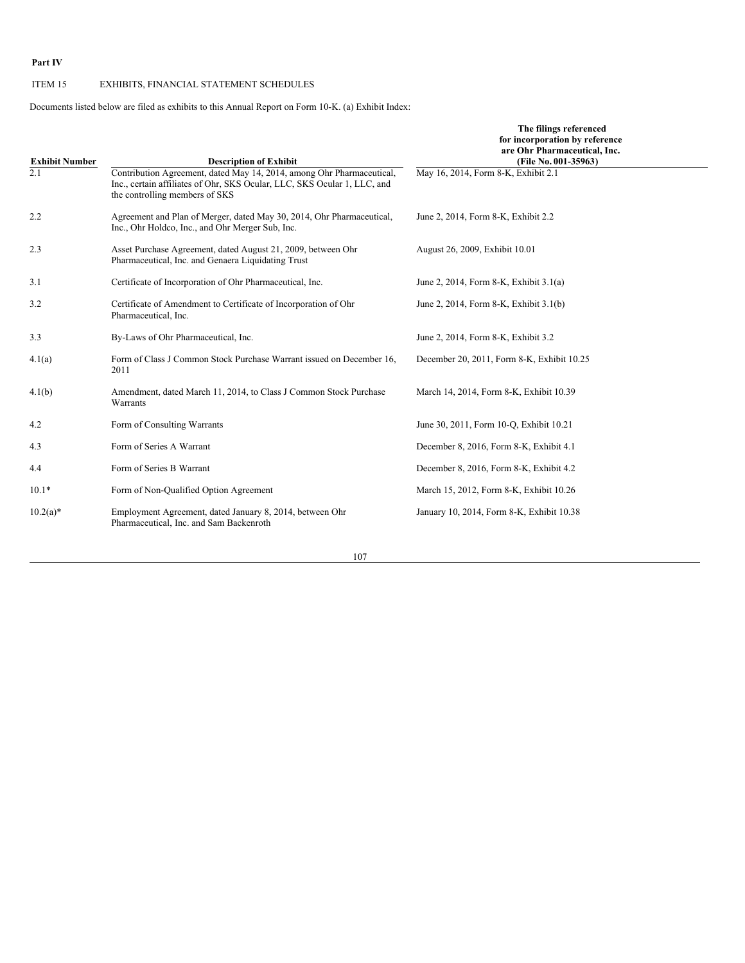# ITEM 15 EXHIBITS, FINANCIAL STATEMENT SCHEDULES

Documents listed below are filed as exhibits to this Annual Report on Form 10-K. (a) Exhibit Index:

| <b>Exhibit Number</b> | <b>Description of Exhibit</b>                                                                                                                                                       | The filings referenced<br>for incorporation by reference<br>are Ohr Pharmaceutical, Inc.<br>(File No. 001-35963) |
|-----------------------|-------------------------------------------------------------------------------------------------------------------------------------------------------------------------------------|------------------------------------------------------------------------------------------------------------------|
| 2.1                   | Contribution Agreement, dated May 14, 2014, among Ohr Pharmaceutical,<br>Inc., certain affiliates of Ohr, SKS Ocular, LLC, SKS Ocular 1, LLC, and<br>the controlling members of SKS | May 16, 2014, Form 8-K, Exhibit 2.1                                                                              |
| 2.2                   | Agreement and Plan of Merger, dated May 30, 2014, Ohr Pharmaceutical,<br>Inc., Ohr Holdco, Inc., and Ohr Merger Sub, Inc.                                                           | June 2, 2014, Form 8-K, Exhibit 2.2                                                                              |
| 2.3                   | Asset Purchase Agreement, dated August 21, 2009, between Ohr<br>Pharmaceutical, Inc. and Genaera Liquidating Trust                                                                  | August 26, 2009, Exhibit 10.01                                                                                   |
| 3.1                   | Certificate of Incorporation of Ohr Pharmaceutical, Inc.                                                                                                                            | June 2, 2014, Form 8-K, Exhibit 3.1(a)                                                                           |
| 3.2                   | Certificate of Amendment to Certificate of Incorporation of Ohr<br>Pharmaceutical, Inc.                                                                                             | June 2, 2014, Form 8-K, Exhibit 3.1(b)                                                                           |
| 3.3                   | By-Laws of Ohr Pharmaceutical, Inc.                                                                                                                                                 | June 2, 2014, Form 8-K, Exhibit 3.2                                                                              |
| 4.1(a)                | Form of Class J Common Stock Purchase Warrant issued on December 16,<br>2011                                                                                                        | December 20, 2011, Form 8-K, Exhibit 10.25                                                                       |
| 4.1(b)                | Amendment, dated March 11, 2014, to Class J Common Stock Purchase<br>Warrants                                                                                                       | March 14, 2014, Form 8-K, Exhibit 10.39                                                                          |
| 4.2                   | Form of Consulting Warrants                                                                                                                                                         | June 30, 2011, Form 10-O, Exhibit 10.21                                                                          |
| 4.3                   | Form of Series A Warrant                                                                                                                                                            | December 8, 2016, Form 8-K, Exhibit 4.1                                                                          |
| 4.4                   | Form of Series B Warrant                                                                                                                                                            | December 8, 2016, Form 8-K, Exhibit 4.2                                                                          |
| $10.1*$               | Form of Non-Qualified Option Agreement                                                                                                                                              | March 15, 2012, Form 8-K, Exhibit 10.26                                                                          |
| $10.2(a)$ *           | Employment Agreement, dated January 8, 2014, between Ohr<br>Pharmaceutical, Inc. and Sam Backenroth                                                                                 | January 10, 2014, Form 8-K, Exhibit 10.38                                                                        |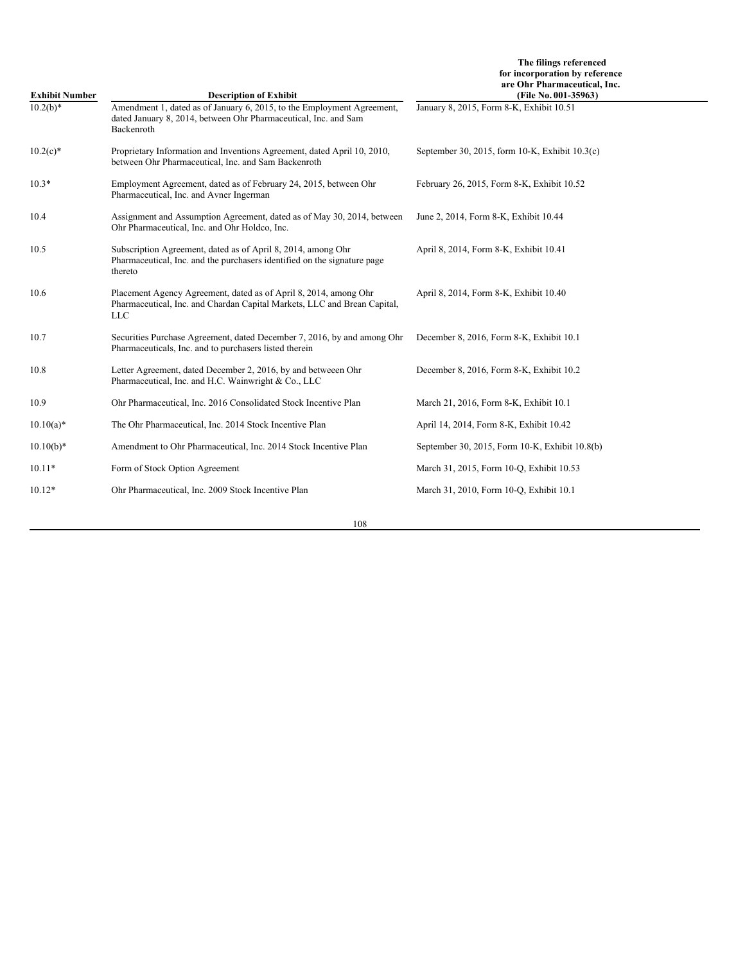## **The filings referenced for incorporation by reference are Ohr Pharmaceutical, Inc.**

| <b>Exhibit Number</b><br><b>Description of Exhibit</b> |                                                                                                                                                            | (File No. 001-35963)                           |  |
|--------------------------------------------------------|------------------------------------------------------------------------------------------------------------------------------------------------------------|------------------------------------------------|--|
| $10.2(b)*$                                             | Amendment 1, dated as of January 6, 2015, to the Employment Agreement,<br>dated January 8, 2014, between Ohr Pharmaceutical, Inc. and Sam<br>Backenroth    | January 8, 2015, Form 8-K, Exhibit 10.51       |  |
| $10.2(c)$ *                                            | Proprietary Information and Inventions Agreement, dated April 10, 2010,<br>between Ohr Pharmaceutical, Inc. and Sam Backenroth                             | September 30, 2015, form 10-K, Exhibit 10.3(c) |  |
| $10.3*$                                                | Employment Agreement, dated as of February 24, 2015, between Ohr<br>Pharmaceutical, Inc. and Avner Ingerman                                                | February 26, 2015, Form 8-K, Exhibit 10.52     |  |
| 10.4                                                   | Assignment and Assumption Agreement, dated as of May 30, 2014, between<br>Ohr Pharmaceutical, Inc. and Ohr Holdco, Inc.                                    | June 2, 2014, Form 8-K, Exhibit 10.44          |  |
| 10.5                                                   | Subscription Agreement, dated as of April 8, 2014, among Ohr<br>Pharmaceutical, Inc. and the purchasers identified on the signature page<br>thereto        | April 8, 2014, Form 8-K, Exhibit 10.41         |  |
| 10.6                                                   | Placement Agency Agreement, dated as of April 8, 2014, among Ohr<br>Pharmaceutical, Inc. and Chardan Capital Markets, LLC and Brean Capital,<br><b>LLC</b> | April 8, 2014, Form 8-K, Exhibit 10.40         |  |
| 10.7                                                   | Securities Purchase Agreement, dated December 7, 2016, by and among Ohr<br>Pharmaceuticals, Inc. and to purchasers listed therein                          | December 8, 2016, Form 8-K, Exhibit 10.1       |  |
| 10.8                                                   | Letter Agreement, dated December 2, 2016, by and betweeen Ohr<br>Pharmaceutical, Inc. and H.C. Wainwright & Co., LLC                                       | December 8, 2016, Form 8-K, Exhibit 10.2       |  |
| 10.9                                                   | Ohr Pharmaceutical, Inc. 2016 Consolidated Stock Incentive Plan                                                                                            | March 21, 2016, Form 8-K, Exhibit 10.1         |  |
| $10.10(a)$ *                                           | The Ohr Pharmaceutical, Inc. 2014 Stock Incentive Plan                                                                                                     | April 14, 2014, Form 8-K, Exhibit 10.42        |  |
| $10.10(b)*$                                            | Amendment to Ohr Pharmaceutical, Inc. 2014 Stock Incentive Plan                                                                                            | September 30, 2015, Form 10-K, Exhibit 10.8(b) |  |
| $10.11*$                                               | Form of Stock Option Agreement                                                                                                                             | March 31, 2015, Form 10-Q, Exhibit 10.53       |  |
| $10.12*$                                               | Ohr Pharmaceutical, Inc. 2009 Stock Incentive Plan                                                                                                         | March 31, 2010, Form 10-Q, Exhibit 10.1        |  |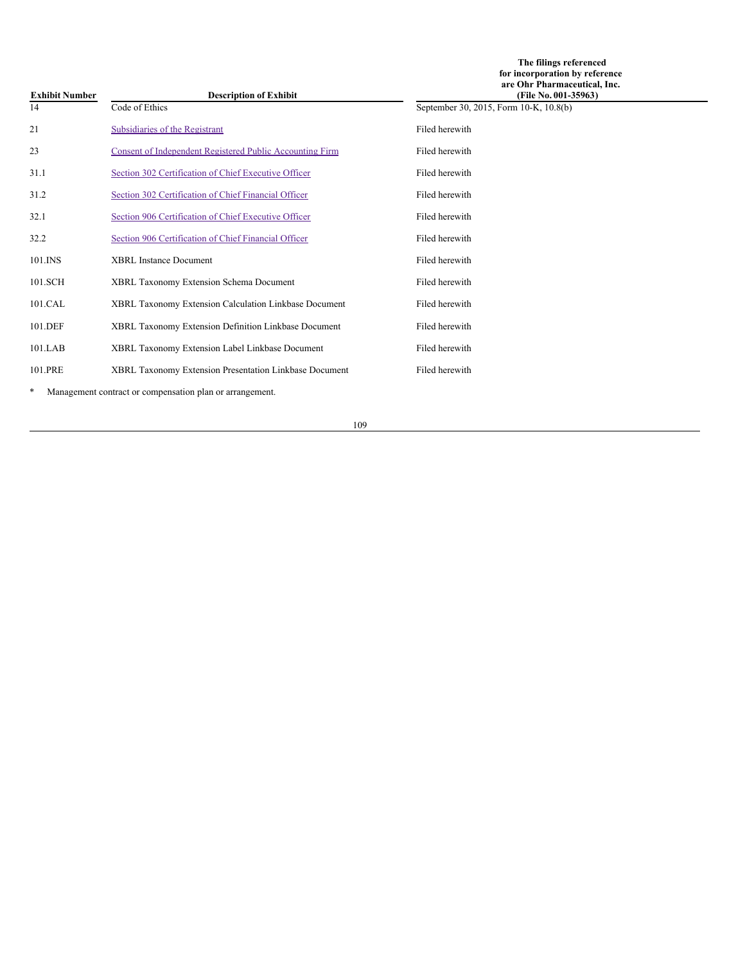| <b>Exhibit Number</b>                                              | <b>Description of Exhibit</b>                            | The filings referenced<br>for incorporation by reference<br>are Ohr Pharmaceutical, Inc.<br>(File No. 001-35963) |  |  |
|--------------------------------------------------------------------|----------------------------------------------------------|------------------------------------------------------------------------------------------------------------------|--|--|
| 14                                                                 | Code of Ethics                                           | September 30, 2015, Form 10-K, 10.8(b)                                                                           |  |  |
| 21                                                                 | Subsidiaries of the Registrant                           | Filed herewith                                                                                                   |  |  |
| 23                                                                 | Consent of Independent Registered Public Accounting Firm | Filed herewith                                                                                                   |  |  |
| 31.1                                                               | Section 302 Certification of Chief Executive Officer     | Filed herewith                                                                                                   |  |  |
| 31.2                                                               | Section 302 Certification of Chief Financial Officer     | Filed herewith                                                                                                   |  |  |
| 32.1                                                               | Section 906 Certification of Chief Executive Officer     | Filed herewith                                                                                                   |  |  |
| 32.2                                                               | Section 906 Certification of Chief Financial Officer     | Filed herewith                                                                                                   |  |  |
| 101.INS                                                            | <b>XBRL Instance Document</b>                            | Filed herewith                                                                                                   |  |  |
| 101.SCH                                                            | XBRL Taxonomy Extension Schema Document                  | Filed herewith                                                                                                   |  |  |
| 101.CAL                                                            | XBRL Taxonomy Extension Calculation Linkbase Document    | Filed herewith                                                                                                   |  |  |
| 101.DEF                                                            | XBRL Taxonomy Extension Definition Linkbase Document     | Filed herewith                                                                                                   |  |  |
| 101.LAB                                                            | XBRL Taxonomy Extension Label Linkbase Document          | Filed herewith                                                                                                   |  |  |
| 101.PRE                                                            | XBRL Taxonomy Extension Presentation Linkbase Document   | Filed herewith                                                                                                   |  |  |
| $\ast$<br>Management contract or compensation plan or arrangement. |                                                          |                                                                                                                  |  |  |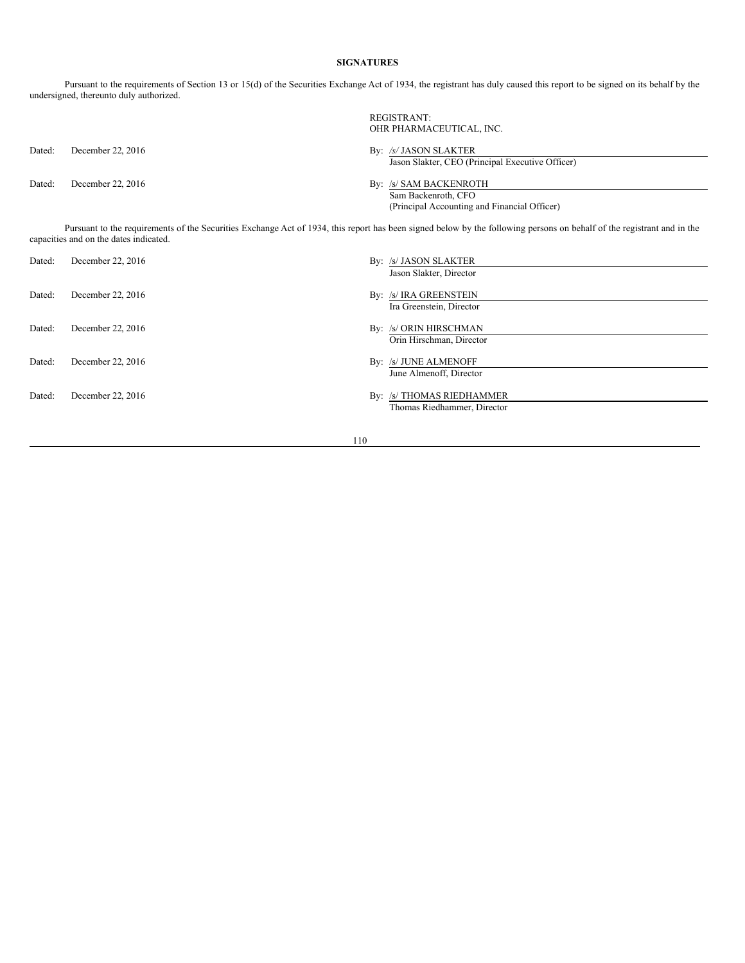### **SIGNATURES**

Pursuant to the requirements of Section 13 or 15(d) of the Securities Exchange Act of 1934, the registrant has duly caused this report to be signed on its behalf by the undersigned, thereunto duly authorized.

|        |                   | REGISTRANT:<br>OHR PHARMACEUTICAL, INC.          |
|--------|-------------------|--------------------------------------------------|
| Dated: | December 22, 2016 | By: /s/ JASON SLAKTER                            |
|        |                   | Jason Slakter, CEO (Principal Executive Officer) |
| Dated: | December 22, 2016 | By: /s/ SAM BACKENROTH                           |
|        |                   | Sam Backenroth, CFO                              |
|        |                   | (Principal Accounting and Financial Officer)     |

Pursuant to the requirements of the Securities Exchange Act of 1934, this report has been signed below by the following persons on behalf of the registrant and in the capacities and on the dates indicated.

| Dated: | December 22, 2016 | By: /s/ JASON SLAKTER                                    |
|--------|-------------------|----------------------------------------------------------|
|        |                   | Jason Slakter, Director                                  |
| Dated: | December 22, 2016 | By: /s/ IRA GREENSTEIN                                   |
|        |                   | Ira Greenstein, Director                                 |
| Dated: | December 22, 2016 | By: /s/ ORIN HIRSCHMAN                                   |
|        |                   | Orin Hirschman, Director                                 |
| Dated: | December 22, 2016 | By: /s/ JUNE ALMENOFF                                    |
|        |                   | June Almenoff, Director                                  |
|        |                   |                                                          |
| Dated: | December 22, 2016 | By: /s/ THOMAS RIEDHAMMER<br>Thomas Riedhammer, Director |
|        |                   |                                                          |
|        |                   |                                                          |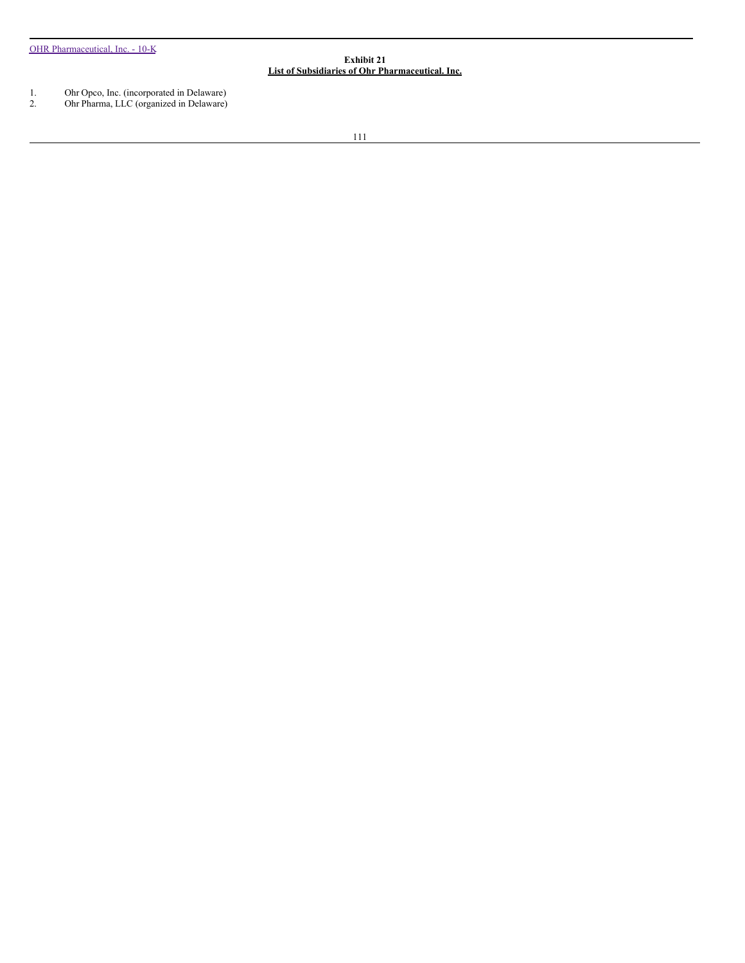<span id="page-112-0"></span>OHR [Pharmaceutical,](#page-55-0) Inc. - 10-K

### **Exhibit 21 List of Subsidiaries of Ohr Pharmaceutical. Inc.**

1. Ohr Opco, Inc. (incorporated in Delaware)

2. Ohr Pharma, LLC (organized in Delaware)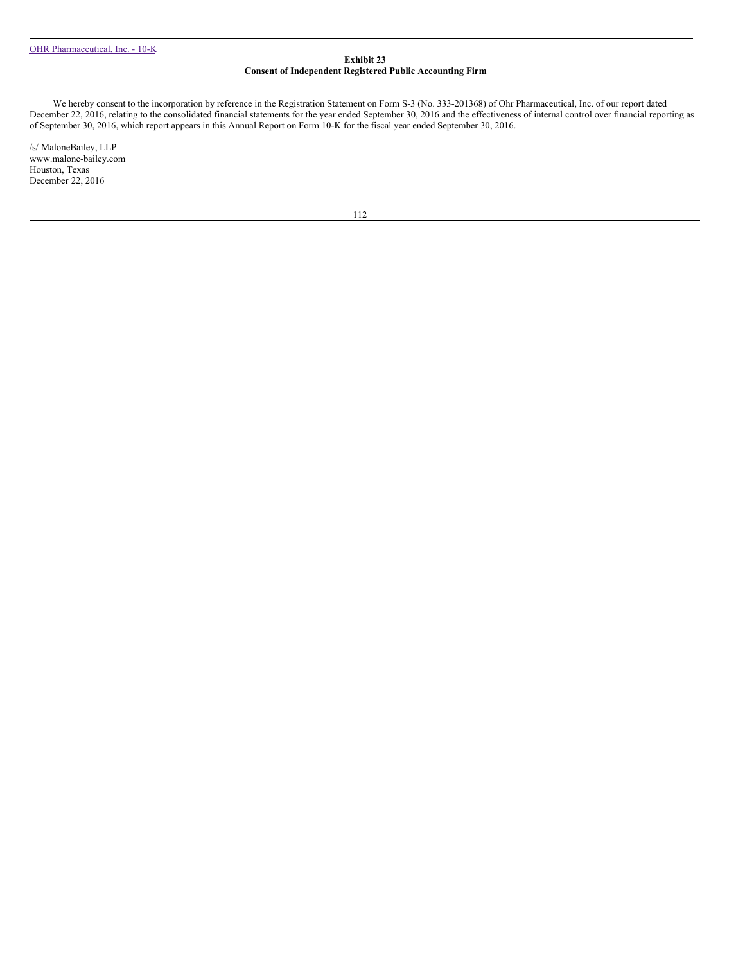#### **Exhibit 23 Consent of Independent Registered Public Accounting Firm**

<span id="page-113-0"></span>We hereby consent to the incorporation by reference in the Registration Statement on Form S-3 (No. 333-201368) of Ohr Pharmaceutical, Inc. of our report dated December 22, 2016, relating to the consolidated financial statements for the year ended September 30, 2016 and the effectiveness of internal control over financial reporting as of September 30, 2016, which report appears in this Annual Report on Form 10-K for the fiscal year ended September 30, 2016.

/s/ MaloneBailey, LLP

www.malone-bailey.com Houston, Texas December 22, 2016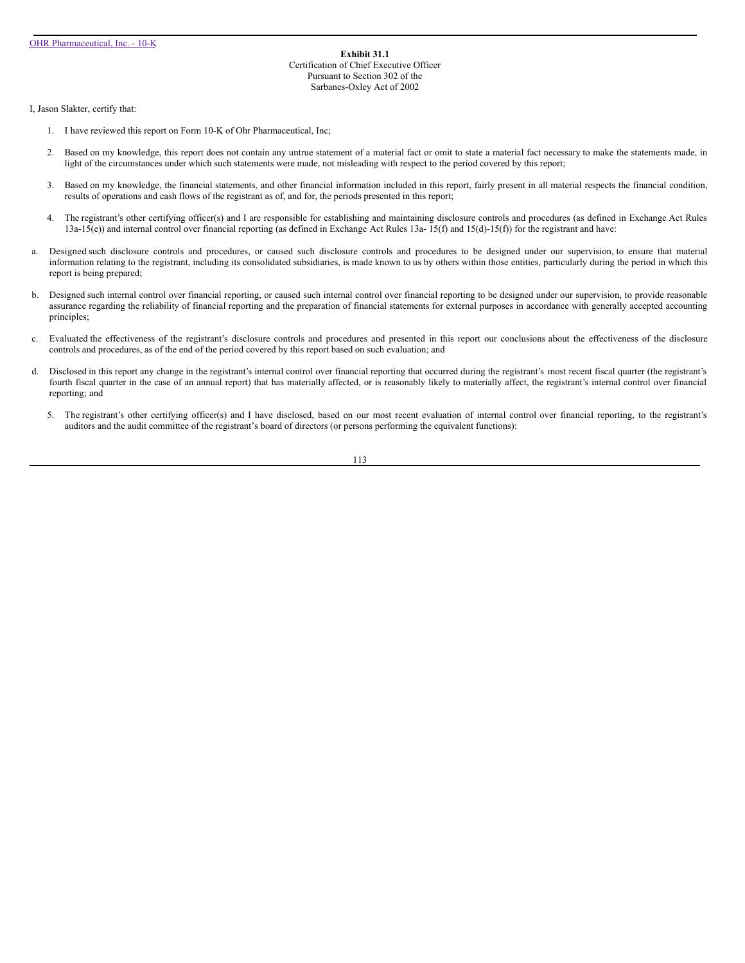**Exhibit 31.1** Certification of Chief Executive Officer Pursuant to Section 302 of the Sarbanes-Oxley Act of 2002

<span id="page-114-0"></span>I, Jason Slakter, certify that:

- 1. I have reviewed this report on Form 10-K of Ohr Pharmaceutical, Inc;
- 2. Based on my knowledge, this report does not contain any untrue statement of a material fact or omit to state a material fact necessary to make the statements made, in light of the circumstances under which such statements were made, not misleading with respect to the period covered by this report;
- 3. Based on my knowledge, the financial statements, and other financial information included in this report, fairly present in all material respects the financial condition, results of operations and cash flows of the registrant as of, and for, the periods presented in this report;
- 4. The registrant's other certifying officer(s) and I are responsible for establishing and maintaining disclosure controls and procedures (as defined in Exchange Act Rules 13a-15(e)) and internal control over financial reporting (as defined in Exchange Act Rules 13a- 15(f) and 15(d)-15(f)) for the registrant and have:
- a. Designed such disclosure controls and procedures, or caused such disclosure controls and procedures to be designed under our supervision, to ensure that material information relating to the registrant, including its consolidated subsidiaries, is made known to us by others within those entities, particularly during the period in which this report is being prepared;
- b. Designed such internal control over financial reporting, or caused such internal control over financial reporting to be designed under our supervision, to provide reasonable assurance regarding the reliability of financial reporting and the preparation of financial statements for external purposes in accordance with generally accepted accounting principles;
- c. Evaluated the effectiveness of the registrant's disclosure controls and procedures and presented in this report our conclusions about the effectiveness of the disclosure controls and procedures, as of the end of the period covered by this report based on such evaluation; and
- d. Disclosed in this report any change in the registrant's internal control over financial reporting that occurred during the registrant's most recent fiscal quarter (the registrant's fourth fiscal quarter in the case of an annual report) that has materially affected, or is reasonably likely to materially affect, the registrant's internal control over financial reporting; and
	- 5. The registrant's other certifying officer(s) and I have disclosed, based on our most recent evaluation of internal control over financial reporting, to the registrant's auditors and the audit committee of the registrant's board of directors (or persons performing the equivalent functions):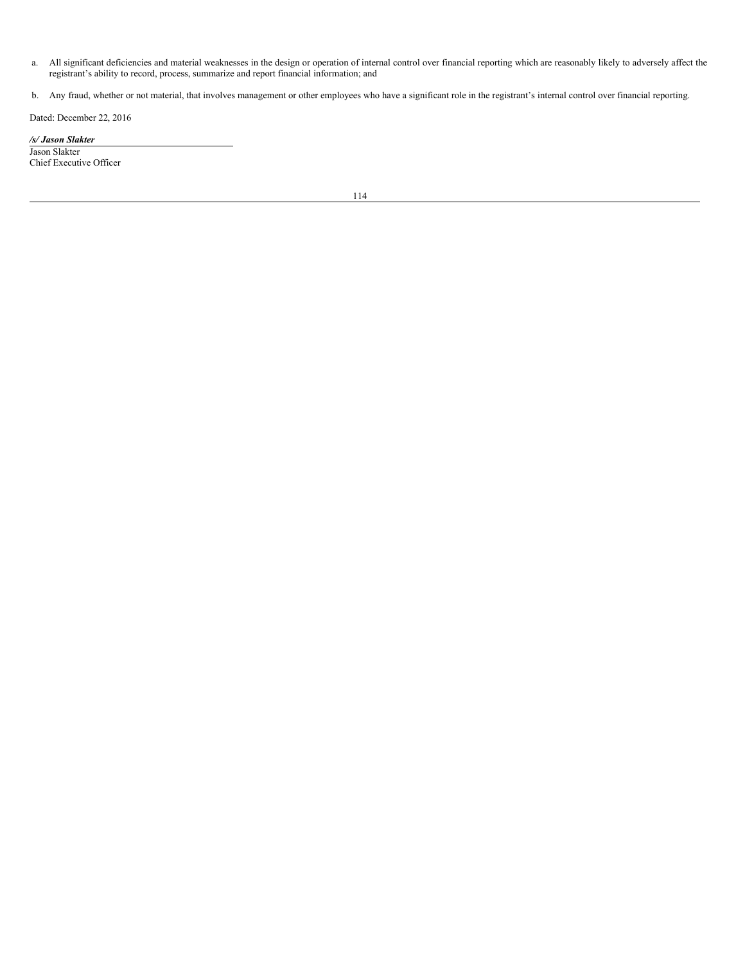- a. All significant deficiencies and material weaknesses in the design or operation of internal control over financial reporting which are reasonably likely to adversely affect the registrant's ability to record, process, summarize and report financial information; and
- b. Any fraud, whether or not material, that involves management or other employees who have a significant role in the registrant's internal control over financial reporting.

Dated: December 22, 2016

*/s/ Jason Slakter* Jason Slakter Chief Executive Officer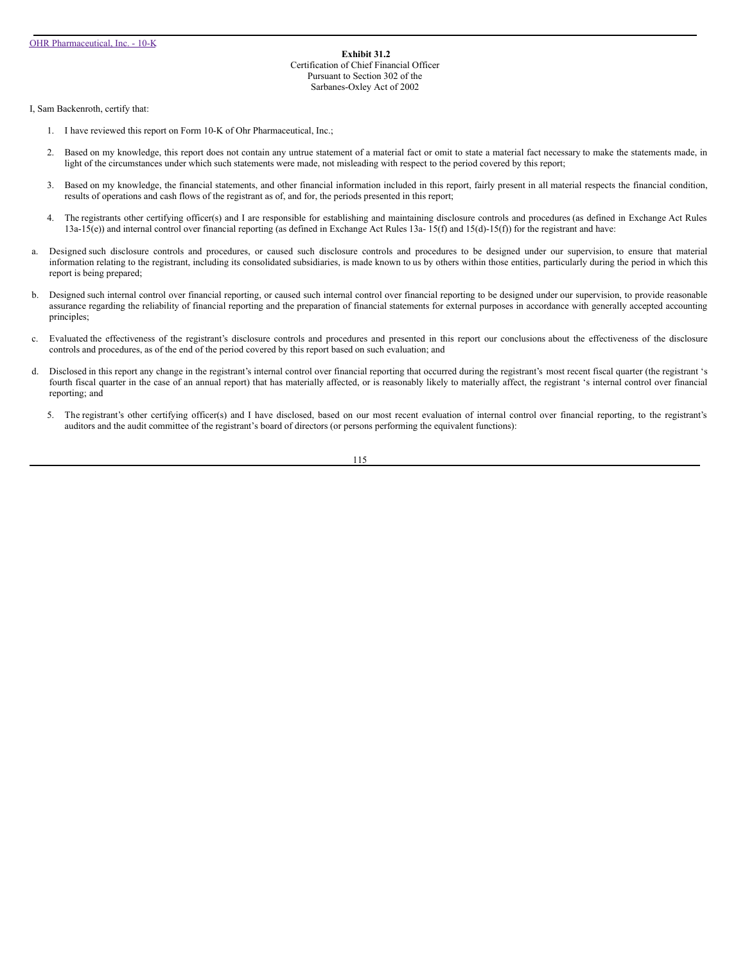**Exhibit 31.2** Certification of Chief Financial Officer Pursuant to Section 302 of the Sarbanes-Oxley Act of 2002

<span id="page-116-0"></span>I, Sam Backenroth, certify that:

- 1. I have reviewed this report on Form 10-K of Ohr Pharmaceutical, Inc.;
- 2. Based on my knowledge, this report does not contain any untrue statement of a material fact or omit to state a material fact necessary to make the statements made, in light of the circumstances under which such statements were made, not misleading with respect to the period covered by this report;
- 3. Based on my knowledge, the financial statements, and other financial information included in this report, fairly present in all material respects the financial condition, results of operations and cash flows of the registrant as of, and for, the periods presented in this report;
- 4. The registrants other certifying officer(s) and I are responsible for establishing and maintaining disclosure controls and procedures (as defined in Exchange Act Rules 13a-15(e)) and internal control over financial reporting (as defined in Exchange Act Rules 13a- 15(f) and 15(d)-15(f)) for the registrant and have:
- a. Designed such disclosure controls and procedures, or caused such disclosure controls and procedures to be designed under our supervision, to ensure that material information relating to the registrant, including its consolidated subsidiaries, is made known to us by others within those entities, particularly during the period in which this report is being prepared;
- b. Designed such internal control over financial reporting, or caused such internal control over financial reporting to be designed under our supervision, to provide reasonable assurance regarding the reliability of financial reporting and the preparation of financial statements for external purposes in accordance with generally accepted accounting principles;
- c. Evaluated the effectiveness of the registrant's disclosure controls and procedures and presented in this report our conclusions about the effectiveness of the disclosure controls and procedures, as of the end of the period covered by this report based on such evaluation; and
- d. Disclosed in this report any change in the registrant's internal control over financial reporting that occurred during the registrant's most recent fiscal quarter (the registrant 's fourth fiscal quarter in the case of an annual report) that has materially affected, or is reasonably likely to materially affect, the registrant 's internal control over financial reporting; and
	- 5. The registrant's other certifying officer(s) and I have disclosed, based on our most recent evaluation of internal control over financial reporting, to the registrant's auditors and the audit committee of the registrant's board of directors (or persons performing the equivalent functions):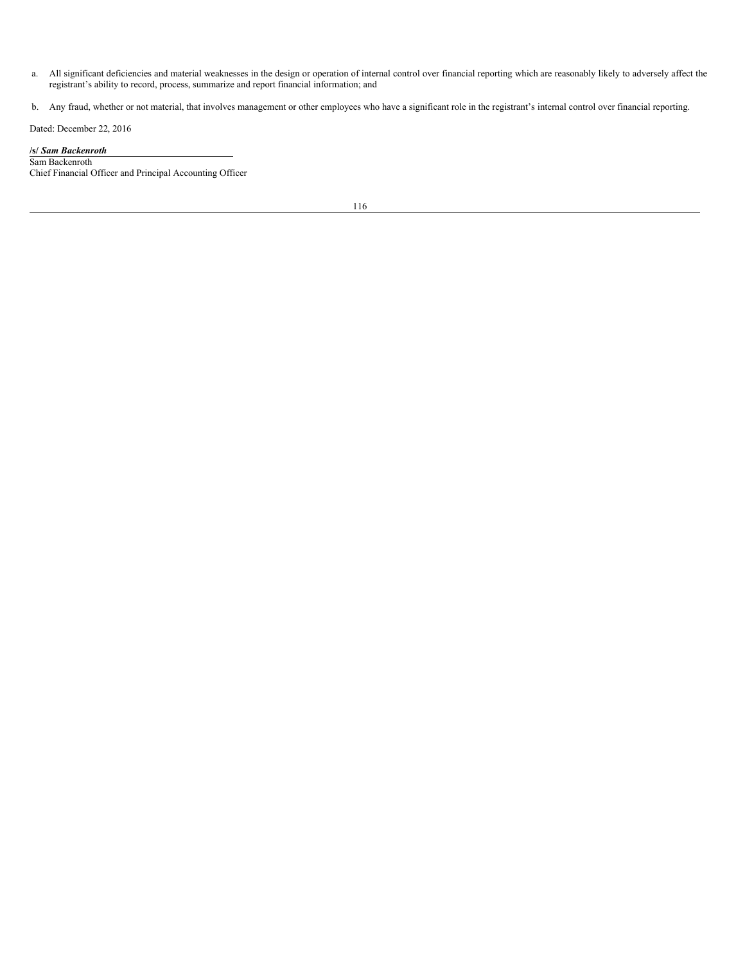- a. All significant deficiencies and material weaknesses in the design or operation of internal control over financial reporting which are reasonably likely to adversely affect the registrant's ability to record, process, summarize and report financial information; and
- b. Any fraud, whether or not material, that involves management or other employees who have a significant role in the registrant's internal control over financial reporting.

Dated: December 22, 2016

**/s/** *Sam Backenroth*

Sam Backenroth Chief Financial Officer and Principal Accounting Officer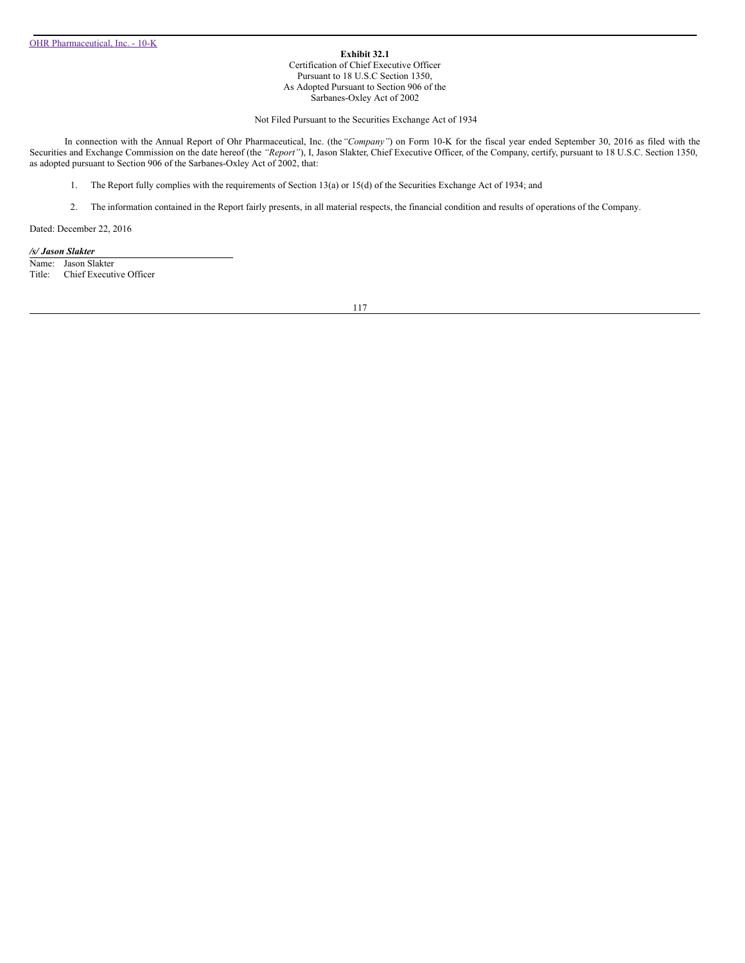**Exhibit 32.1**

Certification of Chief Executive Officer Pursuant to 18 U.S.C Section 1350, As Adopted Pursuant to Section 906 of the

Sarbanes-Oxley Act of 2002

Not Filed Pursuant to the Securities Exchange Act of 1934

<span id="page-118-0"></span>In connection with the Annual Report of Ohr Pharmaceutical, Inc. (the*"Company"*) on Form 10-K for the fiscal year ended September 30, 2016 as filed with the Securities and Exchange Commission on the date hereof (the "Report"), I, Jason Slakter, Chief Executive Officer, of the Company, certify, pursuant to 18 U.S.C. Section 1350, as adopted pursuant to Section 906 of the Sarbanes-Oxley Act of 2002, that:

- 1. The Report fully complies with the requirements of Section 13(a) or 15(d) of the Securities Exchange Act of 1934; and
- 2. The information contained in the Report fairly presents, in all material respects, the financial condition and results of operations of the Company.

Dated: December 22, 2016

*/s/ Jason Slakter* Name: Jason Slakter<br>Title: Chief Executi Chief Executive Officer